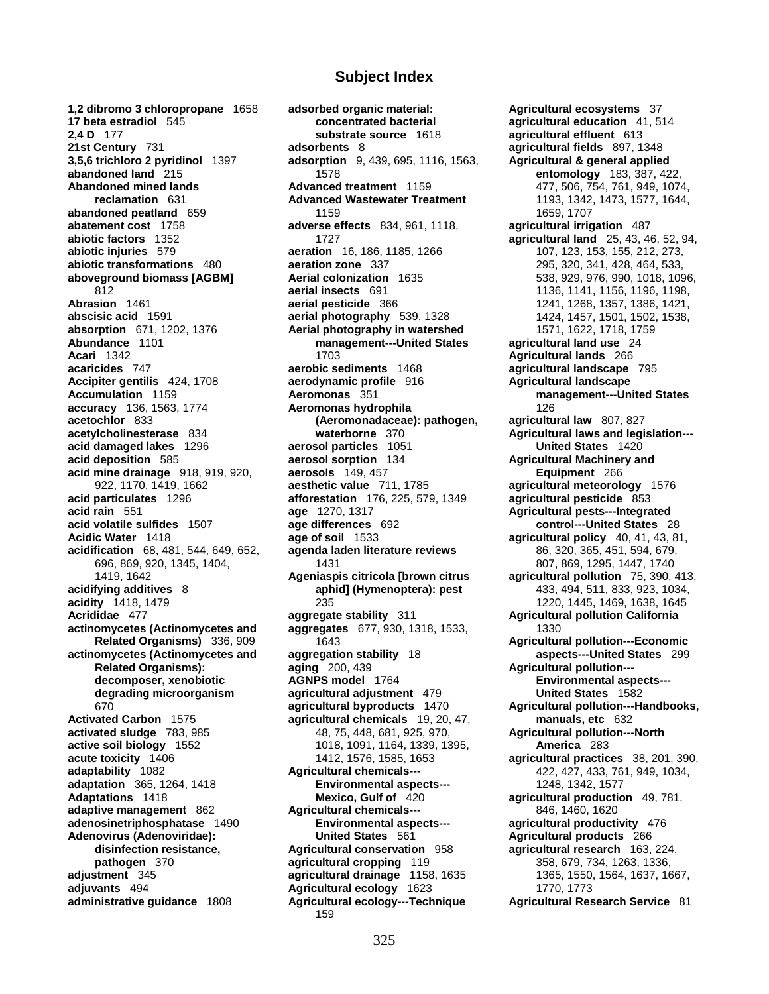## **Subject Index**

**abatement cost** 1758 **adverse effects** 834, 961, 1118, actinomycetes (Actinomycetes and

**1,2 dibromo 3 chloropropane** 1658 **adsorbed organic material: Agricultural ecosystems** 37 **17 beta estradiol** 545 **concentrated bacterial agricultural education** 41, 514 **2,4 D** 177 **substrate source** 1618 **agricultural effluent** 613 **21st Century** 731 **adsorbents** 8 **agricultural fields** 897, 1348 **3,5,6 trichloro 2 pyridinol** 1397 **adsorption** 9, 439, 695, 1116, 1563, **Agricultural & general applied abandoned land** 215 **entomology** 183, 387, 422,<br>**Abandoned mined lands entomology** 183, 387, 422, **Abandoned mined lands entomology 183, 387, 422, 477, 506, 754, 761, 949, 107 Advanced treatment** 1159 477, 506, 754, 761, 949, 1074, **reclamation** 631 **Advanced Wastewater Treatment** 1193, 1342, 1473, 1577, 1644, **abandoned peatland** 659 **1159** 1659, 1707<br>**abatement cost** 1758 **adverse effects** 834, 961, 1118, **agricultural irrigation** 487 **abiotic factors** 1352 1727 **agricultural land** 25, 43, 46, 52, 94, **abiotic injuries** 579 **aeration** 16, 186, 1185, 1266 107, 123, 153, 155, 212, 273, **abiotic transformations** 480 **aeration zone** 337 295, 320, 341, 428, 464, 533, **aboveground biomass [AGBM] Aerial colonization** 1635 538, 929, 976, 990, 1018, 1096, 812 **aerial insects** 691 1136, 1141, 1156, 1196, 1198, **Abrasion** 1461 **aerial pesticide** 366 1241, 1268, 1357, 1386, 1421, 1486, 1421, 1502, 1538, 1421, **abscisic acid** 1591 **abscisic acid** 1591 **aerial photography** 539, 1328 1424, 1457, 1501, 1502, 1502, 1502, 1502, 1516<br> **Aerial photography in watershed** 1571, 1622, 1718, 1759 **Aerial photography in watershed Abundance** 1101 **management---United States agricultural land use** 24 **Acari** 1342 1703 **Agricultural lands** 266 **acaricides** 747 **aerobic sediments** 1468 **agricultural landscape** 795 **Accipiter gentilis** 424, 1708 **aerodynamic profile** 916 **Agricultural landscape Accumulation** 1159 **Aeromonas** 351 **management---United States accuracy** 136, 1563, 1774 **Aeromonas hydrophila** 126 **acetochlor** 833 **(Aeromonadaceae): pathogen, agricultural law** 807, 827 **acetylcholinesterase** 834 **waterborne** 370 **Agricultural laws and legislation-- acid damaged lakes** 1296 **aerosol particles** 1051 **United States** 1420 **acid deposition** 585 **aerosol sorption** 134 **Agricultural Machinery and acid mine drainage** 918, 919, 920, **aerosols** 149, 457 **Equipment** 266 922, 1170, 1419, 1662 **aesthetic value** 711, 1785 **agricultural meteorology** 1576 **acid particulates** 1296 **afforestation** 176, 225, 579, 1349 **agricultural pesticide** 853 **age** 1270, 1317 **Agricultural pests---Integrated acid volatile sulfides** 1507 **age differences** 692 **control---United States** 28 **Acidic Water** 1418 **age of soil** 1533 **agricultural policy** 40, 41, 43, 81, **acidification** 68, 481, 544, 649, 652, **agenda laden literature reviews** 86, 320, 365, 451, 594, 679, 696, 869, 920, 1345, 1404, 1431 807, 869, 1295, 1447, 1740 1419, 1642 **Ageniaspis citricola [brown citrus agricultural pollution** 75, 390, 413, **acidifying additives** 8 **aphid] (Hymenoptera): pest** 433, 494, 511, 833, 923, 1034, **acidity** 1418, 1479 235 235 235 235 235 235 235 235 236 237 238, 1445, 1469, 1638, 1645 **Acrididae** 477 **aggregate stability** 311 **Agricultural pollution California actinomycetes (Actinomycetes and aggregates** 677, 930, 1318, 1533, 1330 **Related Organisms)** 336, 909 1643 **Agricultural pollution---Economic Related Organisms): aging** 200, 439 **Agricultural pollution-- decomposer, xenobiotic AGNPS model** 1764 **Environmental aspects-- degrading microorganism agricultural adjustment** 479 **United States** 1582 670 **agricultural byproducts** 1470 **Agricultural pollution---Handbooks, Activated Carbon** 1575 **agricultural chemicals** 19, 20, 47, **manuals, etc** 632 **activated sludge** 783, 985 48, 75, 448, 681, 925, 970, **Agricultural pollution---North active soil biology** 1552 1018, 1091, 1164, 1339, 1395, **America** 283 **acute toxicity** 1406 1412, 1576, 1585, 1653 **agricultural practices** 38, 201, 390, **adaptability** 1082 **Agricultural chemicals---** 422, 427, 433, 761, 949, 1034, **adaptation** 365, 1264, 1418 **Environmental aspects---** 1248, 1342, 1577 **Adaptations** 1418 **Mexico, Gulf of** 420 **agricultural production** 49, 781, **adaptive management** 862 **Agricultural chemicals---** 846, 1460, 1620 **adenosinetriphosphatase** 1490 **Environmental aspects--- agricultural productivity** 476 Adenovirus (Adenoviridae): **United States** 561 **Agricultural products** 266 **disinfection resistance, Agricultural conservation** 958 **agricultural research** 163, 224, **pathogen** 370 **agricultural cropping** 119 358, 679, 734, 1263, 1336, **adjustment** 345 **agricultural drainage** 1158, 1635 1365, 1550, 1564, 1637, 1667, **adjuvants** 494 **Agricultural ecology** 1623 1770, 1773 **administrative guidance** 1808 **Agricultural ecology---Technique Agricultural Research Service** 81 159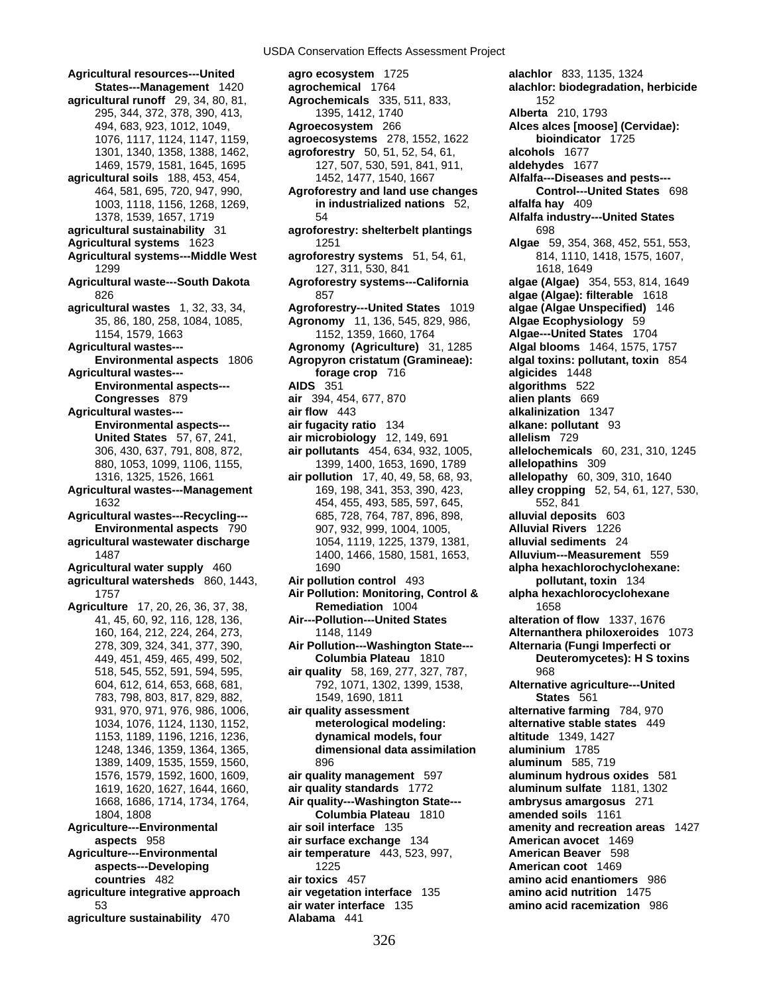295, 344, 372, 378, 390, 413, 1395, 1412, 1740 **Alberta** 210, 1793 **Agriculture---Environmental air temperature** 443, 523, 997, **agriculture sustainability** 470 **Alabama** 441

**Agricultural resources---United agro ecosystem** 1725 **alachlor** 833, 1135, 1324 **States---Management** 1420 **agrochemical** 1764 **alachlor: biodegradation, herbicide agricultural runoff** 29, 34, 80, 81, **Agrochemicals** 335, 511, 833, 152<br>295, 344, 372, 378, 390, 413, 1395, 1412, 1740 **Alberta** 210, 1793 494, 683, 923, 1012, 1049, **Agroecosystem** 266 **Alces alces [moose] (Cervidae):**  1076, 1117, 1124, 1147, 1159, **agroecosystems** 278, 1552, 1622 **bioindicator** 1725 1301, 1340, 1358, 1388, 1462, **agroforestry** 50, 51, 52, 54, 61, **alcohols** 1677 1469, 1579, 1581, 1645, 1695 127, 507, 530, 591, 841, 911, **aldehydes** 1677 **agricultural soils** 188, 453, 454, 1452, 1477, 1540, 1667 **Alfalfa---Diseases and pests---**464, 581, 695, 720, 947, 990, **Agroforestry and land use changes Control---United States** 698 1003, 1118, 1156, 1268, 1269, **in industrialized nations** 52, **alfalfa hay** 409 1378, 1539, 1657, 1719 54 **Alfalfa industry---United States agricultural sustainability** 31 **agroforestry: shelterbelt plantings** 698 **Agricultural systems** 1623 1251 **Algae** 59, 354, 368, 452, 551, 553, **Agricultural systems---Middle West agroforestry systems** 51, 54, 61, 814, 1110, 1418, 1575, 1607, 1299 127, 311, 530, 841 1618, 1649 **Agricultural waste---South Dakota Agroforestry systems---California algae (Algae)** 354, 553, 814, 1649 826 857 **algae (Algae): filterable** 1618 **agricultural wastes** 1, 32, 33, 34, **Agroforestry---United States** 1019 **algae (Algae Unspecified)** 146 35, 86, 180, 258, 1084, 1085, **Agronomy** 11, 136, 545, 829, 986, **Algae Ecophysiology** 59 1154, 1579, 1663 1152, 1359, 1660, 1764 **Algae---United States** 1704 **Agricultural wastes--- Agronomy (Agriculture)** 31, 1285 **Algal blooms** 1464, 1575, 1757 **Environmental aspects** 1806 **Agropyron cristatum (Gramineae): algal toxins: pollutant, toxin** 854 **Agricultural wastes--- forage crop** 716 **algicides** 1448 **Environmental aspects--- AIDS** 351 **algorithms** 522 **Congresses** 879 **air** 394, 454, 677, 870 **alien plants** 669 **Agricultural wastes--- air flow** 443 **alkalinization** 1347 **Environmental aspects--- air fugacity ratio** 134 **alkane: pollutant** 93 **United States** 57, 67, 241, **air microbiology** 12, 149, 691 **allelism** 729 306, 430, 637, 791, 808, 872, **air pollutants** 454, 634, 932, 1005, **allelochemicals** 60, 231, 310, 1245 880, 1053, 1099, 1106, 1155, 1399, 1400, 1653, 1690, 1789 **allelopathins** 309 1316, 1325, 1526, 1661 **air pollution** 17, 40, 49, 58, 68, 93, **allelopathy** 60, 309, 310, 1640 **Agricultural wastes---Management** 169, 198, 341, 353, 390, 423, **alley cropping** 52, 54, 61, 127, 530, 1632 454, 455, 493, 585, 597, 645, 552, 841 **Agricultural wastes---Recycling---** 685, 728, 764, 787, 896, 898, **alluvial deposits** 603 **Environmental aspects** 790 907, 932, 999, 1004, 1005, **Alluvial Rivers** 1226 **agricultural wastewater discharge** 1054, 1119, 1225, 1379, 1381, **alluvial sediments** 24 1487 1400, 1466, 1580, 1581, 1653, **Alluvium---Measurement** 559 **Agricultural water supply** 460 1690 **alpha hexachlorochyclohexane: agricultural watersheds** 860, 1443, **Air pollution control** 493 **pollutant, toxin** 134 1757 **Air Pollution: Monitoring, Control & alpha hexachlorocyclohexane Agriculture** 17, 20, 26, 36, 37, 38,<br>41, 45, 60, 92, 116, 128, 136, **Air---Pollution---United States** alteration 41, 45, 60, 92, 116, 128, 136, **Air---Pollution---United States alteration of flow** 1337, 1676 160, 164, 212, 224, 264, 273, 1148, 1149 **Alternanthera philoxeroides** 1073 278, 309, 324, 341, 377, 390, **Air Pollution---Washington State--- Alternaria (Fungi Imperfecti or**  449, 451, 459, 465, 499, 502, **Columbia Plateau** 1810 **Deuteromycetes): H S toxins** 518, 545, 552, 591, 594, 595, **air quality** 58, 169, 277, 327, 787, 968 604, 612, 614, 653, 668, 681, 792, 1071, 1302, 1399, 1538, **Alternative agriculture---United**  783, 798, 803, 817, 829, 882, 1549, 1690, 1811 **States** 561 931, 970, 971, 976, 986, 1006, **air quality assessment alternative farming** 784, 970 1034, 1076, 1124, 1130, 1152, **meterological modeling: alternative stable states** 449 1153, 1189, 1196, 1216, 1236, **dynamical models, four altitude** 1349, 1427 1248, 1346, 1359, 1364, 1365, **dimensional data assimilation aluminium** 1785 1389, 1409, 1535, 1559, 1560, 896 **aluminum** 585, 719 1576, 1579, 1592, 1600, 1609, **air quality management** 597 **aluminum hydrous oxides** 581 1619, 1620, 1627, 1644, 1660, **air quality standards** 1772 **aluminum sulfate** 1181, 1302 1668, 1686, 1714, 1734, 1764, **Air quality---Washington State--- ambrysus amargosus** 271 1804, 1808 **Columbia Plateau** 1810 **amended soils** 1161 **aspects** 958 **air surface exchange** 134 **American avocet** 1469 **aspects---Developing** 1225 **American coot** 1469 **countries** 482 **air toxics** 457 **amino acid enantiomers** 986 **agriculture integrative approach air vegetation interface** 135 **amino acid nutrition** 1475 53 **air water interface** 135 **amino acid racemization** 986

**Agriculture---Environmental air soil interface** 135 **amenity and recreation areas** 1427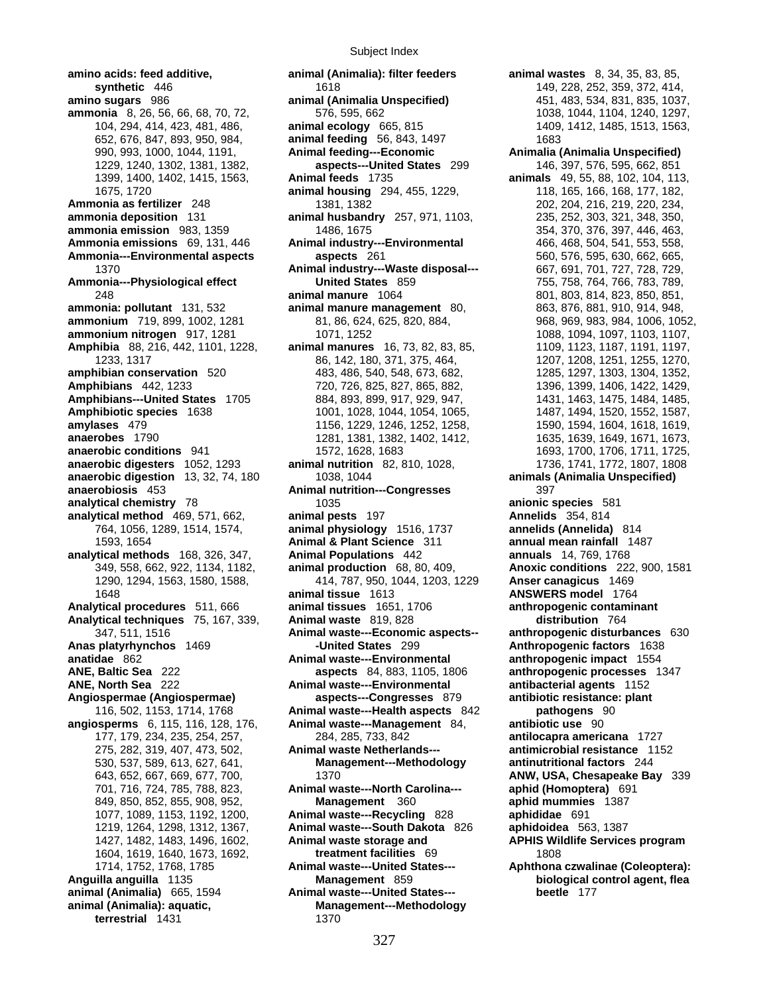Subject Index

**amino acids: feed additive, animal (Animalia): filter feeders animal wastes** 8, 34, 35, 83, 85, **amino sugars** 986 **animal (Animalia Unspecified)** 451, 483, 534, 831, 835, 1037, **ammonia** 8, 26, 56, 66, 68, 70, 72, 576, 595, 662 1038, 1044, 1104, 1240, 1297, 104. 294. 414. 423. 481. 486. **animal ecology** 665, 815 1410, 1412, 1485, 1513, 1563, **Ammonia as fertilizer** 248 1381, 1382 202, 204, 216, 219, 220, 234, 220, 234, 216, 219, 220, 234, **ammonia deposition** 131 **animal husbandry** 257, 971, 1103, 235, 252, 303, 321, 348, 350, **ammonia emission** 983, 1359 1486, 1675 1580, 254, 370, 376, 397, 446, 463, **ammonia emission** 983, 1359 1486, 1675 1675<br>**Ammonia emissions** 69, 131, 446 **151, Animal industry---Environmental** 466, 468, 504, 541, 553, 558, 468, 553, 558 **Ammonia---Environmental aspects aspects** 261 560, 576, 595, 630, 662, 665, 565, 585, 630, 662, 665, **Ammonia---Physiological effect United States** 859 755, 758, 764, 766, 783, 789, **ammonia: pollutant** 131, 532 **animal manure management** 80, 863, 876, 881, 910, 914, 948, **ammonium** 719, 899, 1002, 1281 81, 86, 624, 625, 820, 884, 884, 888, 969, 983, 984, 1006, 1052, **ammonium nitrogen** 917, 1281 1071, 1252 1088, 1094, 1097, 1103, 1107, 1103, 1107, **Amphibia** 88, 216, 442, 1101, 1228, **animal manures** 16, 73, 82, 83, 85, 1109, 1123, 1187, 1191, 1197, 1233, 1317 86, 142, 180, 371, 375, 464, 1207, 1208, 1251, 1255, 1270, 1208, 1317<br>483, 486, 540, 548, 673, 682, 1285, 1297, 1303, 1304, 1352, 1303, 1304, 1352, **amphibian conservation** 520 483, 486, 540, 548, 673, 682, 1285, 1297, 1303, 1304, 1352, 1304, 1352, 1303, 1422, 1429, 1429, 1429, 1429, 1429, 1429, 1429, 1429, 1429, 1429, 1429, 1429, 1429, 1429, 1429, 1429, 1429, 1429, 1 Amphibians---United States 1705 884, 893, 899, 917, 929, 947, 1431, 1463, 1475, 1484, 1485, Amphibiotic species 1638 1001, 1028, 1044, 1054, 1065, 1487, 1494, 1520, 1552, 1587, **amylases** 479 1156, 1229, 1246, 1252, 1258, 1590, 1594, 1604, 1618, 1619, 1618, 1619, **anaerobes** 1790 1281, 1381, 1382, 1402, 1412, 1635, 1639, 1649, 1671, 1673, **anaerobic conditions** 941 1572, 1628, 1683 1683 1693, 1700, 1706, 1711, 1725, **anaerobic digesters** 1052, 1293 **animal nutrition** 82, 810, 1028, 1736, 1741, 1772, 1807, 1808 **anaerobic digestion** 13, 32, 74, 180 1038, 1044 **animals (Animalia Unspecified) anaerobiosis** 453 **Animal nutrition---Congresses** 397 **analytical chemistry** 78 1035 **anionic species** 581 **analytical method** 469, 571, 662, **animal pests** 197 **Annelids** 354, 814 **analytical methods** 168, 326, 347, **Animal Populations** 442 **annuals** 14, 769, 1768 **Analytical procedures** 511, 666 **animal tissues** 1651, 1706 **anthropogenic contaminant Analytical techniques** 75, 167, 339, **Animal waste** 819, 828 **distribution** 764 **Anas platyrhynchos** 1469 **-United States** 299 **Anthropogenic factors** 1638 **anatidae** 862 **Animal waste---Environmental anthropogenic impact** 1554 **ANE, Baltic Sea** 222 **aspects** 84, 883, 1105, 1806 **anthropogenic processes** 1347 **ANE, North Sea** 222 **Animal waste---Environmental antibacterial agents** 1152 **Angiospermae (Angiospermae) aspects---Congresses** 879 **antibiotic resistance: plant angiosperms** 6, 115, 116, 128, 176, **Animal waste---Management** 84, **Anguilla anguilla** 1135 **Management** 859 **biological control agent, flea animal (Animalia)** 665, 1594 **Animal waste---United States--- beetle** 177 animal (Animalia): aquatic, Management---Methodology **terrestrial** 1431 1370

**synthetic** 446 1618 149, 228, 252, 359, 372, 414, 104, 294, 414, 423, 481, 486, **animal ecology** 665, 815 1409, 1412, 1485, 1513, 1563, 652, 676, 847, 893, 950, 984, **animal feeding** 56, 843, 1497 1683 990, 993, 1000, 1044, 1191, **Animal feeding---Economic Animalia (Animalia Unspecified)** 1229, 1240, 1302, 1381, 1382, **aspects---United States** 299 146, 397, 576, 595, 662, 851 1399, 1400, 1402, 1415, 1563, **Animal feeds** 1735 **animals** 49, 55, 88, 102, 104, 113, 1675, 1720 **animal housing** 294, 455, 1229, 118, 165, 166, 168, 177, 182, Animal industry---Environmental<br>aspects 261 1370 **Animal industry---Waste disposal---** 667, 691, 701, 727, 728, 729, 248 **animal manure** 1064 801, 803, 814, 823, 850, 851, 764, 1056, 1289, 1514, 1574, **animal physiology** 1516, 1737 **annelids (Annelida)** 814 1593, 1654 **Animal & Plant Science** 311 **annual mean rainfall** 1487 349, 558, 662, 922, 1134, 1182, **animal production** 68, 80, 409, **Anoxic conditions** 222, 900, 1581 1290, 1294, 1563, 1580, 1588, 414, 787, 950, 1044, 1203, 1229 **Anser canagicus** 1469 1648 **animal tissue** 1613 **ANSWERS model** 1764 347, 511, 1516 **Animal waste---Economic aspects-- anthropogenic disturbances** 630 116, 502, 1153, 1714, 1768 **Animal waste---Health aspects** 842 **pathogens** 90 177, 179, 234, 235, 254, 257, 284, 285, 733, 842 **antilocapra americana** 1727 275, 282, 319, 407, 473, 502, **Animal waste Netherlands--- antimicrobial resistance** 1152 530, 537, 589, 613, 627, 641, **Management---Methodology antinutritional factors** 244 643, 652, 667, 669, 677, 700, 1370 **ANW, USA, Chesapeake Bay** 339 701, 716, 724, 785, 788, 823, **Animal waste---North Carolina--- aphid (Homoptera)** 691 849, 850, 852, 855, 908, 952, **Management** 360 **aphid mummies** 1387 1077, 1089, 1153, 1192, 1200, **Animal waste---Recycling** 828 **aphididae** 691 1219, 1264, 1298, 1312, 1367, **Animal waste---South Dakota** 826 **aphidoidea** 563, 1387 1427, 1482, 1483, 1496, 1602, **Animal waste storage and APHIS Wildlife Services program** 1604, 1619, 1640, 1673, 1692, **treatment facilities** 69 1808 1714, 1752, 1768, 1785 **Animal waste---United States--- Aphthona czwalinae (Coleoptera):** 

**Amphibians** 442, 1233 720, 726, 825, 827, 865, 882, 1396, 1399, 1406, 1422, 1429,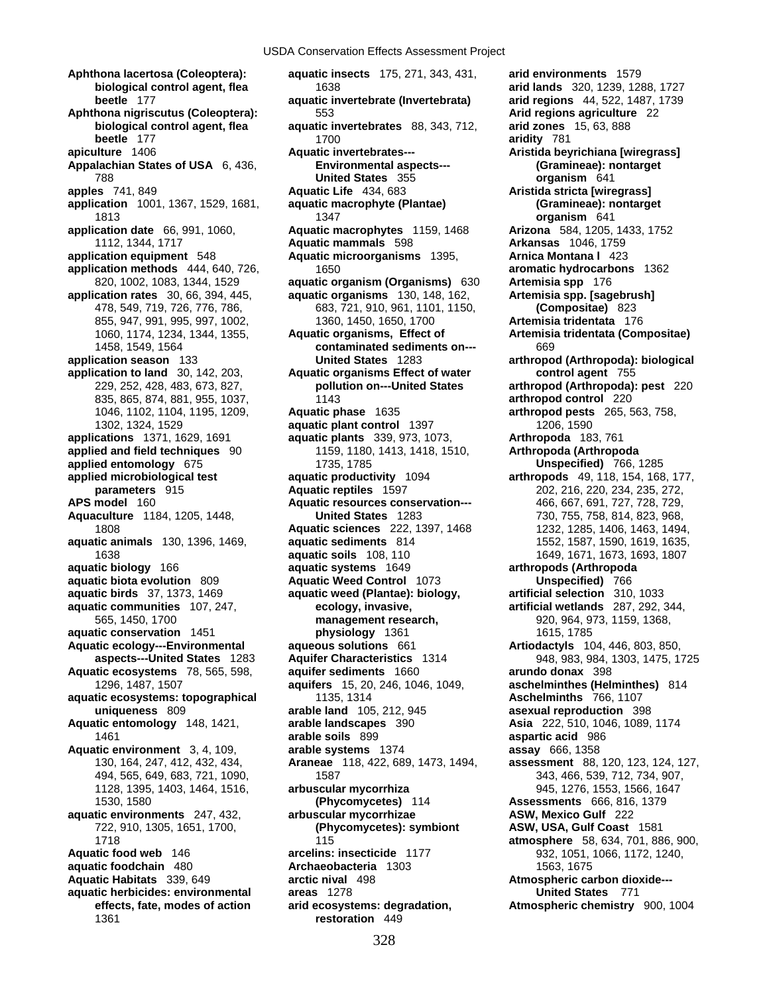**Aphthona lacertosa (Coleoptera): aquatic insects** 175, 271, 343, 431, **arid environments** 1579 Appalachian States of USA 6, 436, **Environmental aspects---**1361 **restoration** 449

**biological control agent, flea** 1638 **arid lands** 320, 1239, 1288, 1727 **beetle** 177 **aquatic invertebrate (Invertebrata) arid regions** 44, 522, 1487, 1739 **Aphthona nigriscutus (Coleoptera):** 553 **Arid regions agriculture** 22 **biological control agent, flea aquatic invertebrates** 88, 343, 712, **arid zones** 15, 63, 888 **beetle** 177 **aridity** 781 **apiculture** 1406 **Aquatic invertebrates--- Aristida beyrichiana [wiregrass]**  788 **United States** 355 **organism** 641 **apples** 741, 849 **Aquatic Life** 434, 683 **Aristida stricta [wiregrass] application** 1001, 1367, 1529, 1681, **aquatic macrophyte (Plantae) (Gramineae): nontarget**  1813 1347 **organism** 641 **application date** 66, 991, 1060, **Aquatic macrophytes** 1159, 1468 **Arizona** 584, 1205, 1433, 1752 1112, 1344, 1717 **Aquatic mammals** 598 **Arkansas** 1046, 1759 **application equipment** 548 **Aquatic microorganisms** 1395, **Arnica Montana l** 423 **application methods** 444, 640, 726, 1650 **aromatic hydrocarbons** 1362 820, 1002, 1083, 1344, 1529 **aquatic organism (Organisms)** 630 **Artemisia spp** 176 **application rates** 30, 66, 394, 445, **aquatic organisms** 130, 148, 162, **Artemisia spp. [sagebrush]**  478, 549, 719, 726, 776, 786, 683, 721, 910, 961, 1101, 1150, **(Compositae)** 823 855, 947, 991, 995, 997, 1002, 1360, 1450, 1650, 1700 **Artemisia tridentata** 176 1060, 1174, 1234, 1344, 1355, **Aquatic organisms, Effect of Artemisia tridentata (Compositae)** 1458, 1549, 1564 **contaminated sediments on---** 669 **application to land** 30, 142, 203, **Aquatic organisms Effect of water control agent** 755 229, 252, 428, 483, 673, 827, **pollution on---United States arthropod (Arthropoda): pest** 220 835, 865, 874, 881, 955, 1037, 1143 **arthropod control** 220 1046, 1102, 1104, 1195, 1209, **Aquatic phase** 1635 **arthropod pests** 265, 563, 758, aquatic plant control 1397 **applications** 1371, 1629, 1691 **aquatic plants** 339, 973, 1073, **Arthropoda** 183, 761 **applied and field techniques** 90 1159, 1180, 1413, 1418, 1510, **Arthropoda (Arthropoda applied entomology** 675 1735, 1785 **Unspecified)** 766, 1285 **applied microbiological test aquatic productivity** 1094 **arthropods** 49, 118, 154, 168, 177, **parameters** 915 **Aquatic reptiles** 1597 202, 216, 220, 234, 235, 272, **APS model** 160 **Aquatic resources conservation---** 466, 667, 691, 727, 728, 729, **Aquaculture** 1184, 1205, 1448, **United States** 1283 730, 755, 758, 814, 823, 968, 1808 **Aquatic sciences** 222, 1397, 1468 1232, 1285, 1406, 1463, 1494, **aquatic animals** 130, 1396, 1469, **aquatic sediments** 814 1552, 1587, 1590, 1619, 1635, 1638 **aquatic soils** 108, 110 1649, 1671, 1673, 1693, 1807 **aquatic biology** 166 **aquatic systems** 1649 **arthropods (Arthropoda aquatic biota evolution** 809 **Aquatic Weed Control** 1073 **Unspecified)** 766 **aquatic birds** 37, 1373, 1469 **aquatic weed (Plantae): biology, artificial selection** 310, 1033 **aquatic communities** 107, 247, **ecology, invasive, accuratificial wetlands** 287, 292, 344, 565, 1450, 1700 **management research,** 920, 964, 973, 1159, 1368, **aquatic conservation** 1451 **physiology** 1361 1615, 1785 **Aquatic ecology---Environmental aqueous solutions** 661 **Artiodactyls** 104, 446, 803, 850, **aspects---United States** 1283 **Aquifer Characteristics** 1314 948, 983, 984, 1303, 1475, 1725 **Aquatic ecosystems** 78, 565, 598, **aquifer sediments** 1660 **arundo donax** 398 1296, 1487, 1507 **aquifers** 15, 20, 246, 1046, 1049, **aschelminthes (Helminthes)** 814 **aquatic ecosystems: topographical** 1135, 1314 **Aschelminths** 766, 1107 **uniqueness** 809 **arable land** 105, 212, 945 **asexual reproduction** 398 **Aquatic entomology** 148, 1421, **arable landscapes** 390 **Asia** 222, 510, 1046, 1089, 1174 1461 **arable soils** 899 **aspartic acid** 986 **Aquatic environment** 3, 4, 109, **arable systems** 1374 **assay** 666, 1358 130, 164, 247, 412, 432, 434, **Araneae** 118, 422, 689, 1473, 1494, **assessment** 88, 120, 123, 124, 127, 494, 565, 649, 683, 721, 1090, 1587 343, 466, 539, 712, 734, 907, 1128, 1395, 1403, 1464, 1516, **arbuscular mycorrhiza** 945, 1276, 1553, 1566, 1647 1530, 1580 **(Phycomycetes)** 114 **Assessments** 666, 816, 1379 **aquatic environments** 247, 432, **arbuscular mycorrhizae ASW, Mexico Gulf** 222 722, 910, 1305, 1651, 1700, **(Phycomycetes): symbiont ASW, USA, Gulf Coast** 1581 1718 115 **atmosphere** 58, 634, 701, 886, 900, **Aquatic food web** 146 **arcelins: insecticide** 1177 932, 1051, 1066, 1172, 1240, **aquatic foodchain** 480 **Archaeobacteria** 1303 1563, 1675 **Aquatic Habitats** 339, 649 **arctic nival** 498 **Atmospheric carbon dioxide-- aquatic herbicides: environmental areas** 1278 **United States** 771 **effects, fate, modes of action arid ecosystems: degradation, Atmospheric chemistry** 900, 1004

**application season** 133 **United States** 1283 **arthropod (Arthropoda): biological**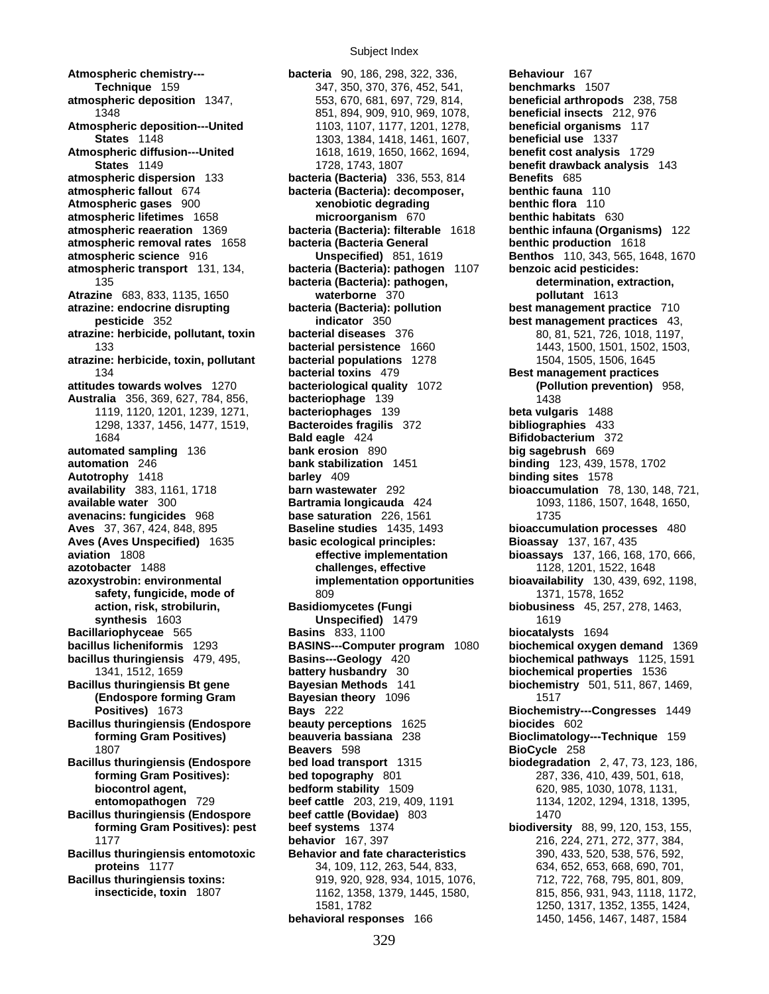1119, 1120, 1201, 1239, 1271, **bacteriophages** 139 **beta vulgaris** 1488 **Bacillus thuringiensis (Endospore beauty perceptions 1625** 

**Atmospheric chemistry--- bacteria** 90, 186, 298, 322, 336, **Behaviour** 167 **Technique** 159 **347, 350, 370, 376, 452, 541, <b>benchmarks** 1507<br> **spheric deposition** 1347, 553, 670, 681, 697, 729, 814, **beneficial arthropo atmospheric deposition** 1347, 553, 670, 681, 697, 729, 814, **beneficial arthropods** 238, 758 1348 851, 894, 909, 910, 969, 1078, **beneficial insects** 212, 976 **Atmospheric deposition---United** 1103, 1107, 1177, 1201, 1278, **beneficial organisms** 117 **States** 1148 1303, 1384, 1418, 1461, 1607, **beneficial use** 1337 **Atmospheric diffusion---United** 1618, 1619, 1650, 1662, 1694, **benefit cost analysis** 1729 **States** 1149 1728, 1743, 1807 **benefit drawback analysis** 143 **atmospheric dispersion** 133 **bacteria (Bacteria)** 336, 553, 814 **Benefits** 685 **atmospheric fallout** 674 **bacteria (Bacteria): decomposer, benthic fauna** 110 **Atmospheric gases** 900 **xenobiotic degrading benthic flora** 110 **atmospheric lifetimes** 1658 **microorganism** 670 **benthic habitats** 630 **atmospheric reaeration** 1369 **bacteria (Bacteria): filterable** 1618 **benthic infauna (Organisms)** 122 **atmospheric removal rates** 1658 **bacteria (Bacteria General benthic production** 1618 **atmospheric science** 916 **Unspecified)** 851, 1619 **Benthos** 110, 343, 565, 1648, 1670 **atmospheric transport** 131, 134, **bacteria (Bacteria): pathogen** 1107 **benzoic acid pesticides:**  135 **bacteria (Bacteria): pathogen, determination, extraction, Atrazine** 683, 833, 1135, 1650 **waterborne** 370 **pollutant** 1613 **atrazine: endocrine disrupting bacteria (Bacteria): pollution best management practice** 710 **pesticide** 352 **indicator** 350 **best management practices** 43, **atrazine: herbicide, pollutant, toxin bacterial diseases** 376 80, 81, 521, 726, 1018, 1197, 133 **bacterial persistence** 1660 1443, 1500, 1501, 1502, 1503, **atrazine: herbicide, toxin, pollutant bacterial populations** 1278 1504, 1505, 1506, 1645 134 **bacterial toxins** 479 **Best management practices attitudes towards wolves** 1270 **bacteriological quality** 1072 **(Pollution prevention)** 958, **Australia** 356, 369, 627, 784, 856, **bacteriophage** 139 1438 1298, 1337, 1456, 1477, 1519, **Bacteroides fragilis** 372 **bibliographies** 433 1684 **Bald eagle** 424 **Bifidobacterium** 372 **automated sampling** 136 **bank erosion** 890 **big sagebrush** 669 **automation** 246 **bank stabilization** 1451 **binding** 123, 439, 1578, 1702 **Autotrophy** 1418 **barley** 409 **binding sites** 1578 **available water** 300 **Bartramia longicauda** 424 1093, 1186, 1507, 1648, 1650, **avenacins: fungicides** 968 **base saturation** 226, 1561 1735 **Aves** 37, 367, 424, 848, 895 **Baseline studies** 1435, 1493 **bioaccumulation processes** 480 **Aves (Aves Unspecified)** 1635 **basic ecological principles: Bioassay** 137, 167, 435 **azotobacter** 1488 **challenges, effective** 1128, 1201, 1522, 1648 **azoxystrobin: environmental implementation opportunities bioavailability** 130, 439, 692, 1198, **safety, fungicide, mode of**   $809$  **1371, 1578, 1652 action, risk, strobilurin, Basidiomycetes (Fungi biobusiness** 45, 257, 278, 1463, **synthesis** 1603 **Unspecified**) 1479 **1619 Bacillariophyceae** 565 **Basins** 833, 1100 **biocatalysts** 1694 **bacillus thuringiensis** 479, 495, **Basins---Geology** 420 **biochemical pathways** 1125, 1591 1341, 1512, 1659 **battery husbandry** 30 **biochemical properties** 1536 **Bacillus thuringiensis Bt gene Bayesian Methods** 141 **biochemistry** 501, 511, 867, 1469, **(Endospore forming Gram Bayesian theory 1096 1517 1517 Positives)** 1673 **Bays** 222 **Biochemistry---Congresses** 1449 **forming Gram Positives) beauveria bassiana** 238 **Bioclimatology---Technique** 159 1807 **Beavers** 598 **BioCycle** 258 **Bacillus thuringiensis (Endospore bed load transport** 1315 **biodegradation** 2, 47, 73, 123, 186, **forming Gram Positives): bed topography** 801 287, 336, 410, 439, 501, 618, **biocontrol agent, biocontrol agent, biocontrol agent, biocontrol agent, biocontrol agent, biocontrol agent, biocontrol agent, biocont biocontrol agent, https://www.bedform stability** 1509 620, 985, 1030, 1078, 1131, **entomopathogen** 729 **beef cattle** 203, 219, 409, 1191 1134, 1202, 1294, 1318, 1395, **Bacillus thuringiensis (Endospore beef cattle (Bovidae)** 803 1470 **forming Gram Positives): pest beef systems** 1374 **biodiversity** 88, 99, 120, 153, 155, 1177 **behavior** 167, 397 216, 224, 271, 272, 377, 384, **Bacillus thuringiensis entomotoxic Behavior and fate characteristics** 390, 433, 520, 538, 576, 592, **proteins** 1177 34, 109, 112, 263, 544, 833, 634, 652, 653, 668, 690, 701, **Bacillus thuringiensis toxins:** 919, 920, 928, 934, 1015, 1076, 712, 722, 768, 795, 801, 809, **insecticide, toxin** 1807 1162, 1358, 1379, 1445, 1580, 815, 856, 931, 943, 1118, 1172, **behavioral responses** 166 1450, 1450, 1456, 1467, 1487, 1584

**bioaccumulation** 78, 130, 148, 721, **bioaccumulation** 78, 130, 148, 721, **aviation** 1808 **effective implementation bioassays** 137, 166, 168, 170, 666, **bacillus licheniformis** 1293 **BASINS---Computer program** 1080 **biochemical oxygen demand** 1369 1581, 1782 1250, 1317, 1352, 1355, 1424,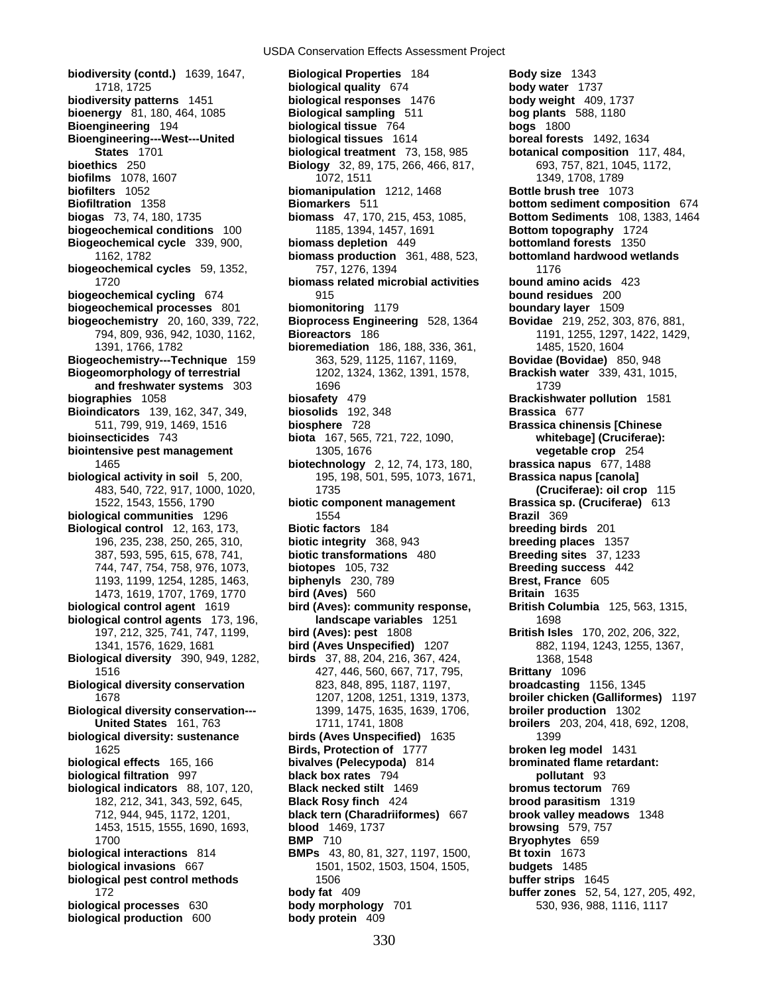**Biogeochemical cycle** 339, 900, **biomass depletion** 449 **Biogeomorphology of terrestrial 1202, 1324, 1362, 1391, 1578, biological pest control methods** 1506 **biological production** 600 **body protein** 409

**biodiversity (contd.)** 1639, 1647, **Biological Properties** 184 **Body size** 1343 1718, 1725 **biological quality** 674 **body water** 1737 **biodiversity patterns** 1451 **biological responses** 1476 **body weight** 409, 1737 **bioenergy** 81, 180, 464, 1085 **Biological sampling** 511 **bog plants** 588, 1180 **Bioengineering** 194 **biological tissue** 764 **bogs** 1800 **Bioengineering---West---United biological tissues** 1614 **boreal forests** 1492, 1634 **States** 1701 **biological treatment** 73, 158, 985 **botanical composition** 117, 484, **bioethics** 250 **Biology** 32, 89, 175, 266, 466, 817, 693, 757, 821, 1045, 1172, **biofilms** 1078, 1607 1072, 1611 1349, 1708, 1708, 1789 **biofilters** 1052 **biomanipulation** 1212, 1468 **Bottle brush tree** 1073 **Biofiltration** 1358 **Biomarkers** 511 **bottom sediment composition** 674 **biogas** 73, 74, 180, 1735 **biomass** 47, 170, 215, 453, 1085, **Bottom Sediments** 108, 1383, 1464 **biogeochemical conditions** 100 1185, 1394, 1457, 1691 **Bottom topography** 1724<br> **Biogeochemical cycle** 339, 900, **biomass depletion** 449 **bottomland forests** 1350 1162, 1782 **biomass production** 361, 488, 523, **bottomland hardwood wetlands biogeochemical cycles** 59, 1352, 757, 1276, 1394 1176 1720 **biomass related microbial activities bound amino acids** 423 **biogeochemical cycling** 674 915 **bound residues** 200 **biogeochemical processes** 801 **biomonitoring** 1179 **boundary layer** 1509 **biogeochemistry** 20, 160, 339, 722, **Bioprocess Engineering** 528, 1364 **Bovidae** 219, 252, 303, 876, 881, 794, 809, 936, 942, 1030, 1162, **Bioreactors** 186 1191, 1255, 1297, 1422, 1429, 1391, 1766, 1782 **bioremediation** 186, 188, 336, 361, 1485, 1520, 1604 **Biogeochemistry---Technique** 159 363, 529, 1125, 1167, 1169, **Bovidae (Bovidae)** 850, 948<br>**Biogeomorphology of terrestrial** 1202, 1324, 1362, 1391, 1578, **Brackish water** 339, 431, 1015, **and freshwater systems** 303 1696 1739 **biographies** 1058 **biosafety** 479 **Brackishwater pollution** 1581 **Bioindicators** 139, 162, 347, 349, **biosolids** 192, 348 **Brassica** 677 511, 799, 919, 1469, 1516 **biosphere** 728 **Brassica chinensis [Chinese bioinsecticides** 743 **biota** 167, 565, 721, 722, 1090, **whitebage] (Cruciferae): biointensive pest management** 1305, 1676 **vegetable crop** 254 1465 **biotechnology** 2, 12, 74, 173, 180, **brassica napus** 677, 1488 **biological activity in soil** 5, 200, 195, 198, 501, 595, 1073, 1671, **Brassica napus [canola]**  483, 540, 722, 917, 1000, 1020, 1735 **(Cruciferae): oil crop** 115 1522, 1543, 1556, 1790 **biotic component management Brassica sp. (Cruciferae)** 613 **biological communities** 1296 1554 **Brazil** 369 **Biological control** 12, 163, 173, **Biotic factors** 184 **breeding birds** 201 196, 235, 238, 250, 265, 310, **biotic integrity** 368, 943 **breeding places** 1357 387, 593, 595, 615, 678, 741, **biotic transformations** 480 **Breeding sites** 37, 1233 744, 747, 754, 758, 976, 1073, **biotopes** 105, 732 **Breeding success** 442 1193, 1199, 1254, 1285, 1463, **biphenyls** 230, 789 **Brest, France** 605 1473, 1619, 1707, 1769, 1770 **bird (Aves)** 560 **Britain** 1635 **biological control agent** 1619 **bird (Aves): community response, British Columbia** 125, 563, 1315, **biological control agents** 173, 196, **landscape variables** 1251 1698 197, 212, 325, 741, 747, 1199, **bird (Aves): pest** 1808 **British Isles** 170, 202, 206, 322, 1341, 1576, 1629, 1681 **bird (Aves Unspecified)** 1207 882, 1194, 1243, 1255, 1367, **Biological diversity** 390, 949, 1282, **birds** 37, 88, 204, 216, 367, 424, 1368, 1548 1516 427, 446, 560, 667, 717, 795, **Brittany** 1096 **Biological diversity conservation** 823, 848, 895, 1187, 1197, **broadcasting** 1156, 1345 1678 1207, 1208, 1251, 1319, 1373, **broiler chicken (Galliformes)** 1197 **Biological diversity conservation---** 1399, 1475, 1635, 1639, 1706, **broiler production** 1302 **United States** 161, 763 1711, 1741, 1808 **broilers** 203, 204, 418, 692, 1208, **biological diversity: sustenance birds (Aves Unspecified)** 1635 1399 1625 **Birds, Protection of** 1777 **broken leg model** 1431 **biological effects** 165, 166 **bivalves (Pelecypoda)** 814 **brominated flame retardant: biological filtration** 997 **black box rates** 794 **pollutant** 93 **biological indicators** 88, 107, 120, **Black necked stilt** 1469 **bromus tectorum** 769 182, 212, 341, 343, 592, 645, **Black Rosy finch** 424 **brood parasitism** 1319 712, 944, 945, 1172, 1201, **black tern (Charadriiformes)** 667 **brook valley meadows** 1348 1453, 1515, 1555, 1690, 1693, **blood** 1469, 1737 **browsing** 579, 757 1700 **BMP** 710 **Bryophytes** 659 **biological interactions** 814 **BMPs** 43, 80, 81, 327, 1197, 1500, **Bt toxin** 1673<br>**biological invasions** 667 1501, 1501, 1502, 1503, 1504, 1505, **budgets** 1485 **biological invasions** 667 1501, 1502, 1503, 1504, 1505, **budgets** 1485 172 **body fat** 409 **buffer zones** 52, 54, 127, 205, 492, **biological processes** 630 **body morphology** 701 530, 936, 988, 1116, 1117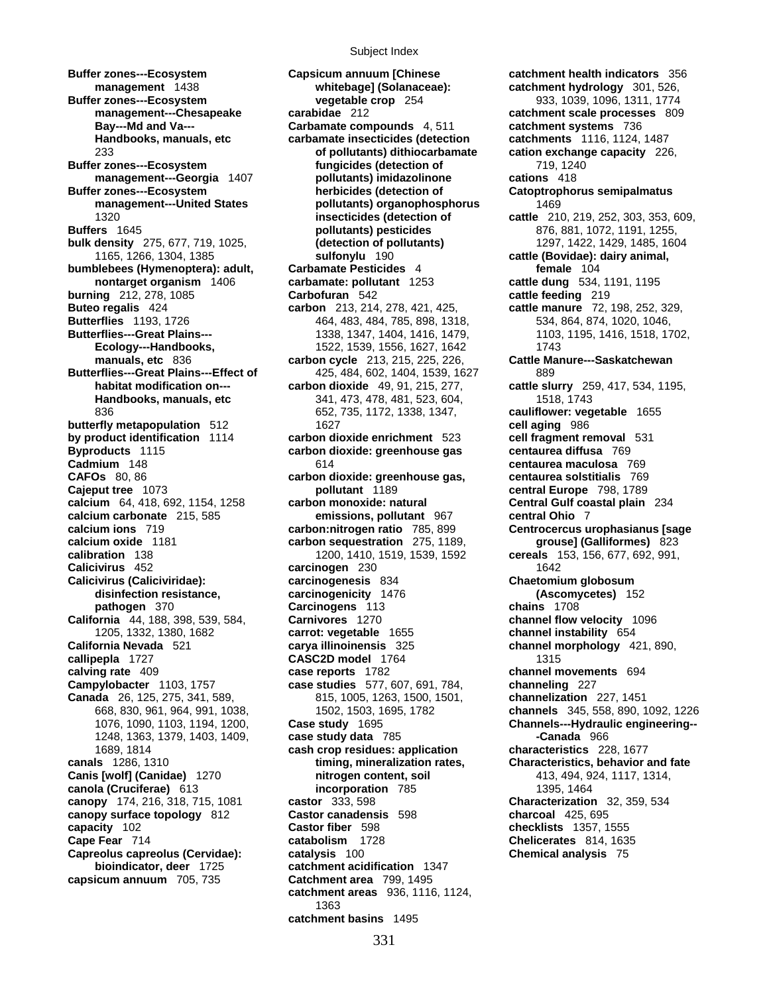**bulk density** 275, 677, 719, 1025, **by product identification** 1114 **carbon dioxide enrichment** 523 **canopy** 174, 216, 318, 715, 1081 **castor** 333, 598<br>**canopy surface topology** 812 **Castor canadensis** 598 **capsicum annuum** 705, 735 **Catchment area** 799, 1495

**Buffer zones---Ecosystem Capsicum annuum [Chinese catchment health indicators** 356 **management** 1438 **whitebage] (Solanaceae): catchment hydrology** 301, 526, **Buffer zones---Ecosystem vegetable crop** 254 933, 1039, 1039, 1096, 1311, 1774 **management---Chesapeake carabidae** 212 **catchment scale processes** 809 **Bay---Md and Va--- Carbamate compounds** 4, 511 **catchment systems** 736 **Handbooks, manuals, etc** carbamate insecticides (detection 233 **of pollutants) dithiocarbamate cation exchange capacity** 226, **Buffer zones---Ecosystem fungicides (detection of** 719, 1240 **management---Georgia** 1407 **pollutants) imidazolinone cations** 418 **Buffer zones---Ecosystem herbicides (detection of Catoptrophorus semipalmatus management---United States pollutants) organophosphorus** 1469 1320 **insecticides (detection of cattle** 210, 219, 252, 303, 353, 609, **Buffers** 1645 **bollutants) pesticides 876, 881, 1072, 1191, 1255,**<br>**bulk density** 275, 677, 719, 1025, **(detection of pollutants)** 1297, 1422, 1429, 1485, 1604 1165, 1266, 1304, 1385 **sulfonylu** 190 **cattle (Bovidae): dairy animal, bumblebees (Hymenoptera): adult, Carbamate Pesticides** 4 **female** 104 **nontarget organism** 1406 **carbamate: pollutant** 1253 **cattle dung** 534, 1191, 1195 **burning** 212, 278, 1085 **Carbofuran** 542 **cattle feeding** 219 **Buteo regalis** 424 **carbon** 213, 214, 278, 421, 425, **cattle manure** 72, 198, 252, 329, **Butterflies** 1193, 1726 464, 483, 484, 785, 898, 1318, 534, 864, 874, 1020, 1046, **Butterflies---Great Plains---** 1338, 1347, 1404, 1416, 1479, 1103, 1195, 1416, 1518, 1702, **Ecology---Handbooks,** 1522, 1539, 1556, 1627, 1642 1743 **manuals, etc** 836 **carbon cycle** 213, 215, 225, 226, **Cattle Manure---Saskatchewan**<br>**Butterflies---Great Plains---Effect of** 425, 484, 602, 1404, 1539, 1627 889 **Butterflies---Great Plains---Effect of** 425, 484, 602, 1404, 1539, 1627 889 **habitat modification on--- carbon dioxide** 49, 91, 215, 277, **cattle slurry** 259, 417, 534, 1195, **Handbooks, manuals, etc** 341, 473, 478, 481, 523, 604, 1518, 1743 836 652, 735, 1172, 1338, 1347, **cauliflower: vegetable** 1655 **butterfly metapopulation** 512 1627 1627 **cell aging** 986 **by product identification** 1114 **carbon dioxide enrichment** 523 cell fragment removal 531 **Byproducts** 1115 **carbon dioxide: greenhouse gas centaurea diffusa** 769 **Cadmium** 148 614 **centaurea maculosa** 769 **CAFOs** 80, 86 **carbon dioxide: greenhouse gas, centaurea solstitialis** 769 **Cajeput tree** 1073 **pollutant** 1189 **central Europe** 798, 1789 **calcium** 64, 418, 692, 1154, 1258 **carbon monoxide: natural Central Gulf coastal plain** 234 **calcium carbonate** 215, 585 **emissions, pollutant** 967 **central Ohio** 7 **calcium ions** 719 **carbon:nitrogen ratio** 785, 899 **Centrocercus urophasianus [sage calcium oxide** 1181 **carbon sequestration** 275, 1189, **grouse] (Galliformes)** 823 **calibration** 138 1200, 1410, 1519, 1539, 1592 **cereals** 153, 156, 677, 692, 991, **Carcinogen** 230 1642 **Calicivirus (Caliciviridae): carcinogenesis** 834 **Chaetomium globosum disinfection resistance, carcinogenicity** 1476 **(Ascomycetes)** 152 **pathogen** 370 **Carcinogens** 113 **chains** 1708 **California** 44, 188, 398, 539, 584, **Carnivores** 1270 **channel flow velocity** 1096 1205, 1332, 1380, 1682 **carrot: vegetable** 1655 **channel instability** 654 **California Nevada** 521 **carya illinoinensis** 325 **channel morphology** 421, 890, **callipepla** 1727 **CASC2D model** 1764 1315 **calving rate** 409 **case reports** 1782 **channel movements** 694 **Campylobacter** 1103, 1757 **case studies** 577, 607, 691, 784, **channeling** 227 **Canada** 26, 125, 275, 341, 589, 815, 1005, 1263, 1500, 1501, **channelization** 227, 1451 668, 830, 961, 964, 991, 1038, 1502, 1503, 1695, 1782 **channels** 345, 558, 890, 1092, 1226 1076, 1090, 1103, 1194, 1200, **Case study** 1695 **Channels---Hydraulic engineering--** 1248, 1363, 1379, 1403, 1409, **case study data** 785 **-Canada** 966 1689, 1814 **cash crop residues: application characteristics** 228, 1677 **canals** 1286, 1310 **timing, mineralization rates, Characteristics, behavior and fate Canis [wolf] (Canidae)** 1270 **nitrogen content, soil** 413, 494, 924, 1117, 1314, **canola (Cruciferae)** 613 **incorporation** 785 1395, 1464<br> **canopy** 174, 216, 318, 715, 1081 **castor** 333, 598 **Characterization** 32, 359, 534 **canopy surface topology** 812 **Castor canadensis** 598 **charcoal** 425, 695 **capacity** 102 **Castor fiber** 598 **checklists** 1357, 1555 **Cape Fear** 714 **catabolism** 1728 **Chelicerates** 814, 1635 **Capreolus capreolus (Cervidae): catalysis** 100 **Chemical analysis** 75 **bioindicator, deer** 1725 **catchment acidification** 1347 **catchment areas** 936, 1116, 1124, 1363 **catchment basins** 1495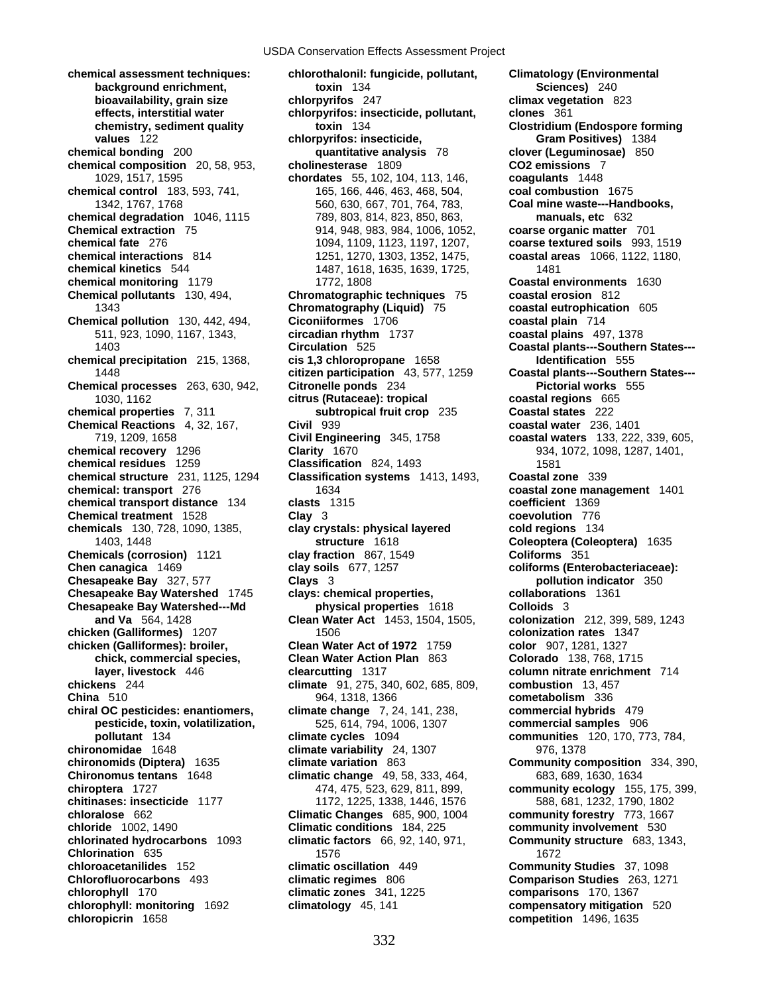**chemical assessment techniques: chlorothalonil: fungicide, pollutant, Climatology (Environmental values** 122 **chlorpyrifos: insecticide, Cram Positives)** 1384<br>**chemical bonding** 200 **chemical bonding** 200 **chemical bonding** 200 **clover (Leguminosae)** 850 **chemical composition** 20, 58, 953, **cholinesterase** 1809 **CO2 emissions** 7 **chemical control** 183, 593, 741, 165, 166, 446, 463, 468, 504, **coal combustion** 1675 **chemical degradation** 1046, 1115 789, 803, 814, 823, 850, 863, **manuals, etc** 632 **Chemical extraction** 75 914, 948, 983, 984, 1006, 1052, **coarse organic matter** 701 **chemical fate** 276 1094, 1109, 1123, 1197, 1207, **coarse textured soils** 993, 1519 **chemical interactions** 814 1251, 1270, 1303, 1352, 1475, **coastal areas** 1066, 1122, 1180, **chemical kinetics** 544 1487, 1618, 1635, 1639, 1725, 1481 **chemical monitoring** 1179 1772, 1808 **Coastal environments** 1630 **Chemical pollutants** 130, 494, **Chromatographic techniques** 75 **coastal erosion** 812 **Chemical pollution** 130, 442, 494, **Ciconiiformes** 1706 **coastal plain** 714 **chemical precipitation** 215, 1368, **cis 1,3 chloropropane** 1658 **Identification** 555 **Chemical processes** 263, 630, 942, **Citronelle ponds** 234 **Pictorial works** 555 **chemical properties** 7, 311 **Subtropical fruit crop** 235 **Chemical Reactions** 4, 32, 167, **Civil** 939 **coastal water** 236, 1401 **chemical recovery** 1296 **Clarity** 1670 **Clarity** 1670 934, 1072, 1098, 1287, 1401, **chemical residues** 1259 **Classification** 824, 1493 **1581 chemical structure** 231, 1125, 1294 **Classification systems** 1413, 1493, **Coastal zone** 339 **chemical: transport** 276 1634 **coastal zone management** 1401 **chemical transport distance** 134 **clasts** 1315 **coefficient** 1369 **Chemical treatment** 1528 **Clay** 3 **coevolution** 776 **chemicals** 130, 728, 1090, 1385, **clay crystals: physical layered cold regions** 134 **Chemicals (corrosion)** 1121 **clay fraction** 867, 1549 **Coliforms** 351 **Chen canagica** 1469 **clay soils** 677, 1257 **coliforms (Enterobacteriaceae): Chesapeake Bay** 327, 577 **Clays** 3 **pollution indicator** 350 **Chesapeake Bay Watershed** 1745 **clays: chemical properties, collaborations** 1361 **Chesapeake Bay Watershed---Md physical properties** 1618 **Colloids** 3<br> **and Va** 564, 1428 **Clean Water Act** 1453, 1504, 1505, **colonization chicken (Galliformes)** 1207 1506 **colonization rates** 1347 **chicken (Galliformes): broiler, Clean Water Act of 1972** 1759 **color** 907, 1281, 1327 **chickens** 244 **climate** 91, 275, 340, 602, 685, 809, **combustion** 13, 457 **China** 510 964, 1318, 1366 **cometabolism** 336 **pesticide, toxin, volatilization, pollutant** 134 **chironomidae** 1648 **climate variability** 24, 1307 976, 1378 **chironomids (Diptera)** 1635 **climate variation** 863 **Community composition** 334, 390, **Chironomus tentans** 1648 **climatic change** 49, 58, 333, 464, 683, 689, 1630, 1634 **chiroptera** 1727 474, 475, 523, 629, 811, 899, **community ecology** 155, 175, 399, **chitinases: insecticide** 1177 1172, 1225, 1338, 1446, 1576 588, 681, 1232, 1790, 1802 **chloralose** 662 **Climatic Changes** 685, 900, 1004 **community forestry** 773, 1667 **chloride** 1002, 1490 **Climatic conditions** 184, 225 **community involvement** 530 **chlorinated hydrocarbons** 1093 **climatic factors** 66, 92, 140, 971, **Community structure** 683, 1343, **Chlorination** 635 1576 1672 **chloroacetanilides** 152 **climatic oscillation** 449 **Community Studies** 37, 1098 **Chlorofluorocarbons** 493 **climatic regimes** 806 **Comparison Studies** 263, 1271 **chlorophyll** 170 **climatic zones** 341, 1225 **comparisons** 170, 1367 **chlorophyll: monitoring** 1692 **climatology** 45, 141 **compensatory mitigation** 520

**background enrichment, toxin** 134 **Sciences)** 240 **bioavailability, grain size chlorpyrifos** 247 **climax vegetation** 823 **effects, interstitial water chlorpyrifos: insecticide, pollutant, clones** 361 **chemistry, sediment quality toxin** 134 **Clostridium (Endospore forming chemical bonding** 200 **quantitative analysis** 78 **clover (Leguminosae)** 850 1029, 1517, 1595 **chordates** 55, 102, 104, 113, 146, **coagulants** 1448 1342, 1767, 1768 560, 630, 667, 701, 764, 783, **Coal mine waste---Handbooks,**  1343 **Chromatography (Liquid)** 75 **coastal eutrophication** 605 511, 923, 1090, 1167, 1343, **circadian rhythm** 1737 **coastal plains** 497, 1378 1403 **Circulation** 525 **Coastal plants---Southern States---** 1448 **citizen participation** 43, 577, 1259 **Coastal plants---Southern States---** 1030, 1162 **citrus (Rutaceae): tropical coastal regions** 665 719, 1209, 1658 **Civil Engineering** 345, 1758 **coastal waters** 133, 222, 339, 605, 1403, 1448 **structure** 1618 **Coleoptera (Coleoptera)** 1635 **chick, commercial species, Clean Water Action Plan** 863 **Colorado** 138, 768, 1715 **layer, livestock** 446 **clearcutting** 1317 **column nitrate enrichment** 714 **climate change** 7, 24, 141, 238, **commercial hybrids** 479<br>525, 614, 794, 1006, 1307 **commercial samples** 906 **pollutant** 134 **climate cycles** 1094 **communities** 120, 170, 773, 784,

**and Va** 564, 1428 **Clean Water Act** 1453, 1504, 1505, **colonization** 212, 399, 589, 1243 **chloropicrin** 1658 **competition** 1496, 1635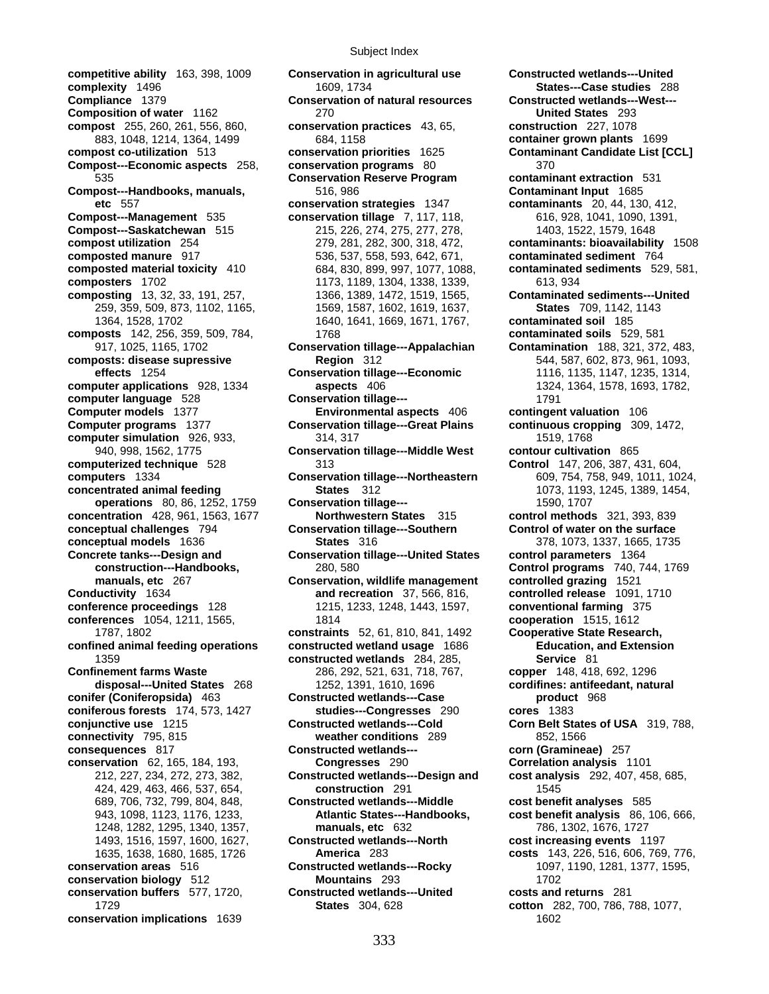**competitive ability** 163, 398, 1009 **Conservation in agricultural use Constructed wetlands---United complexity** 1496 1609, 1734 **States---Case studies** 288 **Compliance** 1379 **Conservation of natural resources Constructed wetlands---West--- Composition of water** 1162 270 **United States** 293 **compost** 255, 260, 261, 556, 860, **conservation practices** 43, 65, **construction** 227, 1078 **compost co-utilization** 513 **conservation priorities** 1625 **Contaminant Candidate List [CCL] Compost---Economic aspects** 258, **conservation programs** 80 370 **Compost---Handbooks, manuals,**  $\begin{array}{ccc} 516, 986 & 518, 986 \end{array}$  Contaminant Input 1685 etc 557 **conservation strategies** 1347 contaminants 20, 44, 13 **Compost---Management** 535 **conservation tillage** 7, 117, 118, 616, 928, 1041, 1090, 1391, **Compost---Saskatchewan** 515 215, 226, 274, 275, 277, 278, 1403, 1522, 1579, 1648 **compost utilization** 254 279, 281, 282, 300, 318, 472, **contaminants: bioavailability** 1508 **composted manure** 917 536, 537, 558, 593, 642, 671, **contaminated sediment** 764 **composted material toxicity** 410 684, 830, 899, 997, 1077, 1088, **contaminated sediments** 529, 581, **composters** 1702 1173, 1189, 1304, 1338, 1339, 613, 934 **composting** 13, 32, 33, 191, 257, 1366, 1389, 1472, 1519, 1565, **Contaminated sediments---United composts** 142, 256, 359, 509, 784, 1768 **contaminated soils** 529, 581 **composts: disease supressive The Region** 312 544, 587, 602, 873, 961, 1093, **computer applications** 928, 1334 **aspects** 406 1324, 1364, 1578, 1693, 1782, **computer language** 528 **Conservation tillage---** 1791 **Computer models** 1377 **Conservation tillage--** 1791 **Computer models** 1377 **Environmental aspects** 406 **contingent valuation** 106 **computer simulation** 926, 933, 314, 317 1519, 1768 **computerized technique** 528 313 **Control** 147, 206, 387, 431, 604, **computers** 1334 **Conservation tillage---Northeastern** 609, 754, 758, 949, 1011, 1024, **concentrated animal feeding States** 312 1073, 1193, 1245, 1389, 1454, **concentration** 428, 961, 1563, 1677 **Northwestern States** 315 **control methods** 321, 393, 839 **conceptual challenges** 794 **Conservation tillage---Southern Control of water on the surface conceptual models** 1636 **States** 316 378, 1073, 1337, 1665, 1735 **Concrete tanks---Design and Conservation tillage---United States control parameters** 1364 **Conductivity** 1634 **and recreation** 37, 566, 816, **controlled release** 1091, 1710 **conference proceedings** 128 1215, 1233, 1248, 1443, 1597, **conventional farming** 375 **conferences** 1054, 1211, 1565, 1814 **conferences** 1054, 1211, 1565, **confined animal feeding operations constructed wetland usage** 1686 **Education, and Extension Confinement farms Waste** 286, 292, 521, 631, 718, 767, **copper** 148, 418, 692, 1296 **conifer (Coniferopsida)** 463 **Constructed wetlands---Case product** 968 **coniferous forests** 174, 573, 1427 **studies---Congresses** 290 **cores** 1383 **conjunctive use** 1215 **Constructed wetlands---Cold Corn Belt States of USA** 319, 788,<br> **connectivity** 795, 815 **weather conditions** 289 852, 1566 **connectivity** 795, 815 **weather conditions** 289 852, 1566 **consequences** 817 **Constructed wetlands--- corn (Gramineae)** 257 **conservation** 62, 165, 184, 193, **Congresses** 290 **Correlation analysis** 1101 **conservation areas** 516 **Constructed wetlands---Rocky** 1097, 1190, 1281, 1377, 1595, **conservation biology** 512 **Mountains** 293 **1702**<br> **conservation buffers** 577, 1720, **Constructed wetlands---United** costs and **conservation implications** 1639 1602

883, 1048, 1214, 1364, 1499 684, 1158 **container grown plants** 1699 535 **Conservation Reserve Program contaminant extraction** 531 **etca 55 retails conservation strategies** 1347 **contaminants** 20, 44, 130, 412, 259, 359, 509, 873, 1102, 1165, 1569, 1587, 1602, 1619, 1637, **States** 709, 1142, 1143 1364, 1528, 1702 1640, 1641, 1669, 1671, 1767, **contaminated soil** 185 **effects** 1254 **Conservation tillage---Economic** 1116, 1135, 1147, 1235, 1314, **Computer programs** 1377 **Conservation tillage---Great Plains continuous cropping** 309, 1472, 940, 998, 1562, 1775 **Conservation tillage---Middle West contour cultivation** 865 **operations** 80, 86, 1252, 1759 **Conservation tillage---** 1590, 1707 **construction---Handbooks,** 280, 580 **Control programs** 740, 744, 1769 **manuals, etc** 267 **Conservation, wildlife management controlled grazing** 1521 1787, 1802 **constraints** 52, 61, 810, 841, 1492 **Cooperative State Research,**  1359 **constructed wetlands** 284, 285, **Service** 81 **disposal---United States** 268 1252, 1391, 1610, 1696 **cordifines: antifeedant, natural**  212, 227, 234, 272, 273, 382, **Constructed wetlands---Design and cost analysis** 292, 407, 458, 685, 424, 429, 463, 466, 537, 654, **construction** 291 1545 689, 706, 732, 799, 804, 848, **Constructed wetlands---Middle cost benefit analyses** 585 1248, 1282, 1295, 1340, 1357, **manuals, etc** 632 786, 1302, 1676, 1727 1493, 1516, 1597, 1600, 1627, **Constructed wetlands---North cost increasing events** 1197 **Constructed wetlands---United costs and returns** 281

917, 1025, 1165, 1702 **Conservation tillage---Appalachian Contamination** 188, 321, 372, 483, 943, 1098, 1123, 1176, 1233, **Atlantic States---Handbooks, cost benefit analysis** 86, 106, 666, 1635, 1638, 1680, 1685, 1726 **America** 283 **costs** 143, 226, 516, 606, 769, 776, 1729 **States** 304, 628 **cotton** 282, 700, 786, 788, 1077,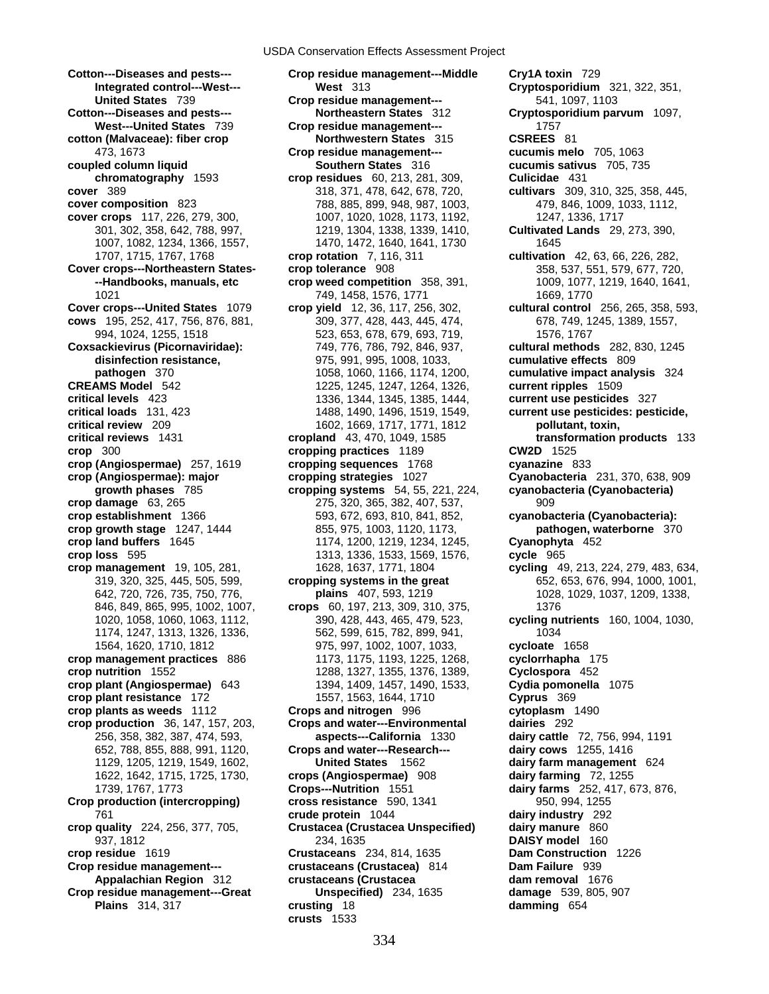**crop production** 36, 147, 157, 203,

**Cotton---Diseases and pests--- Crop residue management---Middle Cry1A toxin** 729 **Integrated control---West--- West** 313 **Cryptosporidium** 321, 322, 351, **United States** 739 **Crop residue management---** 541, 1097, 1103 **Cotton---Diseases and pests--- Northeastern States** 312 **Cryptosporidium parvum** 1097, **West---United States** 739 **Crop residue management---** 1757 **cotton (Malvaceae): fiber crop Northwestern States** 315 **CSREES** 81 473, 1673 **Crop residue management--- cucumis melo** 705, 1063 **coupled column liquid Southern States** 316 **cucumis sativus** 705, 735 **chromatography** 1593 **crop residues** 60, 213, 281, 309, **Culicidae** 431 **cover** 389 318, 371, 478, 642, 678, 720, **cultivars** 309, 310, 325, 358, 445, **cover composition** 823 788, 885, 899, 948, 987, 1003, 479, 846, 1009, 1033, 1112, **cover crops** 117, 226, 279, 300, 1007, 1020, 1028, 1173, 1192, 1247, 1336, 1717 301, 302, 358, 642, 788, 997, 1219, 1304, 1338, 1339, 1410, **Cultivated Lands** 29, 273, 390, 1007, 1082, 1234, 1366, 1557, 1470, 1470, 1472, 1640, 1641, 1730 1645 1707, 1715, 1767, 1768 **crop rotation** 7, 116, 311 **cultivation** 42, 63, 66, 226, 282, **Cover crops---Northeastern States- crop tolerance** 908 358, 537, 551, 579, 677, 720, **--Handbooks, manuals, etc crop weed competition** 358, 391, 1009, 1077, 1219, 1640, 1641, 1021 749, 1458, 1576, 1771 1669, 1770 **Cover crops---United States** 1079 **crop yield** 12, 36, 117, 256, 302, **cultural control** 256, 265, 358, 593, **cows** 195, 252, 417, 756, 876, 881, 309, 377, 428, 443, 445, 474, 678, 749, 1245, 1389, 1557, 994, 1024, 1255, 1518 623, 653, 678, 679, 693, 719, 576, 1767 **Coxsackievirus (Picornaviridae):** 749, 776, 786, 792, 846, 937, **cultural methods** 282, 830, 1245 **disinfection resistance,**  $975, 991, 995, 1008, 1033,$  **cumulative effects**  $809$ <br>**pathogen** 370 **cumulative impact analy** 1058, 1060, 1166, 1174, 1200, **cumulative impact analy pathogen** 370 1058, 1060, 1166, 1174, 1200, **cumulative impact analysis** 324<br>**CREAMS Model** 542 1225, 1245, 1247, 1264, 1326, **current ripples** 1509 **CREAMS Model** 542 1225, 1245, 1247, 1264, 1326, **current ripples** 1509 **critical levels** 423 1336, 1344, 1345, 1385, 1444, **current use pesticides** 327 **critical loads** 131, 423 1488, 1490, 1496, 1519, 1549, **current use pesticides: pesticide, critical review** 209 1602, 1669, 1717, 1771, 1812 **pollutant, toxin, critical reviews** 1431 **cropland** 43, 470, 1049, 1585 **transformation products** 133 **crop** 300 **cropping practices** 1189 **CW2D** 1525 **crop (Angiospermae)** 257, 1619 **cropping sequences** 1768 **cyanazine** 833 **crop (Angiospermae): major cropping strategies** 1027 **Cyanobacteria** 231, 370, 638, 909 **growth phases** 785 **cropping systems** 54, 55, 221, 224, **cyanobacteria (Cyanobacteria) crop damage** 63, 265 275, 320, 365, 382, 407, 537, **crop establishment** 1366 593, 672, 693, 810, 841, 852, **cyanobacteria (Cyanobacteria): crop growth stage** 1247, 1444 855, 975, 1003, 1120, 1173, **pathogen, waterborne** 370 **crop land buffers** 1645 1174, 1200, 1219, 1234, 1245, **Cyanophyta** 452 **crop loss** 595 1313, 1336, 1533, 1569, 1576, **cycle** 965 **crop management** 19, 105, 281, 1628, 1637, 1771, 1804 **cycling** 49, 213, 224, 279, 483, 634, 319, 320, 325, 445, 505, 599, **cropping systems in the great** 652, 653, 676, 994, 1000, 1001, 642, 720, 726, 735, 750, 776, **plains** 407, 593, 1219 1028, 1029, 1037, 1209, 1338, 846, 849, 865, 995, 1002, 1007, **crops** 60, 197, 213, 309, 310, 375, 1376 1020, 1058, 1060, 1063, 1112, 390, 428, 443, 465, 479, 523, **cycling nutrients** 160, 1004, 1030, 1174, 1247, 1313, 1326, 1336, 562, 599, 615, 782, 899, 941, 1034 1564, 1620, 1710, 1812 975, 997, 1002, 1007, 1033, **cycloate** 1658 **crop management practices** 886 1173, 1175, 1193, 1225, 1268, **cyclorrhapha** 175 **crop nutrition** 1552 1288, 1327, 1355, 1376, 1389, **Cyclospora** 452 **crop plant (Angiospermae)** 643 1394, 1409, 1457, 1490, 1533, **Cydia pomonella** 1075 **crop plant resistance** 172 1557, 1563, 1644, 1710 **Cyprus** 369 **crop plants as weeds** 1112 **Crops and nitrogen** 996 **cytoplasm** 1490 256, 358, 382, 387, 474, 593, **aspects---California** 1330 **dairy cattle** 72, 756, 994, 1191 652, 788, 855, 888, 991, 1120, **Crops and water---Research--- dairy cows** 1255, 1416 1129, 1205, 1219, 1549, 1602, **United States** 1562 **dairy farm management** 624 1622, 1642, 1715, 1725, 1730, **crops (Angiospermae)** 908 **dairy farming** 72, 1255 1739, 1767, 1773 **Crops---Nutrition** 1551 **dairy farms** 252, 417, 673, 876, **Crop production (intercropping) cross resistance** 590, 1341 950, 994, 1255 761 **crude protein** 1044 **dairy industry** 292 **crop quality** 224, 256, 377, 705, **Crustacea (Crustacea Unspecified)** 937, 1812 234, 1635 **DAISY model** 160 **crop residue** 1619 **Crustaceans** 234, 814, 1635 **Dam Construction** 1226 **Crop residue management--- crustaceans (Crustacea)** 814 **Dam Failure** 939 **Appalachian Region** 312 **crustaceans (Crustacea dam removal** 1676 **Crop residue management---Great Unspecified)** 234, 1635 **damage** 539, 805, 907 **Plains** 314, 317 **crusting** 18 **damming** 654 **crusts** 1533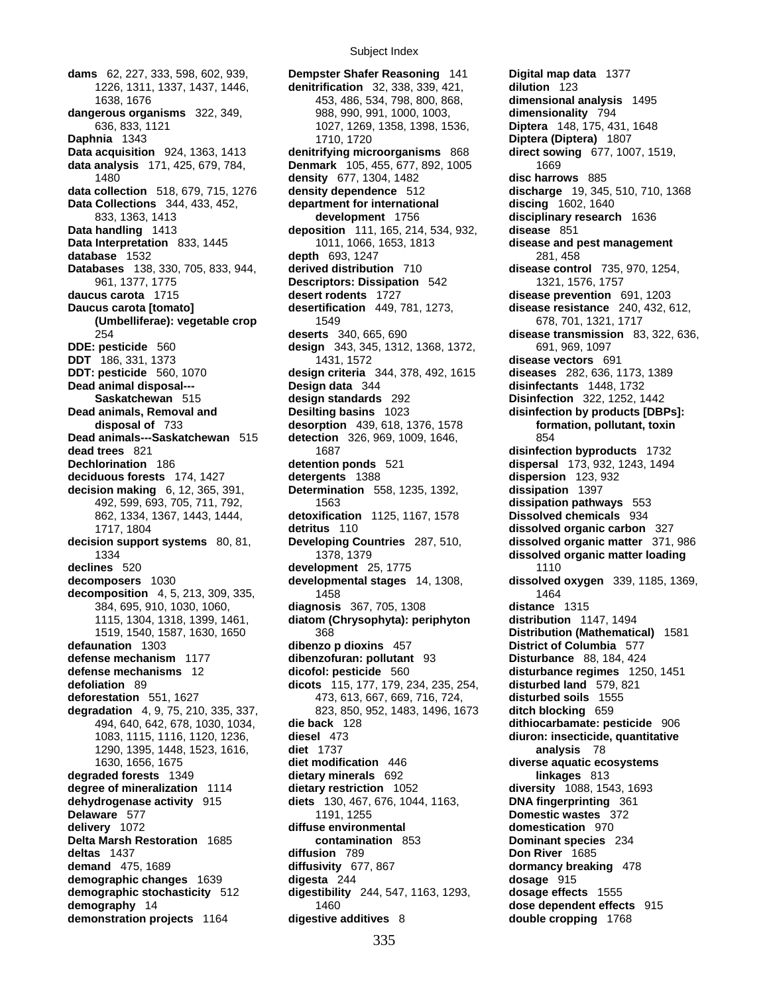**dangerous organisms** 322, 349, 988, 990, 991, 1000, 1003, **dimensionality** 794 **Daphnia** 1343 1710, 1720 **Diptera (Diptera)** 1807 **Data acquisition** 924, 1363, 1413 **denitrifying microorganisms** 868 **direct sowing** 677, 1007, 1519, **data analysis** 171, 425, 679, 784, **Denmark** 105, 455, 677, 892, 1005 1669 **data collection** 518, 679, 715, 1276 **density dependence** 512 **discharge** 19, 345, 510, 710, 1368 **Data Collections** 344, 433, 452, **department for international discing** 1602, 1640 **Data handling** 1413 **deposition** 111, 165, 214, 534, 932, **disease** 851 **Data Interpretation** 833, 1445 1011, 1066, 1653, 1813 disease and pest management **database** 1532 **depth** 693, 1247 281, 458 **Databases** 138, 330, 705, 833, 944, **derived distribution** 710 **disease control** 735, 970, 1254, **daucus carota** 1715 **desert rodents** 1727 **disease prevention** 691, 1203 **Daucus carota [tomato] desertification** 449, 781, 1273, **disease resistance** 240, 432, 612, **DDE: pesticide** 560 **design** 343, 345, 1312, 1368, 1372, 691, 969, 1097 **DDT** 186, 331, 1373 1431, 1572 **disease vectors** 691 **DDT: pesticide** 560, 1070 **design criteria** 344, 378, 492, 1615 **Dead animal disposal--- Design data** 344 **disinfectants** 1448, 1732 **Dead animals, Removal and Desilting basins** 1023 **disinfection by products [DBPs]: Dead animals---Saskatchewan** 515 **detection** 326, 969, 1009, 1646, 854 **dead trees** 821 1687 **disinfection byproducts** 1732 **Dechlorination** 186 **detention ponds** 521 **dispersal** 173, 932, 1243, 1494 **deciduous forests** 174, 1427 **detergents** 1388 **dispersion** 123, 932 **deciduous forests** 174, 1427 **detergents** 1388 **dispersion** 123, 932 **decision making** 6, 12, 365, 391, **Determination** 558, 1235, 1392, **dissipation** 1397 **decision support systems** 80, 81, **Developing Countries** 287, 510, **dissolved organic matter** 371, 986 **declines** 520 **development** 25, 1775 1110 **decomposers** 1030 **developmental stages** 14, 1308, **dissolved oxygen** 339, 1185, 1369, **decomposition** 4, 5, 213, 309, 335, 1458 1464 **defaunation** 1303 **dibenzo p dioxins** 457 **District of Columbia** 577 **defense mechanism** 1177 **dibenzofuran: pollutant** 93 **Disturbance** 88, 184, 424 **defense mechanisms** 12 **dicofol: pesticide** 560 **disturbance regimes** 1250, 1451 **defoliation** 89 **dicots** 115, 177, 179, 234, 235, 254, **disturbed land** 579, 821 **deforestation** 551, 1627 473, 613, 667, 669, 716, 724, **degradation** 4, 9, 75, 210, 335, 337, 823, 850, 952, 1483, 1496, 1673 **ditch blocking** 659 **degraded forests** 1349 **dietary minerals** 692 **linkages** 813 **degree of mineralization** 1114 **dietary restriction** 1052 **diversity** 1088, 1543, 1693 **dehydrogenase activity** 915 **diets** 130, 467, 676, 1044, 1163, **DNA fingerprinting** 361 **Delaware** 577 1191, 1255 **Domestic wastes** 372 **delivery** 1072 **diffuse environmental domestication** 970 **Delta Marsh Restoration** 1685 **contamination** 853 **Dominant species** 234 **deltas** 1437 **diffusion** 789 **Don River** 1685 **demand** 475, 1689 **diffusivity** 677, 867 **dormancy breaking** 478 **demographic changes** 1639 **digesta** 244 **digesta** 244 **dosage** 915<br>**demographic stochasticity** 512 **digestibility** 244, 547, 1163, 1293, **dosage effects** 1555 **demographic stochasticity** 512 **digestibility** 244, 547, 1163, 1293, **demography** 14 **dose dependent effects** 915

**dams** 62, 227, 333, 598, 602, 939, **Dempster Shafer Reasoning** 141 **Digital map data** 1377 1226, 1311, 1337, 1437, 1446, **denitrification** 32, 338, 339, 421, **dilution** 123 1638, 1676 453, 486, 534, 798, 800, 868, **dimensional analysis** 1495 636, 833, 1121 1027, 1269, 1358, 1398, 1536, **Diptera** 148, 175, 431, 1648 1480 **density** 677, 1304, 1482 **disc harrows** 885 833, 1363, 1413 **development** 1756 **disciplinary research** 1636 961, 1377, 1775 **Descriptors: Dissipation** 542 1321, 1576, 1757 **(Umbelliferae): vegetable crop** 1549 678, 701, 1321, 1717 254 **deserts** 340, 665, 690 **disease transmission** 83, 322, 636, **Saskatchewan** 515 **design standards** 292 **Disinfection** 322, 1252, 1442 **disposal of** 733 **desorption** 439, 618, 1376, 1578 **formation, pollutant, toxin** 492, 599, 693, 705, 711, 792, 1563 **dissipation pathways** 553 862, 1334, 1367, 1443, 1444, **detoxification** 1125, 1167, 1578 **Dissolved chemicals** 934 1717, 1804 **detritus** 110 **dissolved organic carbon** 327 1334 1378, 1379 **dissolved organic matter loading** 384, 695, 910, 1030, 1060, **diagnosis** 367, 705, 1308 **distance** 1315 1115, 1304, 1318, 1399, 1461, **diatom (Chrysophyta): periphyton distribution** 1147, 1494 1519, 1540, 1587, 1630, 1650 368 **Distribution (Mathematical)** 1581 494, 640, 642, 678, 1030, 1034, **die back** 128 **dithiocarbamate: pesticide** 906 1083, 1115, 1116, 1120, 1236, **diesel** 473 **diuron: insecticide, quantitative**  1290, 1395, 1448, 1523, 1616, **diet** 1737 **analysis** 78 1630, 1656, 1675 **diet modification** 446 **diverse aquatic ecosystems demonstration projects** 1164 **digestive additives** 8 **double cropping** 1768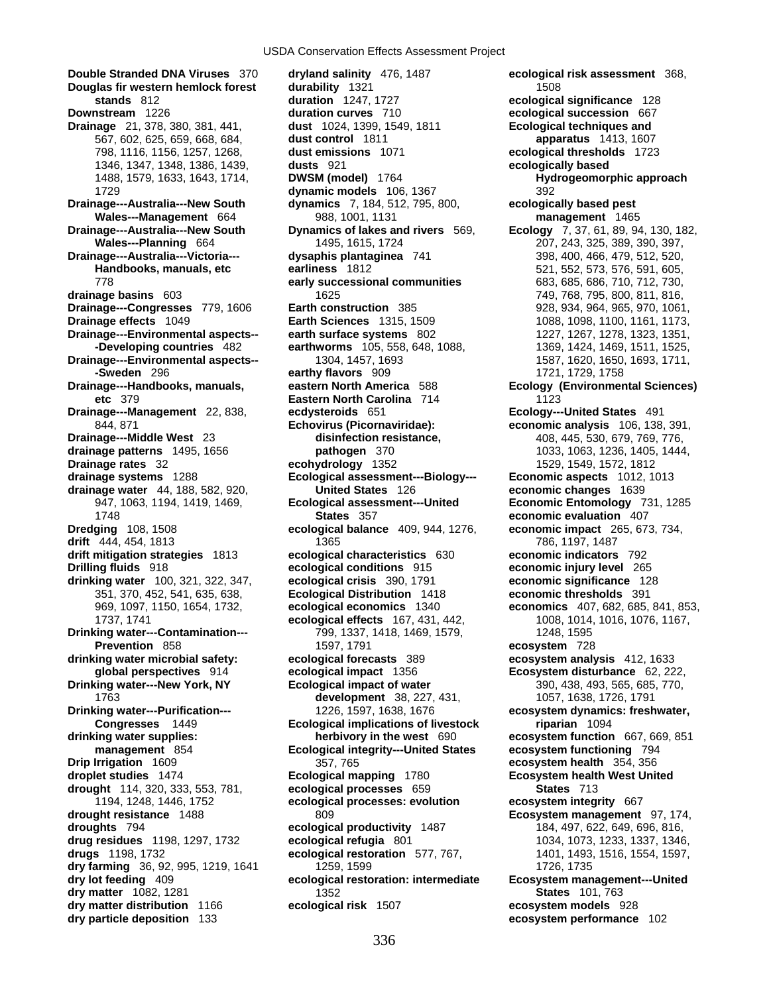**dry particle deposition** 133 **ecosystem performance** 102

**Double Stranded DNA Viruses** 370 **dryland salinity** 476, 1487 **ecological risk assessment** 368,<br> **Douglas fir western hemlock forest durability** 1321 1508 **Douglas fir western hemlock forest durability** 1321<br>**duration** 1247, 1727 **1508**<br>**duration** 1247, 1727 **1508**<br>**ecological stands** 812 **duration** 1247, 1727 **ecological significance** 128 **Downstream** 1226 **duration curves** 710 **ecological succession** 667 **Drainage** 21, 378, 380, 381, 441, **dust** 1024, 1399, 1549, 1811 **Ecological techniques and**  567, 602, 625, 659, 668, 684, **dust control** 1811 **apparatus** 1413, 1607 798, 1116, 1156, 1257, 1268, **dust emissions** 1071 **ecological thresholds** 1723 1346, 1347, 1348, 1386, 1439, **dusts** 921 **ecologically based**  1488, 1579, 1633, 1643, 1714, **DWSM (model)** 1764 **Hydrogeomorphic approach** 1729 **dynamic models** 106, 1367 392 **Drainage---Australia---New South dynamics** 7, 184, 512, 795, 800, **ecologically based pest Wales---Management** 664 988, 1001, 1131 **management** 1465 **Drainage---Australia---New South Dynamics of lakes and rivers** 569, **Ecology** 7, 37, 61, 89, 94, 130, 182, Wales---Planning 664 1495, 1615, 1724 207, 243, 325, 389, 390, 397, **Drainage---Australia---Victoria--- dysaphis plantaginea** 741 398, 400, 466, 479, 512, 520, **Handbooks, manuals, etc earliness** 1812 521, 552, 573, 576, 591, 605, 778 **early successional communities** 683, 685, 686, 710, 712, 730, **drainage basins** 603 1625 1625 1625 1629 1625 1629 1625 1629 1630, 811, 816, 810, 811, 816, **Drainage---Congresses** 779, 1606 **Earth construction** 385 928, 934, 964, 965, 970, 1061, **Drainage effects** 1049 **Earth Sciences** 1315, 1509 1088, 1098, 1098, 1100, 1161, 1173, **Drainage---Environmental aspects-- earth surface systems** 802 1227, 1267, 1278, 1323, 1351, **-Developing countries** 482 **earthworms** 105, 558, 648, 1088, 1369, 1424, 1469, 1511, 1525, **Drainage---Environmental aspects--** 1304, 1457, 1693 1587, 1620, 1620, 1650, 1693, 1711,<br>**-Sweden** 296 **1721, 1729, 1758 earthy flavors** 909 1721, 1729, 1758 **earthy flavors** 909 **earthy flavors** 909 **eastern North America** 588 **1721, 1721, 1729, 1758 Drainage---Handbooks, manuals, eastern North America** 588 **Ecology (Environmental Sciences) etc** 379 **Eastern North Carolina** 714 **1123**<br> **Ecology---** Management 22, 838, **ecdysteroids** 651 **Ecology---Drainage---Management** 22, 838, **ecdysteroids** 651 **Ecology---United States** 491 844, 871 **Echovirus (Picornaviridae): economic analysis** 106, 138, 391, **Drainage---Middle West** 23 **disinfection resistance,** 408, 445, 530, 679, 769, 776, **drainage patterns** 1495, 1656 **pathogen** 370 1033, 1063, 1236, 1405, 1444, **Drainage rates** 32 **ecohydrology** 1352 1529, 1549, 1572, 1812<br>**drainage systems** 1288 **Ecological assessment---Biology---** Economic aspects 1012, 1013 **drainage systems** 1288 **Ecological assessment---Biology--drainage water** 44, 188, 582, 920, **United States** 126 **economic changes** 1639 947, 1063, 1194, 1419, 1469, **Ecological assessment---United Economic Entomology** 731, 1285 1748 **States** 357 **economic evaluation** 407 **Dredging** 108, 1508 **ecological balance** 409, 944, 1276, **economic impact** 265, 673, 734, **drift** 444, 454, 1813 **1385** 1365 1397, 1487 1365 1397, 1487 **drift mitigation strategies** 1813 **ecological characteristics** 630 **economic indicators** 792 **Drilling fluids** 918 **ecological conditions** 915 **economic injury level** 265 **drinking water** 100, 321, 322, 347, **ecological crisis** 390, 1791 **economic significance** 128 351, 370, 452, 541, 635, 638, **Ecological Distribution** 1418 **economic thresholds** 391 969, 1097, 1150, 1654, 1732, **ecological economics** 1340 **economics** 407, 682, 685, 841, 853, 1737, 1741 **ecological effects** 167, 431, 442, 1008, 1014, 1016, 1076, 1167, **Drinking water---Contamination---** 799, 1337, 1418, 1469, 1579, 1248, 1595 **Prevention** 858 1597, 1791 **ecosystem** 728 **drinking water microbial safety: ecological forecasts** 389 **ecosystem analysis** 412, 1633 **global perspectives** 914 **ecological impact** 1356 **Ecosystem disturbance** 62, 222, **Drinking water---New York, NY Ecological impact of water** 390, 438, 493, 565, 685, 770, 1763 **development** 38, 227, 431, 1057, 1638, 1726, 1791 **Drinking water---Purification---** 1226, 1597, 1638, 1676 **ecosystem dynamics: freshwater, Congresses** 1449 **Ecological implications of livestock riparian** 1094 **drinking water supplies: herbivory in the west** 690 **ecosystem function** 667, 669, 851 **management** 854 **Ecological integrity---United States Drip Irrigation** 1609 357, 765 **ecosystem health** 354, 356 **droplet studies** 1474 **Ecological mapping** 1780 **Ecosystem health West United drought** 114, 320, 333, 553, 781, **ecological processes** 659 **States** 713 1194, 1248, 1446, 1752 **ecological processes: evolution ecosystem integrity** 667 **drought resistance** 1488 809 809 **Ecosystem management** 97, 174, **droughts** 794 **ecological productivity** 1487 184, 497, 622, 649, 696, 816, **drug residues** 1198, 1297, 1732 **ecological refugia** 801 1034, 1073, 1233, 1337, 1346, **drugs** 1198, 1732 **ecological restoration** 577, 767, 1401, 1493, 1516, 1554, 1597, **dry farming** 36, 92, 995, 1219, 1641 1259, 1599 1796, 1735 1726, 1735 **dry lot feeding** 409 **ecological restoration: intermediate Ecosystem management---United dry matter** 1082, 1281 **1352** 1352 **States** 101, 763 **dry matter distribution** 1166 **ecological risk** 1507 **ecosystem models** 928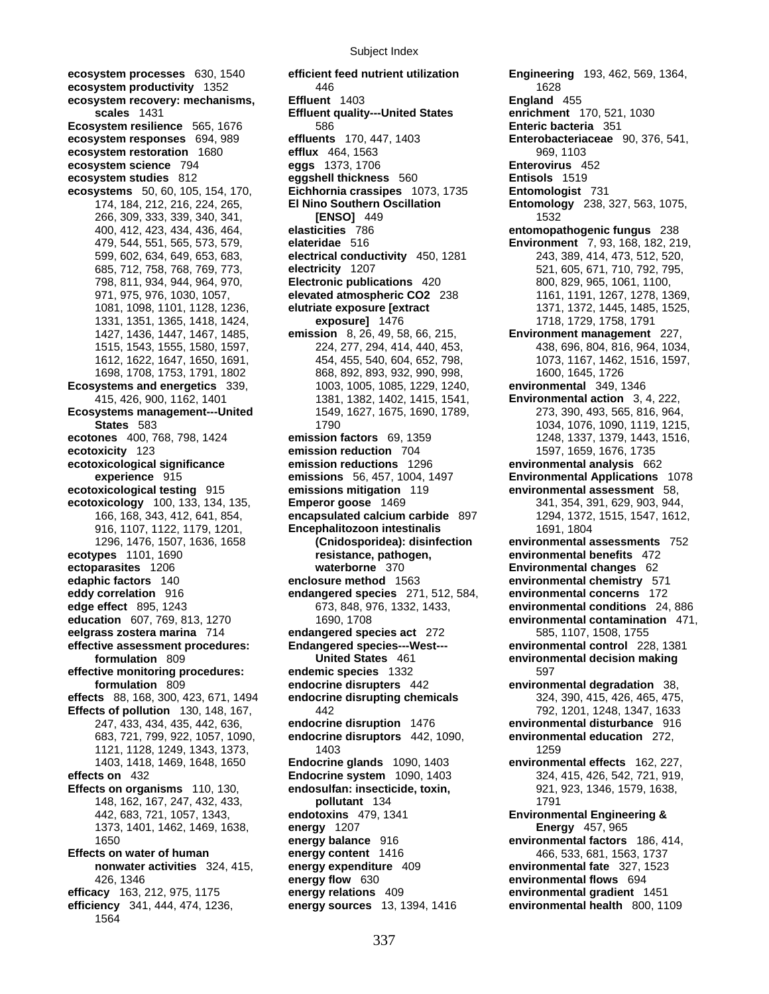Subject Index

**ecosystem processes** 630, 1540 **efficient feed nutrient utilization Engineering** 193, 462, 569, 1364, **ecosystem productivity** 1352 **1628** 1628<br> **ecosystem recovery: mechanisms,** Effluent 1403 **1628** 1628 England 455 **ecosystem recovery: mechanisms,** a alternal 1403 **England** 455 **England** 455 **England** 1431 **Effluent quality---United States Exercise 1431 Exercise 1431 Effluent quality---United States Exercise 170.** 521. 1030 **Ecosystem resilience** 565, 1676 586 586 **Enteric bacteria** 351 **ecosystem responses** 694, 989 **effluents** 170, 447, 1403 **Enterobacteriaceae** 90, 376, 541, **ecosystem restoration** 1680 **efflux** 464, 1563 969, 1103 **ecosystem science** 794 **eggs** 1373, 1706 **Enterovirus** 452 **ecosystem studies** 812 **eggshell thickness** 560 **Entisols** 1519 **ecosystems** 50, 60, 105, 154, 170, **Eichhornia crassipes** 1073, 1735 **Entomologist** 731 **Ecosystems and energetics** 339, 1003, 1005, 1085, 1229, 1240, **environmental** 349, 1346 **Ecosystems management---United** 1549, 1627, 1675, 1690, 1789, 273, 390, 493, 565, 816, 964, **ecotones** 400, 768, 798, 1424 **emission factors** 69, 1359 1248, 1337, 1379, 1443, 1516, **ecotoxicity** 123 **emission reduction** 704 1597, 1659, 1676, 1735 **ecotoxicological significance emission reductions** 1296 **environmental analysis** 662 **ecotoxicological testing** 915 **emissions mitigation** 119 **environmental assessment** 58, **ecotoxicology** 100, 133, 134, 135, **Emperor goose** 1469 341, 354, 391, 629, 903, 944, **ecotypes** 1101, 1690 **resistance, pathogen, environmental benefits** 472 **ectoparasites** 1206 **waterborne** 370 **Environmental changes** 62 **edaphic factors** 140 **enclosure method** 1563 **environmental chemistry** 571 **eddy correlation** 916 **endangered species** 271, 512, 584, **environmental concerns** 172 **edge effect** 895, 1243 673, 848, 976, 1332, 1433, **environmental conditions** 24, 886 **eelgrass zostera marina** 714 **endangered species act** 272 585, 1107, 1508, 1755 **effective assessment procedures: Endangered species---West--- environmental control** 228, 1381 **effective monitoring procedures: endemic species** 1332 597 **effects** 88, 168, 300, 423, 671, 1494 **endocrine disrupting chemicals** 324, 390, 415, 426, 465, 475, **Effects of pollution** 130, 148, 167, 442 **792, 1201, 1248, 1347, 1633 effects on** 432 **Endocrine system** 1090, 1403 324, 415, 426, 542, 721, 919, **Effects on organisms** 110, 130, **endosulfan: insecticide, toxin,** 921, 923, 1346, 1579, 1638, **Effects on water of human energy content** 1416 466, 533, 681, 1563, 1737 426, 1346 **energy flow** 630 **environmental flows** 694 **efficacy** 163, 212, 975, 1175 **energy relations** 409 **environmental gradient** 1451 **efficiency** 341, 444, 474, 1236, **energy sources** 13, 1394, 1416 **environmental health** 800, 1109

1564

**scales** 1431 **Effluent quality---United States** 174, 184, 212, 216, 224, 265, **El Nino Southern Oscillation Entomology** 238, 327, 563, 1075, 266, 309, 333, 339, 340, 341, **[ENSO]** 449 1532 400, 412, 423, 434, 436, 464, **elasticities** 786 **entomopathogenic fungus** 238 479, 544, 551, 565, 573, 579, **elateridae** 516 **Environment** 7, 93, 168, 182, 219, 599, 602, 634, 649, 653, 683, **electrical conductivity** 450, 1281 243, 389, 414, 473, 512, 520, 685, 712, 758, 768, 769, 773, **electricity** 1207 521, 605, 671, 710, 792, 795, 798, 811, 934, 944, 964, 970, **Electronic publications** 420 800, 829, 965, 1061, 1100, 971, 975, 976, 1030, 1057, **elevated atmospheric CO2** 238 1161, 1191, 1267, 1278, 1369, 1081, 1098, 1101, 1128, 1236, **elutriate exposure [extract** 1371, 1372, 1445, 1485, 1525, 1331, 1351, 1365, 1418, 1424, **exposure]** 1476 1718, 1729, 1758, 1791 1427, 1436, 1447, 1467, 1485, **emission** 8, 26, 49, 58, 66, 215, **Environment management** 227, 1515, 1543, 1555, 1580, 1597, 224, 277, 294, 414, 440, 453, 438, 696, 804, 816, 964, 1034, 1612, 1622, 1647, 1650, 1691, 454, 455, 540, 604, 652, 798, 1073, 1167, 1462, 1516, 1597, 1698, 1708, 1753, 1791, 1802 868, 892, 893, 932, 990, 998, 1600, 1645, 1726 415, 426, 900, 1162, 1401 1381, 1382, 1402, 1415, 1541, **Environmental action** 3, 4, 222, **States** 583 **1790** 1790 1034, 1076, 1090, 1119, 1215, 166, 168, 343, 412, 641, 854, **encapsulated calcium carbide** 897 1294, 1372, 1515, 1547, 1612, 916, 1107, 1122, 1179, 1201, **Encephalitozoon intestinalis** 1691, 1804 1296, 1476, 1507, 1636, 1658 **(Cnidosporidea): disinfection environmental assessments** 752 **formulation** 809 **United States** 461 **environmental decision making formulation** 809 **endocrine disrupters** 442 **environmental degradation** 38, 247, 433, 434, 435, 442, 636, **endocrine disruption** 1476 **environmental disturbance** 916 683, 721, 799, 922, 1057, 1090, **endocrine disruptors** 442, 1090, **environmental education** 272, 1121, 1128, 1249, 1343, 1373, 1403 1259 1403, 1418, 1469, 1648, 1650 **Endocrine glands** 1090, 1403 **environmental effects** 162, 227, 148, 162, 167, 247, 432, 433, **pollutant** 134 1791 442, 683, 721, 1057, 1343, **endotoxins** 479, 1341 **Environmental Engineering &**  1373, 1401, 1462, 1469, 1638, **energy** 1207 **Energy** 457, 965 1650 **energy balance** 916 **environmental factors** 186, 414, **nonwater activities** 324, 415, **energy expenditure** 409 **environmental fate** 327, 1523

**experience** 915 **emissions** 56, 457, 1004, 1497 **Environmental Applications** 1078 **education** 607, 769, 813, 1270 1690, 1708 **environmental contamination** 471,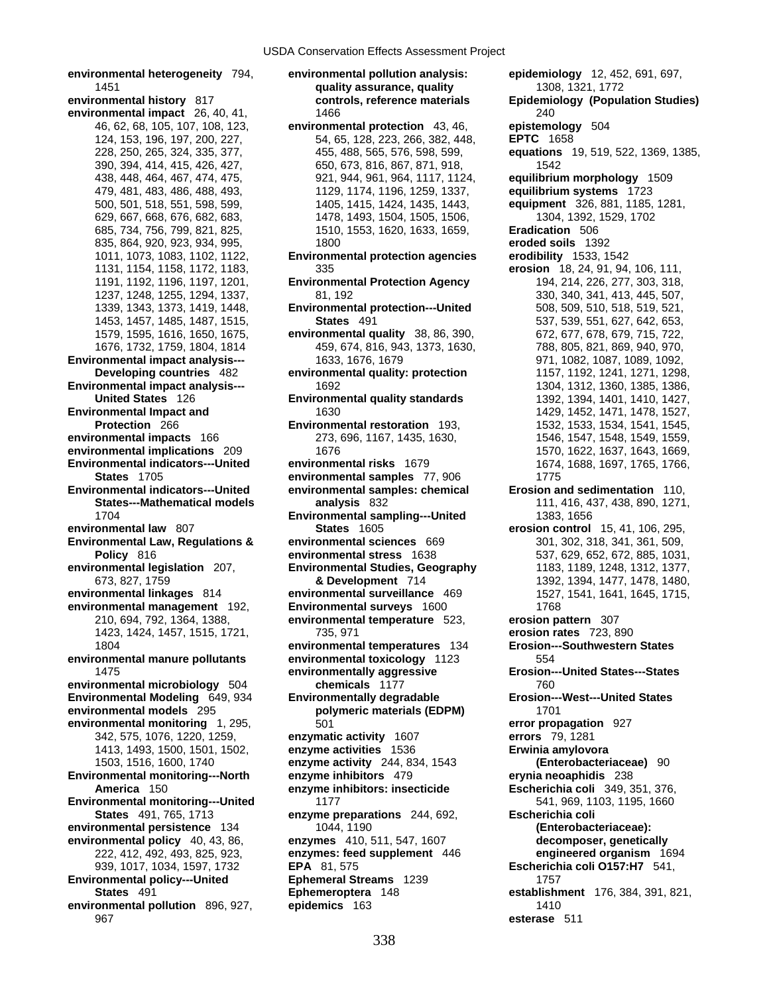**environmental heterogeneity** 794, **environmental pollution analysis: epidemiology** 12, 452, 691, 697,

**Environmental monitoring---North enzyme inhibitors** 479

1451 **quality assurance, quality 1308, 1321, 1772**<br> **environmental history** 817 **controls, reference materials** Epidemiology (Popula **environmental impact** 26, 40, 41, 1466 **240**<br>46. 62. 68, 105, 107, 108, 123, **environmental protection** 43, 46, **epistemology** 504 46, 62, 68, 105, 107, 108, 123, **environmental protection** 43, 46, **epistemology** 504 124, 153, 196, 197, 200, 227, 54, 65, 128, 223, 266, 382, 448, **EPTC** 1658 390, 394, 414, 415, 426, 427, 650, 673, 816, 867, 871, 918, 1542 438, 448, 464, 467, 474, 475, 921, 944, 961, 964, 1117, 1124, **equilibrium morphology** 1509 479, 481, 483, 486, 488, 493, 1129, 1174, 1196, 1259, 1337, **equilibrium systems** 1723 500, 501, 518, 551, 598, 599, 1405, 1415, 1424, 1435, 1443, **equipment** 326, 881, 1185, 1281, 629, 667, 668, 676, 682, 683, 1478, 1493, 1504, 1505, 1506, 1304, 1392, 1529, 1702 685, 734, 756, 799, 821, 825, 1510, 1553, 1620, 1633, 1659, **Eradication** 506 835, 864, 920, 923, 934, 995, 1800 **eroded soils** 1392 1011, 1073, 1083, 1102, 1122, **Environmental protection agencies erodibility** 1533, 1542 1131, 1154, 1158, 1172, 1183, 335 **erosion** 18, 24, 91, 94, 106, 111, 1191, 1192, 1196, 1197, 1201, **Environmental Protection Agency** 194, 214, 226, 277, 303, 318, 1237, 1248, 1255, 1294, 1337, 81, 192 330, 340, 341, 413, 445, 507, 1339, 1343, 1373, 1419, 1448, **Environmental protection---United** 508, 509, 510, 518, 519, 521, 1453, 1457, 1485, 1487, 1515, **States** 491 537, 539, 551, 627, 642, 653, 1579, 1595, 1616, 1650, 1675, **environmental quality** 38, 86, 390, 672, 677, 678, 679, 715, 722, 1676, 1732, 1759, 1804, 1814 459, 674, 816, 943, 1373, 1630, 788, 805, 821, 869, 940, 970, **Environmental impact analysis---** 1633, 1676, 1679 971, 1082, 1087, 1089, 1092, **Developing countries** 482 **environmental quality: protection** 1157, 1192, 1241, 1271, 1298, **Environmental impact analysis---** 1692 1304, 1304, 1312, 1360, 1385, 1386, 1386, 1386, **United States** 126 **Environmental quality standards** 1392, 1394, 1401, 1410, 1427, **Environmental Impact and** 1630 1429, 1452, 1471, 1478, 1527, **Protection** 266 **Environmental restoration** 193, 1532, 1533, 1534, 1541, 1545, **environmental impacts** 166 273, 696, 1167, 1435, 1630, 1546, 1547, 1548, 1549, 1559, **environmental implications** 209 1676 1570, 1622, 1637, 1643, 1669, **Environmental indicators---United environmental risks** 1679 1674, 1688, 1697, 1765, 1766, **States** 1705 **environmental samples** 77, 906 1775 **Environmental indicators---United environmental samples: chemical Erosion and sedimentation** 110, **States---Mathematical models analysis** 832 111, 416, 437, 438, 890, 1271, 1704 **Environmental sampling---United** 1383, 1656 **environmental law** 807 **States** 1605 **erosion control** 15, 41, 106, 295, **Environmental Law, Regulations & environmental sciences** 669 301, 302, 318, 341, 361, 509, **Policy** 816 **environmental stress** 1638 537, 629, 652, 672, 885, 1031, **environmental legislation** 207, **Environmental Studies, Geography** 1183, 1189, 1248, 1312, 1377, **environmental linkages** 814 **environmental surveillance** 469 1527, 1541, 1641, 1645, 1715, **environmental management** 192, **Environmental surveys** 1600 1768 210, 694, 792, 1364, 1388, **environmental temperature** 523, **erosion pattern** 307 1423, 1424, 1457, 1515, 1721, 735, 971 **erosion rates** 723, 890 1804 **environmental temperatures** 134 **Erosion---Southwestern States environmental manure pollutants environmental toxicology** 1123 554 1475 **environmentally aggressive Erosion---United States---States environmental microbiology** 504 **chemicals** 1177 760 **Environmental Modeling** 649, 934 **Environmentally degradable Erosion---West---United States environmental models** 295 **polymeric materials (EDPM)** 1701 **environmental monitoring** 1, 295, 501 **error propagation** 927 342, 575, 1076, 1220, 1259, **enzymatic activity** 1607 **errors** 79, 1281 1413, 1493, 1500, 1501, 1502, **enzyme activities** 1536 **Erwinia amylovora**  1503, 1516, 1600, 1740 **enzyme activity** 244, 834, 1543 **(Enterobacteriaceae)** 90 **America** 150 **enzyme inhibitors: insecticide Escherichia coli** 349, 351, 376, **Environmental monitoring---United 1177** 1177 541, 969, 1103, 1195, 1660 **States** 491, 765, 1713 **enzyme preparations** 244, 692, **Escherichia coli environmental persistence** 134 1044, 1190 **(Enterobacteriaceae): (Enterobacteriaceae): environmental policy** 40, 43, 86, **enzymes** 410, 511, 547, 1607 **decomposer, genetically**  222, 412, 492, 493, 825, 923, **enzymes: feed supplement** 446 **engineered organism** 1694 939, 1017, 1034, 1597, 1732 **EPA** 81, 575 **Escherichia coli O157:H7** 541, **Environmental policy---United Ephemeral Streams** 1239 1757 **States** 491 **Ephemeroptera** 148 **establishment** 176, 384, 391, 821, **environmental pollution** 896, 927, **epidemics** 163 1410 967 **esterase** 511

controls, reference materials **Epidemiology (Population Studies)** 228, 250, 265, 324, 335, 377, 455, 488, 565, 576, 598, 599, **equations** 19, 519, 522, 1369, 1385, 673, 827, 1759 **& Development** 714 1392, 1394, 1477, 1478, 1480,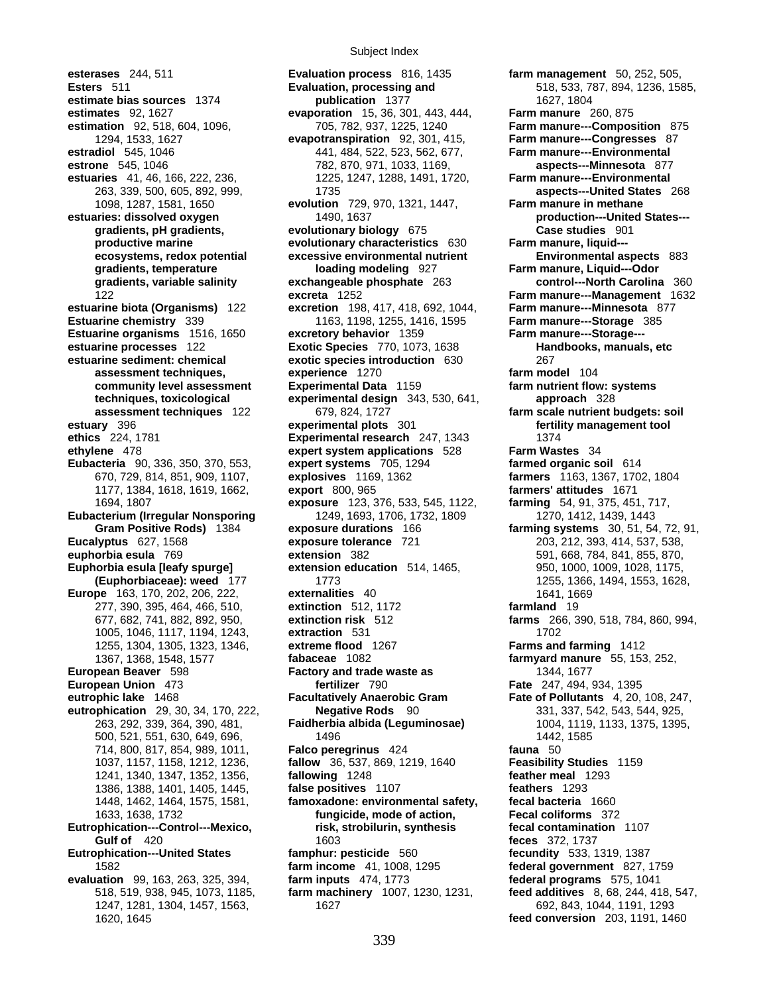gradients, pH gradients, evolutionary biology 675 500, 521, 551, 630, 649, 696, 1496<br>714, 800, 817, 854, 989, 1011, **Falco peregrinus** 424

**esterases** 244, 511 **Evaluation process** 816, 1435 **farm management** 50, 252, 505, **Esters** 511 **Evaluation, processing and** 518, 533, 787, 894, 1236, 1585, **estimate bias sources** 1374 **publication** 1377 **publication** 1377 **1627, 1804 exaporation** 15, 36, 301, 443, 444, **Farm manure** 260, 875 **evaporation** 15, 36, 301, 443, 444, **estimation** 92, 518, 604, 1096, 705, 782, 937, 1225, 1240 **Farm manure---Composition** 875 1294, 1533, 1627 **evapotranspiration** 92, 301, 415, **Farm manure---Congresses** 87 **estradiol** 545, 1046 441, 484, 522, 523, 562, 677, **Farm manure---Environmental estrone** 545, 1046 782, 870, 971, 1033, 1169, **aspects---Minnesota** 877 **estuaries** 41, 46, 166, 222, 236, 1225, 1247, 1288, 1491, 1720, **Farm manure---Environmental**  263, 339, 500, 605, 892, 999, 1735 **aspects---United States** 268 1098, 1287, 1581, 1650 **evolution** 729, 970, 1321, 1447, **Farm manure in methane estuaries: dissolved oxygen** 1490, 1637 **production---United States-- productive marine evolutionary characteristics** 630 **Farm manure, liquid-- ecosystems, redox potential excessive environmental nutrient Environmental aspects** 883 gradients, temperature **loading modeling** 927 **Farm manure, Liquid---Odor**<br>gradients, variable salinity exchangeable phosphate 263 **control---North Carolina** 360 **exchangeable phosphate** 263 122 **excreta** 1252 **Farm manure---Management** 1632 **estuarine biota (Organisms)** 122 **excretion** 198, 417, 418, 692, 1044, **Farm manure---Minnesota** 877 **Estuarine chemistry** 339 1163, 1198, 1255, 1416, 1595 **Farm manure---Storage** 385 **Estuarine organisms** 1516, 1650 **excretory behavior** 1359 **Farm manure---Storage-- estuarine processes** 122 **Exotic Species** 770, 1073, 1638 **Handbooks, manuals, etc estuarine sediment: chemical exotic species introduction** 630 267 **assessment techniques, experience** 1270 **farm model** 104 **community level assessment Experimental Data** 1159 **farm nutrient flow: systems techniques, toxicological experimental design** 343, 530, 641, **approach** 328 **assessment techniques** 122 679, 824, 1727 farm scale nutrient **k assessment techniques** 122 679, 824, 1727 **farm scale nutrient budgets: soil**<br> **experimental plots** 301 **fertility management tool**<br> **ethics** 224, 1781 **Experimental research** 247, 1343 1374 **experimental plots** 301 **experimental plots** 301 **Experimental research** 247, 1343 1374 **ethylene** 478 **expert system applications** 528 **Farm Wastes** 34 **Eubacteria** 90, 336, 350, 370, 553, **expert systems** 705, 1294 **farmed organic soil** 614 670, 729, 814, 851, 909, 1107, **explosives** 1169, 1362 **farmers** 1163, 1367, 1702, 1804 1177, 1384, 1618, 1619, 1662, **export** 800, 965 **farmers' attitudes** 1671 1694, 1807 **exposure** 123, 376, 533, 545, 1122, **farming** 54, 91, 375, 451, 717, **Eubacterium (Irregular Nonsporing** 1249, 1693, 1706, 1732, 1809 1270, 1412, 1439, 1443 **Eucalyptus** 627, 1568 **exposure tolerance** 721 203, 212, 393, 414, 537, 538, **euphorbia esula** 769 **extension** 382 591, 668, 784, 841, 855, 870, **Euphorbia esula [leafy spurge] extension education** 514, 1465, 950, 1000, 1009, 1028, 1175, **Europe** 163, 170, 202, 206, 222, **externalities** 40 1641, 1669 277, 390, 395, 464, 466, 510, **extinction** 512, 1172 **farmland** 19 1005, 1046, 1117, 1194, 1243, **extraction** 531 1702 1255, 1304, 1305, 1323, 1346, **extreme flood** 1267 **Farms and farming** 1412 1367, 1368, 1548, 1577 **fabaceae** 1082 **farmyard manure** 55, 153, 252, **European Beaver** 598 **Factory and trade waste as** 1344, 1677 **European Union** 473 **fertilizer** 790 **Fate** 247, 494, 934, 1395 **eutrophic lake** 1468 **Facultatively Anaerobic Gram Fate of Pollutants** 4, 20, 108, 247, **eutrophication** 29, 30, 34, 170, 222, **Negative Rods** 90 331, 337, 542, 543, 544, 925, 263, 292, 339, 364, 390, 481, **Faidherbia albida (Leguminosae)** 1004, 1119, 1133, 1375, 1395, 714, 800, 817, 854, 989, 1011, **Falco peregrinus** 424 **fauna** 50 1037, 1157, 1158, 1212, 1236, **fallow** 36, 537, 869, 1219, 1640 **Feasibility Studies** 1159 1241, 1340, 1347, 1352, 1356, **fallowing** 1248 **feather meal** 1293 1386, 1388, 1401, 1405, 1445, **false positives** 1107 **feathers** 1293 famoxadone: environmental safety, fecal bacteria 1660 1633, 1638, 1732 **fungicide, mode of action, Fecal coliforms** 372 **Eutrophication---Control---Mexico, risk, strobilurin, synthesis fecal contamination** 1107 **Gulf of** 420 **1603 feces** 372, 1737 **Eutrophication---United States famphur: pesticide** 560 **fecundity** 533, 1319, 1387 1582 **farm income** 41, 1008, 1295 **federal government** 827, 1759 **evaluation** 99, 163, 263, 325, 394, **farm inputs** 474, 1773 **federal programs** 575, 1041 1247, 1281, 1304, 1457, 1563, 1627 692, 843, 1044, 1191, 1293

**Gram Positive Rods)** 1384 **exposure durations** 166 **farming systems** 30, 51, 54, 72, 91, **(Euphorbiaceae): weed** 177 1773 1255, 1366, 1494, 1553, 1628, 677, 682, 741, 882, 892, 950, **extinction risk** 512 **farms** 266, 390, 518, 784, 860, 994, 518, 519, 938, 945, 1073, 1185, **farm machinery** 1007, 1230, 1231, **feed additives** 8, 68, 244, 418, 547, 1620, 1645 **feed conversion** 203, 1191, 1460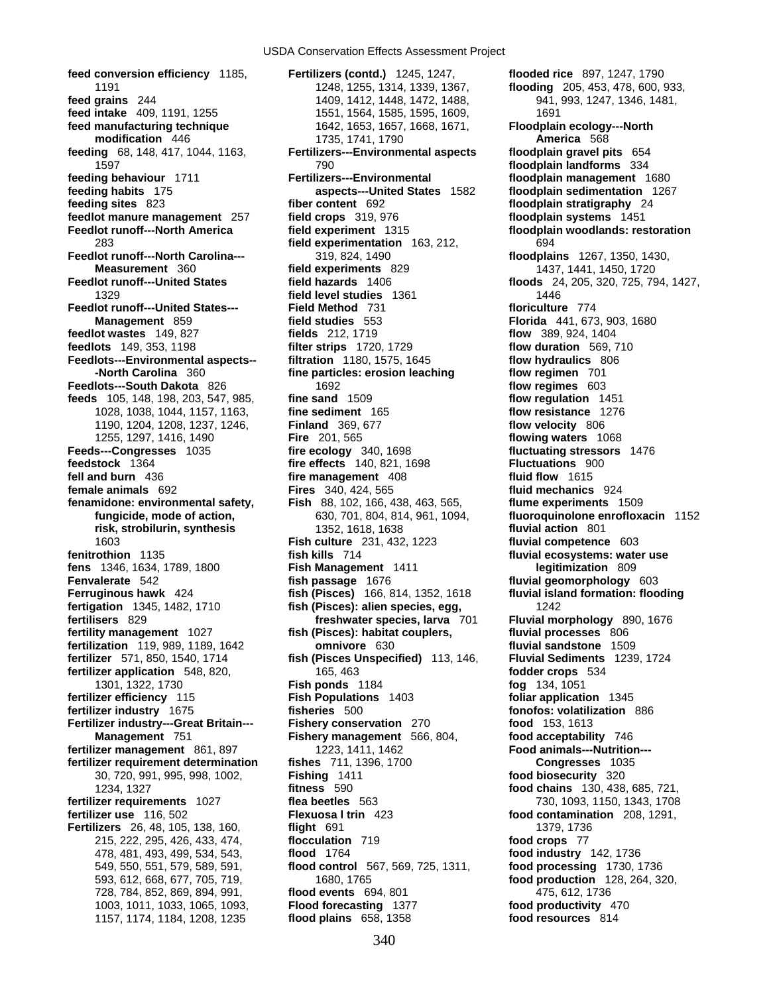**feedlot manure management** 257 **field crops** 319, 976<br>**Feedlot runoff---North America** field experiment 1315 1190, 1204, 1208, 1237, 1246, **Finland** 369, 677 **Fertilizer industry---Great Britain--- Fishery conservation** 270

**feed conversion efficiency** 1185, **Fertilizers (contd.)** 1245, 1247, **flooded rice** 897, 1247, 1790 1191 1248, 1255, 1314, 1339, 1367, **flooding** 205, 453, 478, 600, 933, **feed grains** 244 1409, 1412, 1448, 1472, 1488, 941, 993, 1247, 1346, 1481, **feed intake** 409, 1191, 1255 1551, 1561, 1564, 1585, 1595, 1609, 1691 **feed manufacturing technique** 1642, 1653, 1657, 1668, 1671, **Floodplain ecology---North modification** 446 1735, 1741, 1790 **America** 568 **feeding** 68, 148, 417, 1044, 1163, **Fertilizers---Environmental aspects floodplain gravel pits** 654 1597 790 **floodplain landforms** 334 **feeding behaviour** 1711 **Fertilizers---Environmental floodplain management** 1680 **feeding habits** 175 **aspects---United States** 1582 **floodplain sedimentation** 1267 **fiber content** 692 **fiber content** 692 **floodplain stratigraphy** 24<br>**feedlot manure management** 257 **field crops** 319, 976 **floodplain systems** 1451 **Feedlot runoff---North America field experiment** 1315 **floodplain woodlands: restoration** 283 **field experimentation** 163, 212, 694 **Feedlot runoff---North Carolina---** 319, 824, 1490 **floodplains** 1267, 1350, 1430, **Measurement** 360 **field experiments** 829 1437, 1441, 1450, 1720 **Feedlot runoff---United States field hazards** 1406 **floods** 24, 205, 320, 725, 794, 1427, 1329 **field level studies** 1361 1446 **Feedlot runoff---United States--- Field Method** 731 **floriculture** 774 **Management** 859 **field studies** 553 **Florida** 441, 673, 903, 1680 **feedlot wastes** 149, 827 **fields** 212, 1719 **flow** 389, 924, 1404 **feedlots** 149, 353, 1198 **filter strips** 1720, 1729 **flow duration** 569, 710 **Feedlots---Environmental aspects-- filtration** 1180, 1575, 1645 **flow hydraulics** 806 **-North Carolina** 360 **fine particles: erosion leaching flow regimen** 701 **Feedlots---South Dakota** 826 1692 **flow regimes** 603 **feeds** 105, 148, 198, 203, 547, 985, **fine sand** 1509 **flow regulation** 1451 1028, 1038, 1044, 1157, 1163, **fine sediment** 165 **flow resistance** 1276 1255, 1297, 1416, 1490 **Fire** 201, 565 **flowing waters** 1068 **Feeds---Congresses** 1035 **fire ecology** 340, 1698 **fluctuating stressors** 1476 **feedstock** 1364 **fire effects** 140, 821, 1698 **Fluctuations** 900 **fell and burn** 436 **fire management** 408 **fluid flow** 1615 **female animals** 692 **Fires** 340, 424, 565 **fluid mechanics** 924 **fenamidone: environmental safety, Fish** 88, 102, 166, 438, 463, 565, **flume experiments** 1509 **fungicide, mode of action,** 630, 701, 804, 814, 961, 1094, **fluoroquinolone enrofloxacin** 1152 **risk, strobilurin, synthesis** 1352, 1618, 1638 **fluvial action** 801 1603 **Fish culture** 231, 432, 1223 **fluvial competence** 603 fish kills 714 **fluvial ecosystems: water use fens** 1346, 1634, 1789, 1800 **Fish Management** 1411 **legitimization** 809 **Fenvalerate** 542 **fish passage** 1676 **fluvial geomorphology** 603 **Ferruginous hawk** 424 **fish (Pisces)** 166, 814, 1352, 1618 **fluvial island formation: flooding fertigation** 1345, 1482, 1710 **fish (Pisces): alien species, egg,** 1242 **fertilisers** 829 **freshwater species, larva** 701 **Fluvial morphology** 890, 1676 **fertility management** 1027 **fish (Pisces): habitat couplers, fluvial processes** 806 **fertilization** 119, 989, 1189, 1642 **omnivore** 630 **fluvial sandstone** 1509 **fertilizer** 571, 850, 1540, 1714 **fish (Pisces Unspecified)** 113, 146, **Fluvial Sediments** 1239, 1724 **fertilizer application** 548, 820, 165, 463 **fodder crops** 534 1301, 1322, 1730 **Fish ponds** 1184 **fog** 134, 1051 **fertilizer efficiency** 115 **Fish Populations** 1403 **foliar application** 1345 **fertilizer industry** 1675 **fisheries** 500 **fonofos: volatilization** 886 **Management** 751 **Fishery management** 566, 804, **food acceptability** 746 **fertilizer management** 861, 897 1223, 1411, 1462 **Food animals---Nutrition-- fertilizer requirement determination fishes** 711, 1396, 1700 **Congresses** 1035 30, 720, 991, 995, 998, 1002, **Fishing** 1411 **food biosecurity** 320 1234, 1327 **fitness** 590 **food chains** 130, 438, 685, 721, **fertilizer requirements** 1027 **flea beetles** 563 730, 1093, 1150, 1343, 1708 **fertilizer use** 116, 502 **Flexuosa l trin** 423 **food contamination** 208, 1291, **Fertilizers** 26, 48, 105, 138, 160, **flight** 691 1379, 1736 215, 222, 295, 426, 433, 474, **flocculation** 719 **food crops** 77 478, 481, 493, 499, 534, 543, **flood** 1764 **food industry** 142, 1736 549, 550, 551, 579, 589, 591, **flood control** 567, 569, 725, 1311, **food processing** 1730, 1736 593, 612, 668, 677, 705, 719, 1680, 1765 **food production** 128, 264, 320, 728, 784, 852, 869, 894, 991, **flood events** 694, 801 475, 612, 1736 1003, 1011, 1033, 1065, 1093, **Flood forecasting** 1377 **food productivity** 470 1157, 1174, 1184, 1208, 1235 **flood plains** 658, 1358 **food resources** 814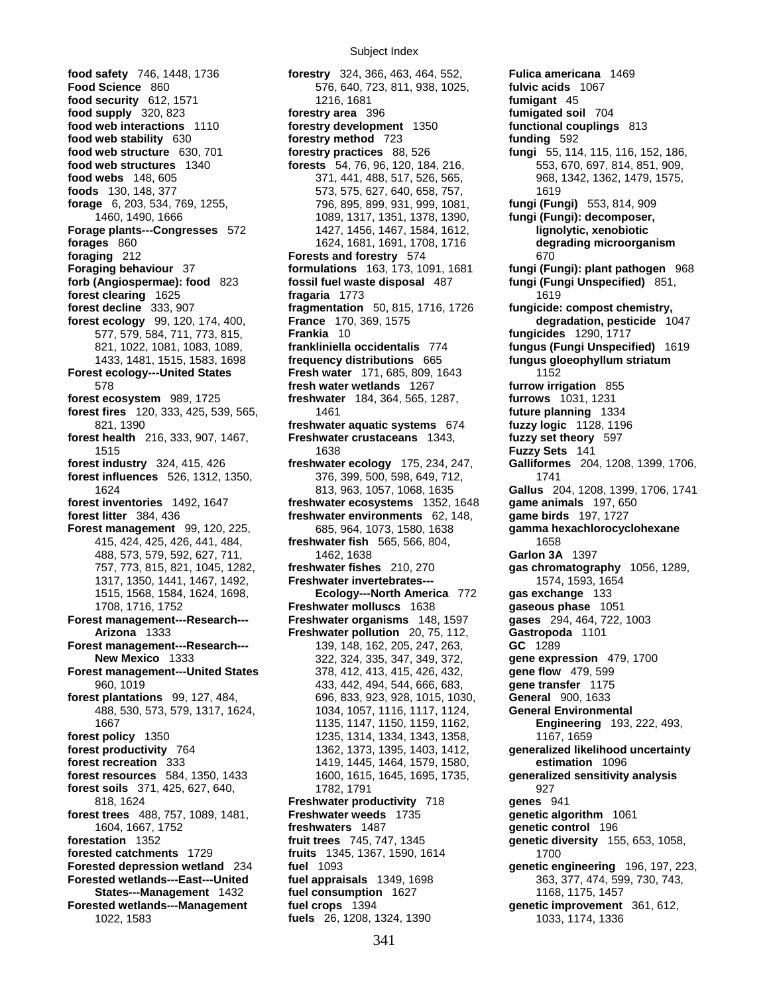**Food Science** 860 576, 640, 723, 811, 938, 1025, **food web structures** 1340 **forests** 54, 76, 96, 120, 184, 216, **Forest management---Research--- Freshwater organisms** 148, 1597

**food safety** 746, 1448, 1736 **forestry** 324, 366, 463, 464, 552, **Fulica americana** 1469 **food security** 612, 1571 **1216, 1681 1216, 1681 fumigant** 45 **food supply** 320, 823 **forestry area** 396 **fumigated soil** 704 **food web interactions** 1110 **forestry development** 1350 **functional couplings** 813 **food web stability** 630 **forestry method** 723 **funding** 592 **food web structure** 630, 701 **forestry practices** 88, 526 **fungi** 55, 114, 115, 116, 152, 186, **food webs** 148, 605 371, 441, 488, 517, 526, 565, 968, 1342, 1362, 1479, 1575, **foods** 130, 148, 377 573, 573, 575, 627, 640, 658, 757, 1619 **forage** 6, 203, 534, 769, 1255, 796, 895, 899, 931, 999, 1081, **fungi (Fungi)** 553, 814, 909 1460, 1490, 1666 1089, 1317, 1351, 1378, 1390, **fungi (Fungi): decomposer, Forage plants---Congresses** 572 1427, 1456, 1467, 1584, 1612, **lignolytic, xenobiotic forages** 860 1624, 1681, 1691, 1708, 1716 **degrading microorganism foraging** 212 **Forests and forestry** 574 670 **Foraging behaviour** 37 **formulations** 163, 173, 1091, 1681 **fungi (Fungi): plant pathogen** 968 **forb (Angiospermae): food** 823 **fossil fuel waste disposal** 487 **fungi (Fungi Unspecified)** 851, **forest clearing** 1625 **fragaria** 1773 **1619 forest decline** 333, 907 **fragmentation** 50, 815, 1716, 1726 **fungicide: compost chemistry, forest ecology** 99, 120, 174, 400, **France** 170, 369, 1575 **degradation, pesticide** 1047 577, 579, 584, 711, 773, 815, **Frankia** 10 **fungicides** 1290, 1717 821, 1022, 1081, 1083, 1089, **frankliniella occidentalis** 774 **fungus (Fungi Unspecified)** 1619 1433, 1481, 1515, 1583, 1698 **frequency distributions** 665 **fungus gloeophyllum striatum Forest ecology---United States Fresh water** 171, 685, 809, 1643 1152 578 **fresh water wetlands** 1267 **furrow irrigation** 855 **forest ecosystem** 989, 1725 **freshwater** 184, 364, 565, 1287, **furrows** 1031, 1231 **forest fires** 120, 333, 425, 539, 565, 1461 **future planning** 1334 821, 1390 **freshwater aquatic systems** 674 **fuzzy logic** 1128, 1196 **forest health** 216, 333, 907, 1467, **Freshwater crustaceans** 1343, **fuzzy set theory** 597 1515 1638 **Fuzzy Sets** 141 **forest industry** 324, 415, 426 **freshwater ecology** 175, 234, 247, **Galliformes** 204, 1208, 1399, 1706, **forest influences** 526, 1312, 1350, 376, 399, 500, 598, 649, 712, 1741 1624 813, 963, 1057, 1068, 1635 **Gallus** 204, 1208, 1399, 1706, 1741 **forest inventories** 1492, 1647 **freshwater ecosystems** 1352, 1648 **game animals** 197, 650 **forest litter** 384, 436 **freshwater environments** 62, 148, **game birds** 197, 1727 **Forest management** 99, 120, 225, 685, 964, 1073, 1580, 1638 **gamma hexachlorocyclohexane** 415, 424, 425, 426, 441, 484, **freshwater fish** 565, 566, 804, 1658 488, 573, 579, 592, 627, 711, 1462, 1638 **Garlon 3A** 1397 757, 773, 815, 821, 1045, 1282, **freshwater fishes** 210, 270 **gas chromatography** 1056, 1289, 1317, 1350, 1441, 1467, 1492, **Freshwater invertebrates---** 1574, 1593, 1654 1515, 1568, 1584, 1624, 1698, **Ecology---North America** 772 **gas exchange** 133 1708, 1716, 1752 **Freshwater molluscs** 1638 **gaseous phase** 1051 **Arizona** 1333 **Freshwater pollution** 20, 75, 112, **Gastropoda** 1101 **Forest management---Research---** 139, 148, 162, 205, 247, 263, **GC** 1289 **New Mexico** 1333 322, 324, 335, 347, 349, 372, **gene expression** 479, 1700 **Forest management---United States** 378, 412, 413, 415, 426, 432, **gene flow** 479, 599 960, 1019 433, 442, 494, 544, 666, 683, **gene transfer** 1175 **forest plantations** 99, 127, 484, 696, 833, 923, 928, 1015, 1030, **General** 900, 1633 488, 530, 573, 579, 1317, 1624, 1034, 1057, 1116, 1117, 1124, **General Environmental**  1667 1135, 1147, 1150, 1159, 1162, **Engineering** 193, 222, 493, **forest policy** 1350 1235, 1314, 1334, 1343, 1358, 1167, 1659 **forest productivity** 764 1362, 1373, 1395, 1403, 1412, **generalized likelihood uncertainty**<br> **forest recreation** 333 1419, 1445, 1464, 1579, 1580, **estimation** 1096 **forest recreation** 333 1419, 1445, 1464, 1579, 1580, **estimation** 1096 **forest resources** 584, 1350, 1433 1600, 1615, 1645, 1695, 1735, **generalized sensitivity analysis forest soils** 371, 425, 627, 640, 1782, 1791 18927 818, 1624 **Freshwater productivity** 718 **genes** 941 **forest trees** 488, 757, 1089, 1481, **Freshwater weeds** 1735 **genetic algorithm** 1061 1604, 1667, 1752 **freshwaters** 1487 **genetic control** 196 **forestation** 1352 **fruit trees** 745, 747, 1345 **genetic diversity** 155, 653, 1058, **forested catchments** 1729 **fruits** 1345, 1367, 1590, 1614 1700 **Forested depression wetland** 234 **fuel** 1093 **genetic engineering** 196, 197, 223, **Forested wetlands---East---United fuel appraisals** 1349, 1698 363, 377, 474, 599, 730, 743, **States---Management** 1432 **fuel consumption** 1627 1168, 1175, 1457 **Forested wetlands---Management fuel crops** 1394 **genetic improvement** 361, 612, 1022, 1583 **fuels** 26, 1208, 1324, 1390 1033, 1174, 1336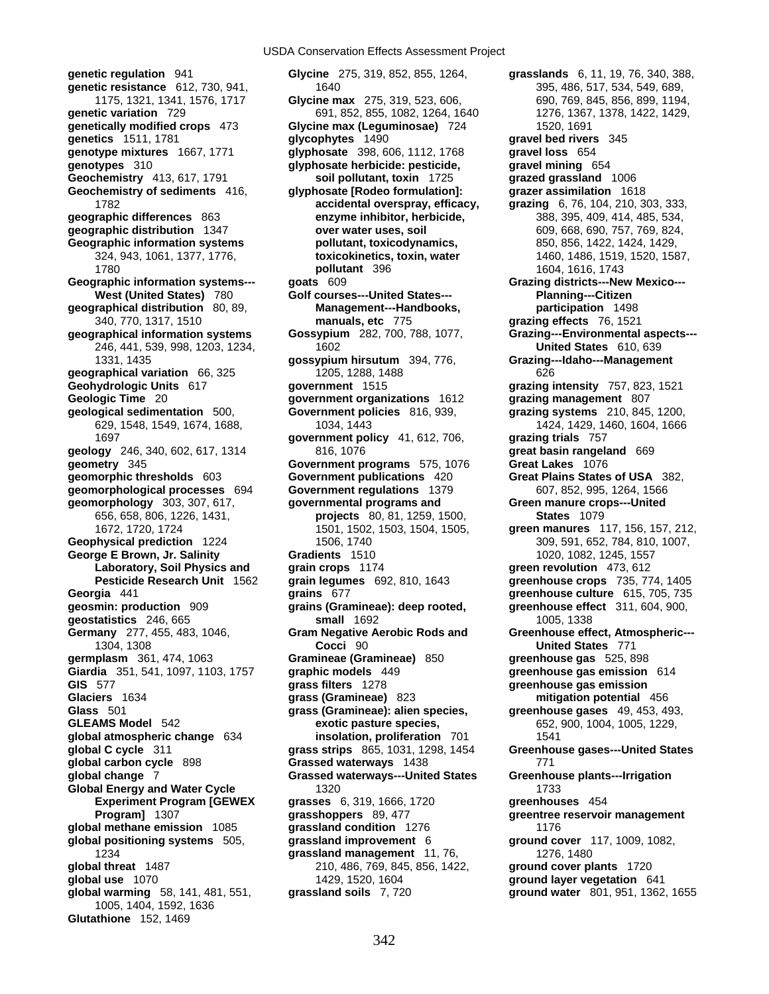**genetic resistance** 612, 730, 941, 51640 genotypes 310 **glyphosate herbicide: pesticide, Laboratory, Soil Physics and grain crops** 1174 1005, 1404, 1592, 1636 **Glutathione** 152, 1469

**genetic regulation** 941 **Glycine** 275, 319, 852, 855, 1264, **grasslands** 6, 11, 19, 76, 340, 388, 1175, 1321, 1341, 1576, 1717 **Glycine max** 275, 319, 523, 606, 690, 769, 845, 856, 899, 1194, **genetic variation** 729 **691, 852, 855, 1082, 1264, 1640** 1276, 1367, 1378, 1422, 1429, 1429, 1429, 1578, 1422, 1429, 1580, 1691 **Glycine max (Leguminosae)** 724 1520, 1691 **genetics** 1511, 1781 **glycophytes** 1490 **gravel bed rivers** 345 **genotype mixtures** 1667, 1771 **glyphosate** 398, 606, 1112, 1768 **gravel loss** 654 **Geochemistry** 413, 617, 1791 **soil pollutant, toxin** 1725 **grazed grassland** 1006 **Geochemistry of sediments** 416, **glyphosate [Rodeo formulation]: grazer assimilation** 1618 1782 **accidental overspray, efficacy, grazing** 6, 76, 104, 210, 303, 333, **geographic differences** 863 **enzyme inhibitor, herbicide,** 388, 395, 409, 414, 485, 534, **geographic distribution** 1347 **over water uses, soil** 609, 668, 690, 757, 769, 824, **Geographic information systems pollutant, toxicodynamics,** 850, 856, 1422, 1424, 1429, 324, 943, 1061, 1377, 1776, **toxicokinetics, toxin, water** 1460, 1486, 1519, 1520, 1587, 1780 **pollutant** 396 1604, 1616, 1743 **Geographic information systems--- goats** 609 **Grazing districts---New Mexico--- West (United States)** 780 **Golf courses---United States--- Planning---Citizen geographical distribution** 80, 89, **Management---Handbooks, participation** 1498 340, 770, 1317, 1510 **manuals, etc** 775 **grazing effects** 76, 1521 **geographical information systems Gossypium** 282, 700, 788, 1077, **Grazing---Environmental aspects---** 246, 441, 539, 998, 1203, 1234, 1602 **United States** 610, 639 1331, 1435 **gossypium hirsutum** 394, 776, **Grazing---Idaho---Management geographical variation** 66, 325 1205, 1288, 1488 626 **Geohydrologic Units** 617 **government** 1515 **grazing intensity** 757, 823, 1521 **Geologic Time** 20 **government organizations** 1612 **grazing management** 807 **geological sedimentation** 500, **Government policies** 816, 939, **grazing systems** 210, 845, 1200, 629, 1548, 1549, 1674, 1688, 1034, 1443 1424, 1429, 1460, 1604, 1666 1697 **government policy** 41, 612, 706, **grazing trials** 757 **geology** 246, 340, 602, 617, 1314 816, 1076 816, 1076 **great basin rangeland** 669 **geometry** 345 **Government programs** 575, 1076 **Great Lakes** 1076 **geomorphic thresholds** 603 **Government publications** 420 **Great Plains States of USA** 382, **geomorphological processes** 694 **Government regulations** 1379 607, 852, 995, 1264, 1566 **geomorphology** 303, 307, 617, **governmental programs and Green manure crops---United**  656, 658, 806, 1226, 1431, **projects** 80, 81, 1259, 1500, **States** 1079 1672, 1720, 1724 1501, 1502, 1503, 1504, 1505, **green manures** 117, 156, 157, 212, **Geophysical prediction** 1224 1506, 1740 1508, 1810, 1007, 1989, 591, 652, 784, 810, 1007, **George E Brown, Jr. Salinity 6. Street Containers** 1510 1020, 1082, 1245, 1557 George E Brown, Jr. Salinity **Gradients** 1510 1020, 1082, 1245, 1557<br>**Laboratory, Soil Physics and 1974** 1174 1174 123, 612 **Pesticide Research Unit** 1562 **grain legumes** 692, 810, 1643 **greenhouse crops** 735, 774, 1405 **Georgia** 441 **grains** 677 **greenhouse culture** 615, 705, 735 **geosmin: production** 909 **grains (Gramineae): deep rooted, greenhouse effect** 311, 604, 900, **geostatistics** 246, 665 **small** 1692 1005, 1338 **Germany** 277, 455, 483, 1046, **Gram Negative Aerobic Rods and Greenhouse effect, Atmospheric---** 1304, 1308 **Cocci** 90 **United States** 771 **germplasm** 361, 474, 1063 **Gramineae (Gramineae)** 850 **greenhouse gas** 525, 898 **Giardia** 351, 541, 1097, 1103, 1757 **graphic models** 449 **greenhouse gas emission** 614 **GIS** 577 **grass filters** 1278 **greenhouse gas emission Glaciers** 1634 **grass (Gramineae)** 823 **mitigation potential** 456 grass (Gramineae): alien species, greenhouse gases 49, 453, 493, **GLEAMS Model** 542 **exotic pasture species,** 652, 900, 1004, 1005, 1229, **global atmospheric change** 634 **insolation, proliferation** 701 1541 **global C cycle** 311 **grass strips** 865, 1031, 1298, 1454 **Greenhouse gases---United States global carbon cycle** 898 **Grassed waterways** 1438 771 **global change** 7 **Grassed waterways---United States Greenhouse plants---Irrigation Global Energy and Water Cycle** 1320 1733 **Experiment Program [GEWEX grasses** 6, 319, 1666, 1720 **greenhouses** 454 **Program]** 1307 **grasshoppers** 89, 477 **greentree reservoir management global methane emission** 1085 **grassland condition** 1276 1176 **global positioning systems** 505, **grassland improvement** 6 **ground cover** 117, 1009, 1082, 1234 **grassland management** 11, 76, 1276, 1480 **global threat** 1487 210, 486, 769, 845, 856, 1422, **ground cover plants** 1720 **global use** 1070 1429, 1520, 1604 **ground layer vegetation** 641 **global warming** 58, 141, 481, 551, **grassland soils** 7, 720 **ground water** 801, 951, 1362, 1655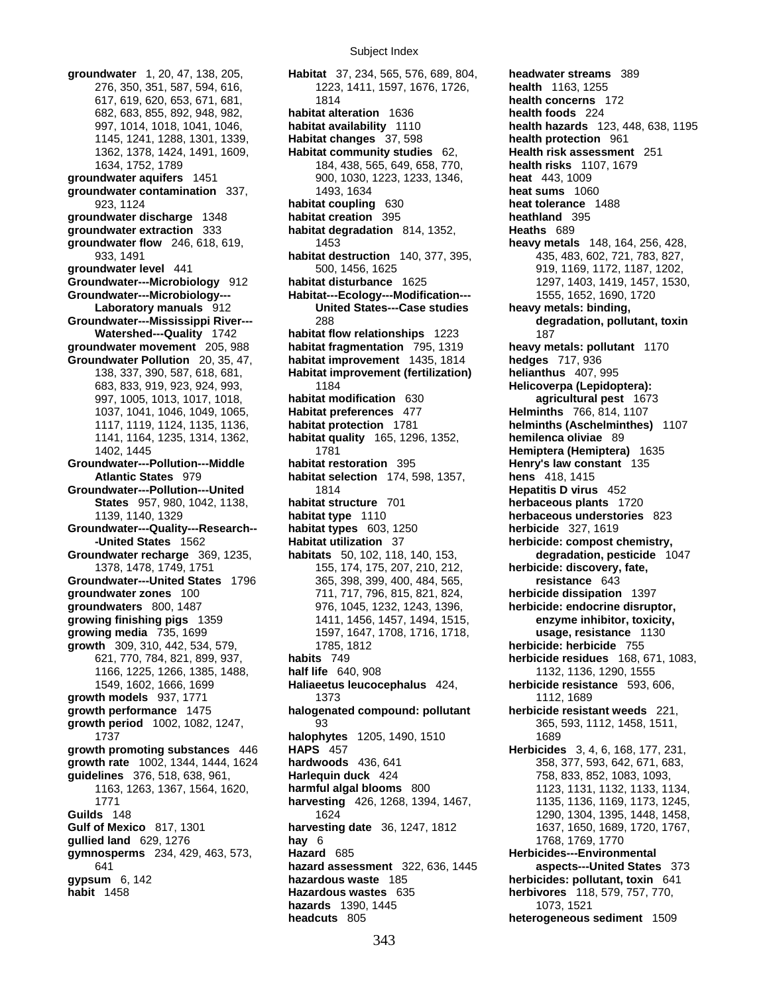Subject Index

617, 619, 620, 653, 671, 681, 1814 **health concerns** 172 **groundwater aquifers** 1451 900, 1030, 1223, 1233, 1346, **heat** 443, 1009 **groundwater contamination** 337, 1493, 1634 **heat sums** 1060 **groundwater discharge** 1348 **habitat creation** 395 **heathland** 395 **groundwater extraction** 333 **habitat degradation** 814, 1352, **Heaths** 689 **groundwater flow** 246, 618, 619, 1453 **heavy metals** 148, 164, 256, 428, **groundwater level** 441 500, 1456, 1625 919, 1169, 1172, 1187, 1202, **Groundwater---Microbiology** 912 **habitat disturbance** 1625 1297, 1403, 1419, 1457, 1530, **Groundwater---Microbiology--- Habitat---Ecology---Modification---** 1555, 1652, 1690, 1720 **Groundwater---Mississippi River---** 288 **degradation, pollutant, toxin groundwater movement** 205, 988 **habitat fragmentation** 795, 1319 **heavy metals: pollutant** 1170 **Groundwater Pollution** 20, 35, 47, **habitat improvement** 1435, 1814 **hedges** 717, 936 **Groundwater---Pollution---Middle habitat restoration** 395 **Henry's law constant** 135 **Groundwater---Pollution---United** 1814 **Hepatitis D virus** 452 **Groundwater---Quality---Research-- habitat types** 603, 1250 **herbicide** 327, 1619 **Groundwater recharge** 369, 1235, **habitats** 50, 102, 118, 140, 153, **degradation, pesticide** 1047 **Groundwater---United States** 1796 365, 398, 399, 400, 484, 565, **resistance** 643 **groundwater zones** 100 711, 717, 796, 815, 821, 824, **herbicide dissipation** 1397 **groundwaters** 800, 1487 976, 1045, 1232, 1243, 1396, **herbicide: endocrine disruptor, growing finishing pigs** 1359 1411, 1456, 1457, 1494, 1515, **growing media** 735, 1699 1597, 1647, 1708, 1716, 1718, **usage, resistance** 1130 **growth** 309, 310, 442, 534, 579, 1785, 1812 **herbicide: herbicide** 755 **growth models** 937, 1771 1373 1373 1112, 1689 **growth performance** 1475 **halogenated compound: pollutant herbicide resistant weeds** 221, **growth period** 1002, 1082, 1247, 93 365, 93, 1112, 1458, 1511, **growth promoting substances** 446 **HAPS** 457 **Herbicides** 3, 4, 6, 168, 177, 231, **growth rate** 1002, 1344, 1444, 1624 **hardwoods** 436, 641 358, 377, 593, 642, 671, 683, **guidelines** 376, 518, 638, 961, **Harlequin duck** 424 758, 833, 852, 1083, 1093, **Guilds** 148 **1624** 1624 1624 16290, 1304, 1395, 1448, 1458, 1458, 1458, 1458, 1458, 1458, 1458, 150 **Gulf of Mexico** 817, 1301 **harvesting date** 36, 1247, 1812 1637, 1650, 1689, 1720, 1767, **gullied land** 629, 1276 **hay** 6 1768, 1769, 1770 **gymnosperms** 234, 429, 463, 573, **Hazard** 685 **Herbicides---Environmental gypsum** 6, 142 **hazardous waste** 185 **herbicides: pollutant, toxin** 641 **habit** 1458 **Hazardous wastes** 635 **herbivores** 118, 579, 757, 770,

**groundwater** 1, 20, 47, 138, 205, **Habitat** 37, 234, 565, 576, 689, 804, **headwater streams** 389 276, 350, 351, 587, 594, 616, 1223, 1411, 1597, 1676, 1726, **health** 1163, 1255 682, 683, 855, 892, 948, 982, **habitat alteration** 1636 **health foods** 224 1145, 1241, 1288, 1301, 1339, **Habitat changes** 37, 598 **health protection** 961 1362, 1378, 1424, 1491, 1609, **Habitat community studies** 62, **Health risk assessment** 251 1634, 1752, 1789 184, 438, 565, 649, 658, 770, **health risks** 1107, 1679 923, 1124 **habitat coupling** 630 **heat tolerance** 1488 933, 1491 **habitat destruction** 140, 377, 395, 435, 483, 602, 721, 783, 827, **Laboratory manuals** 912 **United States---Case studies heavy metals: binding, Watershed---Quality** 1742 **habitat flow relationships** 1223 187 138, 337, 390, 587, 618, 681, **Habitat improvement (fertilization) helianthus** 407, 995 683, 833, 919, 923, 924, 993, 1184 **Helicoverpa (Lepidoptera):**  997, 1005, 1013, 1017, 1018, **habitat modification** 630 **agricultural pest** 1673 1037, 1041, 1046, 1049, 1065, **Habitat preferences** 477 **Helminths** 766, 814, 1107 1117, 1119, 1124, 1135, 1136, **habitat protection** 1781 **helminths (Aschelminthes)** 1107 1141, 1164, 1235, 1314, 1362, **habitat quality** 165, 1296, 1352, **hemilenca oliviae** 89 1402, 1445 1781 **Hemiptera (Hemiptera)** 1635 **Atlantic States** 979 **habitat selection** 174, 598, 1357, **hens** 418, 1415 **States** 957, 980, 1042, 1138, **habitat structure** 701 **herbaceous plants** 1720 1139, 1140, 1329 **habitat type** 1110 **herbaceous understories** 823 **-United States** 1562 **Habitat utilization** 37 **herbicide: compost chemistry,**  155, 174, 175, 207, 210, 212, **herbicide: discovery, fate,** 365, 398, 399, 400, 484, 565, **herbicide: discovery, fate**, 1166, 1225, 1266, 1385, 1488, **half life** 640, 908 1132, 1136, 1290, 1555 1549, 1602, 1666, 1699 **Haliaeetus leucocephalus** 424, **herbicide resistance** 593, 606, 1737 **halophytes** 1205, 1490, 1510 1689 1163, 1263, 1367, 1564, 1620, **harmful algal blooms** 800 1123, 1131, 1132, 1133, 1134, 1771 **harvesting** 426, 1268, 1394, 1467, 1135, 1136, 1169, 1173, 1245, 641 **hazard assessment** 322, 636, 1445 **aspects---United States** 373 **hazards** 1390, 1445 1073, 1521

997, 1014, 1018, 1041, 1046, **habitat availability** 1110 **health hazards** 123, 448, 638, 1195 621, 770, 784, 821, 899, 937, **habits** 749 **herbicide residues** 168, 671, 1083, **headcuts** 805 **heterogeneous sediment** 1509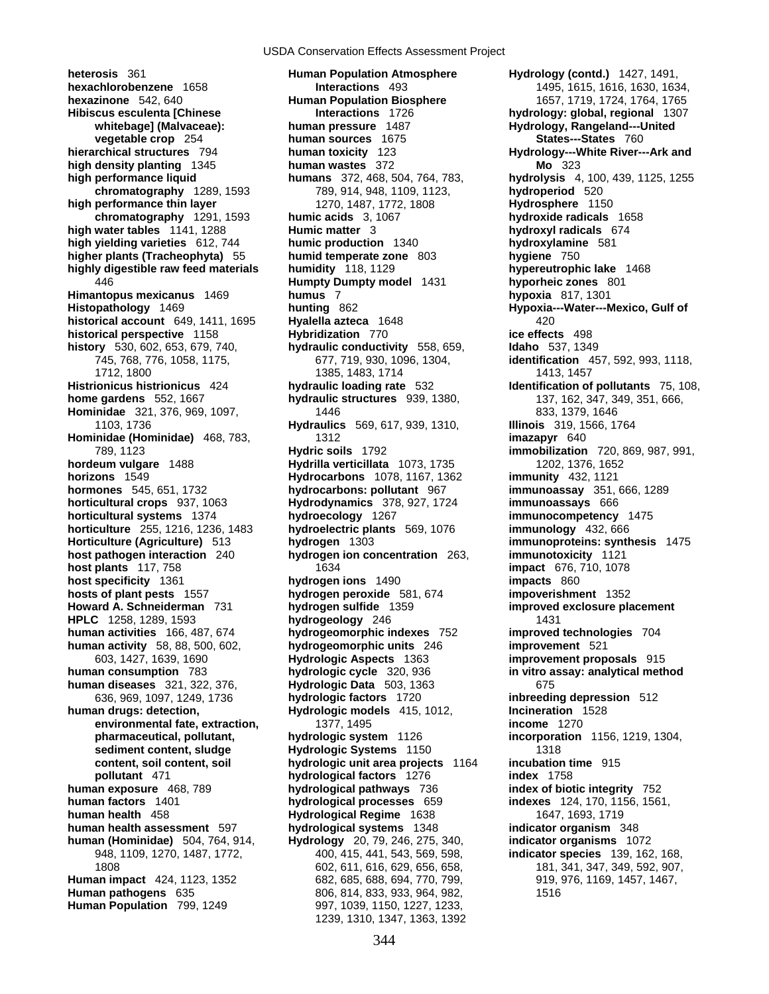**heterosis** 361 **Human Population Atmosphere Hydrology (contd.)** 1427, 1491, **hexazinone** 542, 640 **Human Population Biosphere** 1657, 1719, 1724, 1764, 1765 **Hibiscus esculenta [Chinese Interactions** 1726 **hydrology: global, regional** 1307 **hierarchical structures** 794 **human toxicity** 123 **Hydrology---White River---Ark and high density planting** 1345 **human wastes** 372 **Mo** 323 **high performance liquid humans** 372, 468, 504, 764, 783, **hydrolysis** 4, 100, 439, 1125, 1255 **high performance thin layer** 1270, 1487, 1772, 1808 **Hydrosphere** 1150 **high water tables** 1141, 1288 **Humic matter** 3 **hydroxyl radicals** 674 **high yielding varieties** 612, 744 **humic production** 1340 **hydroxylamine** 581 **higher plants (Tracheophyta)** 55 **humid temperate zone** 803 **hygiene** 750 **highly digestible raw feed materials humidity** 118, 1129 **hypereutrophic lake** 1468 **Himantopus mexicanus** 1469 **humus** 7 **hypoxia** 817, 1301 **Histopathology** 1469 **hunting** 862 **Hypoxia---Water---Mexico, Gulf of historical account** 649, 1411, 1695 **Hyalella azteca** 1648 420 **historical perspective** 1158 **Hybridization** 770 **ice effects** 498 **history** 530, 602, 653, 679, 740, **hydraulic conductivity** 558, 659, **Idaho** 537, 1349 **Histrionicus histrionicus** 424 **hydraulic loading rate** 532 **Identification of pollutants** 75, 108, **home gardens** 552, 1667 **hydraulic structures** 939, 1380, 137, 162, 347, 349, 351, 666, **Hominidae** 321, 376, 969, 1097, 1446 1446 833, 1379, 1646 **Hominidae (Hominidae)** 468, 783, 1312 **imazapyr** 640 **hordeum vulgare** 1488 **Hydrilla verticillata** 1073, 1735 **horizons** 1549 **Hydrocarbons** 1078, 1167, 1362 **immunity** 432, 1121 **hormones** 545, 651, 1732 **hydrocarbons: pollutant** 967 **immunoassay** 351, 666, 1289 **horticultural crops** 937, 1063 **Hydrodynamics** 378, 927, 1724 **immunoassays** 666 **horticultural systems** 1374 **hydroecology** 1267 **immunocompetency** 1475 **horticulture** 255, 1216, 1236, 1483 **hydroelectric plants** 569, 1076 **immunology** 432, 666 **Horticulture (Agriculture)** 513 **hydrogen** 1303 **immunoproteins: synthesis** 1475 **host pathogen interaction** 240 **hydrogen ion concentration** 263, **immunotoxicity** 1121 **host plants** 117, 758 1634 1634 **impact** 676, 710, 1078 **host specificity** 1361 **hydrogen ions** 1490 **impacts** 860 **hosts of plant pests** 1557 **hydrogen peroxide** 581, 674 **impoverishment** 1352 **Howard A. Schneiderman** 731 **hydrogen sulfide** 1359 **improved exclosure placement HPLC** 1258, 1289, 1593 **hydrogeology** 246 **1431 human activities** 166, 487, 674 **hydrogeomorphic indexes** 752 **improved technologies** 704 **human activity** 58, 88, 500, 602, **hydrogeomorphic units** 246 **improvement** 521 **human consumption** 783 **hydrologic cycle** 320, 936 **in vitro assay: analytical method human diseases** 321, 322, 376, **Hydrologic Data** 503, 1363 675 **human drugs: detection, Hydrologic models** 415, 1012, **Incineration** 1528 **human exposure** 468, 789 **hydrological pathways** 736 **index of biotic integrity** 752 **human factors** 1401 **hydrological processes** 659 **indexes** 124, 170, 1156, 1561, **human health** 458 **Hydrological Regime** 1638 1647, 1693, 1719 **human health assessment** 597 **hydrological systems** 1348 **indicator organism** 348 **human (Hominidae)** 504, 764, 914, **Hydrology** 20, 79, 246, 275, 340, **indicator organisms** 1072 **Human impact** 424, 1123, 1352 682, 685, 688, 694, 770, 799, 919, 976, 1169, 1457, 1467, 1467, 1467, 1467, 1467, **Human pathogens** 635 806, 814, 833, 933, 964, 982, 1516 **Human Population** 799, 1249 997, 1039, 1150, 1227, 1233,

**whitebage] (Malvaceae): human pressure** 1487 **Hydrology, Rangeland---United vegetable crop** 254 **human sources** 1675 **States---States** 760 **chromatography** 1289, 1593 789, 914, 948, 1109, 1123, **hydroperiod** 520 **chromatography** 1291, 1593 **humic acids** 3, 1067 **hydroxide radicals** 1658 446 **Humpty Dumpty model** 1431 **hyporheic zones** 801 745, 768, 776, 1058, 1175, 677, 719, 930, 1096, 1304, **identification** 457, 592, 993, 1118, 1712, 1800 1385, 1483, 1714 1413, 1457 1103, 1736 **Hydraulics** 569, 617, 939, 1310, **Illinois** 319, 1566, 1764 789, 1123 **Hydric soils** 1792 **immobilization** 720, 869, 987, 991, 603, 1427, 1639, 1690 **Hydrologic Aspects** 1363 **improvement proposals** 915 636, 969, 1097, 1249, 1736 **hydrologic factors** 1720 **inbreeding depression** 512 **environmental fate, extraction,** 1377, 1495 **income** 1270 **pharmaceutical, pollutant, hydrologic system** 1126 **incorporation** 1156, 1219, 1304, **sediment content, sludge https://wild.org/content/sludge https://wild.org/content/sludge https://wild.org/content/sludge https://wild.org/content/sludge https://wild.org/content/sludge https://wild.org/content/sludge http content, soil content, soil hydrologic unit area projects** 1164 **incubation time** 915 **pollutant** 471 **hydrological factors** 1276 **index** 1758 948, 1109, 1270, 1487, 1772, 400, 415, 441, 543, 569, 598, **indicator species** 139, 162, 168, 1808 602, 611, 616, 629, 656, 658, 181, 341, 347, 349, 592, 907, 1239, 1310, 1347, 1363, 1392

**hexactions** 493 1495, 1615, 1616, 1630, 1634,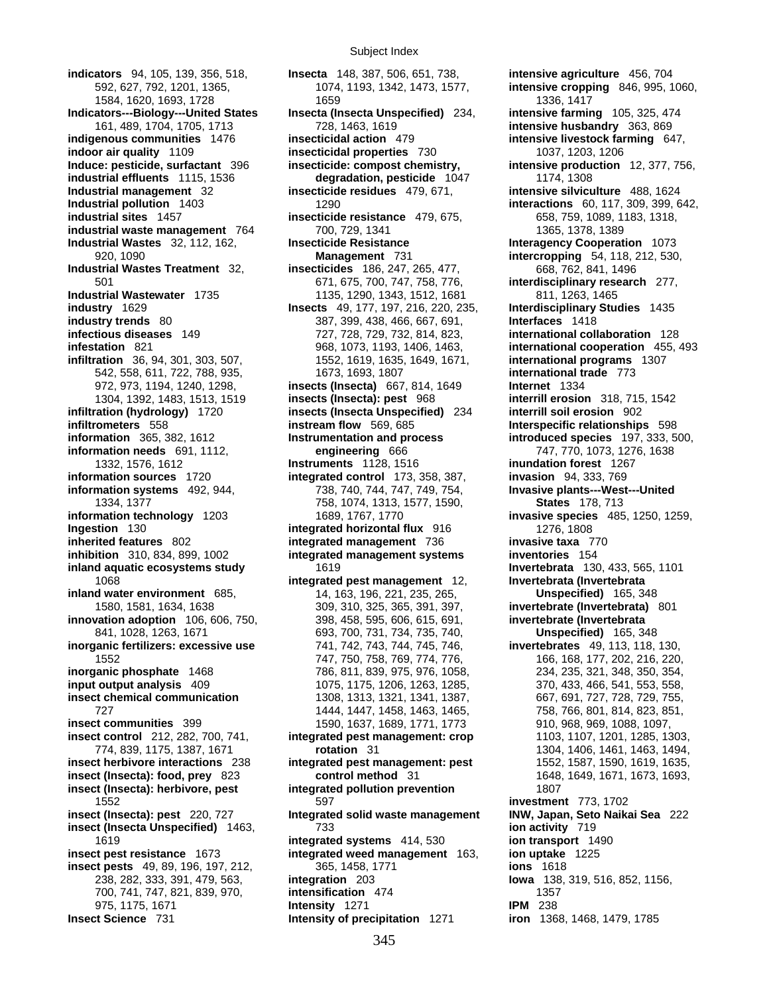**indicators** 94, 105, 139, 356, 518, **Insecta** 148, 387, 506, 651, 738, **intensive agriculture** 456, 704 **Indicators---Biology---United States Insecta (Insecta Unspecified)** 234, **intensive farming** 105, 325, 474 **indigenous communities** 1476 **insecticidal action** 479 **intensive livestock farming** 647, **indoor air quality** 1109 **insecticidal properties** 730 1037, 1203, 1206 **Induce: pesticide, surfactant** 396 **insecticide: compost chemistry, intensive production** 12, 377, 756, **industrial effluents** 1115, 1536 **degradation, pesticide** 1047 1174, 1308 **Industrial management** 32 **insecticide residues** 479, 671, **intensive silviculture** 488, 1624 **Industrial pollution** 1403 **1290 interactions** 60, 117, 309, 399, 642, **industrial sites** 1457 **insecticide resistance** 479, 675, 658, 759, 1089, 1183, 1318, **industrial waste management** 764 700, 729, 1341 1365, 1378, 1378, 1389 **Industrial Wastes** 32, 112, 162, **Insecticide Resistance <b>Interagency Cooperation** 1073 **Industrial Wastes Treatment** 32, **insecticides** 186, 247, 265, 477, 668, 762, 841, 1496 **Industrial Wastewater** 1735 1135, 1290, 1343, 1512, 1681 811, 1263, 1465 **industry** 1629 **Insects** 49, 177, 197, 216, 220, 235, **Interdisciplinary Studies** 1435 **industry trends** 80 387, 399, 438, 466, 667, 691, **Interfaces** 1418 **infectious diseases** 149 727, 728, 729, 732, 814, 823, **international collaboration** 128 **infestation** 821 968, 1073, 1193, 1406, 1463, **international cooperation** 455, 493 **infiltration** 36, 94, 301, 303, 507, 1552, 1619, 1635, 1649, 1671, **international programs** 1307 **infiltration (hydrology)** 1720 **insects (Insecta Unspecified)** 234 **interrill soil erosion** 902 **infiltrometers** 558 **instream flow** 569, 685 **Interspecific relationships** 598 **information** 365, 382, 1612 **Instrumentation and process introduced species** 197, 333, 500, **information needs** 691, 1112, **engineering** 666 747, 770, 1073, 1276, 1638 **information sources** 1720 **integrated control** 173, 358, 387, **invasion** 94, 333, 769 **information systems** 492, 944, 738, 740, 744, 747, 749, 754, **Invasive plants---West---United information technology** 1203 1689, 1767, 1770 **invasive species** 485, 1250, 1259, **Ingestion** 130 **integrated horizontal flux** 916 1276, 1808 **inherited features** 802 **integrated management** 736 **invasive taxa** 770 **inhibition** 310, 834, 899, 1002 **integrated management systems inventories** 154 **inland aquatic ecosystems study** 1619 **Invertebrata** 130, 433, 565, 1101 **inland water environment** 685, 14, 163, 196, 221, 235, 265, **Unspecified)** 165, 348 **innovation adoption** 106, 606, 750, 398, 458, 595, 606, 615, 691, **invertebrate (Invertebrata inorganic fertilizers: excessive use** 741, 742, 743, 744, 745, 746, **invertebrates** 49, 113, 118, 130, **inorganic phosphate** 1468 786, 811, 839, 975, 976, 1058, 234, 235, 321, 348, 350, 354, 350, 354, **input output analysis** 409 1075, 1175, 1206, 1263, 1285, 370, 433, 466, 541, 553, 558, **insect chemical communication** 1308, 1313, 1321, 1341, 1387, 667, 691, 727, 728, 729, 755, **insect communities** 399 1590, 1637, 1689, 1771, 1773 910, 968, 969, 1088, 1097, **insect control** 212, 282, 700, 741, **integrated pest management: crop** 1103, 1107, 1201, 1285, 1303, **insect herbivore interactions** 238 **integrated pest management: pest** 1552, 1587, 1590, 1619, 1635, **insect (Insecta): food, prey** 823 **control method** 31 1648, 1649, 1671, 1673, 1693, **insect (Insecta): herbivore, pest integrated pollution prevention** 1807 **insect (Insecta): pest** 220, 727 **Integrated solid waste management INW, Japan, Seto Naikai Sea** 222 **insect (Insecta Unspecified)** 1463, 733 **ion activity** 719 **insect pest resistance** 1673 **integrated weed management** 163, **ion uptake** 1225 **insect pests** 49, 89, 196, 197, 212, 365, 1458, 1771 **ions** 1618

1584, 1620, 1693, 1728 1659 1336, 1417 161, 489, 1704, 1705, 1713 728, 1463, 1619 **intensive husbandry** 363, 869 920, 1090 **Management** 731 **intercropping** 54, 118, 212, 530, 501 671, 675, 700, 747, 758, 776, **interdisciplinary research** 277, 542, 558, 611, 722, 788, 935, 1673, 1693, 1807 **international trade** 773 972, 973, 1194, 1240, 1298, **insects (Insecta)** 667, 814, 1649 **Internet** 1334 1304, 1392, 1483, 1513, 1519 **insects (Insecta): pest** 968 **interrill erosion** 318, 715, 1542 1332, 1576, 1612 **Instruments** 1128, 1516 **inundation forest** 1267 1334, 1377 758, 1074, 1313, 1577, 1590, **States** 178, 713 1068 **integrated pest management** 12, **Invertebrata (Invertebrata**  1580, 1581, 1634, 1638 309, 310, 325, 365, 391, 397, **invertebrate (Invertebrata)** 801 841, 1028, 1263, 1671 693, 700, 731, 734, 735, 740, **Unspecified)** 165, 348 1552 747, 750, 758, 769, 774, 776, 166, 168, 177, 202, 216, 220, 727 1444, 1447, 1458, 1463, 1465, 758, 766, 801, 814, 823, 851, 1552 597 **investment** 773, 1702 1619 **integrated systems** 414, 530 **ion transport** 1490 238, 282, 333, 391, 479, 563, **integration** 203 **Iowa** 138, 319, 516, 852, 1156, 700, 741, 747, 821, 839, 970, **intensification** 474 1357 975, 1175, 1671 **Intensity** 1271 **IPM** 238 **Insect Science** 731 **Intensity of precipitation** 1271 **iron** 1368, 1468, 1479, 1785

592, 627, 792, 1201, 1365, 1074, 1193, 1342, 1473, 1577, **intensive cropping** 846, 995, 1060, **rotation** 31 1304, 1406, 1461, 1463, 1494,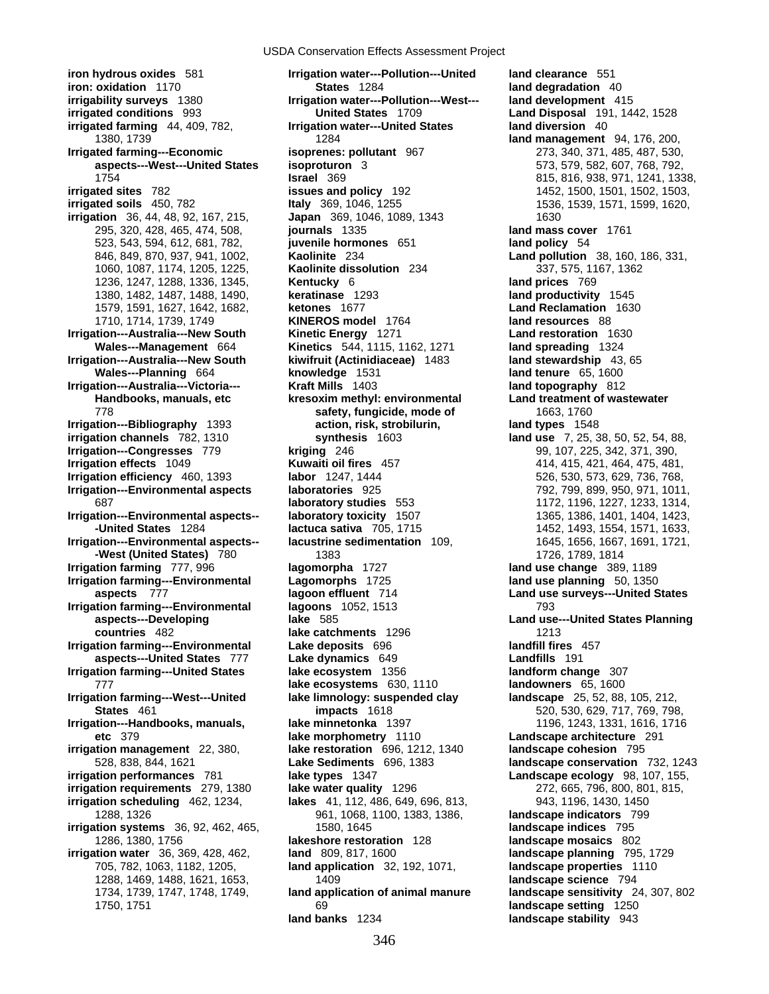523, 543, 594, 612, 681, 782, **juvenile hormones** 651 **land policy** 54 **Irrigation---Environmental aspects-- laboratory toxicity** 1507<br>**1**715, 1364, 1384, 1284, 1401, 1565, 1386, 1404, 1405, 1586, 1586, 1586, 1586, 1586, 1586, 1586, 1586, 1586, 1

**iron hydrous oxides** 581 **Irrigation water---Pollution---United land clearance** 551 **iron: oxidation** 1170 **States** 1284 **land degradation** 40 **irrigation water---Pollution---West--- land development** 415 **irrigated conditions** 993 **United States** 1709 **Land Disposal** 191, 1442, 1528 **irrigated farming** 44, 409, 782, **Irrigation water---United States land diversion** 40 1380, 1739 1284 **land management** 94, 176, 200, **Irrigated farming---Economic isoprenes: pollutant** 967 273, 340, 371, 485, 487, 530, **aspects---West---United States isoproturon** 3 573, 579, 582, 607, 768, 792, 1754 **Israel** 369 815, 816, 938, 971, 1241, 1338, **irrigated sites** 782 **issues and policy** 192 1452, 1500, 1501, 1502, 1503, **irrigated soils** 450, 782 **Italy 369, 1046, 1255** 1536, 1536, 1539, 1571, 1599, 1620, **irrigation** 36, 44, 48, 92, 167, 215, **Japan** 369, 1046, 1089, 1343 1630 295, 320, 428, 465, 474, 508, **journals** 1335 **land mass cover** 1761 846, 849, 870, 937, 941, 1002, **Kaolinite** 234 **Land pollution** 38, 160, 186, 331, 1060, 1087, 1174, 1205, 1225, **Kaolinite dissolution** 234 337, 575, 1167, 1362 1236, 1247, 1288, 1336, 1345, **Kentucky** 6 **land prices** 769 1380, 1482, 1487, 1488, 1490, **keratinase** 1293 **land productivity** 1545 1579, 1591, 1627, 1642, 1682, **ketones** 1677 **Land Reclamation** 1630 1710, 1714, 1739, 1749 **KINEROS model** 1764 **land resources** 88 **Irrigation---Australia---New South Kinetic Energy** 1271 **Land restoration** 1630 **Wales---Management** 664 **Kinetics** 544, 1115, 1162, 1271 **land spreading** 1324 **Irrigation---Australia---New South kiwifruit (Actinidiaceae)** 1483 **land stewardship** 43, 65 **Wales---Planning** 664 **knowledge** 1531 **land tenure** 65, 1600 **Irrigation---Australia---Victoria--- Kraft Mills** 1403 **land topography** 812 **Handbooks, manuals, etc kresoxim methyl: environmental Land treatment of wastewater** 778 **safety, fungicide, mode of** 1663, 1760 **Irrigation---Bibliography** 1393 **action, risk, strobilurin, land types** 1548 **irrigation channels** 782, 1310 **synthesis** 1603 **land use** 7, 25, 38, 50, 52, 54, 88, **Irrigation---Congresses** 779 **kriging** 246 99, 107, 225, 342, 371, 390, **Irrigation effects** 1049 **Kuwaiti oil fires** 457 414, 415, 421, 464, 475, 481, **Irrigation efficiency** 460, 1393 **labor** 1247, 1444 526, 526, 530, 573, 629, 736, 768, **Irrigation---Environmental aspects laboratories** 925 792, 799, 899, 950, 971, 1011, 687 **laboratory studies** 553 1172, 1196, 1227, 1233, 1314, **-United States** 1284 **lactuca sativa** 705, 1715 1452, 1493, 1554, 1571, 1633, **Irrigation---Environmental aspects-- lacustrine sedimentation** 109, 1645, 1656, 1667, 1691, 1721, **-West (United States)** 780 1383 1726, 1789, 1814 **Irrigation farming** 777, 996 **lagomorpha** 1727 **land use change** 389, 1189 **Irrigation farming---Environmental Lagomorphs** 1725 **land use planning** 50, 1350 **aspects** 777 **lagoon effluent** 714 **Land use surveys---United States Irrigation farming---Environmental lagoons** 1052, 1513 793 **countries** 482 **lake catchments** 1296 1213 **Irrigation farming---Environmental Lake deposits** 696 **landfill fires** 457 **aspects---United States** 777 **Lake dynamics** 649 **Landfills** 191 **Irrigation farming---United States lake ecosystem** 1356 **landform change** 307 777 **lake ecosystems** 630, 1110 **landowners** 65, 1600 **Irrigation farming---West---United lake limnology: suspended clay landscape** 25, 52, 88, 105, 212, **States** 461 **impacts** 1618 **impacts** 1618 **impacts** 1618 520, 530, 629, 717, 769, 798, 1196, 1716<br>1196, 1243, 1331, 1616, 1716 **idke minnetonka** 1397 1196, 1243, 1331, 1616, 1716 **Irrigation---Handbooks, manuals, lake minnetonka** 1397 1196, 1243, 1331, 1616, 1716 **etc** 379 **lake morphometry** 1110 **Landscape architecture** 291 **irrigation management** 22, 380, **lake restoration** 696, 1212, 1340 **landscape cohesion** 795 528, 838, 844, 1621 **Lake Sediments** 696, 1383 **landscape conservation** 732, 1243 **iake types** 1347 **Landscape ecology** 98, 107, 155, **lake water quality** 1296 **Landscape ecology** 98, 107, 155, **irrigation requirements** 279, 1380 **lake water quality** 1296 272, 665, 796, 800, 801, 815, **irrigation scheduling** 462, 1234, **lakes** 41, 112, 486, 649, 696, 813, 943, 1196, 1430, 1450 1288, 1326 961, 1068, 1100, 1383, 1386, **landscape indicators** 799 **irrigation systems** 36, 92, 462, 465, 1580, 1645 **landscape indices** 795 1286, 1380, 1756 **lakeshore restoration** 128 **landscape mosaics** 802 **irrigation water** 36, 369, 428, 462, **land** 809, 817, 1600 **landscape planning** 795, 1729 705, 782, 1063, 1182, 1205, **land application** 32, 192, 1071, **landscape properties** 1110 1288, 1469, 1488, 1621, 1653, 1409 **landscape science** 794 1734, 1739, 1747, 1748, 1749, **land application of animal manure landscape sensitivity** 24, 307, 802 1750, 1751 69 **landscape setting** 1250 **land banks** 1234 **landscape stability** 943

**Land use---United States Planning**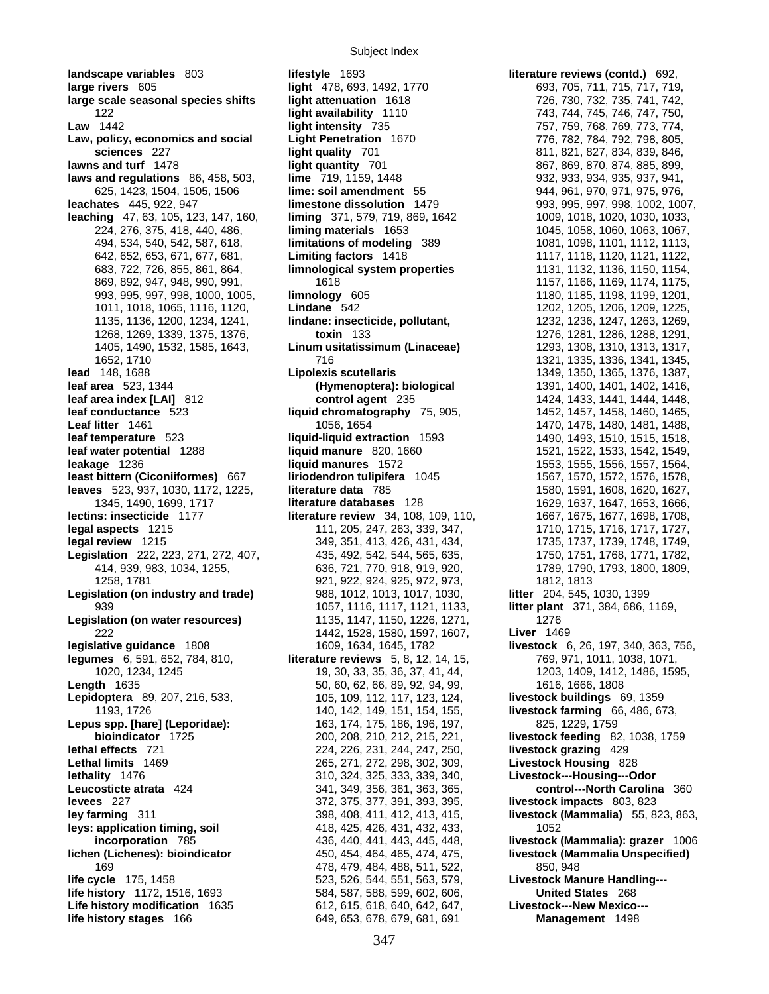Subject Index

**landscape variables** 803 **lifestyle** 1693 **literature reviews (contd.)** 692, **large rivers** 605 **light** 478, 693, 1492, 1770 693, 705, 711, 715, 717, 719, **large scale seasonal species shifts light attenuation** 1618 726, 730, 732, 735, 741, 742, **Law** 1442 **light intensity** 735 757, 759, 768, 769, 773, 774, Law, policy, economics and social Light Penetration 1670 **lawns and turf** 1478 **light quantity** 701 867, 869, 870, 874, 885, 899, **laws and regulations** 86, 458, 503, **lime** 719, 1159, 1448 932, 933, 933, 934, 935, 937, 941, **leachates** 445, 922, 947 **limestone dissolution** 1479 993, 995, 997, 998, 1002, 1007, **leaching** 47, 63, 105, 123, 147, 160, **liming** 371, 579, 719, 869, 1642 1009, 1018, 1020, 1030, 1033, **lead** 148, 1688 **Lipolexis scutellaris** 1349, 1350, 1365, 1376, 1387, **leaf area** 523, 1344 **(Hymenoptera): biological** 1391, 1400, 1401, 1402, 1416, **leaf area index [LAI]** 812 **control agent** 235 1424, 1433, 1441, 1444, 1448, **leaf conductance** 523 **liquid chromatography** 75, 905, 1452, 1457, 1458, 1460, 1465, **Leaf litter** 1461 1056, 1654 1056, 1654 1470, 1478, 1480, 1481, 1488, **leaf temperature** 523 **liquid-liquid extraction** 1593 1490, 1493, 1510, 1515, 1518, **leaf water potential** 1288 **liquid manure** 820, 1660 1521, 1522, 1533, 1542, 1549, **leakage** 1236 **liquid manures** 1572 1553, 1555, 1556, 1557, 1564, **least bittern (Ciconiiformes)** 667 **liriodendron tulipifera** 1045 1567, 1570, 1572, 1576, 1578, **leaves** 523, 937, 1030, 1172, 1225, **literature data** 785 1580, 1591, 1608, 1620, 1627, **lectins: insecticide** 1177 **literature review** 34, 108, 109, 110, 1667, 1675, 1677, 1698, 1708, **legal aspects** 1215 111, 205, 247, 263, 339, 347, 1710, 1715, 1716, 1717, 1727, 1727, 1727, 1727, 1727, 1727, **legal review** 1215 349, 351, 413, 426, 431, 434, 1735, 1737, 1739, 1748, 1749, 1749, 1749, 1749, 1749, 1749, 1749, **Legislation** 222, 223, 271, 272, 407, 435, 492, 542, 544, 565, 635, 1750, 1751, 1768, 1771, 1782, **Legislation (on industry and trade)** 988, 1012, 1013, 1017, 1030, **litter** 204, 545, 1030, 1399 **Legislation (on water resources)** 1135, 1147, 1150, 1226, 1271, 1276 **legislative guidance** 1808 1609, 1634, 1645, 1782 **livestock** 6, 26, 197, 340, 363, 756, **legumes** 6, 591, 652, 784, 810, **literature reviews** 5, 8, 12, 14, 15, 769, 971, 1011, 1038, 1071, **Length** 1635 50, 60, 62, 66, 89, 92, 94, 99, 1616, 1666, 1808 **Lepidoptera** 89, 207, 216, 533, 105, 109, 112, 117, 123, 124, **livestock buildings** 69, 1359 **Lepus spp. [hare] (Leporidae):** 163, 174, 175, 186, 196, 197, 825, 1229, 1759 **bioindicator** 1725 200, 208, 210, 212, 215, 221, **livestock feeding** 82, 1038, 1759 **Lethal limits** 1469 265, 271, 272, 298, 302, 309, **lethality** 1476 310, 324, 325, 333, 339, 340, **Livestock---Housing---Odor Leucosticte atrata** 424 341, 349, 356, 361, 363, 365, **control---North Carolina** 360 **levees** 227 372, 375, 377, 391, 393, 395, **livestock impacts** 803, 823 **ley farming** 311 398, 408, 411, 412, 413, 415, **livestock (Mammalia)** 55, 823, 863, **leys: application timing, soil** 418, 425, 426, 431, 432, 433, 4052 **lichen (Lichenes): bioindicator** 450, 454, 464, 465, 474, 475, **livestock (Mammalia Unspecified) life cycle** 175, 1458 523, 526, 544, 551, 563, 579, **Livestock Manure Handling-- life history** 1172, 1516, 1693 584, 587, 588, 599, 602, 606, **United States** 268 Life history modification 1635 612, 615, 618, 640, 642, 647, **Livestock---New Mexico---**

122 **light availability** 1110 743, 744, 745, 746, 747, 750, **sciences** 227 **light quality** 701 811, 821, 827, 834, 839, 846, 625, 1423, 1504, 1505, 1506 **lime: soil amendment** 55 944, 961, 970, 971, 975, 976, 224, 276, 375, 418, 440, 486, **liming materials** 1653 1045, 1058, 1060, 1063, 1067, 494, 534, 540, 542, 587, 618, **limitations of modeling** 389 1081, 1098, 1101, 1112, 1113, 642, 652, 653, 671, 677, 681, **Limiting factors** 1418 1117, 1118, 1120, 1121, 1122, 683, 722, 726, 855, 861, 864, **limnological system properties** 1131, 1132, 1136, 1150, 1154, 869, 892, 947, 948, 990, 991, 1618 1618 1618 162, 1167, 1166, 1169, 1174, 1175, 1169, 1174, 1175, 1 993, 995, 997, 998, 1000, 1005, **limnology** 605 1180, 1185, 1198, 1199, 1201, 1011, 1018, 1065, 1116, 1120, **Lindane** 542 1202, 1205, 1206, 1209, 1225, 1135, 1136, 1200, 1234, 1241, **lindane: insecticide, pollutant,** 1232, 1236, 1247, 1263, 1269, 1268, 1269, 1339, 1375, 1376, **toxin** 133 1276, 1281, 1286, 1288, 1291, 1405, 1490, 1532, 1585, 1643, **Linum usitatissimum (Linaceae)** 1293, 1308, 1310, 1313, 1317, 1652, 1710 716 1321, 1335, 1336, 1341, 1345, 1345, 1490, 1699, 1717 **literature databases** 128 1629, 1637, 1647, 1653, 1666, 414, 939, 983, 1034, 1255, 636, 721, 770, 918, 919, 920, 1789, 1790, 1793, 1800, 1809, 1258, 1781 921, 922, 924, 925, 972, 973, 1812, 1813 939 1057, 1116, 1117, 1121, 1133, **litter plant** 371, 384, 686, 1169, 222 1442, 1528, 1580, 1597, 1607, **Liver** 1469 1020, 1234, 1245 19, 30, 33, 35, 36, 37, 41, 44, 1203, 1409, 1412, 1486, 1595, 1193, 1726 140, 142, 149, 151, 154, 155, **livestock farming** 66, 486, 673, **lethal effects** 721 224, 226, 231, 244, 247, 250, **livestock grazing** 429 169 478, 479, 484, 488, 511, 522, 850, 948 **life history stages** 166 649, 653, 678, 679, 681, 691 **Management** 1498

**incorporation** 785 436, 440, 441, 443, 445, 448, **livestock (Mammalia): grazer** 1006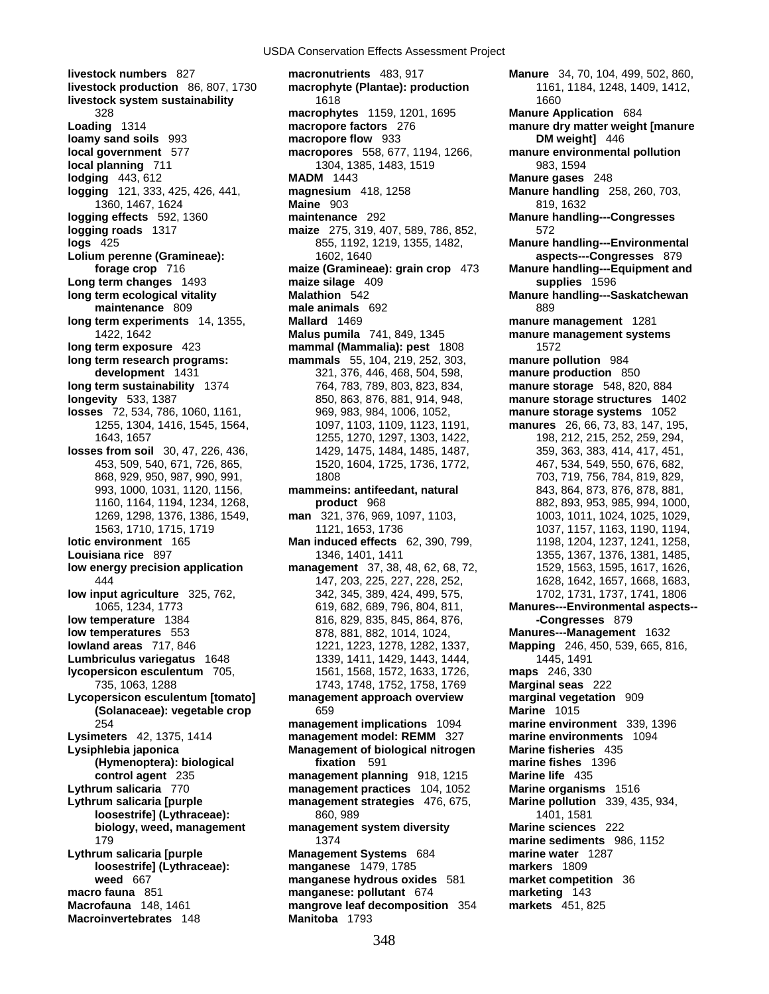**low energy precision application Lycopersicon esculentum [tomato] Macroinvertebrates** 148 **Manitoba** 1793

**livestock numbers** 827 **macronutrients** 483, 917 **Manure** 34, 70, 104, 499, 502, 860, **livestock production** 86, 807, 1730 **macrophyte (Plantae): production** 1161, 1184, 1248, 1409, 1412, **livestock system sustainability** 1618 1618 1660 328 **macrophytes** 1159, 1201, 1695 **Manure Application** 684 **Loading** 1314 **macropore factors** 276 **manure dry matter weight [manure loamy sand soils** 993 **macropore flow** 933 **DM weight]** 446 **local government** 577 **macropores** 558, 677, 1194, 1266, **manure environmental pollution local planning** 711 1304, 1304, 1385, 1483, 1519 1304, 1385, 1483, 1519 **lodging** 443, 612 **MADM** 1443 **Manure gases** 248 **logging** 121, 333, 425, 426, 441, **magnesium** 418, 1258 **Manure handling** 258, 260, 703, 1360, 1467, 1624 **Maine** 903 819, 1632 **logging effects** 592, 1360 **maintenance** 292 **Manure handling---Congresses logging roads** 1317 **maize** 275, 319, 407, 589, 786, 852, 572<br>**logs** 425 **maize** 275, 319, 407, 589, 786, 852, **Manure l Lolium perenne (Gramineae):** 1602, 1640 **aspects---Congresses** 879 **forage crop** 716 **maize (Gramineae): grain crop** 473 **Manure handling---Equipment and Long term changes** 1493 **maize silage** 409 **supplies** 1596 **long term ecological vitality Malathion** 542 **Manure handling---Saskatchewan maintenance** 809 **male animals** 692 **1991 maintenance** 889 **long term experiments** 14, 1355, **Mallard** 1469 **manure management** 1281 1422, 1642 **Malus pumila** 741, 849, 1345 **manure management systems long term exposure** 423 **mammal (Mammalia): pest** 1808 1572 **long term research programs: mammals** 55, 104, 219, 252, 303, **manure pollution** 984 **development** 1431 321, 376, 446, 468, 504, 598, **manure production** 850 **long term sustainability** 1374 764, 783, 789, 803, 823, 834, **manure storage** 548, 820, 884 **longevity** 533, 1387 **850, 863, 876, 881, 914, 948, manure storage structures** 1402 **losses** 72, 534, 786, 1060, 1161, 969, 983, 984, 1006, 1052, **manure storage systems** 1052 1255, 1304, 1416, 1545, 1564, 1097, 1103, 1109, 1123, 1191, **manures** 26, 66, 73, 83, 147, 195, 1643, 1657 1255, 1270, 1297, 1303, 1422, 198, 212, 215, 252, 259, 294, **losses from soil** 30, 47, 226, 436, 1429, 1475, 1484, 1485, 1487, 359, 363, 383, 414, 417, 451, 151, 453, 509, 540, 671, 726, 865, 1520, 1604, 1725, 1736, 1772, 467, 534, 549, 550, 676, 682, 868, 929, 950, 987, 990, 991, 1808 703, 719, 756, 784, 819, 829, 993, 1000, 1031, 1120, 1156, **mammeins: antifeedant, natural** 843, 864, 873, 876, 878, 881, 1160, 1164, 1194, 1234, 1268, **product** 968 882, 893, 953, 985, 994, 1000, 1269, 1298, 1376, 1386, 1549, **man** 321, 376, 969, 1097, 1103, 1003, 1011, 1024, 1025, 1029, 1563, 1710, 1715, 1719 1121, 1653, 1736 1037, 1157, 1163, 1190, 1194, **lotic environment** 165 **Man induced effects** 62, 390, 799, 1198, 1204, 1237, 1241, 1258, 1346, 1401, 1411<br> **Louisiana ricea 897, 1368, 1367, 1376, 1381, 1485, management** 37, 38, 48, 62, 68, 72, 1529, 1563, 1563, 1569, 1617, 1626, 444 147, 203, 225, 227, 228, 252, 1628, 1642, 1657, 1668, 1683, **low input agriculture** 325, 762, 2010 342, 345, 389, 424, 499, 575, 1702, 1731, 1737, 1741, 1806 1065, 1234, 1773 619, 682, 689, 796, 804, 811, **Manures---Environmental aspects- low temperature** 1384 816, 829, 835, 845, 864, 876, **-Congresses** 879 **low temperatures** 553 878, 881, 882, 1014, 1024, **Manures---Management** 1632 **lowland areas** 717, 846 1221, 1223, 1278, 1282, 1337, **Mapping** 246, 450, 539, 665, 816, **Lumbriculus variegatus** 1648 1339, 1411, 1429, 1443, 1444, 1445, 1491 **lycopersicon esculentum** 705, 1561, 1568, 1572, 1633, 1726, **maps** 246, 330 735, 1063, 1288 1743, 1748, 1752, 1758, 1769 **Marginal seas** 222 **(Solanaceae): vegetable crop** 659 **Marine** 1015 254 **management implications** 1094 **marine environment** 339, 1396 **Lysimeters** 42, 1375, 1414 **management model: REMM** 327 **marine environments** 1094 **Lysiphlebia japonica Management of biological nitrogen Marine fisheries** 435 **(Hymenoptera): biological fixation** 591 **marine fishes** 1396 **control agent** 235 **management planning** 918, 1215 **Marine life** 435 **Lythrum salicaria** 770 **management practices** 104, 1052 **Marine organisms** 1516 **Lythrum salicaria [purple management strategies** 476, 675, **Marine pollution** 339, 435, 934, **loosestrife] (Lythraceae): 860, 989** 1401, 1581 1891, 1681<br>biology, weed, management management system diversity **1401, 1581 biology, weed, management management system diversity** 179 1374 **marine sediments** 986, 1152 **Lythrum salicaria [purple Management Systems** 684 **marine water** 1287 **loosestrife] (Lythraceae): manganese** 1479, 1785 **markers** 1809 **weed** 667 **manganese hydrous oxides** 581 **market competition** 36 **macro fauna** 851 **manganese: pollutant** 674 **marketing** 143 **Macrofauna** 148, 1461 **mangrove leaf decomposition** 354 **markets** 451, 825

**logs** 425 855, 1192, 1219, 1355, 1482, **Manure handling---Environmental**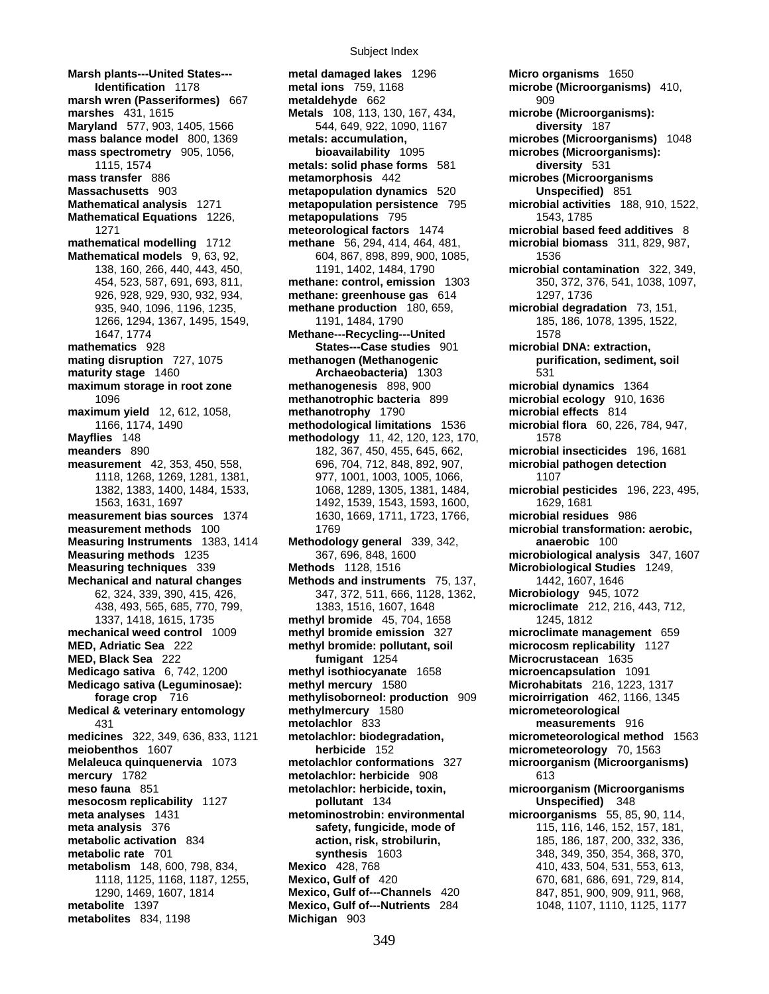**Marsh plants---United States--- metal damaged lakes** 1296 **Micro organisms** 1650 **marsh wren (Passeriformes)** 667 **metaldehyde** 662 909 909<br>**marshes** 431, 1615 **Metals** 108, 113, 130, 167, 434, **microbe (Microorganisms): Maryland** 577, 903, 1405, 1566 544, 649, 922, 1090, 1167 **diversity** 187 **mass balance model** 800, 1369 **metals: accumulation, microbes (Microorganisms)** 1048 **mass spectrometry** 905, 1056, **bioavailability** 1095 **microbes (Microorganisms): mass transfer** 886 **metamorphosis** 442 **microbes (Microorganisms Massachusetts** 903 **metapopulation dynamics** 520 **Unspecified)** 851 **Mathematical Equations** 1226, **metapopulations** 795 1543, 1785 1271 **meteorological factors** 1474 **microbial based feed additives** 8 **Mathematical models** 9, 63, 92, 604, 867, 898, 899, 900, 1085, 1536 **mathematics** 928 **States---Case studies** 901 **microbial DNA: extraction, mating disruption** 727, 1075 **methanogen (Methanogenic purification, sediment, soil maturity stage** 1460 **Archaeobacteria)** 1303 531 **maximum storage in root zone methanogenesis** 898, 900 **microbial dynamics** 1364<br>**methanotrophic bacteria** 899 **microbial ecology** 910. 16 **maximum yield** 12, 612, 1058, **methanotrophy** 1790 **microbial effects** 814 **Mayflies** 148 **methodology** 11, 42, 120, 123, 170, 1578 **meanders** 890 182, 367, 450, 455, 645, 662, **microbial insecticides** 196, 1681 **measurement** 42, 353, 450, 558, 696, 704, 712, 848, 892, 907, microbial pathogen detection **measurement bias sources** 1374 1630, 1669, 1711, 1723, 1766, **microbial residues** 986 **measurement methods** 100 1769 **microbial transformation: aerobic, Measuring Instruments** 1383, 1414 **Methodology general** 339, 342, **anaerobic** 100 **Measuring techniques** 339 **Methods** 1128, 1516 **Microbiological Studies** 1249, **Mechanical and natural changes Methods and instruments** 75, 137, **mechanical weed control** 1009 **methyl bromide emission** 327 **microclimate management** 659 **MED, Adriatic Sea** 222 **methyl bromide: pollutant, soil microcosm replicability** 1127 **MED, Black Sea** 222 **fumigant** 1254 **Microcrustacean** 1635 **Medicago sativa** 6, 742, 1200 **methyl isothiocyanate** 1658 **microencapsulation** 1091 **Medicago sativa (Leguminosae): https://webitative.org/methyl mercury 1580 <b>Microhabitats** 216, 1223, 1317 **Medical & veterinary entomology methylmercury** 1580 **micrometeorological meiobenthos** 1607 **herbicide** 152 **micrometeorology** 70, 1563 **Melaleuca quinquenervia** 1073 **metolachlor conformations** 327 **microorganism (Microorganisms) mercury** 1782 **metolachlor: herbicide** 908 613 **meso fauna** 851 **metolachlor: herbicide, toxin, microorganism (Microorganisms mesocosm replicability** 1127 **pollutant** 134 **Unspecified)** 348 **meta analyses** 1431 **metominostrobin: environmental microorganisms** 55, 85, 90, 114, **metabolic activation** 834 **action, risk, strobilurin,** 185, 186, 187, 200, 332, 336, **metabolic rate** 701 **synthesis** 1603 348, 349, 350, 354, 368, 370, **metabolism** 148, 600, 798, 834, **Mexico** 428, 768 410, 433, 504, 531, 553, 613, 653, 613, **metabolite** 1397 **Mexico, Gulf of---Nutrients** 284 1048, 1107, 1110, 1125, 1177 **metabolites** 834, 1198 **Michigan** 903

**Identification** 1178 **metal ions** 759, 1168 **microbe (Microorganisms)** 410, **Metals** 108, 113, 130, 167, 434, 1115, 1574 **metals: solid phase forms** 581 **diversity** 531 926, 928, 929, 930, 932, 934, **methane: greenhouse gas** 614 1297, 1736 935, 940, 1096, 1196, 1235, **methane production** 180, 659, **microbial degradation** 73, 151, 1266, 1294, 1367, 1495, 1549, 1191, 1484, 1790 185, 186, 1078, 1395, 1522, 1647, 1774 **Methane---Recycling---United** 1578 1096 **methanotrophic bacteria** 899 **microbial ecology** 910, 1636 1166, 1174, 1490 **methodological limitations** 1536 **microbial flora** 60, 226, 784, 947, 1118, 1268, 1269, 1281, 1381, 1977, 1001, 1003, 1005, 1066, 1005, 1107 1563, 1631, 1697 1492, 1539, 1543, 1593, 1600, 1629, 1681 62, 324, 339, 390, 415, 426, 347, 372, 511, 666, 1128, 1362, **Microbiology** 945, 1072 438, 493, 565, 685, 770, 799, 1383, 1516, 1607, 1648 **microclimate** 212, 216, 443, 712, 1337, 1418, 1615, 1735 **methyl bromide** 45, 704, 1658 1245, 1812 **forage crop** 716 **methylisoborneol: production** 909 **microirrigation** 462, 1166, 1345 431 **metolachlor** 833 **measurements** 916 1118, 1125, 1168, 1187, 1255, **Mexico, Gulf of** 420 670, 681, 686, 691, 729, 814, 1290, 1469, 1607, 1814 **Mexico, Gulf of---Channels** 420 847, 851, 900, 909, 911, 968,

**Mathematical analysis** 1271 **metapopulation persistence** 795 **microbial activities** 188, 910, 1522, **microbial biomass** 311, 829, 987, 138, 160, 266, 440, 443, 450, 1191, 1402, 1484, 1790 **microbial contamination** 322, 349, 454, 523, 587, 691, 693, 811, **methane: control, emission** 1303 350, 372, 376, 541, 1038, 1097, 1382, 1383, 1400, 1484, 1533, 1068, 1289, 1305, 1381, 1484, **microbial pesticides** 196, 223, 495, **Measuring methods** 1235 367, 696, 848, 1600 **microbiological analysis** 347, 1607 **medicines** 322, 349, 636, 833, 1121 **metolachlor: biodegradation, micrometeorological method** 1563 **safety, fungicide, mode of**  $115, 116, 146, 152, 157, 181,$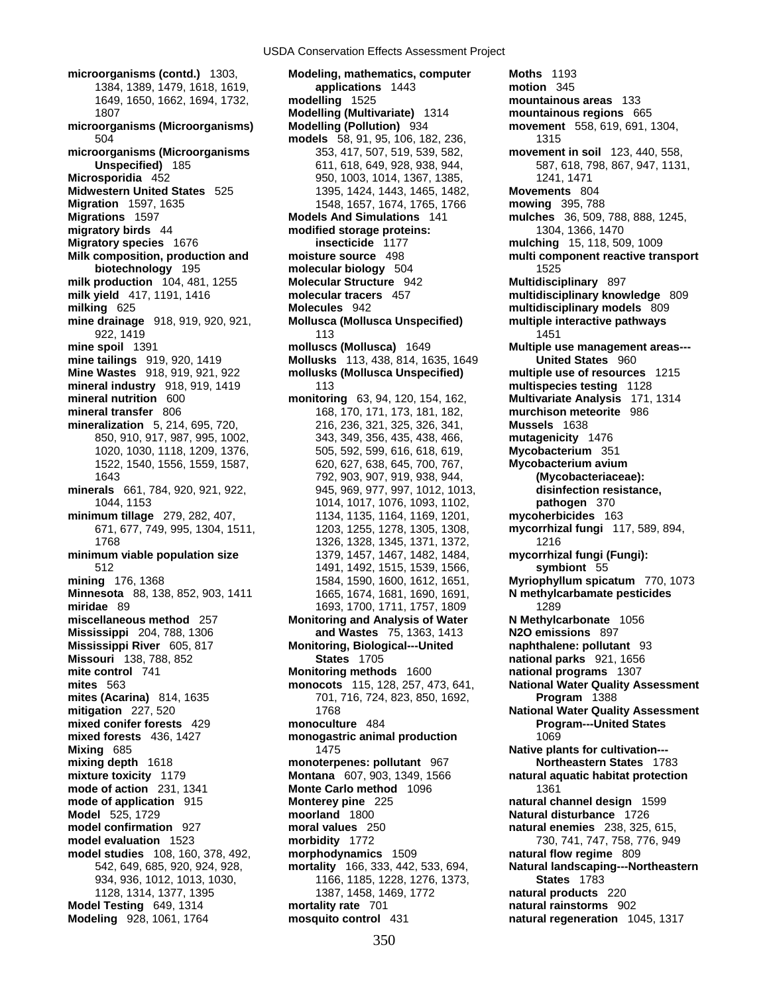**microorganisms (contd.)** 1303, **Modeling, mathematics, computer Moths** 1193 **microorganisms (Microorganisms) Modelling (Pollution)** 934 **movement** 558, 619, 691, 1304, **microorganisms (Microorganisms** 353, 417, 507, 519, 539, 582, **movement in soil** 123, 440, 558, **Microsporidia** 452 **1241, 1250 1241, 1260 1241, 1261 1241**, 1471 **Midwestern United States** 525 1395, 1424, 1443, 1465, 1482, **Movements** 804 **Migration** 1597, 1635 1548, 1548, 1657, 1674, 1765, 1766 **mowing** 395, 788 **Migrations** 1597 **Models And Simulations** 141 **mulches** 36, 509, 788, 888, 1245, **migratory birds** 44 **modified storage proteins:** 1304, 1366, 1470 **Migratory species** 1676 **insecticide** 1177 **mulching** 15, 118, 509, 1009 **milk production** 104, 481, 1255 **Molecular Structure** 942 **Multidisciplinary** 897 **milk yield** 417, 1191, 1416 **molecular tracers** 457 **multidisciplinary knowledge** 809 **milking** 625 **Molecules** 942 **multidisciplinary models** 809 **mine drainage** 918, 919, 920, 921, **Mollusca (Mollusca Unspecified) multiple interactive pathways mine spoil** 1391 **molluscs (Mollusca)** 1649 **Multiple use management areas-- mine tailings** 919, 920, 1419 **Mollusks** 113, 438, 814, 1635, 1649 **United States** 960 **Mine Wastes** 918, 919, 921, 922 **mollusks (Mollusca Unspecified) multiple use of resources** 1215 **mineral industry** 918, 919, 1419 113 113 **multispecies testing** 1128 **mineral nutrition** 600 **monitoring** 63, 94, 120, 154, 162, **Multivariate Analysis** 171, 1314 **mineral transfer** 806 168, 170, 171, 173, 181, 182, **murchison meteorite** 986 **mineralization** 5, 214, 695, 720, 216, 236, 321, 325, 326, 341, **Mussels** 1638 **mineralization** 5, 214, 695, 720, 216, 236, 321, 325, 326, 341, **minerals** 661, 784, 920, 921, 922, 945, 969, 977, 997, 1012, 1013, **disinfection resistance, minimum tillage** 279, 282, 407, 1134, 1135, 1164, 1169, 1201, **mycoherbicides** 163 **minimum viable population size** 1379, 1457, 1467, 1482, 1484, **mycorrhizal fungi (Fungi): mining** 176, 1368 1584, 1590, 1600, 1612, 1651, **Myriophyllum spicatum** 770, 1073 **Minnesota** 88, 138, 852, 903, 1411 1665, 1674, 1681, 1690, 1691, **N methylcarbamate pesticides miridae** 89 1693, 1700, 1711, 1757, 1809 1289 **miscellaneous method** 257 **Monitoring and Analysis of Water Mississippi** 204, 788, 1306 **and Wastes** 75, 1363, 1413 **N2O emissions** 897 **Mississippi River** 605, 817 **Monitoring, Biological---United naphthalene: pollutant** 93 **Missouri** 138, 788, 852 **States** 1705 **national parks** 921, 1656 **mite control** 741 **Monitoring methods** 1600 **national programs** 1307 **mites (Acarina)** 814, 1635 701, 716, 724, 823, 850, 1692, **Program** 1388 **mixed conifer forests** 429 **monoculture** 484 **Program---United States mixed forests** 436, 1427 **monogastric animal production** 1069 **Mixing** 685 **1475** 1475 **Native plants for cultivation--mixing depth** 1618 **monoterpenes: pollutant** 967 **Northeastern States** 1783 **mixture toxicity** 1179 **Montana** 607, 903, 1349, 1566 **natural aquatic habitat protection mode of action** 231, 1341 **Monte Carlo method** 1096 1361 **mode of application** 915 **Monterey pine** 225 **natural channel design** 1599 **Model** 525, 1729 **moorland** 1800 **Natural disturbance** 1726 **model confirmation** 927 **moral values** 250 **natural enemies** 238, 325, 615, **model evaluation** 1523 **morbidity** 1772 730, 741, 747, 758, 776, 949 **model studies** 108, 160, 378, 492, **morphodynamics** 1509 **natural flow regime** 809 **Model Testing** 649, 1314 **mortality rate** 701 **natural rainstorms** 902

1384, 1389, 1479, 1618, 1619, **applications** 1443 **motion** 345 1649, 1650, 1662, 1694, 1732, **modelling** 1525 **mountainous areas** 133 1807 **Modelling (Multivariate)** 1314 **mountainous regions** 665 504 **models** 58, 91, 95, 106, 182, 236, 1315 **Unspecified)** 185 611, 618, 649, 928, 938, 944, 587, 618, 798, 867, 947, 1131, **biotechnology** 195 **molecular biology** 504 1525 922, 1419 113 1451 850, 910, 917, 987, 995, 1002, 343, 349, 356, 435, 438, 466, **mutagenicity** 1476 1020, 1030, 1118, 1209, 1376, 505, 592, 599, 616, 618, 619, **Mycobacterium** 351 1522, 1540, 1556, 1559, 1587, 620, 627, 638, 645, 700, 767, **Mycobacterium avium**  1643 792, 903, 907, 919, 938, 944, **(Mycobacteriaceae):**  1044, 1153 1014, 1017, 1076, 1093, 1102, **pathogen** 370 671, 677, 749, 995, 1304, 1511, 1203, 1255, 1278, 1305, 1308, **mycorrhizal fungi** 117, 589, 894, 1768 1326, 1328, 1345, 1371, 1372, 1216 512 1491, 1492, 1515, 1539, 1566, **symbiont** 55 934, 936, 1012, 1013, 1030, 1166, 1185, 1228, 1276, 1373, **States** 1783 1128, 1314, 1377, 1395 1387, 1458, 1469, 1772 **natural products** 220 **Modeling** 928, 1061, 1764 **mosquito control** 431 **natural regeneration** 1045, 1317

**Milk composition, production and moisture source** 498 **multi component reactive transport mites** 563 **monocots** 115, 128, 257, 473, 641, **National Water Quality Assessment mitigation** 227, 520 1768 **National Water Quality Assessment**  542, 649, 685, 920, 924, 928, **mortality** 166, 333, 442, 533, 694, **Natural landscaping---Northeastern**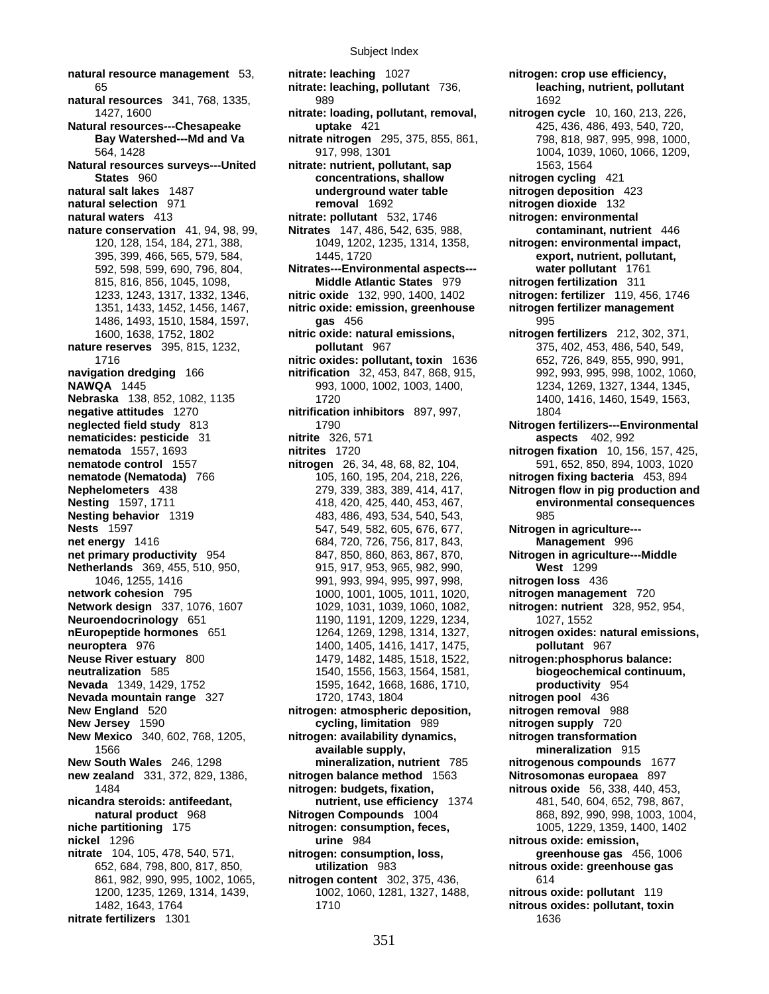Subject Index

**natural resource management** 53, **nitrate: leaching** 1027 **nitrogen: crop use efficiency, natural resources** 341, 768, 1335, 989 1692 **Natural resources---Chesapeake uptake** 421 **1990 125, 436, 486, 493, 540, 720, 446 Natural resources surveys---United nitrate: nutrient, pollutant, sap** 1563, 1564 **natural salt lakes** 1487 **underground water table nitrogen deposition** 423 **natural selection** 971 **removal** 1692 **nitrogen dioxide** 132 **natural waters** 413 **nitrate: pollutant** 532, 1746 **nitrogen: environmental nature conservation** 41, 94, 98, 99, **Nitrates** 147, 486, 542, 635, 988, **contaminant, nutrient** 446 **nature reserves** 395, 815, 1232, **pollutant** 967 375, 402, 453, 486, 540, 549, **Nebraska** 138, 852, 1082, 1135 1720 1400, 1416, 1460, 1549, 1563, 1563, **negative attitudes** 1270 **nitrification inhibitors** 897, 997, 1804 **nematicides: pesticide** 31 **nitrite** 326, 571 **aspects** 402, 992 **nematode (Nematoda)** 766 105, 160, 195, 204, 218, 226, **nitrogen fixing bacteria** 453, 894 **Nesting behavior** 1319 **1886** 483, 486, 493, 534, 540, 543, **985 Nests** 1597 **547, 549, 547, 549, 582, 605, 676, 677, <b>Nitrogen in agriculture--net energy** 1416 684, 720, 726, 756, 817, 843, **Management** 996 **net primary productivity** 954 847, 850, 860, 863, 867, 870, **Nitrogen in agriculture---Middle Netherlands** 369, 455, 510, 950, 915, 917, 953, 965, 982, 990, **West** 1299 **network cohesion** 795 1000, 1001, 1005, 1011, 1020, **nitrogen management** 720 **Network design** 337, 1076, 1607 1029, 1031, 1039, 1060, 1082, **nitrogen: nutrient** 328, 952, 954, **Neuroendocrinology** 651 1190, 1191, 1209, 1229, 1234, 1027, 1552 **neuroptera** 976 1400, 1405, 1416, 1417, 1475, **pollutant** 967 **Neuse River estuary** 800 1479, 1482, 1485, 1518, 1522, **nitrogen:phosphorus balance: neutralization** 585 1540, 1556, 1563, 1564, 1581, **biogeochemical continuum, Nevada** 1349, 1429, 1752 1595, 1642, 1668, 1686, 1710, **productivity** 954 **Nevada mountain range** 327 1720, 1743, 1804 **nitrogen pool** 436 **New England** 520 **nitrogen: atmospheric deposition, nitrogen removal** 988 **New Jersey** 1590 **cycling, limitation** 989 **nitrogen supply** 720 **New Mexico** 340, 602, 768, 1205, **nitrogen: availability dynamics, nitrogen transformation New South Wales** 246, 1298 **mineralization, nutrient** 785 **nitrogenous compounds** 1677 **new zealand** 331, 372, 829, 1386, **nitrogen balance method** 1563 **Nitrosomonas europaea** 897 **nicandra steroids: antifeedant, entitlent and right and right and right and right as efficiency** 1374 481, 540, 604, 652, 798, 867, **niche partitioning** 175 **nitrogen: consumption, feces,** 1005, 1229, 1359, 1400, 1402 **nickel** 1296 **urine** 984 **nitrous oxide: emission, nitrate** 104, 105, 478, 540, 571, **nitrogen: consumption, loss, greenhouse gas** 456, 1006 **nitrate fertilizers** 1301 1636

65 **nitrate: leaching, pollutant** 736, **leaching, nutrient, pollutant** 1427, 1600 **nitrate: loading, pollutant, removal, nitrogen cycle** 10, 160, 213, 226, **States** 960 **concentrations, shallow nitrogen cycling** 421 120, 128, 154, 184, 271, 388, 1049, 1202, 1235, 1314, 1358, **nitrogen: environmental impact,**  395, 399, 466, 565, 579, 584, 1445, 1720 **export, nutrient, pollutant,**  592, 598, 599, 690, 796, 804, **Nitrates---Environmental aspects--- water pollutant** 1761 815, 816, 856, 1045, 1098, **Middle Atlantic States** 979 **nitrogen fertilization** 311 1351, 1433, 1452, 1456, 1467, **nitric oxide: emission, greenhouse nitrogen fertilizer management** 1486, 1493, 1510, 1584, 1597, **gas** 456 995 1716 **nitric oxides: pollutant, toxin** 1636 652, 726, 849, 855, 990, 991, 1046, 1255, 1416 991, 993, 994, 995, 997, 998, **nitrogen loss** 436 1566 **available supply, mineralization** 915 1484 **nitrogen: budgets, fixation, nitrous oxide** 56, 338, 440, 453, 652, 684, 798, 800, 817, 850, **utilization** 983 **nitrous oxide: greenhouse gas** 861, 982, 990, 995, 1002, 1065, **nitrogen content** 302, 375, 436, 614 1200, 1235, 1269, 1314, 1439, 1002, 1060, 1281, 1327, 1488, **nitrous oxide: pollutant** 119 1482, 1643, 1764 1710 **nitrous oxides: pollutant, toxin**

**Bay Watershed---Md and Va nitrate nitrogen** 295, 375, 855, 861, 798, 818, 987, 995, 998, 1000, 564, 1428 917, 998, 1301 1004, 1039, 1060, 1066, 1209, 1233, 1243, 1317, 1332, 1346, **nitric oxide** 132, 990, 1400, 1402 **nitrogen: fertilizer** 119, 456, 1746 1600, 1638, 1752, 1802 **nitric oxide: natural emissions, nitrogen fertilizers** 212, 302, 371, **navigation dredging** 166 **nitrification** 32, 453, 847, 868, 915, 992, 993, 995, 998, 1002, 1060, 993, 1000, 1002, 1003, 1400, 1234, 1269, 1327, 1344, 1345, **neglected field study** 813 1790 **Nitrogen fertilizers---Environmental nematoda** 1557, 1693 **nitrites** 1720 **nitrogen fixation** 10, 156, 157, 425, **nematode control** 1557 **nitrogen** 26, 34, 48, 68, 82, 104, 591, 652, 850, 894, 1003, 1020 **Nephelometers** 438 279, 339, 383, 389, 414, 417, **Nitrogen flow in pig production and Nesting** 1597, 1711 418, 420, 425, 440, 453, 467, **environmental consequences nEuropeptide hormones** 651 1264, 1269, 1298, 1314, 1327, **nitrogen oxides: natural emissions, natural product** 968 **Nitrogen Compounds** 1004 868, 892, 990, 998, 1003, 1004,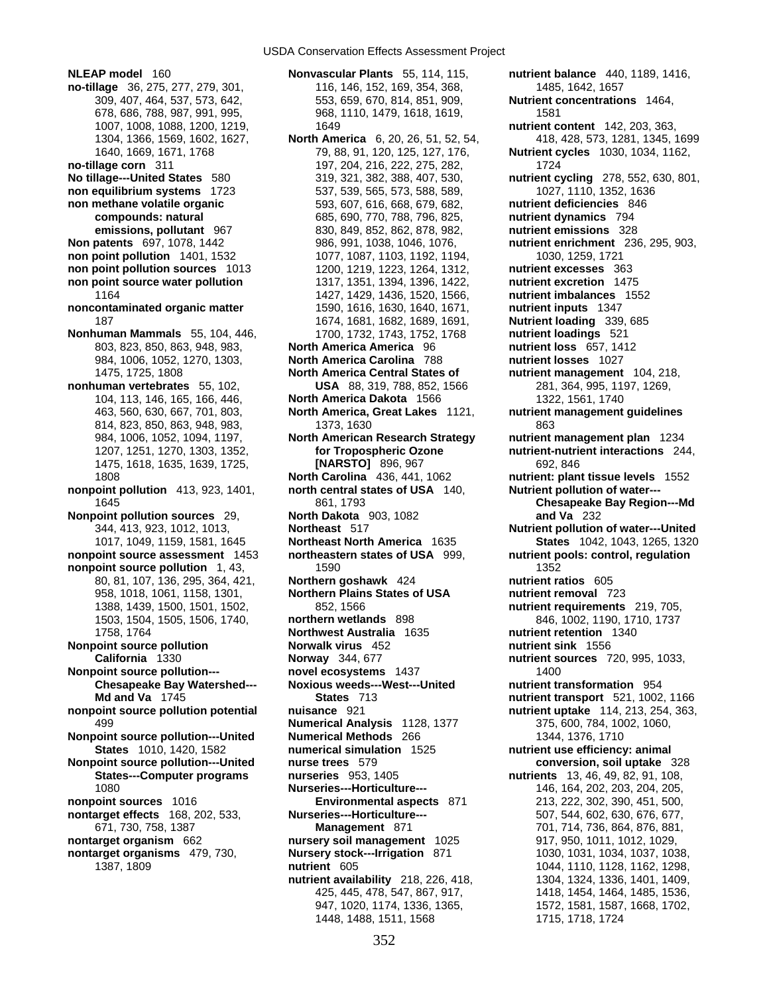**NLEAP model** 160 **Nonvascular Plants** 55, 114, 115, **nutrient balance** 440, 1189, 1416, **no-tillage** 36, 275, 277, 279, 301, 116, 146, 152, 169, 354, 368, 1485, 1642, 1657 309, 407, 464, 537, 573, 642, 553, 659, 670, 814, 851, 909, **Nutrient concentrations** 1464, 678, 686, 788, 987, 991, 995, 968, 1110, 1479, 1618, 1619, 1581 1007, 1008, 1088, 1200, 1219, 1649 **nutrient content** 142, 203, 363, 1304, 1366, 1569, 1602, 1627, **North America** 6, 20, 26, 51, 52, 54, 418, 428, 573, 1281, 1345, 1699 1640, 1669, 1671, 1768 79, 88, 91, 120, 125, 127, 176, **Nutrient cycles** 1030, 1034, 1162, **no-tillage corn** 311 197, 204, 216, 222, 275, 282, 1724 **No tillage---United States** 580 319, 321, 382, 388, 407, 530, **nutrient cycling** 278, 552, 630, 801, **non equilibrium systems** 1723 537, 539, 565, 573, 588, 589, 1027, 1110, 1352, 1636 **non methane volatile organic** 593, 607, 616, 668, 679, 682, **nutrient deficiencies** 846 **compounds: natural** 685, 690, 770, 788, 796, 825, **nutrient dynamics** 794 **emissions, pollutant** 967 830, 849, 852, 862, 878, 982, **nutrient emissions** 328 **Non patents** 697, 1078, 1442 986, 991, 1038, 1046, 1076, **nutrient enrichment** 236, 295, 903, **non point pollution** 1401, 1532 1077, 1087, 1103, 1192, 1194, 1030, 1259, 1721 **non point pollution sources** 1013 1200, 1219, 1223, 1264, 1312, **nutrient excesses** 363 **non point source water pollution** 1317, 1351, 1394, 1396, 1422, **nutrient excretion** 1475 1164 1427, 1429, 1436, 1520, 1566, **nutrient imbalances** 1552 **noncontaminated organic matter** 1590, 1616, 1630, 1640, 1671, **nutrient inputs** 1347 187 1674, 1681, 1682, 1689, 1691, **Nutrient loading** 339, 685 **Nonhuman Mammals** 55, 104, 446, 1700, 1732, 1743, 1752, 1768 **nutrient loadings** 521 803, 823, 850, 863, 948, 983, **North America America** 96 **nutrient loss** 657, 1412 984, 1006, 1052, 1270, 1303, **North America Carolina** 788 **nutrient losses** 1027 1475, 1725, 1808 **North America Central States of nutrient management** 104, 218, **nonhuman vertebrates** 55, 102, **USA** 88, 319, 788, 852, 1566 281, 364, 995, 1197, 1269, 104, 113, 146, 165, 166, 446, **North America Dakota** 1566 1322, 1561, 1740 463, 560, 630, 667, 701, 803, **North America, Great Lakes** 1121, **nutrient management guidelines** 814, 823, 850, 863, 948, 983, 1373, 1630 1373, 1630 984, 1006, 1052, 1094, 1197, **North American Research Strategy nutrient management plan** 1234 1207, 1251, 1270, 1303, 1352, **for Tropospheric Ozone nutrient-nutrient interactions** 244, 1475, 1618, 1635, 1639, 1725, **[NARSTO]** 896, 967 692, 846 1808 **North Carolina** 436, 441, 1062 **nutrient: plant tissue levels** 1552 **nonpoint pollution** 413, 923, 1401, **north central states of USA** 140, **Nutrient pollution of water---** 1645 861, 1793 **Chesapeake Bay Region---Md Nonpoint pollution sources** 29, **North Dakota** 903, 1082 **and Va** 232 344, 413, 923, 1012, 1013, **Northeast** 517 **Nutrient pollution of water---United**  1017, 1049, 1159, 1581, 1645 **Northeast North America** 1635 **States** 1042, 1043, 1265, 1320 **nonpoint source assessment** 1453 **northeastern states of USA** 999, **nutrient pools: control, regulation nonpoint source pollution** 1, 43, 1590 1352 80, 81, 107, 136, 295, 364, 421, **Northern goshawk** 424 **nutrient ratios** 605 958, 1018, 1061, 1158, 1301, **Northern Plains States of USA nutrient removal** 723 1388, 1439, 1500, 1501, 1502, 852, 1566 **nutrient requirements** 219, 705, 1503, 1504, 1505, 1506, 1740, **northern wetlands** 898 846, 1002, 1190, 1710, 1737 1758, 1764 **Northwest Australia** 1635 **nutrient retention** 1340 **Nonpoint source pollution The Norwalk virus 452 <b>nutrient sink** 1556 **California** 1330 **Norway** 344, 677 **nutrient sources** 720, 995, 1033, **Nonpoint source pollution--- novel ecosystems** 1437 1400 **Chesapeake Bay Watershed--- Noxious weeds---West---United nutrient transformation** 954 **Md and Va** 1745 **States** 713 **nutrient transport** 521, 1002, 1166 **nonpoint source pollution potential nuisance** 921 **nutrient uptake** 114, 213, 254, 363, 499 **Numerical Analysis** 1128, 1377 375, 600, 784, 1002, 1060, **Nonpoint source pollution---United Numerical Methods** 266 1344, 1376, 1710 **States** 1010, 1420, 1582 **numerical simulation** 1525 **nutrient use efficiency: animal Nonpoint source pollution---United nurse trees** 579 **conversion, soil uptake** 328 **States---Computer programs nurseries** 953, 1405 **nutrients** 13, 46, 49, 82, 91, 108, 1080 **Nurseries---Horticulture---** 146, 164, 202, 203, 204, 205, **nonpoint sources** 1016 **Environmental aspects** 871 213, 222, 302, 390, 451, 500, **nontarget effects** 168, 202, 533, **Nurseries---Horticulture---** 507, 544, 602, 630, 676, 677, 671, 730, 758, 1387 **Management** 871 701, 714, 736, 864, 876, 881, **nontarget organism** 662 **nursery soil management** 1025 917, 950, 1011, 1012, 1029, **nontarget organisms** 479, 730, **Nursery stock---Irrigation** 871 1030, 1031, 1034, 1037, 1038, 1387, 1809 **nutrient** 605 1044, 1110, 1128, 1162, 1298, **nutrient availability** 218, 226, 418, 1304, 1304, 1324, 1336, 1401, 1409, 1448, 1488, 1511, 1568 1715, 1715, 1718, 1724

425, 445, 478, 547, 867, 917, 1418, 1454, 1464, 1485, 1536, 947, 1020, 1174, 1336, 1365, 1365, 1572, 1581, 1587, 1668, 1702,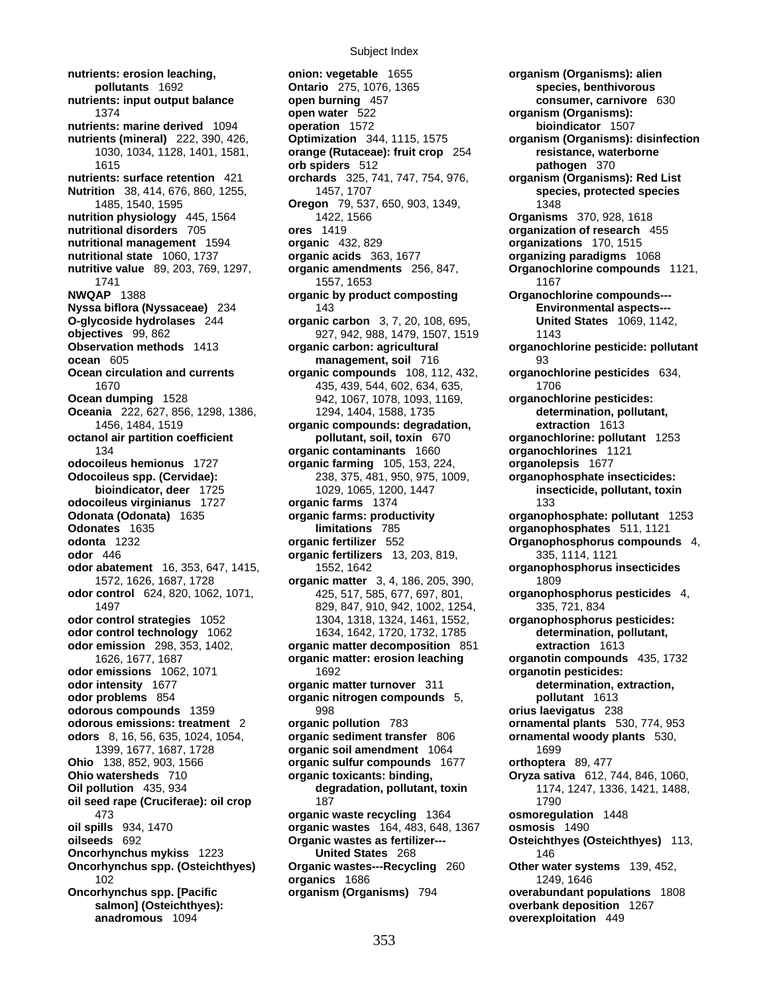Subject Index

nutrients: erosion leaching, **onion: vegetable** 1655 **organism (Organisms): alien pollutants** 1692 **organism** pollutants 1692 **organisms** becies, benthivorous **nutrients: input output balance open burning** 457 **consumer, carnivore** 630 **nutrients: marine derived** 1094 **operation** 1572 **bioindicator** 1507 **nutrients (mineral)** 222, 390, 426, **Optimization** 344, 1115, 1575 **organism (Organisms): disinfection nutrients: surface retention** 421 **orchards** 325, 741, 747, 754, 976, **organism (Organisms): Red List Nutrition** 38, 414, 676, 860, 1255, 1457, 1707 **species, protected species nutrition physiology** 445, 1564 1422, 1566 **Organisms** 370, 928, 1618<br>**nutritional disorders** 705 **Organization of research** 4 **nutritional management** 1594 **organic** 432, 829 **organizations** 170, 1515 **nutritional state** 1060, 1737 **organic acids** 363, 1677 **organizing paradigms** 1068 **nutritive value** 89, 203, 769, 1297, **organic amendments** 256, 847, **Organochlorine compounds** 1121, **NWQAP** 1388 **organic by product composting Organochlorine compounds--- Nyssa biflora (Nyssaceae)** 234 143 **Environmental aspects--- O-glycoside hydrolases** 244 **organic carbon** 3, 7, 20, 108, 695, **United States** 1069, 1142, **objectives** 99, 862 927, 942, 988, 1479, 1507, 1519 1143 **Observation methods** 1413 **organic carbon: agricultural organochlorine pesticide: pollutant ocean** 605 **management, soil** 716 93 **Ocean circulation and currents organic compounds** 108, 112, 432, **organochlorine pesticides** 634, **Ocean dumping** 1528 942, 1067, 1078, 1093, 1169, **organochlorine pesticides: Oceania** 222, 627, 856, 1298, 1386, 1294, 1404, 1588, 1735 **determination, pollutant, Oceania** 222, 627, 856, 1298, 1386, 1294, 1404, 1588, 1735<br>**organic compounds: degra octanol air partition coefficient pollutant, soil, toxin** 670 **organochlorine: pollutant** 1253<br>134 **organic contaminants** 1660 **organochlorines** 1121 134 **organic contaminants** 1660 **odocoileus hemionus** 1727 **organic farming** 105, 153, 224, **organolepsis** 1677 **Odocoileus spp. (Cervidae):** 238, 375, 481, 950, 975, 1009, **organophosphate insecticides: odocoileus virginianus** 1727 **organic farms** 1374 133 **Odonata (Odonata)** 1635 **organic farms: productivity organophosphate: pollutant** 1253<br> **Odonates** 1635 **organophosphates** 511, 1121 **odonta** 1232 **organic fertilizer** 552 **Organophosphorus compounds** 4, **odor** 446 **organic fertilizers** 13, 203, 819, 335, 1114, 1121 **odor abatement** 16, 353, 647, 1415, 1552, 1642 **organophosphorus insecticides**<br>1572, 1626, 1687, 1728 **organic matter** 3, 4, 186, 205, 390, 1809 **odor control** 624, 820, 1062, 1071, 425, 517, 585, 677, 697, 801, **organophosphorus pesticides** 4, **odor control strategies** 1052 1304, 1318, 1324, 1461, 1552, **organophosphorus pesticides: odor control technology**  $1062$  1634, 1642, 1720, 1732, 1785 **determination, pollutant, odor emission** 298, 353, 1402, **organic matter decomposition** 851 **extraction** 1613 **odor emissions** 1062, 1071 1692 1692 **organotin pesticides: odor intensity** 1677 **organic matter turnover** 311 **determination, extraction, odor problems** 854 **organic nitrogen compounds** 5, **pollutant** 1613 **odorous compounds** 1359 998 **orius laevigatus** 238 **odorous emissions: treatment** 2 **organic pollution** 783 **ornamental plants** 530, 774, 953 **odors** 8, 16, 56, 635, 1024, 1054, **organic sediment transfer** 806 **ornamental woody plants** 530, **Ohio** 138, 852, 903, 1566 **organic sulfur compounds** 1677 **orthoptera** 89, 477 **Ohio watersheds** 710 **organic toxicants: binding, Oryza sativa** 612, 744, 846, 1060, **Oil pollution** 435, 934 **degradation, pollutant, toxin** 1174, 1247, 1336, 1421, 1488, **oil seed rape (Cruciferae): oil crop** 187 187 1790 473 **organic waste recycling** 1364 **osmoregulation** 1448 **oilseeds** 692 **Organic wastes as fertilizer--- Osteichthyes (Osteichthyes)** 113, **Oncorhynchus mykiss** 1223 **United States** 268 146 **Oncorhynchus spp. (Osteichthyes) Organic wastes---Recycling** 260 **Other water systems** 139, 452, **Oncorhynchus spp. [Pacific organism (Organisms)** 794 **overabundant populations** 1808 **salmon] (Osteichthyes): overbank deposition** 1267 **anadromous** 1094 **overexploitation** 449

**pollutario** 275, 1076, 1365 **species, benthivorous open burning** 457 **species consumer, carnivore** 1374 **open water** 522 **organism (Organisms):**  1030, 1034, 1128, 1401, 1581, **orange (Rutaceae): fruit crop** 254 **resistance, waterborne**  1615 **orb spiders** 512 **pathogen** 370 1485, 1540, 1595 **Oregon** 79, 537, 650, 903, 1349, 1348 **number 1419 ores** 1419 **organization of research** 455 1741 1557, 1653 1167 1670 435, 439, 544, 602, 634, 635, 1706 1456, 1484, 1519 **organic compounds: degradation, extraction** 1613 **bioindicator, deer** 1725 1029, 1065, 1200, 1447 **insecticide, pollutant, toxin Combinations 785 <b>limitations** 785 **organophosphates** 511, 1121 **organic fertilizer** 552 **organophosphorus** compound **organic matter** 3, 4, 186, 205, 390, 1809 1497 829, 847, 910, 942, 1002, 1254, 335, 721, 834 1626, 1677, 1687 **organic matter: erosion leaching organotin compounds** 435, 1732 1399, 1677, 1687, 1728 **organic soil amendment** 1064 1699 **oil spills** 934, 1470 **organic wastes** 164, 483, 648, 1367 **osmosis** 1490 102 **organics** 1686 1249, 1646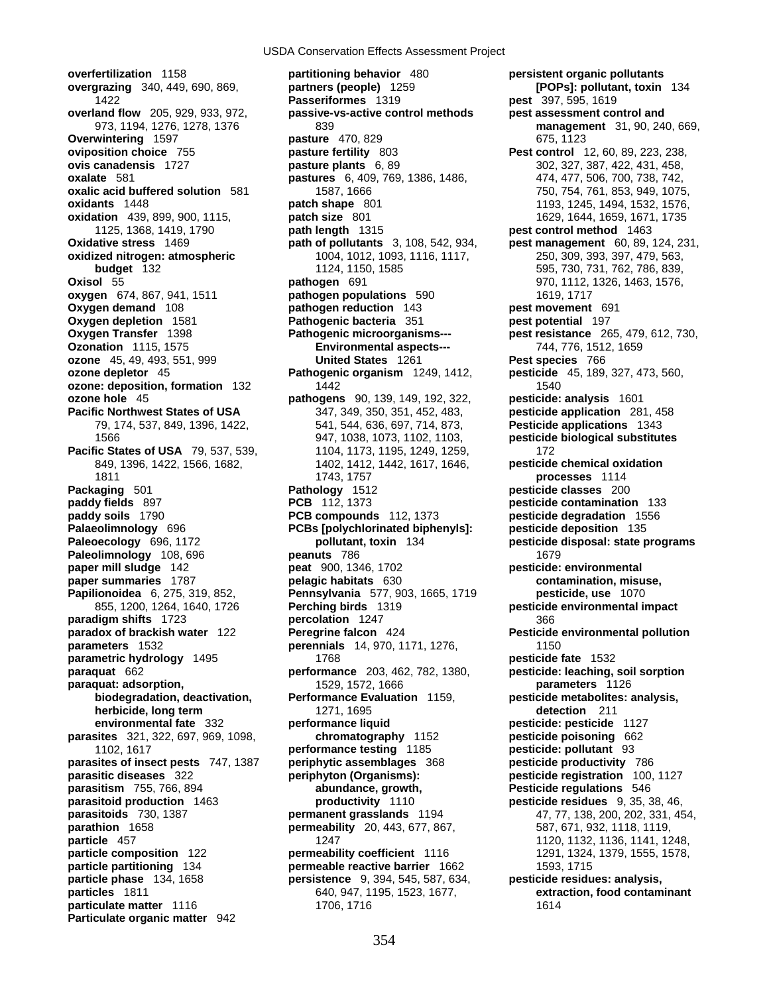**overfertilization** 1158 **partitioning behavior** 480 **persistent organic pollutants overgrazing** 340, 449, 690, 869, **partners (people)** 1259 **[POPs]: pollutant, toxin** 134 **overland flow** 205, 929, 933, 972, **passive-vs-active control methods pest assessment control and Overwintering** 1597 **pasture** 470, 829 675, 1123 **oviposition choice** 755 **pasture fertility** 803 **Pest control** 12, 60, 89, 223, 238, **ovis canadensis** 1727 **pasture plants** 6, 89 302, 327, 387, 422, 431, 458, **oxalate** 581 **pastures** 6, 409, 769, 1386, 1486, 474, 477, 506, 700, 738, 742, **oxalic acid buffered solution** 581 1587, 1666 750, 750, 754, 761, 853, 949, 1075, **oxidants** 1448 **patch shape** 801 1193, 1245, 1494, 1532, 1576, **oxidation** 439, 899, 900, 1115, **patch size** 801 **1629, 1644, 1659, 1671, 1735**<br>1125, 1368, 1419, 1790 **path length** 1315 **pest control method** 1463 **oxidized nitrogen: atmospheric** 1004, 1012, 1093, 1116, 1117, 250, 309, 393, 397, 479, 563, **Oxisol** 55 **pathogen** 691 **pathogen** 691 970, 1112, 1326, 1463, 1576, **oxygen** 674, 867, 941, 1511 **pathogen populations** 590 1619, 1717 **Oxygen demand** 108 **pathogen reduction** 143 **pest movement** 691 **Oxygen depletion** 1581 **Pathogenic bacteria** 351 **pest potential** 197 **Ozonation** 1115, 1575 **Environmental aspects---** 744, 776, 1512, 1659 **ozone** 45, 49, 493, 551, 999 **United States** 1261 **Pest species** 766 **ozone depletor** 45 **Pathogenic organism** 1249, 1412, **pesticide** 45, 189, 327, 473, 560, **ozone: deposition, formation** 132 1442 **1442** 1540 1540 1540<br>**pathogens** 90, 139, 149, 192, 322, **pesticide: analysis** 1601 **ozone hole** 45 **pathogens** 90, 139, 149, 192, 322, **Pacific Northwest States of USA** 347, 349, 350, 351, 452, 483, **pesticide application** 281, 458 **Pacific States of USA** 79, 537, 539, 1104, 1173, 1195, 1249, 1259, 172 **Packaging** 501 **Pathology** 1512 **pesticide classes** 200 **paddy fields** 897 **PCB** 112, 1373 **pesticide contamination** 133 **paddy soils** 1790 **PCB compounds** 112, 1373 **pesticide degradation** 1556 **Palaeolimnology** 696 **PCBs [polychlorinated biphenyls]: pesticide deposition** 135 **Paleolimnology** 108, 696 **peanuts** 786 1679 **paper mill sludge** 142 **peat** 900, 1346, 1702 **pesticide: environmental Papilionoidea** 6, 275, 319, 852, **Pennsylvania** 577, 903, 1665, 1719 **paradigm shifts** 1723 **percolation** 1247 366 **paradox of brackish water** 122 **Peregrine falcon** 424 **Pesticide environmental pollution parameters** 1532 **perennials** 14, 970, 1171, 1276, 1150 **parametric hydrology** 1495 1768 1768 **pesticide fate** 1532 **paraquat** 662 **performance** 203, 462, 782, 1380, **pesticide: leaching, soil sorption paraquat: adsorption,** 1529, 1572, 1666 **parameters** 1126 **parasites** 321, 322, 697, 969, 1098, **parasites of insect pests** 747, 1387 **periphytic assemblages** 368 **parasitic diseases** 322 **periphyton (Organisms): pesticide registration** 100, 1127 **parasitism** 755, 766, 894 **abundance, growth, Pesticide regulations** 546 **parasitoid production** 1463 **productivity** 1110 **pesticide residues** 9, 35, 38, 46, **parathion** 1658 **permeability** 20, 443, 677, 867, 587, 671, 932, 1118, 1119, **particle** 457 **1247** 1247 **1248, 1248, 1248, 1248, 1248, 1248, 1248, 1248, 1248, 1248, 1248, 1248, 1248, 1248, 1248, 1248, 1248, 1248, 1248, 1248, 1248, 1248, 1248, 1248, 1248, 125, 125, 127, 127, 127, 127, 127, 127, 127, particle composition** 122 **permeability coefficient** 1116 1291, 1324, 1379, 1555, 1578, **particle partitioning** 134 **permeable reactive barrier** 1662 1593, 1715 **particle phase** 134, 1658 **persistence** 9, 394, 545, 587, 634, **pesticide residues: analysis, particulate matter** 1116 1706, 1716 1614 **Particulate organic matter** 942

1422 **Passeriformes** 1319 **pest** 397, 595, 1619 path length 1315 **pest control method** 1463 **budget** 132 1124, 1150, 1585 595, 730, 731, 762, 786, 839, 79, 174, 537, 849, 1396, 1422, 541, 544, 636, 697, 714, 873, **Pesticide applications** 1343 1566 947, 1038, 1073, 1102, 1103, **pesticide biological substitutes** 849, 1396, 1422, 1566, 1682, 1402, 1412, 1442, 1617, 1646, **pesticide chemical oxidation**  1811 1811<br>1743, 1757 1743, 1757 **processes 1114**<br>1976 **pesticide classes 200 112, 1373** 1757 1758 pesticide contamination<br>112, 1373 pesticide contamination pesticide contamination **pelagic habitats** 630 **contamination, misuse, <br><b>Pennsylvania** 577, 903, 1665, 1719 **pesticide, use** 1070 855, 1200, 1264, 1640, 1726 **Perching birds** 1319 **pesticide environmental impact biodegradation, deactivation, Performance Evaluation** 1159, **pesticide metabolites: analysis, herbicide, long term 1271, 1695 detection** 211<br> **environmental fate** 332 **detection performance liquid detection pesticide**: pesticide **environmental factor performance liquid pesticide: pesticide** 1127<br> **chromatography** 1152 **pesticide poisoning** 662 1102, 1617 **performance testing** 1185 **pesticide: pollutant** 93

973, 1194, 1276, 1278, 1376 839 **management** 31, 90, 240, 669, **Oxidative stress** 1469 **path of pollutants** 3, 108, 542, 934, **pest management** 60, 89, 124, 231, **Oxygen Transfer** 1398 **Pathogenic microorganisms--- pest resistance** 265, 479, 612, 730, **Paleoecology** 696, 1172 **pollutant, toxin** 134 **pesticide disposal: state programs parasitoids** 730, 1387 **permanent grasslands** 1194 47, 77, 138, 200, 202, 331, 454, **particles** 1811 640, 947, 1195, 1523, 1677, **extraction, food contaminant**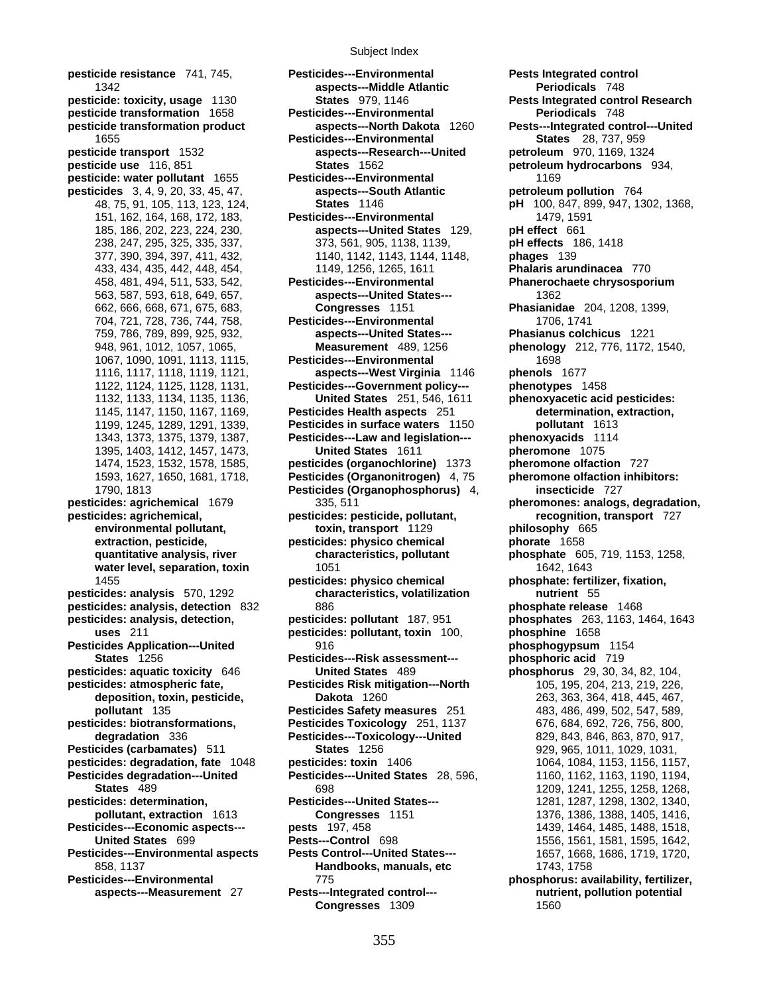Subject Index

1395, 1403, 1412, 1457, 1473, **United States** 1611 **extraction, pesticide, extraction, pesticides: physico chemical** 

**pesticide resistance** 741, 745, **Pesticides---Environmental Pests Integrated control** 1342 **aspects---Middle Atlantic Periodicals** 748 **pesticide transformation 1658 Pesticides---Environmental Periodicals 748 pesticide transformation product aspects---North Dakota** 1260 **Pests---Integrated control---United**  1655 **Pesticides---Environmental States** 28, 737, 959 **pesticide transport** 1532 **aspects---Research---United petroleum** 970, 1169, 1324 **pesticide use** 116, 851 **States** 1562 **petroleum hydrocarbons** 934, **pesticide: water pollutant** 1655 **Pesticides---Environmental** 1169 **pesticides** 3, 4, 9, 20, 33, 45, 47, **aspects---South Atlantic petroleum pollution** 764 48, 75, 91, 105, 113, 123, 124, **States** 1146 **pH** 100, 847, 899, 947, 1302, 1368, 151, 162, 164, 168, 172, 183, **Pesticides---Environmental** 1479, 1591 185, 186, 202, 223, 224, 230, **aspects---United States** 129, **pH effect** 661 238, 247, 295, 325, 335, 337, 373, 561, 905, 1138, 1139, **pH effects** 186, 1418 377, 390, 394, 397, 411, 432, 1140, 1142, 1143, 1144, 1148, **phages** 139 433, 434, 435, 442, 448, 454, 1149, 1256, 1265, 1611 **Phalaris arundinacea** 770 458, 481, 494, 511, 533, 542, **Pesticides---Environmental Phanerochaete chrysosporium** 563, 587, 593, 618, 649, 657, **aspects---United States---** 1362 662, 666, 668, 671, 675, 683, **Congresses** 1151 **Phasianidae** 204, 1208, 1399, 704, 721, 728, 736, 744, 758, **Pesticides---Environmental** 1706, 1741 759, 786, 789, 899, 925, 932, **aspects---United States--- Phasianus colchicus** 1221 948, 961, 1012, 1057, 1065, **Measurement** 489, 1256 **phenology** 212, 776, 1172, 1540, 1067, 1090, 1091, 1113, 1115, **Pesticides---Environmental** 1698 1116, 1117, 1118, 1119, 1121, **aspects---West Virginia** 1146 **phenols** 1677 1122, 1124, 1125, 1128, 1131, **Pesticides---Government policy--- phenotypes** 1458 1132, 1133, 1134, 1135, 1136, **United States** 251, 546, 1611 **phenoxyacetic acid pesticides:**  1145, 1147, 1150, 1167, 1169, **Pesticides Health aspects** 251 **determination, extraction,**  1199, 1245, 1289, 1291, 1339, **Pesticides in surface waters** 1150 **pollutant** 1613 1343, 1373, 1375, 1379, 1387, **Pesticides---Law and legislation--- phenoxyacids** 1114 1474, 1523, 1532, 1578, 1585, **pesticides (organochlorine)** 1373 **pheromone olfaction** 727 1593, 1627, 1650, 1681, 1718, **Pesticides (Organonitrogen)** 4, 75 **pheromone olfaction inhibitors:**  1790, 1813 **Pesticides (Organophosphorus)** 4, **insecticide** 727 **pesticides: agrichemical** 1679 335, 511 **pheromones: analogs, degradation,**  pesticides: agrichemical, **pesticides: pesticide, pollutant,** recognition, transport 727 **environmental pollutant, toxin, transport** 1129 **philosophy** 665 **quantitative analysis, river characteristics, pollutant phosphate** 605, 719, 1153, 1258, **water level, separation, toxin** 1051 1642, 1643 1455 **pesticides: physico chemical phosphate: fertilizer, fixation, pesticides: analysis** 570, 1292 **characteristics, volatilization nutrient** 55 **pesticides: analysis, detection** 832 886 **business of the set of the set of the periodic periodic periodic per**<br> **pesticides: pollutant** 187, 951 **phosphates** 263, 1163, 1 **uses** 211 **pesticides: pollutant, toxin** 100, **phosphine** 1658 **Pesticides Application---United** 916 **phosphogypsum** 1154 **States** 1256 **Pesticides---Risk assessment--- phosphoric acid** 719 **pesticides: aquatic toxicity** 646 **United States** 489 **phosphorus** 29, 30, 34, 82, 104, **pesticides: atmospheric fate, Pesticides Risk mitigation---North** 105, 195, 204, 213, 219, 226, **deposition, toxin, pesticide, Dakota** 1260 263, 363, 364, 418, 445, 467, **pollutant** 135 **Pesticides Safety measures** 251 483, 486, 499, 502, 547, 589, **pesticides: biotransformations, Pesticides Toxicology** 251, 1137 676, 684, 692, 726, 756, 800,<br> **Pesticides---Toxicology---United** 829, 843, 846, 863, 870, 917, degradation 336 **Pesticides---Toxicology---United Pesticides (carbamates)** 511 **States** 1256 929, 965, 1011, 1029, 1031, **pesticides: degradation, fate** 1048 **pesticides: toxin** 1406 1064, 1084, 1153, 1156, 1157, **Pesticides degradation---United Pesticides---United States** 28, 596, 1160, 1162, 1163, 1190, 1194, **States** 489 **1209, 1241, 1255, 1258, 1268, 1268, 1268, 1268, 1268, 1268, 1268, 1268, 1268, 1268, 1268, 1268, 1268, 1268, 1268, 1268, 1268, 1268, 1268, 1268, 1268, 1268, 1268, 1268, 1268, 1268, 1268, 1268, 1268, 1268, 1268 pesticides: determination, Pesticides---United States---** 1281, 1287, 1298, 1302, 1340, **pollutant, extraction** 1613 **Congresses** 1151 1376, 1386, 1388, 1405, 1416, **Pesticides---Economic aspects--- pests** 197, 458 1464, 1439, 1464, 1485, 1488, 1518, **United States** 699 **Pests---Control** 698 1556, 1561, 1581, 1595, 1642, **Pesticides---Environmental aspects Pests Control---United States---** 1657, 1668, 1686, 1719, 1720, 858, 1137 **Handbooks, manuals, etc** 1743, 1758 **aspects---Measurement** 27 **Pests---Integrated control--- nutrient, pollution potential Congresses** 1309 1560

**pests Integrated control Research <b>Pests Integrated control Research phosphates** 263, 1163, 1464, 1643 **Performance in the phosphorus: availability, fertilizer,** *r***<sup>775</sup>**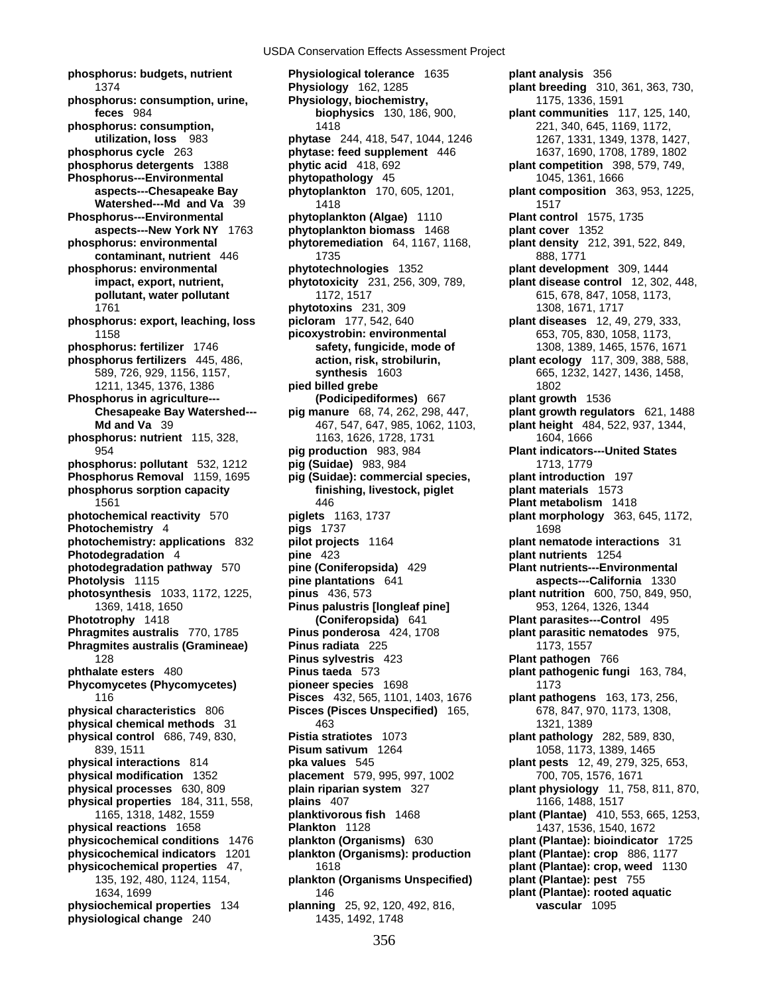**photodegradation pathway** 570 **pine (Coniferopsida)** 429 **Photolysis** 1115 **pine plant ations** 641

**phosphorus: budgets, nutrient Physiological tolerance** 1635 **plant analysis** 356 1374 **Physiology** 162, 1285 **plant breeding** 310, 361, 363, 730, **phosphorus: consumption, urine, Physiology, biochemistry,** 1175, 1336, 1591 **feces** 984 **biophysics** 130, 186, 900, **plant communities** 117, 125, 140, **phosphorus: consumption,** 1418 221, 340, 645, 1169, 1172, **utilization, loss** 983 **phytase** 244, 418, 547, 1044, 1246 1267, 1331, 1349, 1378, 1427, **phosphorus cycle** 263 **phytase: feed supplement** 446 1637, 1690, 1708, 1789, 1802<br> **phosphorus detergents** 1388 **phytic acid** 418, 692 **plant competition** 398, 579, 749, **phytic acid** 418, 692 **plant competition** 398, 579, 749, **Phosphorus---Environmental phytopathology** 45 1045, 1361, 1666 **aspects---Chesapeake Bay phytoplankton** 170, 605, 1201, **plant composition** 363, 953, 1225, **Watershed---Md and Va** 39 1418 1517 **Phosphorus---Environmental phytoplankton (Algae)** 1110 **Plant control** 1575, 1735 **aspects---New York NY** 1763 **phytoplankton biomass** 1468 **phosphorus: environmental phytoremediation** 64, 1167, 1168, **plant density** 212, 391, 522, 849, **contaminant, nutrient** 446 1735 888, 1771 **phosphorus: environmental phytotechnologies** 1352 **plant development** 309, 1444 **pollutant, water pollutant** 1172, 1517 615, 678, 847, 1058, 1173, 1761 **phytotoxins** 231, 309 1308, 1671, 1717 **phosphorus: export, leaching, loss picloram** 177, 542, 640 **plant diseases** 12, 49, 279, 333, 1158 **picoxystrobin: environmental** 653, 705, 830, 1058, 1173, **phosphorus: fertilizer** 1746 **safety, fungicide, mode of** 1308, 1389, 1465, 1576, 1671 **phosphorus fertilizers** 445, 486, **action, risk, strobilurin, plant ecology** 117, 309, 388, 588, 589, 726, 929, 1156, 1157, **synthesis** 1603 665, 1232, 1427, 1436, 1458, 1211, 1345, 1376, 1386 **pied billed grebe** 1802 **Phosphorus in agriculture--- (Podicipediformes)** 667 **plant growth** 1536 **Chesapeake Bay Watershed--- pig manure** 68, 74, 262, 298, 447, **plant growth regulators** 621, 1488 **Md and Va** 39 467, 547, 647, 985, 1062, 1103, **plant height** 484, 522, 937, 1344, **phosphorus: nutrient** 115, 328, 1163, 1626, 1728, 1731 1604, 1666 954 **pig production** 983, 984 **Plant indicators---United States phosphorus: pollutant** 532, 1212 **pig (Suidae)** 983, 984 1713, 1779 **Phosphorus Removal** 1159, 1695 **pig (Suidae): commercial species, plant introduction** 197 **phosphorus sorption capacity finishing, livestock, piglet plant materials** 1573 1561 446 **Plant metabolism** 1418 **photochemical reactivity** 570 **piglets** 1163, 1737 **plant morphology** 363, 645, 1172, **Photochemistry** 4 **pigs** 1737 **1698 photochemistry: applications** 832 **pilot projects** 1164 **plant nematode interactions** 31 **Photodegradation** 4 **pine** 423 **plant nutrients** 1254 **photosynthesis** 1033, 1172, 1225, **pinus** 436, 573 **plant nutrition** 600, 750, 849, 950, 1369, 1418, 1650 **Pinus palustris [longleaf pine]** 953, 1264, 1326, 1344 **Phototrophy** 1418 **(Coniferopsida)** 641 **Plant parasites---Control** 495 **Phragmites australis** 770, 1785 **Pinus ponderosa** 424, 1708 **plant parasitic nematodes** 975, **Phragmites australis (Gramineae) <b>Pinus radiata** 225 1173, 1557 128 **Pinus sylvestris** 423 **Plant pathogen** 766 **phthalate esters** 480 **Pinus taeda** 573 **plant pathogenic fungi** 163, 784, **Phycomycetes (Phycomycetes) by pioneer species** 1698 1173 116 **Pisces** 432, 565, 1101, 1403, 1676 **plant pathogens** 163, 173, 256, **physical characteristics** 806 **Pisces (Pisces Unspecified)** 165, 678, 847, 970, 1173, 1308, **physical chemical methods** 31 463 1321, 1389 **physical control** 686, 749, 830, **Pistia stratiotes** 1073 **plant pathology** 282, 589, 830, 839, 1511 **Pisum sativum** 1264 1058, 1173, 1389, 1465 **physical interactions** 814 **pka values** 545 **plant pests** 12, 49, 279, 325, 653, **physical modification** 1352 **placement** 579, 995, 997, 1002 700, 705, 1576, 1671<br> **plain riparian system** 327 **plant physiology** 11, 758 **physical properties** 184, 311, 558, **plains** 407 1166, 1488, 1517 **physical reactions** 1658 **Plankton** 1128 1437, 1536, 1540, 1672 **physicochemical conditions** 1476 **plankton (Organisms)** 630 **plant (Plantae): bioindicator** 1725 **physicochemical indicators** 1201 **plankton (Organisms): production plant (Plantae): crop** 886, 1177 **physicochemical properties** 47, 1618 **plant (Plantae): crop, weed** 1130 135, 192, 480, 1124, 1154, **plankton (Organisms Unspecified) plant (Plantae): pest** 755 1634, 1699 146 **plant (Plantae): rooted aquatic physiochemical properties** 134 **planning** 25, 92, 120, 492, 816, **vascular** 1095 **physiological change** 240 1435, 1492, 1748

**impact, export, nutrient, phytotoxicity** 231, 256, 309, 789, **plant disease control** 12, 302, 448, **aspects---California** 1330 **physical processes** 630, 809 **plain riparian system** 327 **plant physiology** 11, 758, 811, 870, 1165, 1318, 1482, 1559 **planktivorous fish** 1468 **plant (Plantae)** 410, 553, 665, 1253,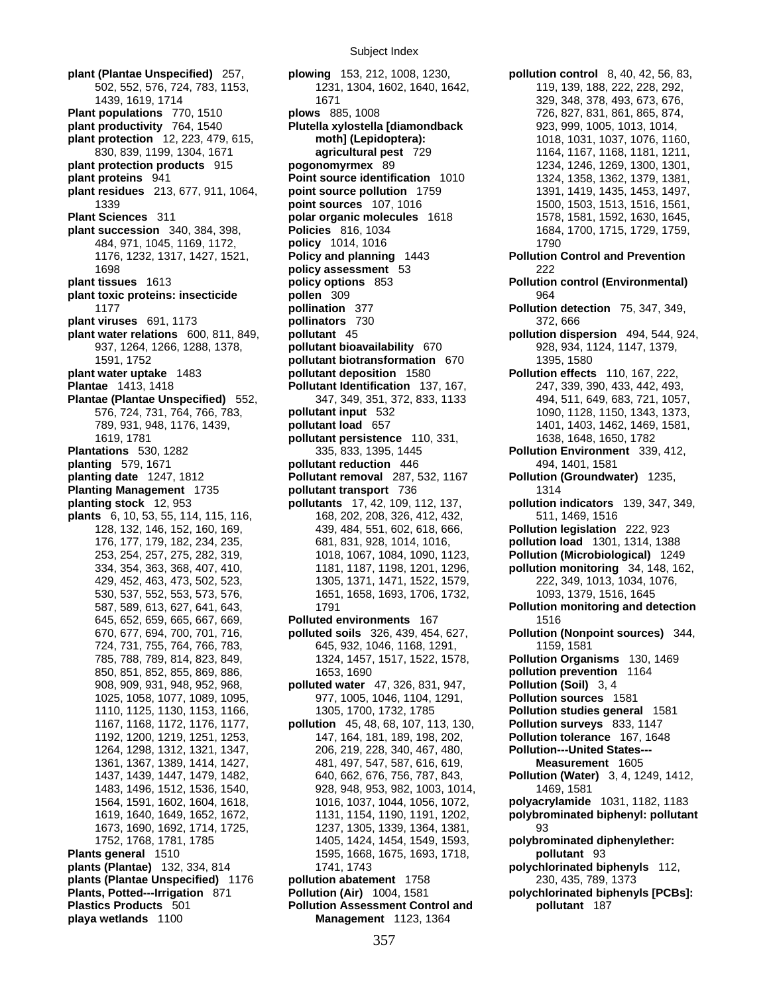**plant (Plantae Unspecified)** 257, **plowing** 153, 212, 1008, 1230, **pollution control** 8, 40, 42, 56, 83, **Plant populations** 770, 1510 **plows** 885, 1008 **1999 126, 827, 831, 861, 865, 874, 874, plant productivity** 764, 1540 **Plutella xylostella [diamondback** 923, 999, 1005, 1013, 1014, **plant protection** 12, 223, 479, 615, **moth] (Lepidoptera):** 1018, 1031, 1037, 1076, 1160, **plant protection products** 915 **pogonomyrmex** 89 1234, 1246, 1269, 1300, 1301, **plant proteins** 941 **Point source identification** 1010 1324, 1358, 1362, 1379, 1381, **plant residues** 213, 677, 911, 1064, **point source pollution** 1759 1391, 1419, 1435, 1453, 1497, **Plant Sciences** 311 **polar organic molecules** 1618 1578, 1581, 1592, 1630, 1645, **plant succession** 340, 384, 398, **Policies** 816, 1034 1684, 1700, 1715, 1729, 1759, 1759, 1759, 1759, 1759, 1759, 1759, 1759, 1759, 1759, 1759, 1759, 1759, 1759, 1759, 1759, 1759, 1759, 1759, 1759, 1759, 1759, 1759, 1759, **plant tissues** 1613 **policy options** 853 **Pollution control (Environmental) plant toxic proteins: insecticide pollen** 309 964 **plant viruses** 691, 1173 **pollinators** 730 372, 666 **plant water relations** 600, 811, 849, **pollutant** 45 **pollution dispersion** 494, 544, 924, **plant water uptake** 1483 **pollutant deposition** 1580 **Pollution effects** 110, 167, 222, **Plantae** 1413, 1418 **Pollutant Identification** 137, 167, 247, 339, 390, 433, 442, 493, **Plantae (Plantae Unspecified)** 552, 347, 349, 351, 372, 833, 1133 494, 511, 649, 683, 721, 1057, **Plantations** 530, 1282 335, 833, 1395, 1445 **Pollution Environment** 339, 412, **planting** 579, 1671 **pollutant reduction** 446 494, 1401, 1581 **planting date** 1247, 1812 **Pollutant removal** 287, 532, 1167 **Pollution (Groundwater)** 1235, **Planting Management** 1735 **pollutant transport** 736 1314 **planting stock** 12, 953 **pollutants** 17, 42, 109, 112, 137, **pollution indicators** 139, 347, 349, **plants** 6, 10, 53, 55, 114, 115, 116, 168, 202, 208, 326, 412, 432, 511, 1469, 1516 **Plants general** 1510 1595, 1668, 1675, 1693, 1718, **pollutant** 93 **plants (Plantae)** 132, 334, 814 1741, 1743 **polychlorinated biphenyls** 112, **plants (Plantae Unspecified)** 1176 **pollution abatement** 1758 230, 435, 789, 1373 **Plants, Potted---Irrigation** 871 **Pollution (Air)** 1004, 1581 **polychlorinated biphenyls [PCBs]: Plastics Products** 501 **Pollution Assessment Control and pollutant** 187 **playa wetlands** 1100 **Management** 1123, 1364

502, 552, 576, 724, 783, 1153, 1231, 1304, 1602, 1640, 1642, 119, 139, 188, 222, 228, 292, 1439, 1619, 1714 1671 329, 348, 378, 493, 673, 676, 830, 839, 1199, 1304, 1671 **agricultural pest** 729 1164, 1167, 1168, 1181, 1211, 1339 **point sources** 107, 1016 1500, 1503, 1513, 1516, 1561, 484, 971, 1045, 1169, 1172, **policy** 1014, 1016 1790 1176, 1232, 1317, 1427, 1521, **Policy and planning** 1443 **Pollution Control and Prevention** 1698 **policy assessment** 53 222 1177 **pollination** 377 **Pollution detection** 75, 347, 349, 937, 1264, 1266, 1288, 1378, **pollutant bioavailability** 670 928, 934, 1124, 1147, 1379, 1591, 1752 **pollutant biotransformation** 670 1395, 1580 576, 724, 731, 764, 766, 783, **pollutant input** 532 1090, 1128, 1150, 1343, 1373, 789, 931, 948, 1176, 1439, **pollutant load** 657 1401, 1403, 1462, 1469, 1581, 1619, 1781 **pollutant persistence** 110, 331, 1638, 1648, 1650, 1782 128, 132, 146, 152, 160, 169, 439, 484, 551, 602, 618, 666, **Pollution legislation** 222, 923 176, 177, 179, 182, 234, 235, 681, 831, 928, 1014, 1016, **pollution load** 1301, 1314, 1388 253, 254, 257, 275, 282, 319, 1018, 1067, 1084, 1090, 1123, **Pollution (Microbiological)** 1249 334, 354, 363, 368, 407, 410, 1181, 1187, 1198, 1201, 1296, **pollution monitoring** 34, 148, 162, 429, 452, 463, 473, 502, 523, 1305, 1371, 1471, 1522, 1579, 222, 349, 1013, 1034, 1076, 530, 537, 552, 553, 573, 576, 1651, 1658, 1693, 1706, 1732, 1093, 1379, 1516, 1645 645, 652, 659, 665, 667, 669, **Polluted environments** 167 1516 670, 677, 694, 700, 701, 716, **polluted soils** 326, 439, 454, 627, **Pollution (Nonpoint sources)** 344, 724, 731, 755, 764, 766, 783, 645, 932, 1046, 1168, 1291, 1159, 1581 785, 788, 789, 814, 823, 849, 1324, 1457, 1517, 1522, 1578, **Pollution Organisms** 130, 1469 850, 851, 852, 855, 869, 886, 1653, 1690 **pollution prevention** 1164 908, 909, 931, 948, 952, 968, **polluted water** 47, 326, 831, 947, **Pollution (Soil)** 3, 4 1025, 1058, 1077, 1089, 1095, 977, 1005, 1046, 1104, 1291, **Pollution sources** 1581 1110, 1125, 1130, 1153, 1166, 1305, 1700, 1732, 1785 **Pollution studies general** 1581 1167, 1168, 1172, 1176, 1177, **pollution** 45, 48, 68, 107, 113, 130, **Pollution surveys** 833, 1147 1192, 1200, 1219, 1251, 1253, 147, 164, 181, 189, 198, 202, **Pollution tolerance** 167, 1648 1264, 1298, 1312, 1321, 1347, 206, 219, 228, 340, 467, 480, **Pollution---United States---** 1361, 1367, 1389, 1414, 1427, 481, 497, 547, 587, 616, 619, 1437, 1439, 1447, 1479, 1482, 640, 662, 676, 756, 787, 843, **Pollution (Water)** 3, 4, 1249, 1412, 1483, 1496, 1512, 1536, 1540, 928, 948, 953, 982, 1003, 1014, 1469, 1581 1564, 1591, 1602, 1604, 1618, 1016, 1037, 1044, 1056, 1072, **polyacrylamide** 1031, 1182, 1183 1673, 1690, 1692, 1714, 1725, 1237, 1305, 1339, 1364, 1381, 93 1752, 1768, 1781, 1785 1405, 1424, 1454, 1549, 1593, **polybrominated diphenylether:** 

587, 589, 613, 627, 641, 643, 1791 **Pollution monitoring and detection** 1619, 1640, 1649, 1652, 1672, 1131, 1154, 1190, 1191, 1202, **polybrominated biphenyl: pollutant**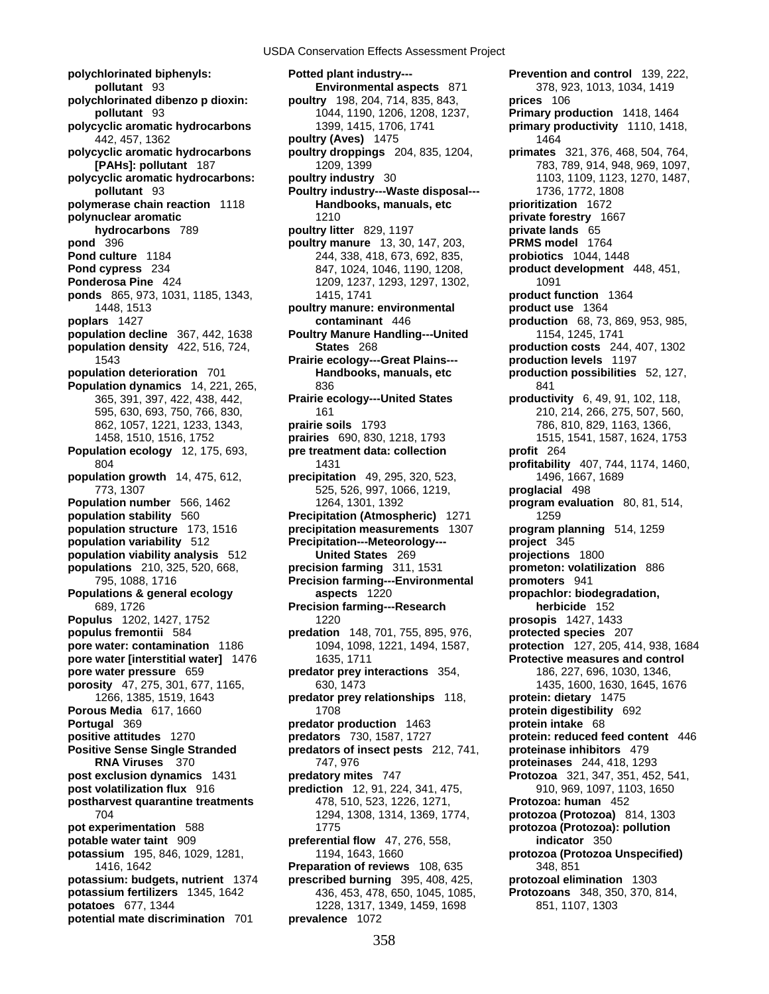**polychlorinated biphenyls: Potted plant industry--- Prevention and control** 139, 222, **polychlorinated dibenzo p dioxin: poultry** 198, 204, 714, 835, 843, **prices** 106 **polycyclic aromatic hydrocarbons** 1399, 1415, 1706, 1741 **primary productivity** 1110, 1418, **polycyclic aromatic hydrocarbons poultry droppings** 204, 835, 1204, **primates** 321, 376, 468, 504, 764, **polycyclic aromatic hydrocarbons: poultry industry** 30 1103, 1103, 1109, 1123, 1270, 1487, **polymerase chain reaction** 1118 **Handbooks, manuals, etc prioritization** 1672 **polynuclear aromatic** 1210 **private forestry** 1667 **pond** 396 **poultry manure** 13, 30, 147, 203, **PRMS model** 1764 **Pond culture** 1184 244, 338, 418, 673, 692, 835, **probiotics** 1044, 1448 **Pond cypress** 234 847, 1024, 1046, 1190, 1208, **product development** 448, 451, **Ponderosa Pine** 424 1209, 1237, 1293, 1297, 1302, 1091 **ponds** 865, 973, 1031, 1185, 1343, 1415, 1741 **product function** 1364 **poplars** 1427 **contaminant** 446 **production** 68, 73, 869, 953, 985, **population decline** 367, 442, 1638 **Poultry Manure Handling---United** 1154, 1245, 1741 **population density** 422, 516, 724, **States** 268 **production costs** 244, 407, 1302 **population deterioration** 701 **Handbooks, manuals, etc production possibilities** 52, 127, **Population dynamics** 14, 221, 265, 836 841 **Population ecology** 12, 175, 693, **pre treatment data: collection profit** 264 **population growth** 14, 475, 612, **precipitation** 49, 295, 320, 523, 1496, 1667, 1689 773, 1307 525, 526, 997, 1066, 1219, **proglacial** 498 **population stability** 560 **Precipitation (Atmospheric)** 1271 1259 **population structure** 173, 1516 **precipitation measurements** 1307 **program planning** 514, 1259 **population variability** 512 **Precipitation---Meteorology--- project** 345 **population viability analysis** 512 **populations** 210, 325, 520, 668, **precision farming** 311, 1531 **prometon: volatilization** 886 **Populations & general ecology aspects** 1220 **propachlor: biodegradation, Populus** 1202, 1427, 1752 1220 **prosopis** 1427, 1433 **populus fremontii** 584 **predation** 148, 701, 755, 895, 976, **protected species** 207 **pore water: contamination** 1186 1094, 1098, 1221, 1494, 1587, **protection** 127, 205, 414, 938, 1684 **pore water [interstitial water]** 1476 1635, 1711 **Protective measures and control pore water pressure** 659 **predator prey interactions** 354, 186, 227, 696, 1030, 1346, **porosity** 47, 275, 301, 677, 1165, 630, 1473 **1473** 1485, 1600, 1630, 1645, 1676<br>1266, 1385, 1519, 1643 **predator prey relationships** 118, **protein: dietary** 1475 **Porous Media** 617, 1660 1708 1708 1708 1708 1708 **protein digestibility** 692<br> **Portugal** 369 **protein intake** 68 **positive attitudes** 1270 **predators** 730, 1587, 1727 **protein: reduced feed content** 446 **Positive Sense Single Stranded predators of insect pests** 212, 741, **proteinase inhibitors** 479 **post exclusion dynamics** 1431 **predatory mites** 747 **Protozoa** 321, 347, 351, 452, 541, **post volatilization flux** 916 **prediction** 12, 91, 224, 341, 475, 910, 969, 1097, 1103, 1650 **postharvest quarantine treatments** 478, 510, 523, 1226, 1271, **Protozoa: human** 452 **pot experimentation** 588 1775 **protozoa (Protozoa): pollution potable water taint** 909 **preferential flow** 47, 276, 558, **indicator** 350 **potassium** 195, 846, 1029, 1281, 1194, 1643, 1660 **protozoa (Protozoa Unspecified) potassium: budgets, nutrient** 1374 **prescribed burning** 395, 408, 425, **protozoal elimination** 1303 **potassium fertilizers** 1345, 1642 436, 453, 478, 650, 1045, 1085, **Protozoans** 348, 350, 370, 814, **potatoes** 677, 1344 1228, 1317, 1349, 1459, 1698 851, 1107, 1303 **potential mate discrimination** 701 **prevalence** 1072

**pollutant** 93 1044, 1190, 1206, 1208, 1237, **Primary production** 1418, 1464 442, 457, 1362 **poultry (Aves)** 1475 1464 **[PAHs]: pollutant** 187 1209, 1399 783, 789, 914, 948, 969, 1097, **pollutant** 93 **Poultry industry---Waste disposal---** 1736, 1772, 1808 **hydrocarbons** 789 **poultry litter** 829, 1197 **private lands** 65 1448, 1513 **poultry manure: environmental product use** 1364 1543 **Prairie ecology---Great Plains--- production levels** 1197 365, 391, 397, 422, 438, 442, **Prairie ecology---United States productivity** 6, 49, 91, 102, 118, 595, 630, 693, 750, 766, 830, 161 161 161 161, 110, 210, 214, 266, 275, 507, 560, 1662, 1057, 1221, 1233, 1343, 136**rairie soils** 1793 1662, 1796, 810, 829, 1163, 1366, 1366, 1366, 1366, 1366, 1368, 1368, 1368, 1368, 1368, 862, 1057, 1221, 1233, 1343, **prairie soils** 1793 786, 810, 829, 1163, 1366, 1458, 1510, 1516, 1752 **prairies** 690, 830, 1218, 1793 1515, 1541, 1587, 1624, 1753 804 1431 **profitability** 407, 744, 1174, 1460, 795, 1088, 1716 **Precision farming---Environmental** 689, 1726 **Precision farming---Research herbicide** 152 1266, 1385, 1519, 1643 **predator prey relationships** 118, **protein: dietary** 1475 **predator production** 1463 **RNA Viruses** 370 747, 976 **proteinases** 244, 418, 1293 704 1294, 1308, 1314, 1369, 1774, **protozoa (Protozoa)** 814, 1303 1416, 1642 **Preparation of reviews** 108, 635 348, 851

**Environmental aspects** 871 378, 923, 1013, 1034, 1419 **Population 1264, 1301, 1392 program evaluation** 80, 81, 514,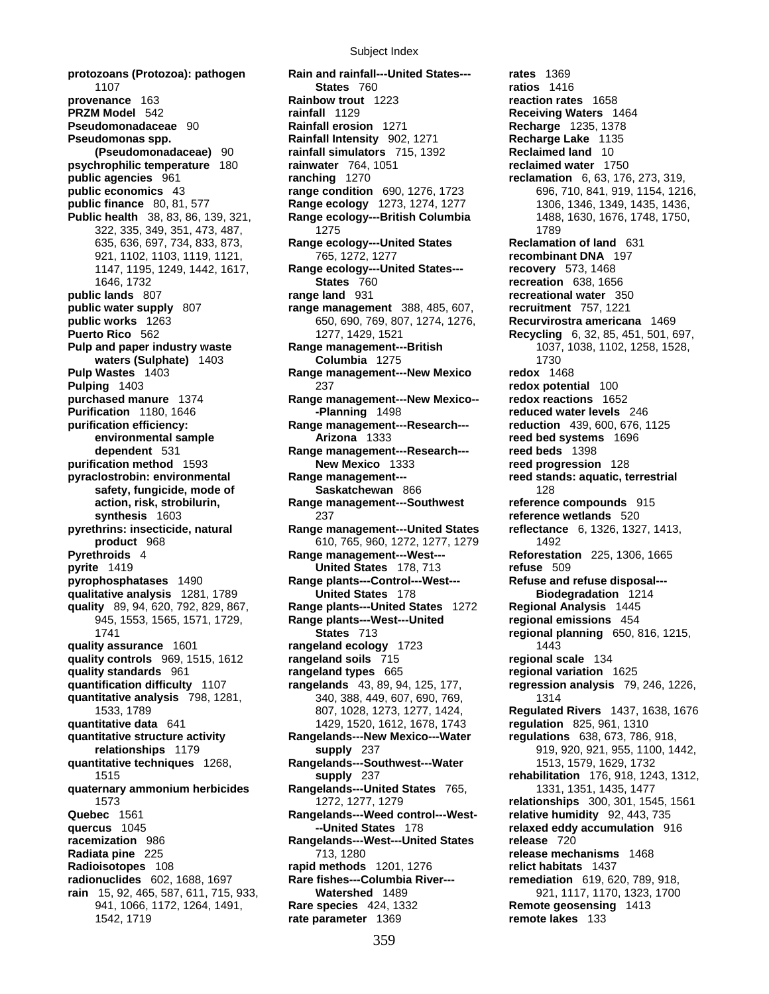**Pseudomonas spp. The Rainfall Intensity** 902, 1271 1542, 1719 **rate parameter** 1369 **remote lakes** 133

**protozoans (Protozoa): pathogen Rain and rainfall---United States--- rates** 1369 1107 **1107 <b>States** 760 **ratios** 1416<br>**Rainbow trout** 1223 **reaction rate provenance** 163 **Rainbow trout** 1223 **reaction rates** 1658 **PRZM Model** 542 **rainfall** 1129 **Receiving Waters** 1464 **Pseudomonadaceae** 90 **Rainfall erosion** 1271 **Recharge** 1235, 1378 **(Pseudomonadaceae)** 90 **rainfall simulators** 715, 1392 **Reclaimed land** 10 **psychrophilic temperature** 180 **rainwater** 764, 1051 **reclaimed water** 1750 **public agencies** 961 **ranching** 1270 **reclamation** 6, 63, 176, 273, 319, **public economics** 43 **range condition** 690, 1276, 1723 696, 710, 841, 919, 1154, 1216, **public finance** 80, 81, 577 **Range ecology** 1273, 1274, 1277 1306, 1346, 1349, 1435, 1436, **Public health** 38, 83, 86, 139, 321, **Range ecology---British Columbia** 1488, 1630, 1676, 1748, 1750, 322, 335, 349, 351, 473, 487, 1275 1789<br>1789 635, 636, 697, 734, 833, 873, Range ecology---United States Reclamation of land **Range ecology---United States** 921, 1102, 1103, 1119, 1121, 765, 1272, 1277 **recombinant DNA** 197 1147, 1195, 1249, 1442, 1617, **Range ecology---United States--- recovery** 573, 1468 1646, 1732 **States** 760 **recreation** 638, 1656 **public lands** 807 **range land** 931 **recreational water** 350 **public water supply** 807 **range management** 388, 485, 607, **recruitment** 757, 1221 **public works** 1263 650, 690, 769, 807, 1274, 1276, **Recurvirostra americana** 1469 **Puerto Rico** 562 1277, 1429, 1521 **Recycling** 6, 32, 85, 451, 501, 697, **Pulp and paper industry waste Range management---British 1037, 1038, 1102, 1258, 1528, 1528, 1528, waters (Sulphate)** 1403 **Columbia** 1275 1730 **Pulp Wastes** 1403 **Range management---New Mexico redox** 1468 **Pulping** 1403 *redox potential* 100 **purchased manure** 1374 **Range management---New Mexico-- redox reactions** 1652 **Purification** 1180, 1646 **-Planning** 1498 **reduced water levels** 246 **purification efficiency: Range management---Research--- reduction** 439, 600, 676, 1125 **environmental sample Arizona** 1333 **reed bed systems** 1696 **dependent** 531 **Range management---Research--- reed beds** 1398 **purification method** 1593 **New Mexico** 1333 **reed progression** 128 **pyraclostrobin: environmental Range management--- reed stands: aquatic, terrestrial safety, fungicide, mode of Saskatchewan** 866 128 **action, risk, strobilurin, Range management---Southwest reference compounds** 915 **synthesis** 1603 237 **reference wetlands** 520 **pyrethrins: insecticide, natural Range management---United States reflectance** 6, 1326, 1327, 1413, **product** 968 610, 765, 960, 1272, 1277, 1279 1492 **Pyrethroids** 4 **Range management---West--- Reforestation** 225, 1306, 1665 *<u>United States* 178, 713 **refuse** 509</u> **pyrophosphatases** 1490 **Range plants---Control---West--- Refuse and refuse disposal-- qualitative analysis** 1281, 1789 **United States** 178 **Biodegradation** 1214 **quality** 89, 94, 620, 792, 829, 867, **Range plants---United States** 1272 **Regional Analysis** 1445 945, 1553, 1565, 1571, 1729, **Range plants---West---United regional emissions** 454 1741 **States** 713 **regional planning** 650, 816, 1215, **quality assurance** 1601 **rangeland ecology** 1723 1443 **quality controls** 969, 1515, 1612 **rangeland soils** 715 **regional scale** 134 **quality standards** 961 **rangeland types** 665 **regional variation** 1625 **quantification difficulty** 1107 **rangelands** 43, 89, 94, 125, 177, **regression analysis** 79, 246, 1226, **quantitative analysis** 798, 1281, 340, 388, 449, 607, 690, 769, 1314 1533, 1789 807, 1028, 1273, 1277, 1424, **Regulated Rivers** 1437, 1638, 1676 **quantitative data** 641 1429, 1520, 1612, 1678, 1743 **regulation** 825, 961, 1310 **quantitative structure activity Rangelands---New Mexico---Water regulations** 638, 673, 786, 918, **relationships** 1179 **supply** 237<br>**quantitative techniques** 1268, **Rangelands---Southwest---Water** 1513, 1579, 1629, 1732<br>1513, 1579, 1629, 1732 **Rangelands---Southwest---Water 1513, 1579, 1629, 1732** 1515 **supply** 237 **rehabilitation** 176, 918, 1243, 1312, **quaternary ammonium herbicides Rangelands---United States** 765, 1331, 1351, 1435, 1477 1573 1272, 1277, 1279 **relationships** 300, 301, 1545, 1561 **Quebec** 1561 **Rangelands---Weed control---West- relative humidity** 92, 443, 735 **quercus** 1045 **--United States** 178 **relaxed eddy accumulation** 916 **racemization** 986 **Rangelands---West---United States release** 720 **Radiata pine** 225 713, 1280 **release mechanisms** 1468 **Radioisotopes** 108 **rapid methods** 1201, 1276 **relict habitats** 1437 **radionuclides** 602, 1688, 1697 **Rare fishes---Columbia River--- remediation** 619, 620, 789, 918, **rain** 15, 92, 465, 587, 611, 715, 933, **Watershed** 1489 **1286, 1287, 1287, 1117, 1170, 1323**, 1700<br>941, 1066, 1172, 1264, 1491, **Rare species** 424, 1332 **Remote geosensing** 1413 941, 1066, 1172, 1264, 1491, **Rare species** 424, 1332 **Remote geosensing** 1413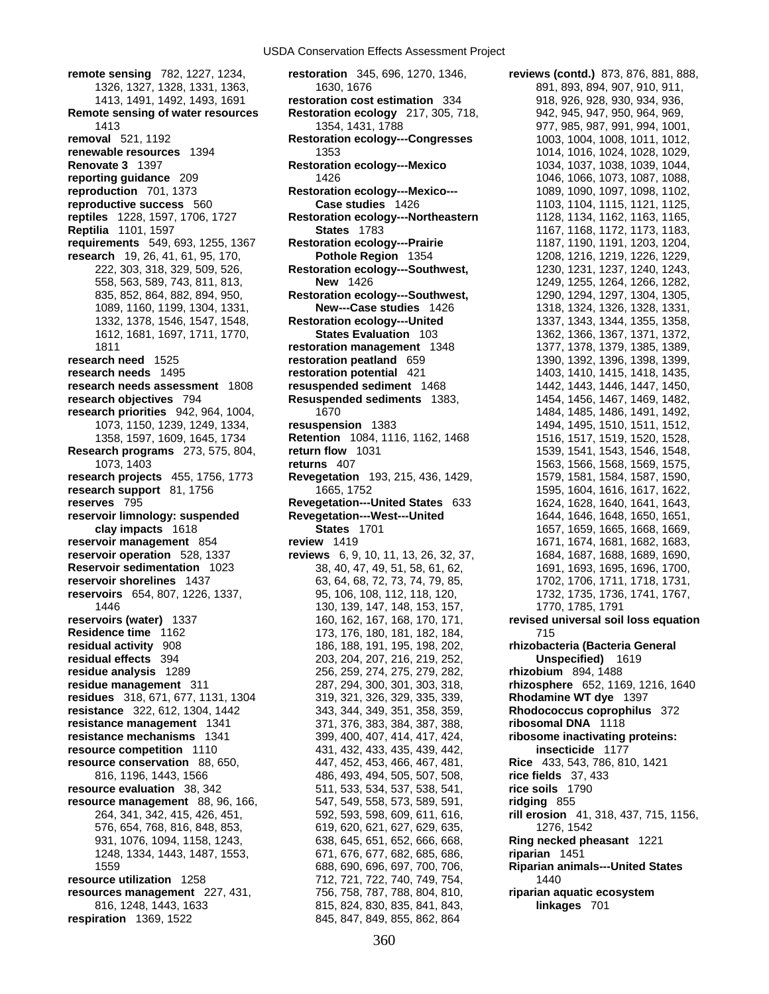**remote sensing** 782, 1227, 1234, **restoration** 345, 696, 1270, 1346, **reviews (contd.)** 873, 876, 881, 888, **Remote sensing of water resources Restoration ecology** 217, 305, 718, 942, 945, 947, 950, 964, 969, **removal** 521, 1192 **Restoration ecology---Congresses** 1003, 1004, 1008, 1011, 1012, **renewable resources** 1394 1353 1014, 1016, 1024, 1028, 1029, 1029, 1029, 1029, 1029, 1029, 1029, 1029, 1029, 1029, **Renovate 3** 1397 **Restoration ecology---Mexico** 1034, 1037, 1038, 1039, 1044, **reporting guidance** 209 1426 1046, 1066, 1073, 1087, 1088, **reproduction** 701, 1373 **Restoration ecology---Mexico---** 1089, 1090, 1097, 1098, 1102, **reproductive success** 560 **Case studies** 1426 1103, 1104, 1115, 1121, 1125, **reptiles** 1228, 1597, 1706, 1727 **Restoration ecology---Northeastern** 1128, 1134, 1162, 1163, 1165, **requirements** 549, 693, 1255, 1367 **Restoration ecology---Prairie research** 19, 26, 41, 61, 95, 170, **Pothole Region** 1354 1208, 1216, 1219, 1226, 1229, **research need** 1525 **restoration peatland** 659 1390, 1392, 1396, 1398, 1399, **research needs** 1495 **restoration potential** 421 1403, 1410, 1415, 1418, 1435, **research needs assessment** 1808 **resuspended sediment** 1468 1442, 1443, 1446, 1447, 1450, **research objectives** 794 **Resuspended sediments** 1383, 1454, 1456, 1467, 1469, 1482, **research priorities** 942, 964, 1004, 1670 **Research programs** 273, 575, 804, **return flow** 1031 1539, 1541, 1543, 1546, 1548, **research projects** 455, 1756, 1773 **Revegetation** 193, 215, 436, 1429, 1579, 1581, 1584, 1587, 1590, **research support** 81, 1756 1665, 1752 1595, 1604, 1616, 1617, 1622, **reserves** 795 **Revegetation---United States** 633 1624, 1628, 1640, 1641, 1643, **reservoir limnology: suspended Revegetation---West---United** 1644, 1646, 1648, 1650, 1651, **reservoir management** 854 **review** 1419 1671, 1674, 1681, 1682, 1683, **reservoir operation** 528, 1337 **reviews** 6, 9, 10, 11, 13, 26, 32, 37, 1684, 1687, 1688, 1689, 1690, **Reservoir sedimentation** 1023 38, 40, 47, 49, 51, 58, 61, 62, 1691, 1693, 1695, 1696, 1700, **reservoir shorelines** 1437 63, 64, 68, 72, 73, 74, 79, 85, 1702, 1706, 1711, 1718, 1731, **reservoirs** 654, 807, 1226, 1337, 95, 106, 108, 112, 118, 120, 1732, 1735, 1736, 1741, 1767, **reservoirs (water)** 1337 160, 162, 167, 168, 170, 171, **revised universal soil loss equation Residence time** 1162 173, 176, 180, 181, 182, 184, 715 **residual activity** 908 186, 188, 191, 195, 198, 202, **rhizobacteria (Bacteria General residual effects** 394 203, 204, 207, 216, 219, 252, **Unspecified)** 1619 **residue analysis** 1289 256, 259, 274, 275, 279, 282, **rhizobium** 894, 1488 **residue management** 311 287, 294, 300, 301, 303, 318, **rhizosphere** 652, 1169, 1216, 1640 **residues** 318, 671, 677, 1131, 1304 319, 321, 326, 329, 335, 339, **Rhodamine WT dye** 1397 **resistance** 322, 612, 1304, 1442 343, 344, 349, 351, 358, 359, **Rhodococcus coprophilus** 372 **resistance management** 1341 371, 376, 383, 384, 387, 388, **resistance mechanisms** 1341 399, 400, 407, 414, 417, 424, **ribosome inactivating proteins: resource competition** 1110 431, 432, 433, 435, 439, 442, **insecticide** 1177 **resource conservation** 88, 650, 447, 452, 453, 466, 467, 481, **Rice** 433, 543, 786, 810, 1421 **resource evaluation** 38, 342 511, 533, 534, 537, 538, 541, **rice soils** 1790 **resource management** 88, 96, 166, 547, 549, 558, 573, 589, 591, **ridging** 855 **resource utilization** 1258 712, 721, 722, 740, 749, 754, 1440 **resources management** 227, 431, 756, 758, 787, 788, 804, 810, **riparian aquatic ecosystem respiration** 1369, 1522 845, 847, 849, 855, 862, 864

1326, 1327, 1328, 1331, 1363, 1630, 1676 891, 893, 894, 907, 910, 911, 1413, 1491, 1492, 1493, 1691 **restoration cost estimation** 334 918, 926, 928, 930, 934, 936, 1413 1354, 1431, 1788 977, 985, 987, 991, 994, 1001, 222, 303, 318, 329, 509, 526, **Restoration ecology---Southwest,** 1230, 1231, 1237, 1240, 1243, 558, 563, 589, 743, 811, 813, **New** 1426 1249, 1255, 1264, 1266, 1282, 835, 852, 864, 882, 894, 950, **Restoration ecology---Southwest,** 1290, 1294, 1297, 1304, 1305, 1089, 1160, 1199, 1304, 1331, **New---Case studies** 1426 1318, 1324, 1326, 1328, 1331, 1332, 1378, 1546, 1547, 1548, **Restoration ecology---United** 1337, 1343, 1344, 1355, 1358, 1612, 1681, 1697, 1711, 1770, **States Evaluation** 103 1362, 1366, 1367, 1371, 1372, 1811 **restoration management** 1348 1377, 1378, 1379, 1385, 1389, 1073, 1150, 1239, 1249, 1334, **resuspension** 1383 1494, 1495, 1510, 1511, 1512, 1358, 1597, 1609, 1645, 1734 **Retention** 1084, 1116, 1162, 1468 1516, 1517, 1519, 1520, 1528, 1073, 1403 **returns** 407 1563, 1566, 1568, 1569, 1575, **clay impacts** 1618 **States** 1701 1657, 1659, 1665, 1668, 1669, 1446 1446 130, 139, 147, 148, 153, 157, 1770, 1785, 1791<br>
160, 162, 167, 168, 170, 171, **191, 189, 189, 189, 189, 189, 170, 171**, **170, 171**, 816, 1196, 1443, 1566 486, 493, 494, 505, 507, 508, **rice fields** 37, 433 576, 654, 768, 816, 848, 853, 619, 620, 621, 627, 629, 635, 1276, 1542 931, 1076, 1094, 1158, 1243, 638, 645, 651, 652, 666, 668, **Ring necked pheasant** 1221 1248, 1334, 1443, 1487, 1553, 671, 676, 677, 682, 685, 686, **riparian** 1451 1559 688, 690, 696, 697, 700, 706, **Riparian animals---United States** 816, 1248, 1443, 1633 815, 824, 830, 835, 841, 843, **linkages** 701

**States** 1783<br> **oration ecology---Prairie** 1187, 1187, 1190, 1191, 1203, 1204, 264, 341, 342, 415, 426, 451, 592, 593, 598, 609, 611, 616, **rill erosion** 41, 318, 437, 715, 1156,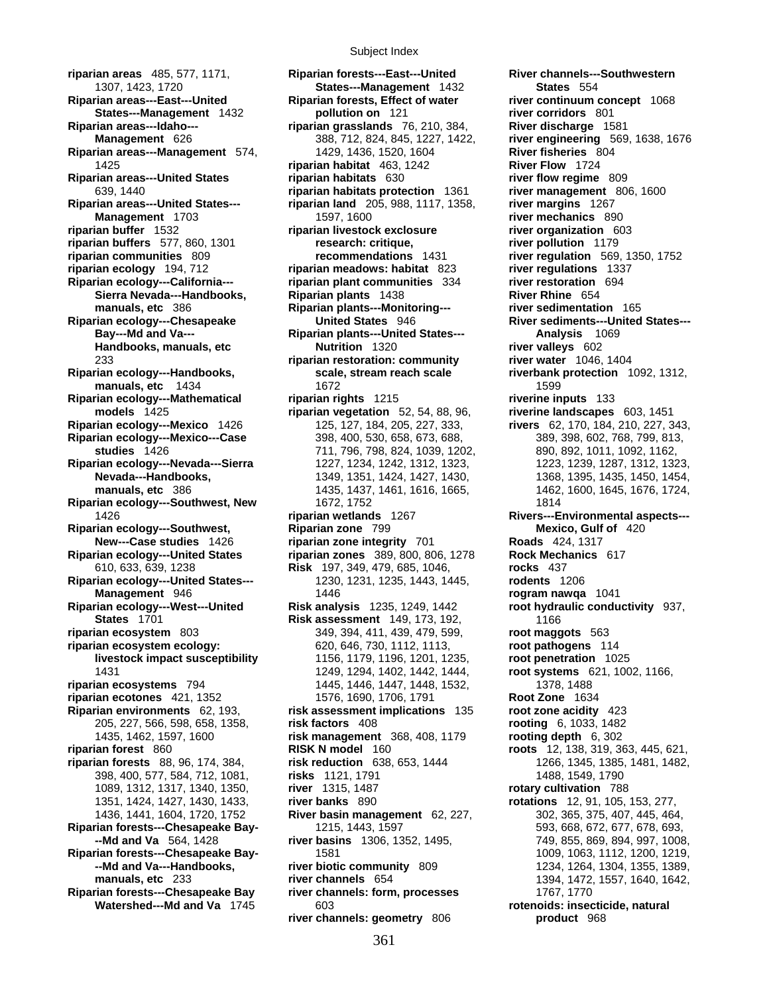Subject Index

**riparian areas** 485, 577, 1171, **Riparian forests---East---United River channels---Southwestern**  1307, 1423, 1720 **States---Management** 1432 **States** 554 **Riparian areas---East---United Riparian forests, Effect of water river continuum concept** 1068 **States---Management** 1432 **pollution on** 121 **river corridors** 801 **Riparian areas---Idaho--- riparian grasslands** 76, 210, 384, **River discharge** 1581 **Management** 626 388, 712, 824, 845, 1227, 1422, **river engineering** 569, 1638, 1676 **Riparian areas---Management** 574, 1429, 1436, 1520, 1604 **River fisheries** 804 1425 **riparian habitat** 463, 1242 **River Flow** 1724 **Riparian areas---United States riparian habitats** 630 **river flow regime** 809 639, 1440 **riparian habitats protection** 1361 **river management** 806, 1600 **Riparian areas---United States--- riparian land** 205, 988, 1117, 1358, **river margins** 1267 **Management** 1703 1597, 1600 **river mechanics** 890 **riparian buffer** 1532 **riparian livestock exclosure river organization** 603 **riparian buffers** 577, 860, 1301 **research: critique, river pollution** 1179 **riparian communities** 809 **recommendations** 1431 **river regulation** 569, 1350, 1752 **riparian ecology** 194, 712 **riparian meadows: habitat** 823 **river regulations** 1337 **Riparian ecology---California--- riparian plant communities** 334 **river restoration** 694 **Sierra Nevada---Handbooks, Riparian plants** 1438 **River Rhine** 654 **manuals, etc** 386 **Riparian plants---Monitoring--- river sedimentation** 165 **Riparian ecology---Chesapeake United States** 946 **River sediments---United States--- Bay---Md and Va--- Riparian plants---United States--- Analysis** 1069 **Handbooks, manuals, etc Nutrition** 1320 **river valleys** 602 233 **riparian restoration: community river water** 1046, 1404 **Riparian ecology---Handbooks, scale, stream reach scale riverbank protection** 1092, 1312, **manuals, etc** 1434 1672 1672 1699 **Riparian ecology---Mathematical riparian rights** 1215 **riverine inputs** 133 **models** 1425 **riparian vegetation** 52, 54, 88, 96, **riverine landscapes** 603, 1451 **Riparian ecology---Mexico** 1426 125, 127, 184, 205, 227, 333, **rivers** 62, 170, 184, 210, 227, 343, **Riparian ecology---Mexico---Case** 398, 400, 530, 658, 673, 688, 389, 398, 602, 768, 799, 813, **studies** 1426 711, 796, 798, 824, 1039, 1202, 890, 892, 1011, 1092, 1162, **Riparian ecology---Nevada---Sierra** 1227, 1234, 1242, 1312, 1323, 1223, 1239, 1287, 1312, 1323, **Nevada---Handbooks,** 1349, 1351, 1424, 1427, 1430, 1368, 1395, 1435, 1450, 1454, **manuals, etc** 386 1435, 1435, 1437, 1461, 1616, 1665, 1462, 1600, 1645, 1676, 1724, **Riparian ecology---Southwest, New 1672, 1752 1814** 1814 1426 **riparian wetlands** 1267 **Rivers---Environmental aspects--- Riparian ecology---Southwest, Riparian zone** 799 **Mexico, Gulf of** 420 **New---Case studies** 1426 **riparian zone integrity** 701 **Roads** 424, 1317 **Riparian ecology---United States riparian zones** 389, 800, 806, 1278 **Rock Mechanics** 617 610, 633, 639, 1238 **Risk** 197, 349, 479, 685, 1046, **rocks** 437 **Riparian ecology---United States---** 1230, 1231, 1235, 1443, 1445, **rodents** 1206 **Management** 946 1446 **rogram nawqa** 1041 Risk analysis 1235, 1249, 1442 root hydraulic conductivity 937, **States** 1701 **Risk assessment** 149, 173, 192, 1166 **riparian ecosystem** 803 349, 394, 411, 439, 479, 599, **root maggots** 563 **riparian ecosystem ecology:** 620, 646, 730, 1112, 1113, **root pathogens** 114 **livestock impact susceptibility** 1156, 1179, 1196, 1201, 1235, **root penetration** 1025 1431 1249, 1294, 1402, 1442, 1444, **root systems** 621, 1002, 1166, **riparian ecosystems** 794 1445, 1446, 1447, 1448, 1532, 1378, 1488 **riparian ecotones** 421, 1352 1576, 1690, 1706, 1791 **Root Zone** 1634 **Riparian environments** 62, 193, **risk assessment implications** 135 **root zone acidity** 423 205, 227, 566, 598, 658, 1358, **risk factors** 408 **rooting** 6, 1033, 1482 1435, 1462, 1597, 1600 **risk management** 368, 408, 1179 **rooting depth** 6, 302 **riparian forest** 860 **RISK N model** 160 **roots** 12, 138, 319, 363, 445, 621, **riparian forests** 88, 96, 174, 384, **risk reduction** 638, 653, 1444 1266, 1345, 1385, 1481, 1482, 398, 400, 577, 584, 712, 1081, **risks** 1121, 1791 1488, 1549, 1790 1089, 1312, 1317, 1340, 1350, **river** 1315, 1487 **rotary cultivation** 788 1351, 1424, 1427, 1430, 1433, **river banks** 890 **rotations** 12, 91, 105, 153, 277, 1436, 1441, 1604, 1720, 1752 **River basin management** 62, 227, 302, 365, 375, 407, 445, 464, **Riparian forests---Chesapeake Bay-** 1215, 1443, 1597 593, 668, 672, 677, 678, 693, **--Md and Va** 564, 1428 **river basins** 1306, 1352, 1495, 749, 855, 869, 894, 997, 1008, **Riparian forests---Chesapeake Bay-** 1581 1009, 1063, 1112, 1200, 1219, **--Md and Va---Handbooks, river biotic community** 809 1234, 1264, 1304, 1355, 1389, **river channels** 654 1394, 1472, 1557, 1640, 1642, **Riparian forests---Chesapeake Bay river channels: form, processes** 1767, 1770 **Watershed---Md and Va** 1745 603 **rotenoids: insecticide, natural river channels: geometry** 806 **product** 968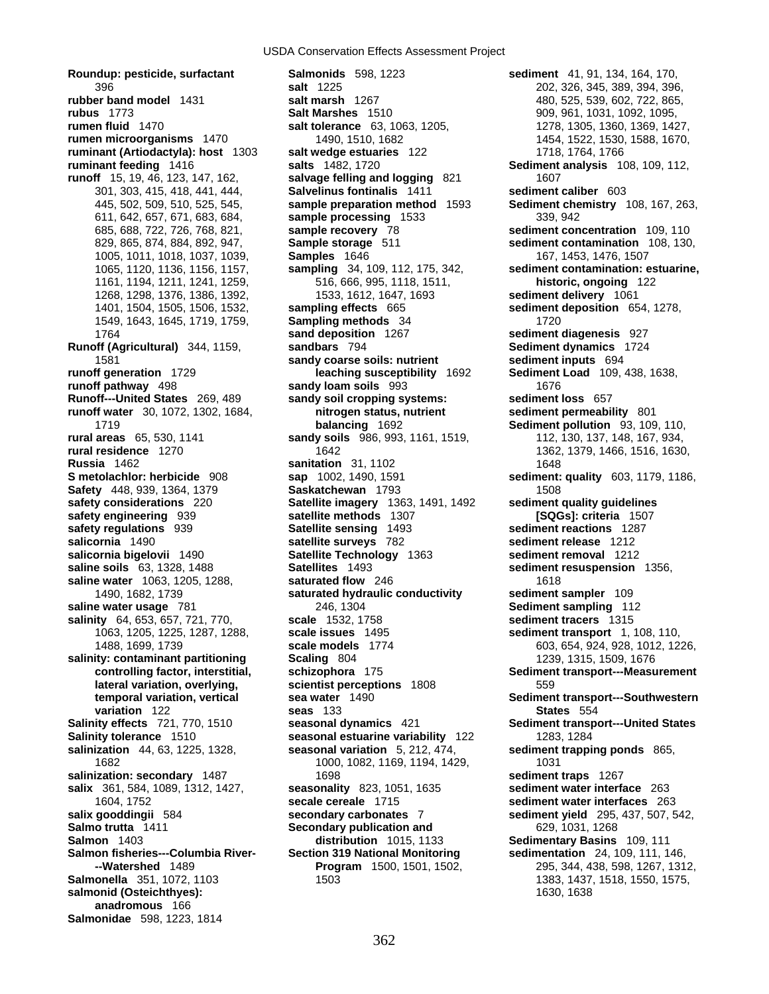**Roundup: pesticide, surfactant Salmonids** 598, 1223 **sediment** 41, 91, 134, 164, 170, **runoff water** 30, 1072, 1302, 1684, **nitrogen status, nutrient** 1719<br>**balancing** 1692 **Safety** 448, 939, 1364, 1379 **Saskatchewan** 1793 **salicornia bigelovii** 1490 **Satellite Technology** 1363 **salinity** 64, 653, 657, 721, 770, **salinization** 44, 63, 1225, 1328, **seasonal variation** 5, 212, 474, **Salmo trutta** 1411 **Secondary publication and salmonid (Osteichthyes):** 1630, 1638 **anadromous** 166 **Salmonidae** 598, 1223, 1814

396 **salt** 1225 202, 326, 345, 389, 394, 396, **rubber band model** 1431 **salt marsh** 1267 480, 525, 539, 602, 722, 865, **rubus** 1773 **Salt Marshes** 1510 909, 961, 1031, 1092, 1095, **rumen fluid** 1470 **salt tolerance** 63, 1063, 1205, 1278, 1305, 1360, 1369, 1427, **rumen microorganisms** 1470 1490, 1510, 1682 1454, 1522, 1530, 1588, 1670, 1688, 1670, **ruminant (Artiodactyla): host** 1303 **salt wedge estuaries** 122 1718, 1764, 1766 **ruminant feeding** 1416 **salts** 1482, 1720 **Sediment analysis** 108, 109, 112, **runoff** 15, 19, 46, 123, 147, 162, **salvage felling and logging** 821 1607 301, 303, 415, 418, 441, 444, **Salvelinus fontinalis** 1411 **sediment caliber** 603 445, 502, 509, 510, 525, 545, **sample preparation method** 1593 **Sediment chemistry** 108, 167, 263, 611, 642, 657, 671, 683, 684, **sample processing** 1533 339, 942 685, 688, 722, 726, 768, 821, **sample recovery** 78 **sediment concentration** 109, 110 1005, 1011, 1018, 1037, 1039, **Samples** 1646 167, 1453, 1476, 1507 1065, 1120, 1136, 1156, 1157, **sampling** 34, 109, 112, 175, 342, **sediment contamination: estuarine,**  1161, 1194, 1211, 1241, 1259, 516, 666, 995, 1118, 1511, **historic, ongoing** 122 1268, 1298, 1376, 1386, 1392, 1533, 1612, 1647, 1693 **sediment delivery** 1061 1401, 1504, 1505, 1506, 1532, **sampling effects** 665 **sediment deposition** 654, 1278, 1549, 1643, 1645, 1719, 1759, **Sampling methods** 34 1720 1764 **sand deposition** 1267 **sediment diagenesis** 927 **Runoff (Agricultural)** 344, 1159, **sandbars** 794 **Sediment dynamics** 1724 1581 **sandy coarse soils: nutrient sediment inputs** 694 **runoff generation** 1729 **leaching susceptibility** 1692 **Sediment Load** 109, 438, 1638, **runoff pathway** 498 **sandy loam soils** 993 1676<br> **Runoff---United States** 269, 489 **sandy soil cropping systems:** Sediment loss 657 **Runoff---United States** 269, 489 **sandy soil cropping systems: sediment loss** 657 1719 **balancing** 1692 **Sediment pollution** 93, 109, 110, **rural areas** 65, 530, 1141 **sandy soils** 986, 993, 1161, 1519, 112, 130, 137, 148, 167, 934, **rural residence** 1270 1642 1362, 1379, 1466, 1516, 1630, **Russia** 1462 **1648 sanitation** 31, 1102 **1648 S metolachlor: herbicide** 908 **sap** 1002, 1490, 1591 **sediment: quality** 603, 1179, 1186, **safety considerations** 220 **Satellite imagery** 1363, 1491, 1492 **sediment quality guidelines safety engineering** 939 **satellite methods** 1307 **[SQGs]: criteria** 1507 **safety regulations** 939 **Satellite sensing** 1493 **sediment reactions** 1287 **salicornia** 1490 **satellite surveys** 782 **sediment release** 1212 **saline soils** 63, 1328, 1488 **Satellites** 1493 **sediment resuspension** 1356, **saline water** 1063, 1205, 1288, **saturated flow** 246 1618 1490, 1682, 1739 **saturated hydraulic conductivity sediment sampler** 109 **saline water usage** 781 246, 1304 **Sediment sampling** 112 1063, 1205, 1225, 1287, 1288, **scale issues** 1495 **sediment transport** 1, 108, 110, 1488, 1699, 1739 **scale models** 1774 603, 654, 924, 928, 1012, 1226, **salinity: contaminant partitioning Scaling** 804 1239, 1315, 1509, 1676 **controlling factor, interstitial, schizophora** 175 **Sediment transport---Measurement lateral variation, overlying, and scientist perceptions** 1808 **1808** 559<br>**temporal variation, vertical 1808** sea water 1490 **temporal variation, vertical sea water** 1490 **Sediment transport---Southwestern variation** 122 **seas** 133 **States** 554 **Salinity effects** 721, 770, 1510 **seasonal dynamics** 421 **Sediment transport---United States Salinity tolerance** 1510 **seasonal estuarine variability** 122 1283, 1284 1682 1000, 1082, 1169, 1194, 1429, 1031 **salinization: secondary** 1487 1698 1267 **sediment traps** 1267 **salix** 361, 584, 1089, 1312, 1427, **seasonality** 823, 1051, 1635 **sediment water interface** 263 1604, 1752 **secale cereale** 1715 **sediment water interfaces** 263 **salix gooddingii** 584 **secondary carbonates** 7 **sediment yield** 295, 437, 507, 542, **Salmon** 1403 **distribution** 1015, 1133 **Sedimentary Basins** 109, 111 **Salmon fisheries---Columbia River- Section 319 National Monitoring sedimentation** 24, 109, 111, 146, **Salmonella** 351, 1072, 1103 1503 1503 1383, 1437, 1518, 1550, 1575, 1518, 1550, 1575,

**sediment contamination** 108, 130, **Program** 1500, 1501, 1502, 295, 344, 438, 598, 1267, 1312,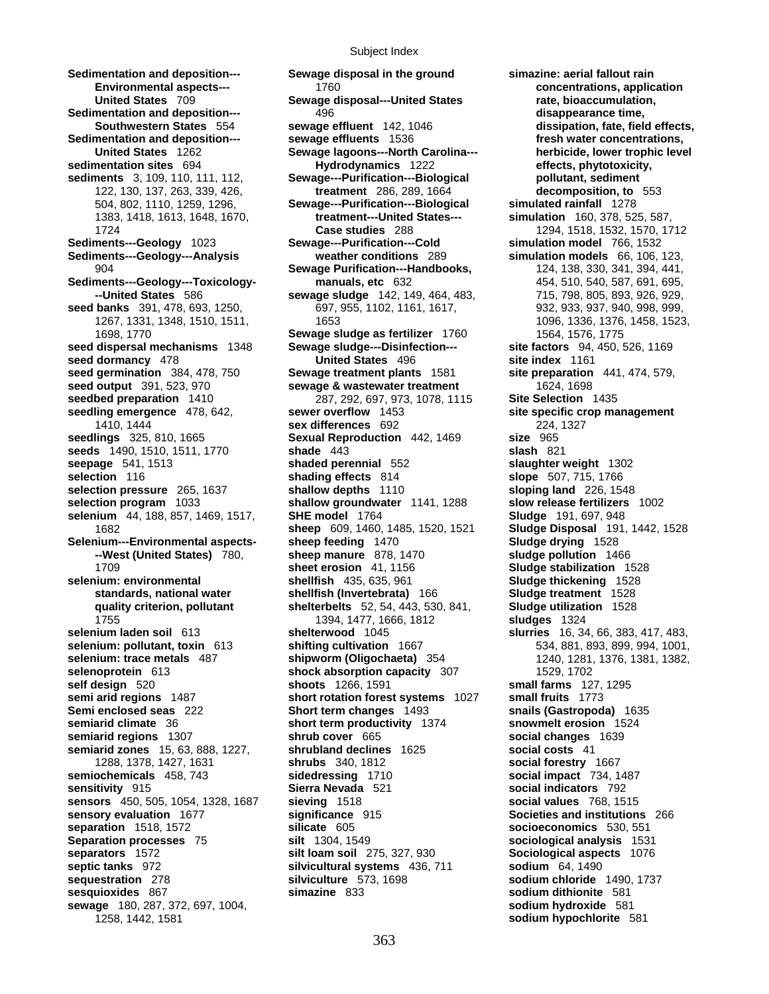**seedbed preparation** 1410 287, 292, 697, 973, 1078, 1115 **seeds** 1490, 1510, 1511, 1770 **shade** 443 **standards, national water shellfish (Invertebrata)** 166 **sewage** 180, 287, 372, 697, 1004, **sodium hydroxide** 581 1258, 1442, 1581 **sodium hypochlorite** 581

**Sedimentation and deposition--- Sewage disposal in the ground simazine: aerial fallout rain Environmental aspects---** 1760 **concentrations, application United States** 709 **Sewage disposal---United States rate, bioaccumulation, Sedimentation and deposition---** 496 **disappearance time, Southwestern States** 554 **sewage effluent** 142, 1046 **dissipation, fate, field effects, Sedimentation and deposition--- sewage effluents** 1536 **fresh water concentrations, United States** 1262 **Sewage lagoons---North Carolina--- herbicide, lower trophic level sedimentation sites** 694 **Hydrodynamics** 1222 **effects, phytotoxicity, sediments** 3, 109, 110, 111, 112, **Sewage---Purification---Biological pollutant, sediment**  122, 130, 137, 263, 339, 426, **treatment** 286, 289, 1664 **decomposition, to** 553 504, 802, 1110, 1259, 1296, **Sewage---Purification---Biological simulated rainfall** 1278 1383, 1418, 1613, 1648, 1670, **treatment---United States--- simulation** 160, 378, 525, 587, **Sediments---Geology** 1023 **Sewage---Purification---Cold simulation model** 766, 1532 **Sediments---Geology---Analysis weather conditions** 289 **simulation models** 66, 106, 123, 904 **Sewage Purification---Handbooks,** 124, 138, 330, 341, 394, 441, **Sediments---Geology---Toxicology- manuals, etc** 632 454, 510, 540, 587, 691, 695, **--United States** 586 **sewage sludge** 142, 149, 464, 483, 715, 798, 805, 893, 926, 929, **seed banks** 391, 478, 693, 1250, 697, 955, 1102, 1161, 1617, 932, 933, 937, 940, 998, 999, 999, 999, 999, 999, 999, 1267, 1331, 1348, 1510, 1511, 1653 1096, 1336, 1376, 1458, 1523, 1698, 1770 **Sewage sludge as fertilizer** 1760 1564, 1576, 1775 **seed dispersal mechanisms** 1348 **Sewage sludge---Disinfection--- site factors** 94, 450, 526, 1169 **seed dormancy** 478 **United States** 496 **site index** 1161 **seed germination** 384, 478, 750 **Sewage treatment plants** 1581 **site preparation** 441, 474, 579, **sewage & wastewater treatment** 1624, 1698<br>287, 292, 697, 973, 1078, 1115 **Site Selection** 1435 **seedling emergence** 478, 642, **sewer overflow** 1453 **site specific crop management** 1410, 1444 **sex differences** 692 224, 1327 **seedlings** 325, 810, 1665 **Sexual Reproduction** 442, 1469 **size** 965 **seepage** 541, 1513 **shaded perennial** 552 **slaughter weight** 1302 **selection** 116 **shading effects** 814 **slope** 507, 715, 1766 **selection pressure** 265, 1637 **shallow depths** 1110 **sloping land** 226, 1548 **selection program** 1033 **shallow groundwater** 1141, 1288 **slow release fertilizers** 1002 **selenium** 44, 188, 857, 1469, 1517, **SHE model** 1764 **Sludge** 191, 697, 948 **sheep** 609, 1460, 1485, 1520, 1521 **Selenium---Environmental aspects- sheep feeding** 1470 **Sludge drying** 1528 **--West (United States)** 780, **sheep manure** 878, 1470 **sludge pollution** 1466 1709 **sheet erosion** 41, 1156 **Sludge stabilization** 1528 **selenium: environmental shellfish** 435, 635, 961 **Sludge thickening** 1528 **quality criterion, pollutant shelterbelts** 52, 54, 443, 530, 841, **Sludge utilization** 1528 1755 1394, 1477, 1666, 1812 **sludges** 1324 **selenium laden soil** 613 **shelterwood** 1045 **slurries** 16, 34, 66, 383, 417, 483, **selenium: pollutant, toxin** 613 **shifting cultivation** 1667 534, 881, 893, 899, 994, 1001, **selenium: trace metals** 487 **shipworm (Oligochaeta)** 354 1240, 1281, 1376, 1381, 1382, **selenoprotein** 613 **shock absorption capacity** 307 1529, 1702 **self design** 520 **shoots** 1266, 1591 **small farms** 127, 1295 **semi arid regions** 1487 **short rotation forest systems** 1027<br>**Short term changes** 1493 **Semi enclosed seas** 222 **Short term changes** 1493 **snails (Gastropoda)** 1635 **short term productivity** 1374 **snowmelt erosion** 1524 **semiarid regions** 1307 **shrub cover** 665 **social changes** 1639 **semiarid zones** 15, 63, 888, 1227, **shrubland declines** 1625 **social costs** 41 1288, 1378, 1427, 1631 **shrubs** 340, 1812 **social forestry** 1667 **semiochemicals** 458, 743 **sidedressing** 1710 **social impact** 734, 1487 **sensitivity** 915 **Sierra Nevada** 521 **social indicators** 792 **sensors** 450, 505, 1054, 1328, 1687 **sieving** 1518 **social values** 768, 1515 **sensory evaluation** 1677 **significance** 915 **Societies and institutions** 266 **separation** 1518, 1572 **silicate** 605 **socioeconomics** 530, 551 **Separation processes** 75 **silt** 1304, 1549 **sociological analysis** 1531 **separators** 1572 **silt loam soil** 275, 327, 930 **Sociological aspects** 1076 **septic tanks** 972 **silvicultural systems** 436, 711 **sodium** 64, 1490<br>**sequestration** 278 **silviculture** 573, 1698 **sodium chloride sequestration** 278 **silviculture** 573, 1698 **sodium chloride** 1490, 1737 **sesquioxides** 867 **simazine** 833 **sodium dithionite** 581

1724 **Case studies** 288 1294, 1518, 1532, 1570, 1712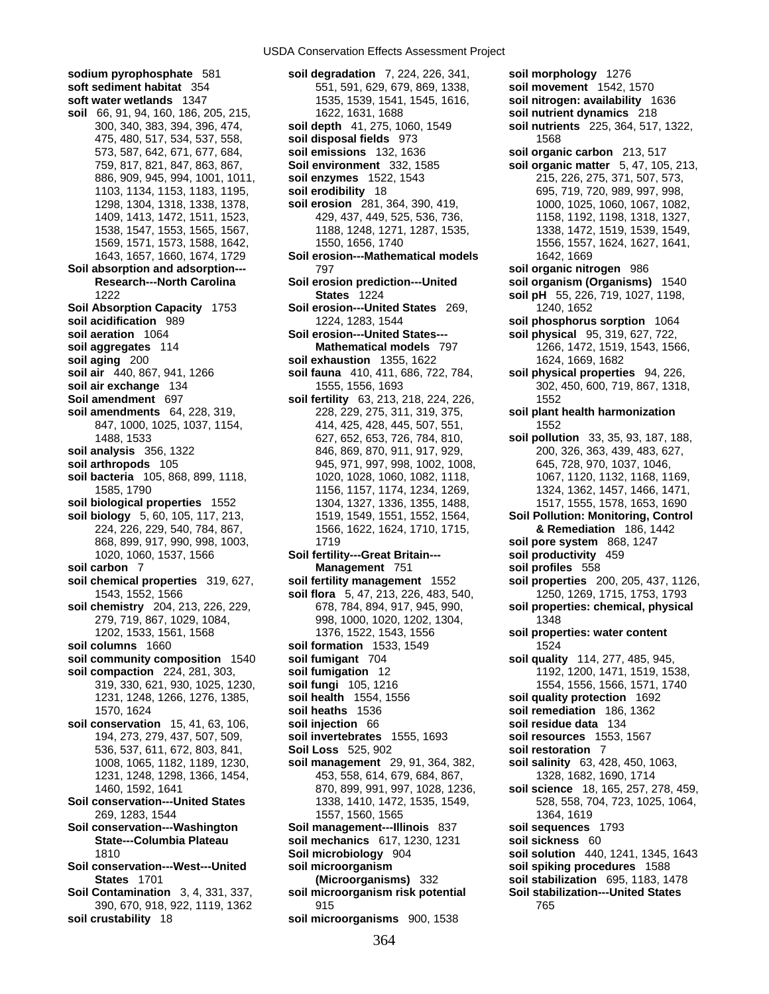536, 537, 611, 672, 803, 841, **Soil Loss** 525, 902

**sodium pyrophosphate** 581 **soil degradation** 7, 224, 226, 341, **soil morphology** 1276 **soft sediment habitat** 354 551, 591, 629, 679, 869, 1338, **soil movement** 1542, 1570 **soil** 66, 91, 94, 160, 186, 205, 215, 1622, 1631, 1688 **soil nutrient dynamics** 218 300, 340, 383, 394, 396, 474, **soil depth** 41, 275, 1060, 1549 **soil nutrients** 225, 364, 517, 1322, 475, 480, 517, 534, 537, 558, **soil disposal fields** 973 1568 573, 587, 642, 671, 677, 684, **soil emissions** 132, 1636 **soil organic carbon** 213, 517 759, 817, 821, 847, 863, 867, **Soil environment** 332, 1585 **soil organic matter** 5, 47, 105, 213, 886, 909, 945, 994, 1001, 1011, **soil enzymes** 1522, 1543 215, 226, 275, 371, 507, 573, 1103, 1134, 1153, 1183, 1195, **soil erodibility** 18 695, 719, 720, 989, 997, 998, 1298, 1304, 1318, 1338, 1378, **soil erosion** 281, 364, 390, 419, 1000, 1025, 1060, 1067, 1082, 1409, 1413, 1472, 1511, 1523, 429, 437, 449, 525, 536, 736, 1158, 1192, 1198, 1318, 1327, 1538, 1547, 1553, 1565, 1567, 1188, 1248, 1271, 1287, 1535, 1338, 1472, 1519, 1539, 1549, 1569, 1571, 1573, 1588, 1642, 1550, 1656, 1740 1556, 1557, 1624, 1627, 1641, 1643, 1657, 1660, 1674, 1729 **Soil erosion---Mathematical models** 1642, 1669 **Soil absorption and adsorption---** 797 **soil organic nitrogen** 986 **Research---North Carolina Soil erosion prediction---United soil organism (Organisms)** 1540 1222 **States** 1224 **soil pH** 55, 226, 719, 1027, 1198, **Soil Absorption Capacity 1753 Soil erosion---United States** 269, 1240, 1652 **soil acidification** 989 1224, 1283, 1544 **soil phosphorus sorption** 1064 **soil aeration** 1064 **Soil erosion---United States--- soil physical** 95, 319, 627, 722, **soil aggregates** 114 **Mathematical models** 797 1266, 1472, 1519, 1543, 1566, **soil aging** 200 **soil exhaustion** 1355, 1622 1624, 1669, 1682 **soil air** 440, 867, 941, 1266 **soil fauna** 410, 411, 686, 722, 784, **soil physical properties** 94, 226, **soil air exchange** 134 1555, 1556, 1693 302, 450, 600, 719, 867, 1318, **Soil amendment** 697 **soil fertility** 63, 213, 218, 224, 226, 1552 **soil amendments** 64, 228, 319, 228, 229, 275, 311, 319, 375, **soil plant health harmonization** 414, 425, 428, 445, 507, 551, 1552 1488, 1533 627, 652, 653, 726, 784, 810, **soil pollution** 33, 35, 93, 187, 188, **soil analysis** 356, 1322 846, 869, 870, 911, 917, 929, 200, 326, 363, 439, 483, 627, **soil arthropods** 105 **945, 971, 997, 998, 1002, 1008, 645, 971 soil bacteria** 105, 868, 899, 1118, 1020, 1028, 1060, 1082, 1118, 1067, 1120, 1132, 1168, 1169, 1585, 1790 1156, 1157, 1174, 1234, 1269, 1324, 1362, 1457, 1466, 1471, **soil biological properties** 1552 1304, 1327, 1336, 1355, 1488, 1517, 1555, 1578, 1653, 1690 **soil biology** 5, 60, 105, 117, 213, 1519, 1549, 1551, 1552, 1564, **Soil Pollution: Monitoring, Control**  224, 226, 229, 540, 784, 867, 1566, 1622, 1624, 1710, 1715, **& Remediation** 186, 1442 868, 899, 917, 990, 998, 1003, 1719 **soil pore system** 868, 1247 1020, 1060, 1537, 1566 **Soil fertility---Great Britain--- soil productivity** 459 **Management** 751 **soil profiles** 558 **soil chemical properties** 319, 627, **soil fertility management** 1552 **soil properties** 200, 205, 437, 1126, **soil flora** 5, 47, 213, 226, 483, 540, 1250, 1269, 1715, 1753, 1793 **soil chemistry** 204, 213, 226, 229, 678, 784, 894, 917, 945, 990, **soil properties: chemical, physical** 279, 719, 867, 1029, 1084, 998, 1000, 1020, 1202, 1304, 1348 1202, 1533, 1561, 1568 1376, 1522, 1543, 1556 **soil properties: water content soil columns** 1660 **soil formation** 1533, 1549 **1524 soil community composition** 1540 **soil fumigant** 704 **soil quality** 114, 277, 485, 945, **soil compaction** 224, 281, 303, **soil fumigation** 12 1192, 1200, 1471, 1519, 1538, 319, 330, 621, 930, 1025, 1230, **soil fungi** 105, 1216 1554, 1556, 1566, 1571, 1740 1231, 1248, 1266, 1276, 1385, **soil health** 1554, 1556 **soil quality protection** 1692 1570, 1624 **soil heaths** 1536 **soil remediation** 186, 1362 **soil conservation** 15, 41, 63, 106, **soil injection** 66 **soil residue data** 134 194, 273, 279, 437, 507, 509, **soil invertebrates** 1555, 1693 **soil resources** 1553, 1567 1008, 1065, 1182, 1189, 1230, **soil management** 29, 91, 364, 382, **soil salinity** 63, 428, 450, 1063, 1231, 1248, 1298, 1366, 1454, 453, 558, 614, 679, 684, 867, 1328, 1682, 1690, 1714 1460, 1592, 1641 870, 899, 991, 997, 1028, 1236, **soil science** 18, 165, 257, 278, 459, **Soil conservation---United States** 1338, 1410, 1472, 1535, 1549, 528, 558, 704, 723, 1025, 1064, 723, 1064, 269, 1283, 1544 1557, 1560, 1565<br> **269, 1364, 1619** 1364, 1619<br> **269, Soil conservation---Washington** 1565 Soil management---Illinois 837 soil sequences **Soil management---Illinois** 837 **soil sequences** 1793 **State---Columbia Plateau soil mechanics** 617, 1230, 1231 **soil sickness** 60 1810 **Soil microbiology** 904 **soil solution** 440, 1241, 1345, 1643 **Soil conservation---West---United soil microorganism soil spiking procedures** 1588 **States** 1701 **(Microorganisms)** 332 **soil stabilization** 695, 1183, 1478 **Soil Contamination** 3, 4, 331, 337, **soil microorganism risk potential Soil stabilization---United States** 390, 670, 918, 922, 1119, 1362 915 765 **soil crustability** 18 **soil microorganisms** 900, 1538

**soft water wetlands** 1347 1535, 1539, 1541, 1545, 1616, **soil nitrogen: availability** 1636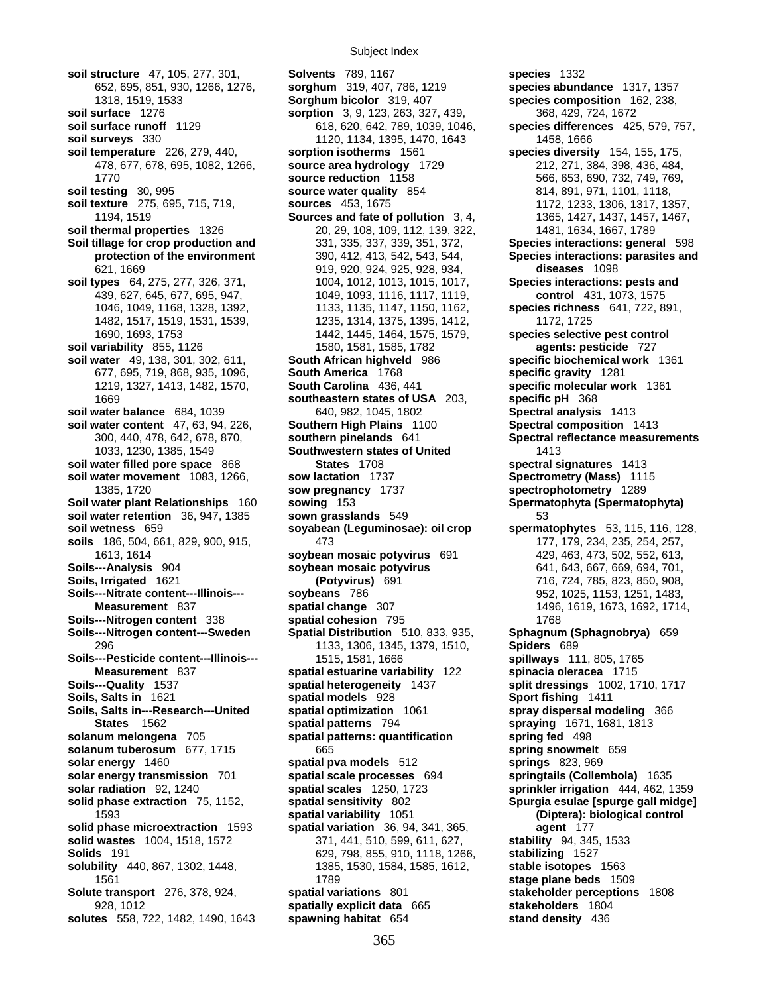**soil water content** 47, 63, 94, 226, **Southern High Plains** 1100

**solutes** 558, 722, 1482, 1490, 1643 **spawning habitat** 654 **stand density** 436

**soil structure** 47, 105, 277, 301, **Solvents** 789, 1167 **species** 1332 652, 695, 851, 930, 1266, 1276, **sorghum** 319, 407, 786, 1219 **species abundance** 1317, 1357 1318, 1519, 1533 **Sorghum bicolor** 319, 407 **species composition** 162, 238, **soil surface** 1276 **sorption** 3, 9, 123, 263, 327, 439, 368, 429, 724, 1672 **soil surface runoff** 1129 618, 620, 642, 789, 1039, 1046, **species differences** 425, 579, 757, **soil surveys** 330 1120, 1134, 1395, 1470, 1643 1458, 1666 **soil temperature** 226, 279, 440, **sorption isotherms** 1561 **species diversity** 154, 155, 175, 478, 677, 678, 695, 1082, 1266, **source area hydrology** 1729 212, 271, 384, 398, 436, 484, **1770 source reduction** 1158 566, 653, 690, 732, 749, 769, 769, **soil testing** 30, 995 **source water quality** 854 814, 891, 971, 1101, 1118, **soil texture** 275, 695, 715, 719, **sources** 453, 1675 1172, 1233, 1306, 1317, 1357, 1194, 1519 **Sources and fate of pollution** 3, 4, 1365, 1427, 1437, 1457, 1467, **soil thermal properties** 1326 20, 29, 108, 109, 112, 139, 322, 1481, 1634, 1667, 1789 **Soil tillage for crop production and** 331, 335, 337, 339, 351, 372, **Species interactions: general** 598 **protection of the environment** 390, 412, 413, 542, 543, 544, **Species interactions: parasites and**  621, 1669 919, 920, 924, 925, 928, 934, **diseases** 1098 **soil types** 64, 275, 277, 326, 371, 1004, 1012, 1013, 1015, 1017, **Species interactions: pests and**  439, 627, 645, 677, 695, 947, 1049, 1093, 1116, 1117, 1119, **control** 431, 1073, 1575 1046, 1049, 1168, 1328, 1392, 1133, 1135, 1147, 1150, 1162, **species richness** 641, 722, 891, 1482, 1517, 1519, 1531, 1539, 1235, 1314, 1375, 1395, 1412, 1172, 1725 1690, 1693, 1753 1442, 1445, 1464, 1575, 1579, **species selective pest control soil variability** 855, 1126 1580, 1581, 1585, 1782 **agents: pesticide** 727 **soil water** 49, 138, 301, 302, 611, **South African highveld** 986 **specific biochemical work** 1361 677, 695, 719, 868, 935, 1096, **South America** 1768 **specific gravity** 1281 1219, 1327, 1413, 1482, 1570, **South Carolina** 436, 441 **specific molecular work** 1361 1669 **southeastern states of USA** 203, **specific pH** 368 **soil water balance** 684, 1039 640, 982, 1045, 1802 **Spectral analysis** 1413 300, 440, 478, 642, 678, 870, **southern pinelands** 641 **Spectral reflectance measurements** 1033, 1230, 1385, 1549 **Southwestern states of United** 1413 **soil water filled pore space** 868 **States** 1708 **spectral signatures** 1413 **soil water movement** 1083, 1266, **sow lactation** 1737 **Spectrometry (Mass)** 1115 1385, 1720 **sow pregnancy** 1737 **spectrophotometry** 1289 **Soil water plant Relationships** 160 **sowing** 153 **Spermatophyta (Spermatophyta) soil water retention** 36, 947, 1385 **sown grasslands** 549 53 **soil wetness** 659 **soyabean (Leguminosae): oil crop spermatophytes** 53, 115, 116, 128, **soils** 186, 504, 661, 829, 900, 915, 473 177, 179, 234, 235, 254, 257, 1613, 1614 **soybean mosaic potyvirus** 691 429, 463, 473, 502, 552, 613, **soybean mosaic potyvirus** 641, 643, 667, 669, 694, 701, **Soils, Irrigated** 1621 **(Potyvirus)** 691 716, 724, 785, 823, 850, 908, **Soils---Nitrate content---Illinois--- soybeans** 786 952, 1025, 1153, 1251, 1483, **Measurement** 837 **spatial change** 307 **1496, 1619, 1673, 1692, 1714, Soils---Nitrogen content** 338 **spatial cohesion** 795 **1768 Soils---Nitrogen content---Sweden Spatial Distribution** 510, 833, 935, **Sphagnum (Sphagnobrya)** 659 296 1133, 1306, 1345, 1379, 1510, **Spiders** 689 **Soils---Pesticide content---Illinois---** 1515, 1581, 1666 **spillways** 111, 805, 1765 **Measurement** 837 **spatial estuarine variability** 122 **spinacia oleracea** 1715 **Soils---Quality** 1537 **spatial heterogeneity** 1437 **split dressings** 1002, 1710, 1717 **Soils, Salts in** 1621 **spatial models** 928 **Sport fishing** 1411 **Soils, Salts in---Research---United spatial optimization** 1061 **spray dispersal modeling** 366 **States** 1562 **spatial patterns** 794 **spraying** 1671, 1681, 1813<br>**solanum melongena** 705 **spatial patterns: quantification spring fed** 498 **spatial patterns: quantification <b>spring fed** 498 **solanum tuberosum** 677, 1715 665 **spring snowmelt** 659 **solar energy** 1460 **spatial pva models** 512 **springs** 823, 969 **solar energy transmission** 701 **spatial scale processes** 694 **springtails (Collembola)** 1635 **solar radiation** 92, 1240 **spatial scales** 1250, 1723 **sprinkler irrigation** 444, 462, 1359 **solid phase extraction** 75, 1152, **spatial sensitivity** 802 **Spurgia esulae [spurge gall midge]**  1593 **spatial variability** 1051 **(Diptera): biological control solid phase microextraction** 1593 **spatial variation** 36, 94, 341, 365, **agent** 177 **solid wastes** 1004, 1518, 1572 371, 441, 510, 599, 611, 627, **stability** 94, 345, 1533 **Solids** 191 629, 798, 855, 910, 1118, 1266, **stabilizing** 1527 **solubility** 440, 867, 1302, 1448, 1385, 1530, 1584, 1585, 1612, **stable isotopes** 1563 1561 1789 **stage plane beds** 1509 **Solute transport** 276, 378, 924, **spatial variations** 801 **stakeholder perceptions** 1808 928, 1012 **spatially explicit data** 665 **stakeholders** 1804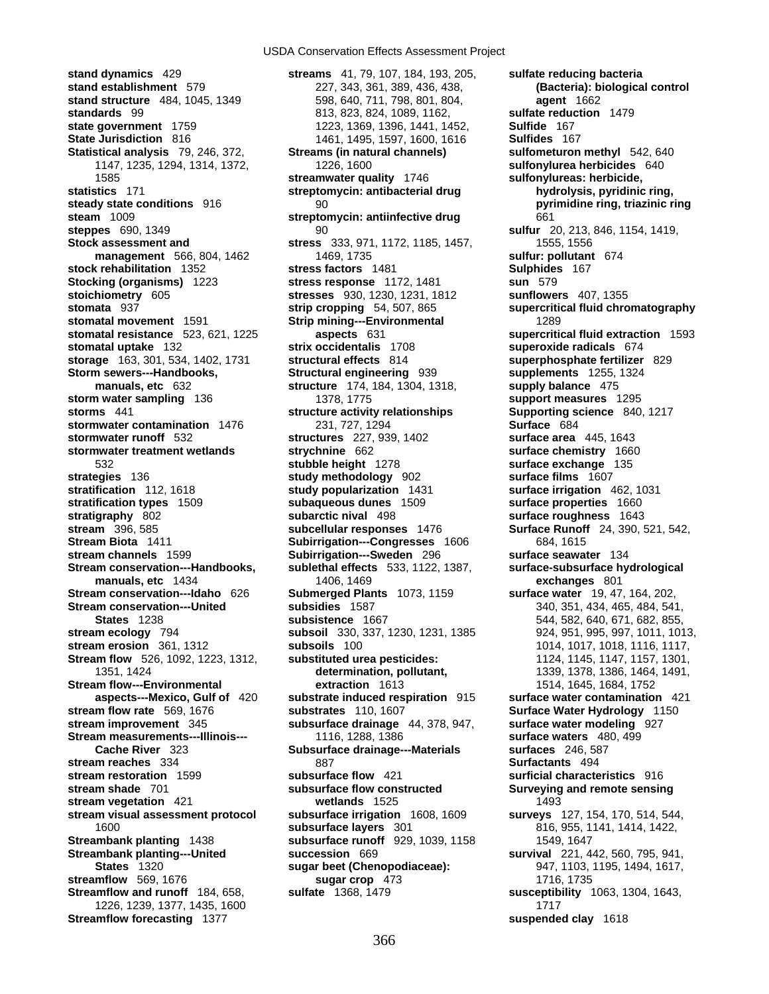**stand dynamics** 429 **streams** 41, 79, 107, 184, 193, 205, **sulfate reducing bacteria stand establishment** 579 227, 343, 361, 389, 436, 438, **(Bacteria): biological control stand structure** 484, 1045, 1349 598, 640, 711, 798, 801, 804, **agent** 1662 **standards** 99 813, 823, 824, 1089, 1162, **sulfate reduction** 1479 **state government** 1759 1223, 1369, 1396, 1441, 1452, **Sulfide** 167 **State Jurisdiction** 816 1461, 1495, 1597, 1600, 1616 **Sulfides** 167 **Statistical analysis** 79, 246, 372, **Streams (in natural channels) sulfometuron methyl** 542, 640 **statistics** 171 **streptomycin: antibacterial drug hydrolysis, pyridinic ring, steady state conditions** 916 90 90 **pyrimidine ring, triazinic ring steam** 1009 **streptomycin: antiinfective drug** 661<br>**steppes** 690, 1349 **sulfur** 2 **Stock assessment and stress** 333, 971, 1172, 1185, 1457, 1555, 1556 **stock rehabilitation** 1352 **stress factors** 1481 **Sulphides** 167 **Stocking (organisms)** 1223 **stress response** 1172, 1481 **sun** 579<br>**stoichiometry** 605 **stresses** 930, 1230, 1231, 1812 **sunflowe stomata** 937 **strip cropping** 54, 507, 865 **supercritical fluid chromatography stomatal movement** 1591 **Strip mining---Environmental** 1289 **stomatal resistance** 523, 621, 1225 **aspects** 631 **supercritical fluid extraction** 1593 **stomatal uptake** 132 **strix occidentalis** 1708 **superoxide radicals** 674 **storage** 163, 301, 534, 1402, 1731 **structural effects** 814 **superphosphate fertilizer** 829 **Storm sewers---Handbooks, Structural engineering** 939 **supplements** 1255, 1324 **storm water sampling** 136 1378, 1775 **support measures** 1295 **storms** 441 **structure activity relationships Supporting science** 840, 1217 **stormwater contamination** 1476 231, 727, 1294 **Surface** 684 **stormwater runoff** 532 **structures** 227, 939, 1402 **surface area** 445, 1643 **stormwater treatment wetlands strychnine** 662 **surface chemistry** 1660 **strategies** 136 **study methodology** 902 **surface films** 1607 **stratification** 112, 1618 **study popularization** 1431 **surface irrigation** 462, 1031 **stratification types** 1509 **subaqueous dunes** 1509 **surface properties** 1660 **stratigraphy** 802 **subarctic nival** 498 **surface roughness** 1643 **stream** 396, 585 **subcellular responses** 1476 **Surface Runoff** 24, 390, 521, 542, **Stream Biota** 1411 **Subirrigation---Congresses** 1606 684, 1615<br> **Subirrigation---Sweden** 296 **Surface seawa Stream conservation---Handbooks, sublethal effects** 533, 1122, 1387, **surface-subsurface hydrological Stream conservation---Idaho** 626 **Submerged Plants** 1073, 1159 **surface water** 19, 47, 164, 202, **Stream conservation---United subsidies** 1587 340, 351, 434, 465, 484, 541, **stream ecology** 794 **subsoil** 330, 337, 1230, 1231, 1385 924, 951, 995, 997, 1011, 1013, **stream erosion** 361, 1312 **subsoils** 100 1014, 1017, 1018, 1116, 1117, 1018, 1117, **Stream flow** 526, 1092, 1223, 1312, **substituted urea pesticides:** 1124, 1145, 1147, 1157, 1301, **Stream flow---Environmental** extraction 1613 1514, 1645, 1684, 1752<br>aspects---Mexico, Gulf of 420 substrate induced respiration 915 surface water contamination 421 **stream flow rate** 569, 1676 **substrates** 110, 1607 **Surface Water Hydrology** 1150<br>**subsurface drainage** 44, 378, 947, **surface water modeling** 927 **Stream measurements---Illinois---** 1116, 1288, 1386 **surface waters** 480, 499 **Cache River** 323 **Subsurface drainage---Materials** surfaces 246, 587 **stream reaches** 334 887 887 **Surfactants** 494 **stream restoration** 1599 **subsurface flow** 421 **surficial characteristics** 916 **stream shade** 701 **subsurface flow constructed Surveying and remote sensing stream vegetation** 421 **wetlands** 1525 1493 **stream visual assessment protocol subsurface irrigation** 1608, 1609 **surveys** 127, 154, 170, 514, 544, **Streambank planting** 1438 **subsurface runoff** 929, 1039, 1158 1549, 1647 **Streambank planting---United succession** 669 **survival** 221, 442, 560, 795, 941, **streamflow** 569, 1676 **sugar crop** 173<br> **Streamflow and runoff** 184, 658, **sulfate** 1368, 1479 **susceptibility** 1 1226, 1239, 1377, 1435, 1600 1717 **Streamflow forecasting** 1377 **suspended clay** 1618

1147, 1235, 1294, 1314, 1372, 1226, 1600 **sulfonylurea herbicides** 640 1585 **streamwater quality** 1746 **sulfonylureas: herbicide, management** 566, 804, 1462 1469, 1735 **sulfur: pollutant** 674 **stresses** 930, 1230, 1231, 1812 **sunflowers** 407, 1355 **manuals, etc** 632 **structure** 174, 184, 1304, 1318, **supply balance** 475 532 **stubble height** 1278 **surface exchange** 135 **Subirrigation---Sweden** 296 **surface seawater** 134 **manuals, etc** 1434 **exchanges** 801<br>**am conservation---Idaho** 626 **exchanges Submerged Plants** 1073, 1159 **exchanges** 801 **States** 1238 **subsistence** 1667 **Subsistence** 1667 **544, 582, 640, 671, 682, 855**, 1351, 1424 **determination, pollutant,** 1339, 1378, 1386, 1464, 1491, **substrate induced respiration** 915 **subsurface drainage** 44, 378, 947, **Cache River** 323 **Subsurface drainage---Materials** 1600 **subsurface layers** 301 816, 955, 1141, 1414, 1422, **States** 1320 **sugar beet (Chenopodiaceae):** 947, 1103, 1195, 1494, 1617,

**steppes** 690, 1349 90 **sulfur** 20, 213, 846, 1154, 1419, **susceptibility** 1063, 1304, 1643,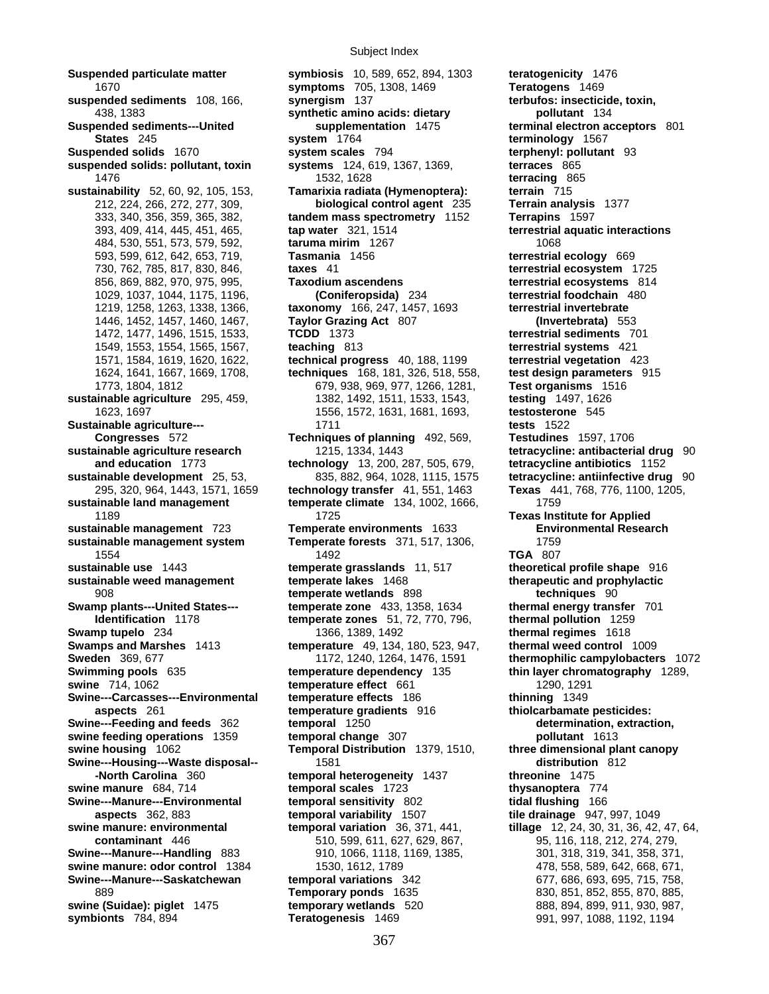**suspended sediments** 108, 166, **synergism** 137 **terbufos: insecticide, toxin, Suspended sediments---United supplementation** 1475 **terminal electron acceptors** 801 **Suspended solids** 1670 **system scales** 794 **terphenyl: pollutant** 93 **suspended solids: pollutant, toxin systems** 124, 619, 1367, 1369, **terraces** 865 **sustainability** 52, 60, 92, 105, 153, **Tamarixia radiata (Hymenoptera): terrain** 715 **sustainable agriculture** 295, 459, 1382, 1492, 1511, 1533, 1543, **testing** 1497, 1626 **Sustainable agriculture---** 1711 **sustainable agriculture research** 1215, 1334, 1443 **tetracycline: antibacterial drug** 90 **sustainable development** 25, 53, 835, 882, 964, 1028, 1115, 1575 **tetracycline: antiinfective drug** 90 **sustainable land management by temperate climate** 134, 1002, 1666, 1759 **sustainable management** 723 **Temperate environments** 1633 **Environmental Research sustainable management system Temperate forests** 371, 517, 1306, 1759<br>1492 **TGA** 807 **sustainable use** 1443 **temperate grasslands** 11, 517 **theoretical profile shape** 916 **sustainable weed management temperate lakes** 1468 **therapeutic and prophylactic Swamp plants---United States--- temperate zone** 433, 1358, 1634 **thermal energy transfer** 701 **Swamp tupelo** 234 1366, 1389, 1492 **thermal regimes** 1618 **Swamps and Marshes** 1413 **temperature** 49, 134, 180, 523, 947, **thermal weed control** 1009 **Swimming pools** 635 **temperature dependency** 135 **thin layer chromatography** 1289, **swine** 714, 1062 **temperature effect** 661 1290, 1291 **Swine---Carcasses---Environmental temperature effects** 186 **thinning** 1349 **Swine---Feeding and feeds** 362 **temporal** 1250 **determination, extraction, and incremental temporal** change 307 **temporal** change 307 **https://windefination. swine feeding operations** 1359 **temporal change** 307 **pollutant** 1613 **Swine---Housing---Waste disposal--** 1581 **distribution** 812 **swine manure** 684, 714 **temporal scales** 1723 **thysanoptera** 774 **Swine---Manure---Environmental temporal sensitivity** 802 **swine manure: environmental temporal variation** 36, 371, 441, **tillage** 12, 24, 30, 31, 36, 42, 47, 64, **Swine---Manure---Handling** 883 910, 1066, 1118, 1169, 1385, 301, 318, 319, 341, 358, 371, 358, 371, **swine manure: odor control** 1384 1530, 1612, 1789 1888 178, 558, 589, 642, 668, 671, **Swine---Manure---Saskatchewan**<br> **1530, 1688, 1788, 1898, 1898, 1898, 1898, 1898, 1898, 1898, 1898, 1898, 1898, 1898, 1898, 1898, 1898**, **swine (Suidae): piglet** 1475 **temporary wetlands** 520 888, 894, 899, 911, 930, 987,

**Suspended particulate matter symbiosis** 10, 589, 652, 894, 1303 **teratogenicity** 1476 1670 **symptoms** 705, 1308, 1469 **Teratogens** 1469 438, 1383 **synthetic amino acids: dietary pollutant** 134 **States** 245 **system** 1764 **terminology** 1567 1476 1532, 1628 **terracing** 865 212, 224, 266, 272, 277, 309, **biological control agent** 235 **Terrain analysis** 1377 333, 340, 356, 359, 365, 382, **tandem mass spectrometry** 1152 **Terrapins** 1597 393, 409, 414, 445, 451, 465, **tap water** 321, 1514 **terrestrial aquatic interactions** 484, 530, 551, 573, 579, 592, **taruma mirim** 1267 1068 593, 599, 612, 642, 653, 719, **Tasmania** 1456 **terrestrial ecology** 669 730, 762, 785, 817, 830, 846, **taxes** 41 **terrestrial ecosystem** 1725 856, 869, 882, 970, 975, 995, **Taxodium ascendens terrestrial ecosystems** 814 1029, 1037, 1044, 1175, 1196, **(Coniferopsida)** 234 **terrestrial foodchain** 480 1219, 1258, 1263, 1338, 1366, **taxonomy** 166, 247, 1457, 1693 **terrestrial invertebrate**  1446, 1452, 1457, 1460, 1467, **Taylor Grazing Act** 807 **(Invertebrata)** 553 1472, 1477, 1496, 1515, 1533, **TCDD** 1373 **terrestrial sediments** 701 1549, 1553, 1554, 1565, 1567, **teaching** 813 **terrestrial systems** 421 1571, 1584, 1619, 1620, 1622, **technical progress** 40, 188, 1199 **terrestrial vegetation** 423 1624, 1641, 1667, 1669, 1708, **techniques** 168, 181, 326, 518, 558, **test design parameters** 915 1773, 1804, 1812 679, 938, 969, 977, 1266, 1281, **Test organisms** 1516 1623, 1697 1556, 1572, 1631, 1681, 1693, **testosterone** 545 **Congresses** 572 **Techniques of planning** 492, 569, **Testudines** 1597, 1706 **and education** 1773 **technology** 13, 200, 287, 505, 679, **tetracycline antibiotics** 1152 295, 320, 964, 1443, 1571, 1659 **technology transfer** 41, 551, 1463 **Texas** 441, 768, 776, 1100, 1205, 1189 1725 **Texas Institute for Applied**  1554 1492 **TGA** 807 908 **temperate wetlands** 898 **techniques** 90 **Identification** 1178 **temperate zones** 51, 72, 770, 796, **thermal pollution** 1259 **aspects** 261 **temperature gradients** 916 **thiolcarbamate pesticides: Temporal Distribution** 1379, 1510, **three dimensional plant canopy -North Carolina** 360 **temporal heterogeneity** 1437 **threonine** 1475 **aspects** 362, 883 **temporal variability** 1507 **tile drainage** 947, 997, 1049 **contaminant** 446 510, 599, 611, 627, 629, 867, 95, 116, 118, 212, 274, 279, **temporal variations** 342 677, 686, 693, 695, 715, 758, 889 **Temporary ponds** 1635 830, 851, 852, 855, 870, 885,

**Sweden** 369, 677 1172, 1240, 1264, 1476, 1591 **thermophilic campylobacters** 1072 **symbionts** 784, 894 **Teratogenesis** 1469 991, 997, 1088, 1192, 1194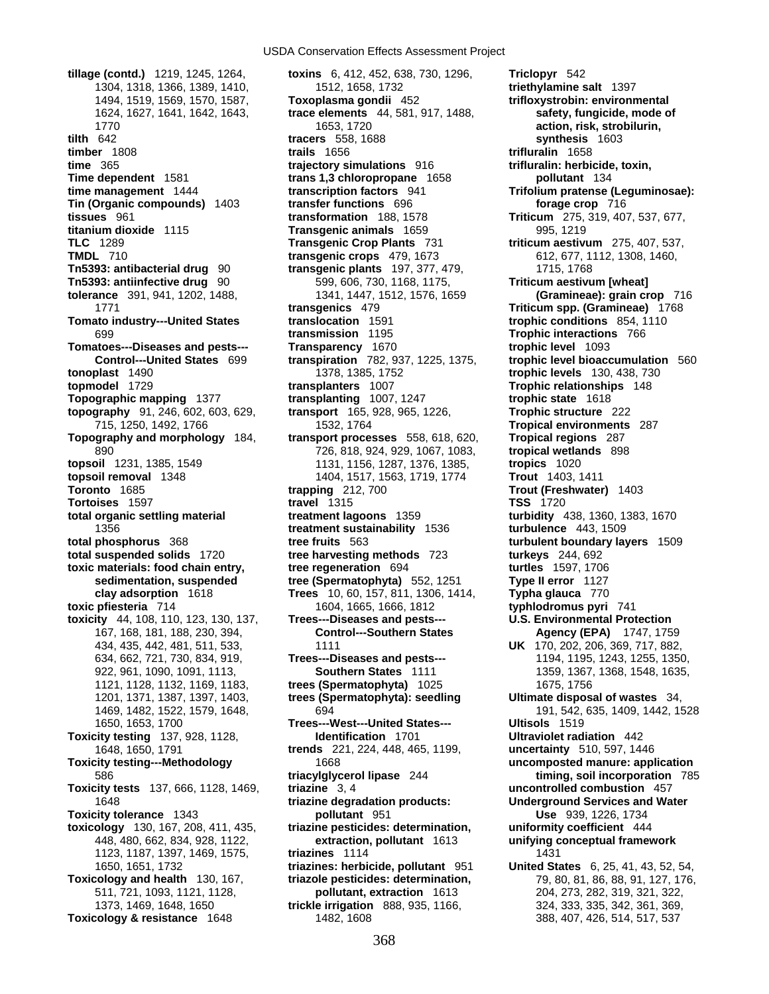**tilth** 642 **tracers** 558, 1688 **synthesis** 1603 **timber** 1808 **trails** 1656 **trifluralin** 1658 **time** 365 **trajectory simulations** 916 **trifluralin: herbicide, toxin, Time dependent** 1581 **trans 1,3 chloropropane** 1658 **pollutant** 134 **time management** 1444 **transcription factors** 941 **Trifolium pratense (Leguminosae): Tin (Organic compounds)** 1403 **transfer functions** 696 **forage crop** 716 **tissues** 961 **transformation** 188, 1578 **Triticum** 275, 319, 407, 537, 677, **titanium dioxide** 1115 **Transgenic animals** 1659 995, 1219 **TLC** 1289 **Transgenic Crop Plants** 731 **triticum aestivum** 275, 407, 537, **TMDL** 710 **transgenic crops** 479, 1673 612, 677, 1112, 1308, 1460, **Tn5393: antibacterial drug** 90 **transgenic plants** 197, 377, 479, 1715, 1768 **Tn5393: antiinfective drug** 90 599, 606, 730, 1168, 1175, **Triticum aestivum [wheat] tolerance** 391, 941, 1202, 1488, 1341, 1447, 1512, 1576, 1659 **(Gramineae): grain crop** 716 **Tomato industry---United States translocation** 1591 **trophic conditions** 854, 1110 **Tomatoes---Diseases and pests--- Transparency** 1670 **trophic level** 1093 **tonoplast** 1490 1378, 1385, 1752 **trophic levels** 130, 438, 730 **topmodel** 1729 **transplanters** 1007 **Trophic relationships** 148 **Topographic mapping** 1377 **transplanting** 1007, 1247 **trophic state** 1618 **topography** 91, 246, 602, 603, 629, **transport** 165, 928, 965, 1226, **Trophic structure** 222 **Topography and morphology** 184, **transport processes** 558, 618, 620, **Tropical regions** 287 **topsoil** 1231, 1385, 1549 1131, 1156, 1287, 1376, 1385, **tropics** 1020 **topsoil removal** 1348 1404, 1517, 1563, 1719, 1774 **Trout** 1403, 1411 **Toronto** 1685 **trapping** 212, 700 **Trout (Freshwater)** 1403 **Tortoises** 1597 **travel** 1315 **TSS** 1720 **total organic settling material treatment lagoons** 1359 **turbidity** 438, 1360, 1383, 1670 **total phosphorus** 368 **tree fruits** 563 **turbulent boundary layers** 1509 **total suspended solids** 1720 **tree harvesting methods** 723 **turkeys** 244, 692 **toxic materials: food chain entry, tree regeneration** 694 **toxic pfiesteria** 714 1604, 1665, 1666, 1812 **typhlodromus pyri** 741 **toxicity** 44, 108, 110, 123, 130, 137, **Toxicity testing** 137, 928, 1128, **Identification** 1701 **Ultraviolet radiation** 442 **Toxicity testing---Methodology** 1668 **uncomposted manure: application Toxicity tests** 137, 666, 1128, 1469, **triazine** 3, 4 **uncontrolled combustion** 457 **Toxicity tolerance** 1343 **pollutant** 951 **Use** 939, 1226, 1734 **toxicology** 130, 167, 208, 411, 435, **triazine pesticides: determination, uniformity coefficient** 444 **Toxicology and health** 130, 167, **triazole pesticides: determination,** 79, 80, 81, 86, 88, 91, 127, 176, **Toxicology & resistance** 1648 1482, 1608 1482, 1608 388, 407, 426, 514, 517, 537

**tillage (contd.)** 1219, 1245, 1264, **toxins** 6, 412, 452, 638, 730, 1296, **Triclopyr** 542 1304, 1318, 1366, 1389, 1410, 1512, 1658, 1732 **triethylamine salt** 1397 1494, 1519, 1569, 1570, 1587, **Toxoplasma gondii** 452 **trifloxystrobin: environmental**  1624, 1627, 1641, 1642, 1643, **trace elements** 44, 581, 917, 1488, **safety, fungicide, mode of**  1770 1653, 1720 **action, risk, strobilurin,**  1771 **transgenics** 479 **Triticum spp. (Gramineae)** 1768 699 **transmission** 1195 **Trophic interactions** 766 715, 1250, 1492, 1766 1532, 1764 **Tropical environments** 287 890 726, 818, 924, 929, 1067, 1083, **tropical wetlands** 898 1356 **treatment sustainability** 1536 **turbulence** 443, 1509 **sedimentation, suspended tree (Spermatophyta)** 552, 1251 **Type II error** 1127 **clay adsorption** 1618 **Trees** 10, 60, 157, 811, 1306, 1414, **Typha glauca** 770 167, 168, 181, 188, 230, 394, **Control---Southern States Agency (EPA)** 1747, 1759 434, 435, 442, 481, 511, 533, 1111 **UK** 170, 202, 206, 369, 717, 882, 634, 662, 721, 730, 834, 919, **Trees---Diseases and pests---** 1194, 1195, 1243, 1255, 1350, 922, 961, 1090, 1091, 1113, **Southern States** 1111 1359, 1367, 1368, 1548, 1635, 1121, 1128, 1132, 1169, 1183, **trees (Spermatophyta)** 1025 1675, 1756 1201, 1371, 1387, 1397, 1403, **trees (Spermatophyta): seedling Ultimate disposal of wastes** 34, 1650, 1653, 1700 **Trees---West---United States--- Ultisols** 1519 1648, 1650, 1791 **trends** 221, 224, 448, 465, 1199, **uncertainty** 510, 597, 1446 1648 **triazine degradation products: Underground Services and Water**  448, 480, 662, 834, 928, 1122, **extraction, pollutant** 1613 **unifying conceptual framework** 1123, 1187, 1397, 1469, 1575, **triazines** 1114 123, 1187, 1397, 1431 1650, 1651, 1732 **triazines: herbicide, pollutant** 951 **United States** 6, 25, 41, 43, 52, 54, 511, 721, 1093, 1121, 1128, **pollutant, extraction** 1613 204, 273, 282, 319, 321, 322, 1373, 1469, 1648, 1650 **trickle irrigation** 888, 935, 1166, 324, 333, 335, 342, 361, 369,

**Control---United States** 699 **transpiration** 782, 937, 1225, 1375, **trophic level bioaccumulation** 560 1469, 1482, 1522, 1579, 1648, 694 191, 542, 635, 1409, 1442, 1528 586 **triacylglycerol lipase** 244 **timing, soil incorporation** 785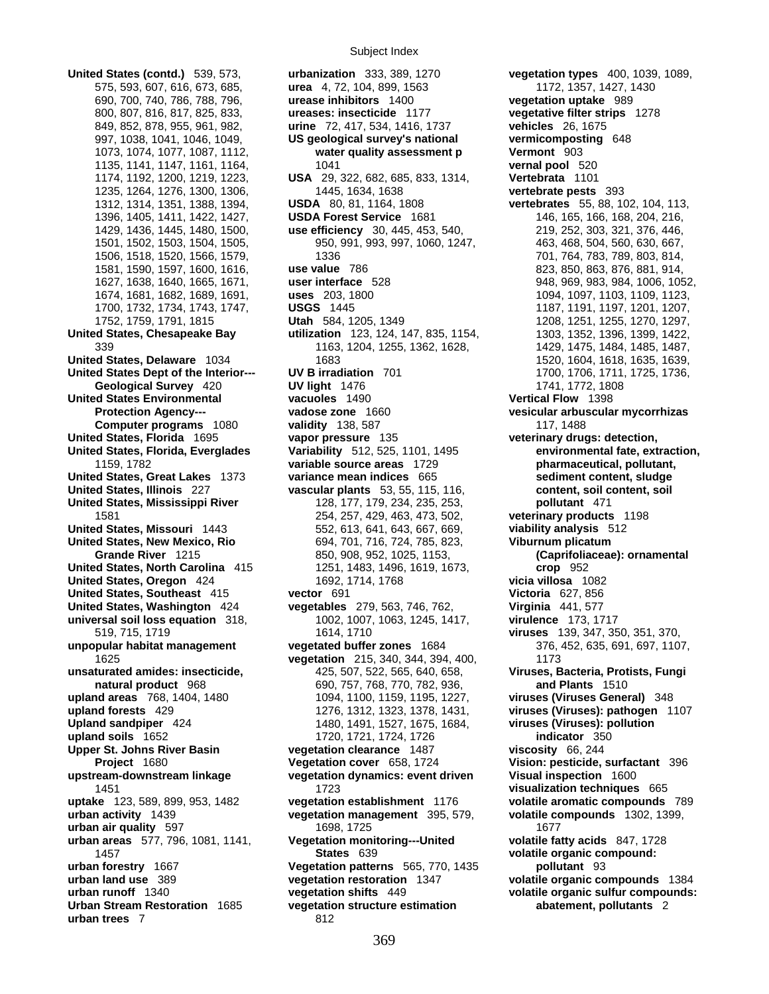690, 700, 740, 786, 788, 796, **urease inhibitors** 1400 **vegetation uptake** 989 **United States Environmental vacuoles** 1490<br>**Protection Agency---** vadose zone 1660 **urban trees** 7 812

**United States (contd.)** 539, 573, **urbanization** 333, 389, 1270 **vegetation types** 400, 1039, 1089, 575, 593, 607, 616, 673, 685, **urea** 4, 72, 104, 899, 1563 1172, 1357, 1427, 1430 800, 807, 816, 817, 825, 833, **ureases: insecticide** 1177 **vegetative filter strips** 1278 849, 852, 878, 955, 961, 982, **urine** 72, 417, 534, 1416, 1737 **vehicles** 26, 1675 997, 1038, 1041, 1046, 1049, **US geological survey's national vermicomposting** 648 1073, 1074, 1077, 1087, 1112, **water quality assessment p Vermont** 903 1135, 1141, 1147, 1161, 1164, 1041 **vernal pool** 520 1174, 1192, 1200, 1219, 1223, **USA** 29, 322, 682, 685, 833, 1314, **Vertebrata** 1101 1235, 1264, 1276, 1300, 1306, 1445, 1634, 1638 **vertebrate pests** 393 1312, 1314, 1351, 1388, 1394, **USDA** 80, 81, 1164, 1808 **vertebrates** 55, 88, 102, 104, 113, 1396, 1405, 1411, 1422, 1427, **USDA Forest Service** 1681 146, 165, 166, 168, 204, 216, 1429, 1436, 1445, 1480, 1500, **use efficiency** 30, 445, 453, 540, 219, 252, 303, 321, 376, 446, 1501, 1502, 1503, 1504, 1505, 950, 991, 993, 997, 1060, 1247, 463, 468, 504, 560, 630, 667, 1506, 1518, 1520, 1566, 1579, 1336 701, 764, 783, 789, 803, 814, 1581, 1590, 1597, 1600, 1616, **use value** 786 823, 850, 863, 876, 881, 914, 1627, 1638, 1640, 1665, 1671, **user interface** 528 948, 969, 983, 984, 1006, 1052, 1674, 1681, 1682, 1689, 1691, **uses** 203, 1800 1094, 1097, 1103, 1109, 1123, 1700, 1732, 1734, 1743, 1747, **USGS** 1445 1187, 1191, 1197, 1201, 1207, 1752, 1759, 1791, 1815 **Utah** 584, 1205, 1349 1208, 1251, 1255, 1270, 1297, **United States, Chesapeake Bay utilization** 123, 124, 147, 835, 1154, 1303, 1352, 1396, 1399, 1422, 339 1163, 1204, 1255, 1362, 1628, 1429, 1475, 1484, 1485, 1487, **United States, Delaware** 1034 1683 1539, 1604, 1618, 1635, 1639, 1639, 1635, 1639, **United States Dept of the Interior--- <b>UV B irradiation** 701 1700, 1700, 1706, 1711, 1725, 1736, **Geological Survey** 420 **UV light** 1476 1741, 1772, 1808 **Protection Agency--- vadose zone** 1660 **vesicular arbuscular mycorrhizas Computer programs** 1080 validity 138, 587 117, 1488 **United States, Florida** 1695 **vapor pressure** 135 **veterinary drugs: detection, United States, Florida, Everglades Variability** 512, 525, 1101, 1495 **environmental fate, extraction,**  1159, 1782 **variable source areas** 1729 **pharmaceutical, pollutant, United States, Great Lakes** 1373 **variance mean indices** 665 **sediment content, sludge United States, Illinois** 227 **vascular plants** 53, 55, 115, 116, **content, soil content, soil United States, Mississippi River** 128, 177, 179, 234, 235, 253, **pollutant** 471 1581 254, 257, 429, 463, 473, 502, **veterinary products** 1198 **United States, Missouri** 1443 552, 613, 641, 643, 667, 669, **viability analysis** 512 **United States, New Mexico, Rio** 694, 701, 716, 724, 785, 823, **Viburnum plicatum United States, North Carolina** 415 1251, 1483, 1496, 1619, 1673, **crop** 952 **United States, Oregon** 424 1692, 1714, 1768 **vicia villosa** 1082 **United States, Southeast** 415 **vector** 691 **Victoria** 627, 856 **United States, Washington** 424 **vegetables** 279, 563, 746, 762, **Virginia** 441, 577 **universal soil loss equation** 318, 1002, 1007, 1063, 1245, 1417, **virulence** 173, 1717 519, 715, 1719 1614, 1710 **viruses** 139, 347, 350, 351, 370, **unpopular habitat management vegetated buffer zones** 1684 376, 452, 635, 691, 697, 1107, 1625 **vegetation** 215, 340, 344, 394, 400, 1173 **unsaturated amides: insecticide,** 425, 507, 522, 565, 640, 658, **Viruses, Bacteria, Protists, Fungi natural product** 968 690, 757, 768, 770, 782, 936, **and Plants** 1510 **upland areas** 768, 1404, 1480 1094, 1100, 1159, 1195, 1227, **viruses (Viruses General)** 348 **upland forests** 429 1276, 1312, 1323, 1378, 1431, **viruses (Viruses): pathogen** 1107 **Upland sandpiper** 424 1480, 1491, 1527, 1675, 1684, **viruses (Viruses): pollution upland soils** 1652 1720, 1721, 1724, 1726 **indicator** 350 **Upper St. Johns River Basin vegetation clearance** 1487 **viscosity** 66, 244 **Project** 1680 **Vegetation cover** 658, 1724 **Vision: pesticide, surfactant** 396 **upstream-downstream linkage vegetation dynamics: event driven Visual inspection** 1600 1451 1723 **visualization techniques** 665 **uptake** 123, 589, 899, 953, 1482 **vegetation establishment** 1176 **volatile aromatic compounds** 789 **urban activity** 1439 **vegetation management** 395, 579, **volatile compounds** 1302, 1399, **urban air quality** 597 1698, 1725 1698, 1725 1677 **urban areas** 577, 796, 1081, 1141, **Vegetation monitoring---United volatile fatty acids** 847, 1728 1457 **States** 639 **volatile organic compound: urban forestry** 1667 **Vegetation patterns** 565, 770, 1435 **pollutant** 93 **urban land use** 389 **vegetation restoration** 1347 **volatile organic compounds** 1384 **urban runoff** 1340 **vegetation shifts** 449 **volatile organic sulfur compounds: Urban Stream Restoration** 1685 **vegetation structure estimation abatement, pollutants** 2

850, 908, 952, 1025, 1153, **(Caprifoliaceae): ornamental** <br>1251, 1483, 1496, 1619, 1673, **crop** 952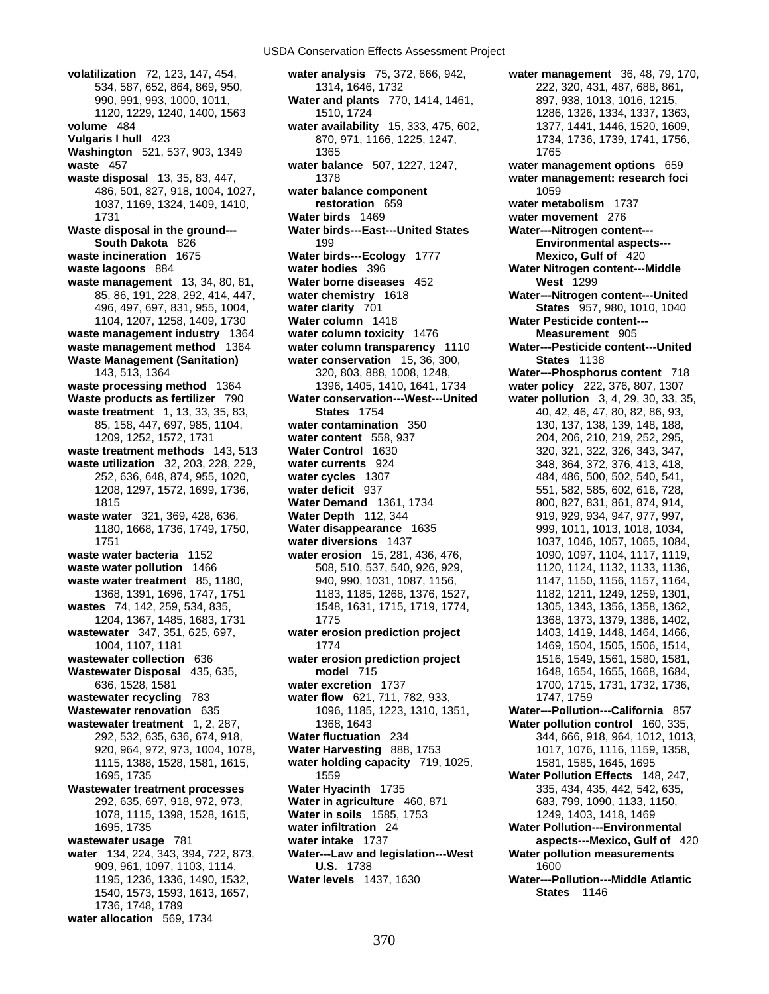**wastewater recycling** 783 **water flow** 621, 711, 782, 933, 1540, 1573, 1593, 1613, 1657, **States** 1146 1736, 1748, 1789 **water allocation** 569, 1734

**volatilization** 72, 123, 147, 454, **water analysis** 75, 372, 666, 942, **water management** 36, 48, 79, 170, 534, 587, 652, 864, 869, 950, 1314, 1646, 1732 222, 320, 431, 487, 688, 861, 990, 991, 993, 1000, 1011, **Water and plants** 770, 1414, 1461, 897, 938, 1013, 1016, 1215, 1120, 1229, 1240, 1400, 1563 1510, 1724 1286, 1326, 1334, 1337, 1363, **volume** 484 **water availability** 15, 333, 475, 602, 1377, 1441, 1446, 1520, 1609, **Vulgaris l hull** 423 870, 971, 1166, 1225, 1247, 1734, 1736, 1739, 1741, 1756, **Washington** 521, 537, 903, 1349 1365 1365 1365 1765 **waste** 457 **water balance** 507, 1227, 1247, **water management options** 659 **waste disposal** 13, 35, 83, 447, 1378 **water management: research foci** 486, 501, 827, 918, 1004, 1027, **water balance component** 1059 1037, 1169, 1324, 1409, 1410, **restoration** 659 **water metabolism** 1737 1731 **Water birds** 1469 **water movement** 276 **Waste disposal in the ground--- Water birds---East---United States Water---Nitrogen content--- South Dakota** 826 199 **Environmental aspects-- waste incineration** 1675 **Water birds---Ecology** 1777 **Mexico, Gulf of** 420 **waste lagoons** 884 **water bodies** 396 **Water Nitrogen content---Middle waste management** 13, 34, 80, 81, **Water borne diseases** 452 **West** 1299 85, 86, 191, 228, 292, 414, 447, **water chemistry** 1618 **Water---Nitrogen content---United**  496, 497, 697, 831, 955, 1004, **water clarity** 701 **States** 957, 980, 1010, 1040 1104, 1207, 1258, 1409, 1730 **Water column** 1418 **Water Pesticide content-- waste management industry** 1364 **water column toxicity** 1476 **Measurement** 905 **waste management method** 1364 **water column transparency** 1110 **Water---Pesticide content---United Waste Management (Sanitation) <b>water conservation** 15, 36, 300, **States** 1138 143, 513, 1364 320, 803, 888, 1008, 1248, **Water---Phosphorus content** 718 **waste processing method** 1364 1396, 1405, 1410, 1641, 1734 **water policy** 222, 376, 807, 1307<br>**Water conservation---West---United water pollution** 3, 4, 29, 30, 33, 3 **Waste products as fertilizer** 790 **Water conservation---West---United water pollution** 3, 4, 29, 30, 33, 35, **waste treatment** 1, 13, 33, 35, 83, **States** 1754 **1, 13, 33, 35, 83, 1104, 20, 42, 46, 47, 80, 82, 86, 93, 86, 93, 86, 93, 86, 93, 86, 93, 86, 93, 86, 93, 86, 93, 86, 93, 86, 93, 86, 97, 88, 148, 188, 188, 188, 188, 188,** 85, 158, 447, 697, 985, 1104, **water contamination** 350 130, 137, 138, 139, 148, 188, 1209, 1252, 1572, 1731 **water content** 558, 937 204, 206, 210, 219, 252, 295, **waste treatment methods** 143, 513 **Water Control** 1630 320, 321, 322, 326, 343, 347, **waste utilization** 32, 203, 228, 229, **water currents** 924 348, 364, 372, 376, 413, 418, 252, 636, 648, 874, 955, 1020, **water cycles** 1307 484, 486, 500, 502, 540, 541, 1208, 1297, 1572, 1699, 1736, **water deficit** 937 551, 582, 585, 602, 616, 728, 1815 **Water Demand** 1361, 1734 800, 827, 831, 861, 874, 914, **waste water** 321, 369, 428, 636, **Water Depth** 112, 344 919, 929, 934, 947, 977, 997, 1180, 1668, 1736, 1749, 1750, **Water disappearance** 1635 999, 1011, 1013, 1018, 1034, 1751 **water diversions** 1437 1037, 1046, 1057, 1065, 1084, **waste water bacteria** 1152 **water erosion** 15, 281, 436, 476, 1090, 1097, 1104, 1117, 1119, **waste water pollution** 1466 508, 510, 537, 540, 926, 929, 1120, 1124, 1132, 1133, 1136, 1136, waste water treatment 85, 1180, 890, 990, 990, 1031, 1087, 1156, 1147, 1147, 1150, 1156, 1157, 1164, 1368, 1391, 1696, 1747, 1751 1183, 1185, 1268, 1376, 1527, 1182, 1211, 1249, 1259, 1301, wastes 74, 142, 259, 534, 835, 1548, 1631, 1715, 1719, 1774, 1305, 1343, 1356, 1358, 1362, 1204, 1367, 1485, 1683, 1731 1775 1368, 1373, 1379, 1386, 1402, **wastewater** 347, 351, 625, 697, **water erosion prediction project** 1403, 1419, 1448, 1464, 1466, 1004, 1107, 1181 1774 1469, 1504, 1505, 1506, 1514, **wastewater collection** 636 **water erosion prediction project** 1516, 1549, 1561, 1580, 1581, **Wastewater Disposal** 435, 635, **model** 715 1648, 1654, 1655, 1668, 1684, 1655, 1668, 1684, 636, 1528, 1581 **water excretion** 1737 1700, 1715, 1731, 1732, 1736, **Wastewater renovation** 635 1096, 1185, 1223, 1310, 1351, **Water---Pollution---California** 857<br> **wastewater treatment** 1, 2, 287, 1368, 1643 **1368, 1643 Water pollution control** 160, 335, 292, 532, 635, 636, 674, 918, **Water fluctuation** 234 344, 666, 918, 964, 1012, 1013, 920, 964, 972, 973, 1004, 1078, **Water Harvesting** 888, 1753 1017, 1076, 1116, 1159, 1358, 1115, 1388, 1528, 1581, 1615, **water holding capacity** 719, 1025, 1581, 1585, 1645, 1695 1695, 1735 1559 **Water Pollution Effects** 148, 247, **Wastewater treatment processes Water Hyacinth** 1735 335, 434, 435, 442, 542, 635, 292, 635, 697, 918, 972, 973, **Water in agriculture** 460, 871 683, 799, 1090, 1133, 1150, 1078, 1115, 1398, 1528, 1615, **Water in soils** 1585, 1753 1249, 1403, 1418, 1469 1695, 1735 **water infiltration** 24 **Water Pollution---Environmental wastewater usage** 781 **water intake** 1737 **aspects---Mexico, Gulf of** 420 **water** 134, 224, 343, 394, 722, 873, **Water---Law and legislation---West Water pollution measurements** 909, 961, 1097, 1103, 1114, **U.S.** 1738 **1600** 1195, 1236, 1336, 1490, 1532, **Water levels** 1437, 1630 **Water---Pollution---Middle Atlantic** 

**Water pollution control** 160, 335,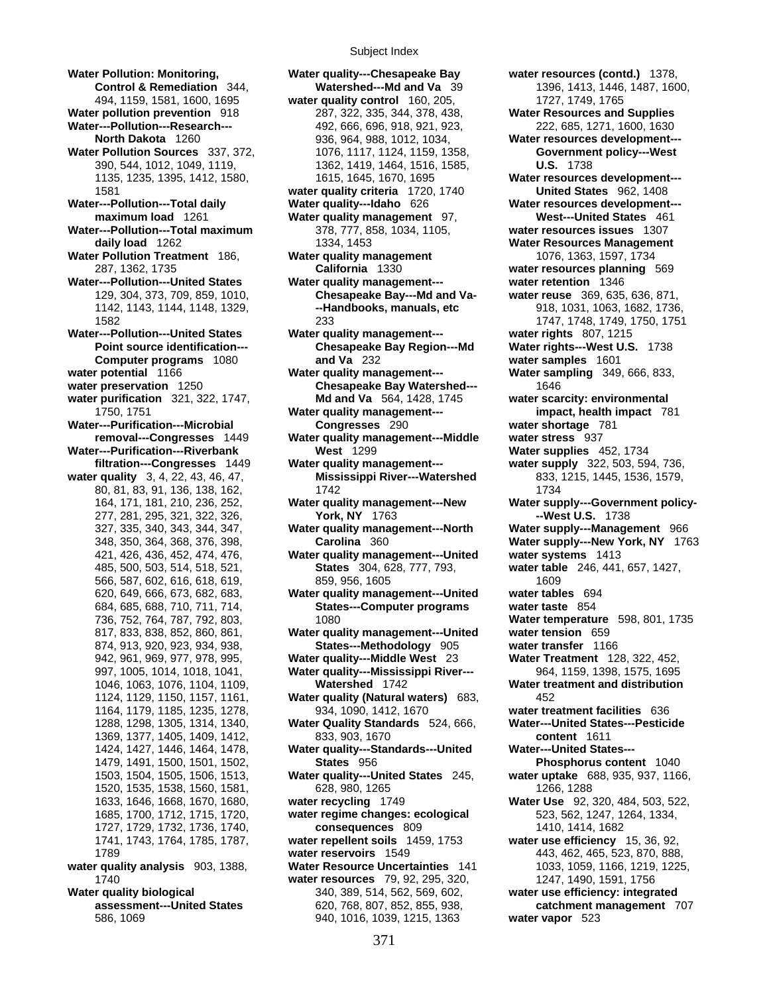**Water Pollution: Monitoring, Water quality---Chesapeake Bay water resources (contd.)** 1378, **Water pollution prevention** 918 287, 322, 335, 344, 378, 438, **Water Resources and Supplies Water---Pollution---Research---** 492, 666, 696, 918, 921, 923, 222, 685, 1271, 1600, 1630 **Water Pollution Sources** 337, 372, 1076, 1117, 1124, 1159, 1358, **Government policy--- West Water---Pollution---Total daily Water quality---Idaho** 626 **Water resources development--- Water---Pollution---Total maximum** 378, 777, 858, 1034, 1105, **water resources issues** 1307 **Water Pollution Treatment** 186, **Water quality management** 1076, 1363, 1597, 1734 **Water---Pollution---United States Water quality management--- water retention** 1346 **Water---Pollution---United States Water quality management--- water rights** 807, 1215 **water potential** 1166 **Water quality management--- Water sampling** 349, 666, 833, **water preservation** 1250 **Chesapeake Bay Watershed---** 1646 **water purification** 321, 322, 1747, **Md and Va** 564, 1428, 1745 **water scarcity: environmental Water---Purification---Microbial Congresses** 290 **water shortage** 781 **Water---Purification---Riverbank West** 1299 **Water supplies** 452, 1734 **water quality** 3, 4, 22, 43, 46, 47, **Mississippi River---Watershed** 833, 1215, 1445, 1536, 1579, **water quality analysis** 903, 1388, **Water Resource Uncertainties** 141 1033, 1059, 1166, 1219, 1225,

**Control & Remediation** 344, **Watershed---Md and Va** 39 1396, 1413, 1446, 1487, 1600, 494, 1159, 1581, 1600, 1695 **water quality control** 160, 205, 1727, 1749, 1765 **North Dakota** 1260 **1288** 936, 964, 988, 1012, 1034, **Water resources development---**390, 544, 1012, 1049, 1119, 1362, 1419, 1464, 1516, 1585, **U.S.** 1738 1135, 1235, 1395, 1412, 1580, 1615, 1645, 1670, 1695 **Water resources development---** 1581 **water quality criteria** 1720, 1740 **United States** 962, 1408 **maximum load** 1261 **Water quality management** 97, **West---United States** 461 **daily load** 1262 1334, 1453 **Water Resources Management** 287, 1362, 1735 **California** 1330 **water resources planning** 569 129, 304, 373, 709, 859, 1010, **Chesapeake Bay---Md and Va- water reuse** 369, 635, 636, 871, 1142, 1143, 1144, 1148, 1329, **--Handbooks, manuals, etc** 918, 1031, 1063, 1682, 1736, 1582 233 1747, 1748, 1749, 1750, 1751 **Point source identification--- Chesapeake Bay Region---Md Water rights---West U.S.** 1738 **Computer programs** 1080 **and Va** 232 **water samples** 1601 1750, 1751 **Water quality management--- impact, health impact** 781 **removal---Congresses** 1449 **Water quality management---Middle water stress** 937 **filtration---Congresses** 1449 **Water quality management--- water supply** 322, 503, 594, 736, 80, 81, 83, 91, 136, 138, 162, 1742 1734 1734 164, 171, 181, 210, 236, 252, **Water quality management---New Water supply---Government policy-**277, 281, 295, 321, 322, 326, **York, NY** 1763 **--West U.S.** 1738 327, 335, 340, 343, 344, 347, **Water quality management---North** 348, 350, 364, 368, 376, 398, **Carolina** 360 **Water supply---New York, NY** 1763 421, 426, 436, 452, 474, 476, **Water quality management---United** 485, 500, 503, 514, 518, 521, **States** 304, 628, 777, 793, **water table** 246, 441, 657, 1427, 566, 587, 602, 616, 618, 619, 859, 956, 956, 1605 1609 1609 620, 649, 666, 673, 682, 683, **Water quality management---United water tables** 694 684, 685, 688, 710, 711, 714, **States---Computer programs water taste** 854 736, 752, 764, 787, 792, 803, 1080 **Water temperature** 598, 801, 1735 817, 833, 838, 852, 860, 861, **Water quality management---United water tension** 659 874, 913, 920, 923, 934, 938, **States---Methodology** 905 **water transfer** 1166 942, 961, 969, 977, 978, 995, **Water quality---Middle West** 23 **Water Treatment** 128, 322, 452, 997, 1005, 1014, 1018, 1041, **Water quality---Mississippi River---** 964, 1159, 1398, 1575, 1695 1046, 1063, 1076, 1104, 1109, **Watershed** 1742 **Water treatment and distribution** 1124, 1129, 1150, 1157, 1161, **Water quality (Natural waters)** 683, 452 1164, 1179, 1185, 1235, 1278, 934, 1090, 1412, 1670 **water treatment facilities** 636 1288, 1298, 1305, 1314, 1340, **Water Quality Standards** 524, 666, **1369**, 1377, 1405, 1409, 1412, **Water-** 833, 903, 1670 1369, 1377, 1405, 1409, 1412, 833, 903, 1670 **content** 1611 1424, 1427, 1446, 1464, 1478, **Water quality---Standards---United Water---United States---** 1479, 1491, 1500, 1501, 1502, **States** 956 **Phosphorus content** 1040 1503, 1504, 1505, 1506, 1513, **Water quality---United States** 245, **water uptake** 688, 935, 937, 1166, 1520, 1535, 1538, 1560, 1581, 628, 980, 1265 1266, 1288 water recycling 1749 **Water Use** 92, 320, 484, 503, 522, 1685, 1700, 1712, 1715, 1720, **water regime changes: ecological** 523, 562, 1247, 1264, 1334, 1727, 1729, 1732, 1736, 1740, **consequences** 809 1410, 1414, 1682 1741, 1743, 1764, 1785, 1787, **water repellent soils** 1459, 1753 **water use efficiency** 15, 36, 92, 1789 **water reservoirs** 1549 443, 462, 465, 523, 870, 888, 1740 **water resources** 79, 92, 295, 320,<br>**r** quality biological 1250 1340, 389, 514, 562, 569, 602, **Water quality biological** 340, 389, 514, 562, 569, 602, **water use efficiency: integrated**  586, 1069 940, 1016, 1039, 1215, 1363 **water vapor** 523

**assessment---United States** 620, 768, 807, 852, 855, 938, **catchment management** 707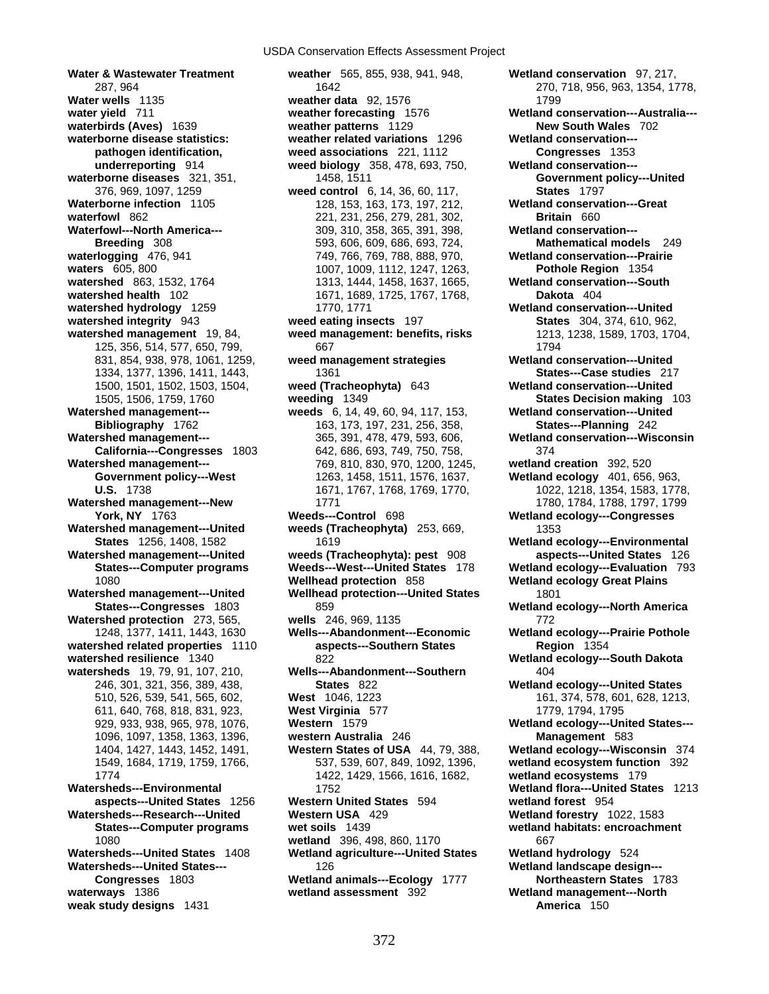1500, 1501, 1502, 1503, 1504, **weak study designs** 1431 **America** 150

**Water & Wastewater Treatment weather** 565, 855, 938, 941, 948, **Wetland conservation** 97, 217, 287, 964 1642 270, 718, 956, 963, 1354, 1778, **Water wells** 1135 **weather data** 92, 1576 1799 **waterbirds (Aves)** 1639 **weather patterns** 1129 **New South Wales** 702 **waterborne disease statistics: weather related variations** 1296 **Wetland conservation-- pathogen identification, weed associations** 221, 1112 **Congresses** 1353 **underreporting** 914 **weed biology** 358, 478, 693, 750, **Wetland conservation--** waterborne diseases 321, 351, 1458, 1511 **Government policy---United** 376, 969, 1097, 1259 **weed control** 6, 14, 36, 60, 117, **States** 1797 **Waterborne infection** 1105 128, 153, 163, 173, 197, 212, **Wetland conservation---Great waterfowl** 862 **123, 163, 173, 256, 279, 281, 302. Britain** 660 **waterfowl** 862 **221, 231, 256, 279, 281, 302, Britain** 660<br> **Waterfowl---North America---** 200, 310, 358, 365, 391, 398, **Wetland conservation---Waterfowl---North America---** 309, 310, 358, 365, 391, 398, **Wetland conservation--- Breeding** 308 593, 606, 609, 686, 693, 724, **Mathematical models** 249 **waterlogging** 476, 941 749, 766, 769, 788, 888, 970, **Wetland conservation---Prairie waters** 605, 800 1007, 1009, 1112, 1247, 1263, **Pothole Region** 1354 **watershed** 863, 1532, 1764 1313, 1444, 1458, 1637, 1665, **Wetland conservation---South watershed health** 102 1671, 1689, 1725, 1767, 1768, **Dakota** 404 **watershed hydrology** 1259 1770, 1771 **Wetland conservation---United watershed integrity** 943 **weed eating insects** 197 **States** 304, 374, 610, 962, **watershed management** 19, 84, **weed management: benefits, risks** 1213, 1238, 1589, 1703, 1704, 125, 356, 514, 577, 650, 799, 667 1794 831, 854, 938, 978, 1061, 1259, **weed management strategies Wetland conservation---United**  1334, 1377, 1396, 1411, 1443, 1361 **States---Case studies** 217 1505, 1506, 1759, 1760 **weeding** 1349 **States Decision making** 103 **Watershed management--- weeds** 6, 14, 49, 60, 94, 117, 153, **Wetland conservation---United Bibliography** 1762 163, 173, 197, 231, 256, 358, **States---Planning** 242 **Watershed management---** 365, 391, 478, 479, 593, 606, **Wetland conservation---Wisconsin California---Congresses** 1803 642, 686, 693, 749, 750, 758, 374 **Watershed management---** 769, 810, 830, 970, 1200, 1245, **wetland creation** 392, 520 **Government policy---West** 1263, 1458, 1511, 1576, 1637, **Wetland ecology** 401, 656, 963, **U.S.** 1738 1671, 1767, 1768, 1769, 1770, 1022, 1218, 1354, 1583, 1778, **Watershed management---New 1771** 1780, 1780, 1780, 1784, 1788, 1797, 1799 **York, NY** 1763 **Weeds---Control** 698 **Wetland ecology---Congresses Watershed management---United weeds (Tracheophyta)** 253, 669, 1353<br>**States** 1256, 1408, 1582 1619 1619 **Watershed management---United weeds (Tracheophyta): pest** 908 **aspects---United States** 126 **States---Computer programs Weeds---West---United States** 178 **Wetland ecology---Evaluation** 793 1080 **Wellhead protection** 858 **Wetland ecology Great Plains Watershed management---United Wellhead protection---United States** 1801 **States---Congresses** 1803 859 **Wetland ecology---North America Watershed protection** 273, 565, **wells** 246, 969, 1135 772 1248, 1377, 1411, 1443, 1630 **Wells---Abandonment---Economic Wetland ecology---Prairie Pothole watershed related properties** 1110 **aspects---Southern States Region** 1354 **watershed resilience** 1340 822 **Wetland ecology---South Dakota watersheds** 19, 79, 91, 107, 210, **Wells---Abandonment---Southern** 404 246, 301, 321, 356, 389, 438, **States** 822 **Wetland ecology---United States** 510, 526, 539, 541, 565, 602, **West** 1046, 1223 161, 374, 578, 601, 628, 1213, 571, 640, 768, 813, 923, **West Virginia** 577 179, 179, 1794, 1795 611, 640, 768, 818, 831, 923, **West Virginia** 577 1779, 1794, 1795 1096, 1097, 1358, 1363, 1396, **western Australia** 246 **Management** 583 1404, 1427, 1443, 1452, 1491, **Western States of USA** 44, 79, 388, **Wetland ecology---Wisconsin** 374 1549, 1684, 1719, 1759, 1766, 537, 539, 607, 849, 1092, 1396, **wetland ecosystem function** 392 1774 1422, 1429, 1566, 1616, 1682, **wetland ecosystems** 179 **aspects---United States** 1256 **Western United States** 594 **wetland forest** 954 **Watersheds---Research---United Western USA** 429 **Wetland forestry** 1022, 1583 **States---Computer programs wet soils** 1439 **wetland habitats: encroachment** 1080 **wetland** 396, 498, 860, 1170 667 **Watersheds---United States** 1408 **Wetland agriculture---United States Wetland hydrology** 524 **Watersheds---United States---** 126 **Wetland landscape design--- Congresses** 1803 **Wetland animals---Ecology** 1777 **Northeastern States** 1783 **waterways** 1386 **wetland assessment** 392 **Wetland management---North** 

**water yield** 711 **weather forecasting** 1576 **Wetland conservation---Australia---** 1619 **Wetland ecology---Environmental** 929, 933, 938, 965, 978, 1076, **Western** 1579 **Wetland ecology---United States--- Watersheds---Environmental** 1752 **Wetland flora---United States** 1213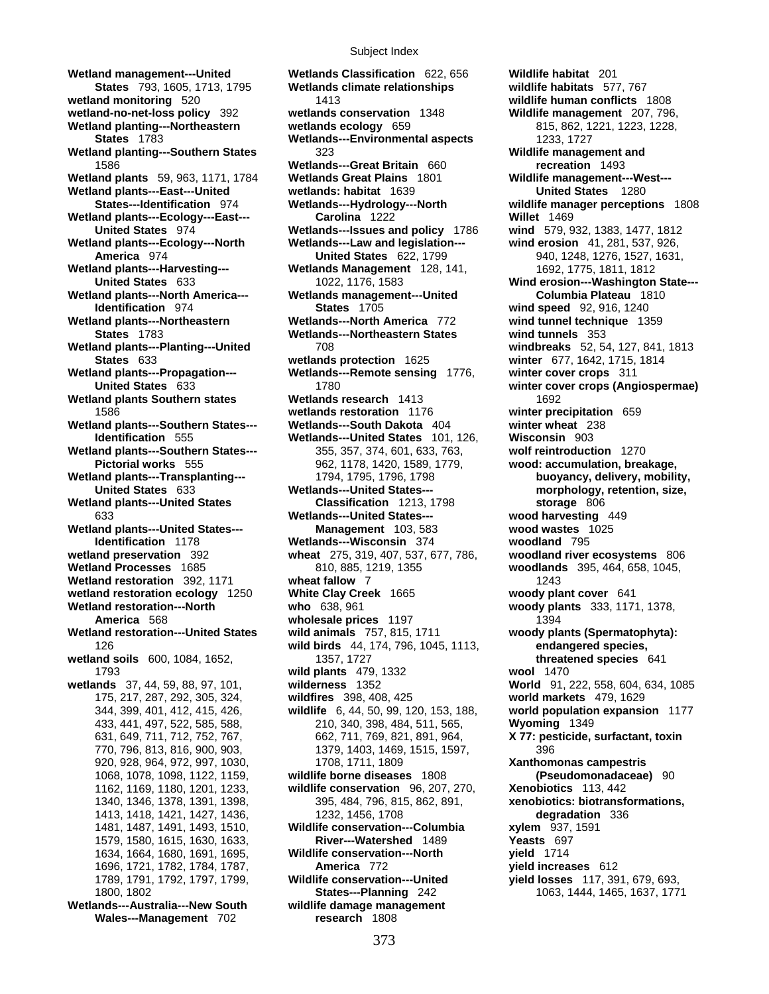**Wetland plants---United States--- <b>Management** 103, 583

**Wales---Management** 702 **research** 1808

**Wetland management---United Wetlands Classification** 622, 656 **Wildlife habitat** 201 **States** 793, 1605, 1713, 1795 **Wetlands climate relationships wetland monitoring** 520 1413 **wildlife human conflicts** 1808 **wetland-no-net-loss policy** 392 **wetlands conservation** 1348 **Wildlife management** 207, 796, Wetland planting---Northeastern wetlands ecology 659 815, 862, 1221, 1223, 1228, 1228, **States** 1783 **Wetlands---Environmental aspects** 1233, 1727 **Wetland planting---Southern States** 323 **Wildlife management and**  1586 **Wetlands---Great Britain** 660 **recreation** 1493 **Wetland plants** 59, 963, 1171, 1784 **Wetlands Great Plains** 1801 **Wildlife management---West--- Wetland plants---East---United wetlands: habitat** 1639 **United States** 1280 **States---Identification** 974 **Wetlands---Hydrology---North wildlife manager perceptions** 1808 **Wetland plants---Ecology---East--- Carolina** 1222 **Willet** 1469 **United States** 974 **Wetlands---Issues and policy** 1786 **wind** 579, 932, 1383, 1477, 1812 Wetlands---Law and legislation--- **wind erosion** 41, 281, 537, 926, **America** 974 **United States** 622, 1799 940, 1248, 1276, 1527, 1631, **Wetland plants---Harvesting--- Wetlands Management** 128, 141, 1692, 1775, 1811, 1812 **United States** 633 **1022, 1176, 1583 Wind erosion---Washington State---Wetland plants---North America--- Wetlands management---United Columbia Plateau** 1810 **Identification** 974 **States** 1705 **wind speed** 92, 916, 1240 **Wetland plants---Northeastern Wetlands---North America** 772 **wind tunnel technique** 1359 **States** 1783 **Wetlands---Northeastern States wind tunnels** 353 **Wetland plants---Planting---United** 708 **windbreaks** 52, 54, 127, 841, 1813 **States** 633 **wetlands protection** 1625 **winter** 677, 1642, 1715, 1814 **Wetland plants---Propagation--- Wetlands---Remote sensing** 1776, **winter cover crops** 311 **United States** 633 1780 **winter cover crops (Angiospermae) Wetland plants Southern states Wetlands research** 1413 1692 1586 **wetlands restoration** 1176 **winter precipitation** 659 **Wetland plants---Southern States--- Wetlands---South Dakota** 404 **winter wheat** 238 **Identification** 555 **Wetlands---United States** 101, 126, **Wisconsin** 903 **Wetland plants---Southern States---** 355, 357, 374, 601, 633, 763, **wolf reintroduction** 1270 **Pictorial works** 555 962, 1178, 1420, 1589, 1779, **wood: accumulation, breakage, Wetland plants---Transplanting---** 1794, 1795, 1796, 1798 **buoyancy, delivery, mobility, United States** 633 **Wetlands---United States--- morphology, retention, size, Wetland plants---United States Classification** 1213, 1798 **storage** 806 633 **Wetlands---United States--- wood harvesting** 449 **Identification** 1178 **Wetlands---Wisconsin** 374 **woodland** 795 **wetland preservation** 392 **wheat** 275, 319, 407, 537, 677, 786, **woodland river ecosystems** 806 **Wetland restoration** 392, 1171 **wheat fallow** 7 1243 **wetland restoration ecology** 1250 **White Clay Creek** 1665 **woody plant cover** 641 **Wetland restoration---North who** 638, 961 **woody plants** 333, 1171, 1378, **America** 568 **wholesale prices** 1197 **1394 Wetland restoration---United States wild animals** 757, 815, 1711 **woody plants (Spermatophyta):**  126 **wild birds** 44, 174, 796, 1045, 1113, **endangered species, wetland soils** 600, 1084, 1652, 1357, 1727 **threatened species** 641 1793 **wild plants** 479, 1332 **wool** 1470 **wetlands** 37, 44, 59, 88, 97, 101, **wilderness** 1352 **World** 91, 222, 558, 604, 634, 1085 175, 217, 287, 292, 305, 324, **wildfires** 398, 408, 425 **world markets** 479, 1629 344, 399, 401, 412, 415, 426, **wildlife** 6, 44, 50, 99, 120, 153, 188, **world population expansion** 1177 433, 441, 497, 522, 585, 588, 210, 340, 398, 484, 511, 565, **Wyoming** 1349 631, 649, 711, 712, 752, 767, 662, 711, 769, 821, 891, 964, **X 77: pesticide, surfactant, toxin** 770, 796, 813, 816, 900, 903, 1379, 1403, 1469, 1515, 1597, 396 920, 928, 964, 972, 997, 1030, 1708, 1711, 1809 **Xanthomonas campestris**  1068, 1078, 1098, 1122, 1159, **wildlife borne diseases** 1808 **(Pseudomonadaceae)** 90 1162, 1169, 1180, 1201, 1233, **wildlife conservation** 96, 207, 270, **Xenobiotics** 113, 442 1340, 1346, 1378, 1391, 1398, 395, 484, 796, 815, 862, 891, **xenobiotics: biotransformations,**  1413, 1418, 1421, 1427, 1436, 1232, 1456, 1708 **degradation** 336 1481, 1487, 1491, 1493, 1510, **Wildlife conservation---Columbia xylem** 937, 1591 1579, 1580, 1615, 1630, 1633, **River---Watershed** 1489 **Yeasts** 697 1634, 1664, 1680, 1691, 1695, **Wildlife conservation---North yield** 1714 1696, 1721, 1782, 1784, 1787, **America** 772 **yield increases** 612 1789, 1791, 1792, 1797, 1799, **Wildlife conservation---United yield losses** 117, 391, 679, 693, 1800, 1802 **States---Planning** 242 1063, 1444, 1465, 1637, 1771 **Wetlands---Australia---New South wildlife damage management** 

**Wetland Processes** 1685 810, 885, 1219, 1355 **woodlands** 395, 464, 658, 1045,